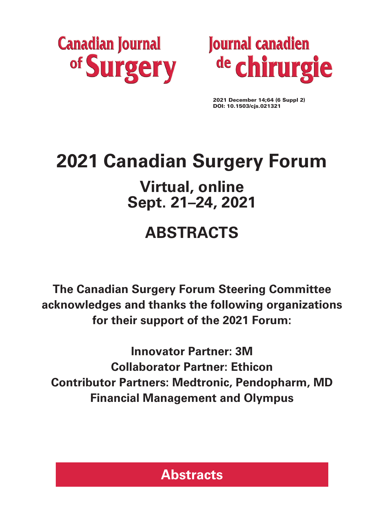



2021 December 14;64 (6 Suppl 2) DOI: 10.1503/cjs.021321

# **2021 Canadian Surgery Forum**

# **Virtual, online Sept. 21–24, 2021**

# **ABSTRACTS**

**The Canadian Surgery Forum Steering Committee acknowledges and thanks the following organizations for their support of the 2021 Forum:**

**Innovator Partner: 3M Collaborator Partner: Ethicon Contributor Partners: Medtronic, Pendopharm, MD Financial Management and Olympus** 

# **Abstracts**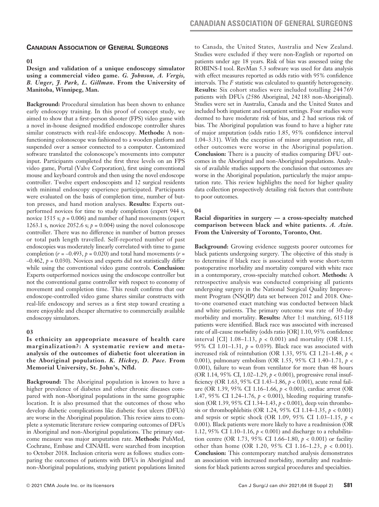### **Canadian Association of General Surgeons**

#### **01**

### **Design and validation of a unique endoscopy simulator using a commercial video game.** *G. Johnson, A. Vergis, B. Unger, J. Park, L. Gillman***. From the University of Manitoba, Winnipeg, Man.**

**Background:** Procedural simulation has been shown to enhance early endoscopy training. In this proof of concept study, we aimed to show that a first-person shooter (FPS) video game with a novel in-house designed modified endoscope controller shares similar constructs with real-life endoscopy. **Methods:** A nonfunctioning colonoscope was fashioned to a wooden platform and suspended over a sensor connected to a computer. Customized software translated the colonoscope's movements into computer input. Participants completed the first three levels on an FPS video game, Portal (Valve Corporation), first using conventional mouse and keyboard controls and then using the novel endoscope controller. Twelve expert endoscopists and 12 surgical residents with minimal endoscopy experience participated. Participants were evaluated on the basis of completion time, number of button presses, and hand motion analyses. **Results:** Experts outperformed novices for time to study completion (expert 944 s, novice 1515 s;  $p = 0.006$ ) and number of hand movements (expert 1263.1 s, novice 2052.6 s;  $p = 0.004$ ) using the novel colonoscope controller. There was no difference in number of button presses or total path length travelled. Self-reported number of past endoscopies was moderately linearly correlated with time to game completion ( $r = -0.493$ ,  $p = 0.020$ ) and total hand movements ( $r =$  $-0.462$ ,  $p = 0.030$ ). Novices and experts did not statistically differ while using the conventional video game controls. **Conclusion:** Experts outperformed novices using the endoscope controller but not the conventional game controller with respect to economy of movement and completion time. This result confirms that our endoscope-controlled video game shares similar constructs with real-life endoscopy and serves as a first step toward creating a more enjoyable and cheaper alternative to commercially available endoscopy simulators.

### **03**

### **Is ethnicity an appropriate measure of health care marginalization?: A systematic review and metaanalysis of the outcomes of diabetic foot ulceration in the Aboriginal population.** *K. Hickey, D. Pace.* **From Memorial University, St. John's, Nfld.**

**Background:** The Aboriginal population is known to have a higher prevalence of diabetes and other chronic diseases compared with non-Aboriginal populations in the same geographic location. It is also presumed that the outcomes of those who develop diabetic complications like diabetic foot ulcers (DFUs) are worse in the Aboriginal population. This review aims to complete a systematic literature review comparing outcomes of DFUs in Aboriginal and non-Aboriginal populations. The primary outcome measure was major amputation rate. **Methods:** PubMed, Cochrane, Embase and CINAHL were searched from inception to October 2018. Inclusion criteria were as follows: studies comparing the outcomes of patients with DFUs in Aboriginal and non-Aboriginal populations, studying patient populations limited to Canada, the United States, Australia and New Zealand. Studies were excluded if they were non-English or reported on patients under age 18 years. Risk of bias was assessed using the ROBINS-I tool. RevMan 5.3 software was used for data analysis with effect measures reported as odds ratio with 95% confidence intervals. The  *statistic was calculated to quantify heterogeneity.* **Results:** Six cohort studies were included totalling 244 769 patients with DFUs (2586 Aboriginal, 242183 non-Aboriginal). Studies were set in Australia, Canada and the United States and included both inpatient and outpatient settings. Four studies were deemed to have moderate risk of bias, and 2 had serious risk of bias. The Aboriginal population was found to have a higher rate of major amputation (odds ratio 1.85, 95% confidence interval 1.04–3.31). With the exception of minor amputation rate, all other outcomes were worse in the Aboriginal population. **Conclusion:** There is a paucity of studies comparing DFU outcomes in the Aboriginal and non-Aboriginal populations. Analysis of available studies supports the conclusion that outcomes are worse in the Aboriginal population, particularly the major amputation rate. This review highlights the need for higher quality data collection prospectively detailing risk factors that contribute to poor outcomes.

#### **04**

#### **Racial disparities in surgery — a cross-specialty matched comparison between black and white patients.** *A. Azin.* **From the University of Toronto, Toronto, Ont.**

**Background:** Growing evidence suggests poorer outcomes for black patients undergoing surgery. The objective of this study is to determine if black race is associated with worse short-term postoperative morbidity and mortality compared with white race in a contemporary, cross-specialty matched cohort. **Methods:** A retrospective analysis was conducted comprising all patients undergoing surgery in the National Surgical Quality Improvement Program (NSQIP) data set between 2012 and 2018. Oneto-one coarsened exact matching was conducted between black and white patients. The primary outcome was rate of 30-day morbidity and mortality. **Results:** After 1:1 matching, 615 118 patients were identified. Black race was associated with increased rate of all-cause morbidity (odds ratio [OR] 1.10, 95% confidence interval [CI] 1.08–1.13,  $p < 0.001$ ) and mortality (OR 1.15, 95% CI 1.01–1.31, *p* = 0.039). Black race was associated with increased risk of reintubation (OR 1.33, 95% CI 1.21–1.48, *p* < 0.001), pulmonary embolism (OR 1.55, 95% CI 1.40–1.71, *p* < 0.001), failure to wean from ventilator for more than 48 hours (OR 1.14, 95% CI, 1.02–1.29, *p* < 0.001), progressive renal insufficiency (OR 1.63, 95% CI 1.43–1.86, *p* < 0.001), acute renal failure (OR 1.39, 95% CI 1.16–1.66, *p* < 0.001), cardiac arrest (OR 1.47, 95% CI 1.24–1.76, *p* < 0.001), bleeding requiring transfusion (OR 1.39, 95% CI 1.34–1.43, *p* < 0.001), deep vein thrombosis or thrombophlebitis (OR 1.24, 95% CI 1.14–1.35, *p* < 0.001) and sepsis or septic shock (OR 1.09, 95% CI 1.03–1.15, *p* < 0.001). Black patients were more likely to have a readmission (OR 1.12, 95% CI 1.10–1.16, *p* < 0.001) and discharge to a rehabilitation centre (OR 1.73, 95% CI 1.66–1.80, *p* < 0.001) or facility other than home (OR 1.20, 95% CI 1.16–1.23, *p* < 0.001). **Conclusion:** This contemporary matched analysis demonstrates an association with increased morbidity, mortality and readmissions for black patients across surgical procedures and specialties.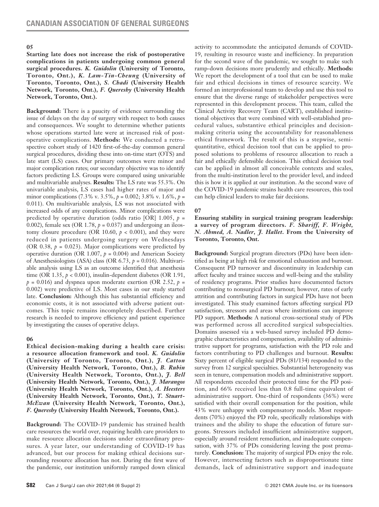#### **05**

**Starting late does not increase the risk of postoperative complications in patients undergoing common general surgical procedures.** *K. Guidolin* **(University of Toronto, Toronto, Ont.),** *K. Lam-Tin-Cheung* **(University of Toronto, Toronto, Ont.),** *S. Chadi* **(University Health Network, Toronto, Ont.),** *F. Quereshy* **(University Health Network, Toronto, Ont.).**

**Background:** There is a paucity of evidence surrounding the issue of delays on the day of surgery with respect to both causes and consequences. We sought to determine whether patients whose operations started late were at increased risk of postoperative complications. **Methods:** We conducted a retrospective cohort study of 1420 first-of-the-day common general surgical procedures, dividing these into on-time start (OTS) and late start (LS) cases. Our primary outcomes were minor and major complication rates; our secondary objective was to identify factors predicting LS. Groups were compared using univariable and multivariable analyses. **Results:** The LS rate was 55.3%. On univariable analysis, LS cases had higher rates of major and minor complications (7.3% v. 3.5%, *p* = 0.002; 3.8% v. 1.6%, *p* = 0.011). On multivariable analysis, LS was not associated with increased odds of any complications. Minor complications were predicted by operative duration (odds ratio [OR]  $1.005$ ,  $p =$ 0.002), female sex (OR 1.78,  $p = 0.037$ ) and undergoing an ileostomy closure procedure (OR 10.60,  $p < 0.001$ ), and they were reduced in patients undergoing surgery on Wednesdays (OR 0.38,  $p = 0.023$ ). Major complications were predicted by operative duration (OR 1.007,  $p = 0.004$ ) and American Society of Anesthesiologists (ASA) class (OR 6.73, *p* = 0.016). Multivariable analysis using LS as an outcome identified that anesthesia time (OR 1.35, *p* < 0.001), insulin-dependent diabetes (OR 1.91,  $p = 0.016$ ) and dyspnea upon moderate exertion (OR 2.52,  $p =$ 0.002) were predictive of LS. Most cases in our study started late. **Conclusion:** Although this has substantial efficiency and economic costs, it is not associated with adverse patient outcomes. This topic remains incompletely described. Further research is needed to improve efficiency and patient experience by investigating the causes of operative delays.

### **06**

**Ethical decision-making during a health care crisis: a resource allocation framework and tool.** *K. Guidolin* **(University of Toronto, Toronto, Ont.),** *J. Catton* **(University Health Network, Toronto, Ont.),** *B. Rubin* **(University Health Network, Toronto, Ont.),** *J. Bell* **(University Health Network, Toronto, Ont.),** *J. Marangos* **(University Health Network, Toronto, Ont.),** *A. Heesters* **(University Health Network, Toronto, Ont.),** *T. Stuart-McEwan* **(University Health Network, Toronto, Ont.),**  *F. Quereshy* **(University Health Network, Toronto, Ont.).**

**Background:** The COVID-19 pandemic has strained health care resources the world over, requiring health care providers to make resource allocation decisions under extraordinary pressures. A year later, our understanding of COVID-19 has advanced, but our process for making ethical decisions surrounding resource allocation has not. During the first wave of the pandemic, our institution uniformly ramped down clinical activity to accommodate the anticipated demands of COVID-19, resulting in resource waste and inefficiency. In preparation for the second wave of the pandemic, we sought to make such ramp-down decisions more prudently and ethically. **Methods:** We report the development of a tool that can be used to make fair and ethical decisions in times of resource scarcity. We formed an interprofessional team to develop and use this tool to ensure that the diverse range of stakeholder perspectives were represented in this development process. This team, called the Clinical Activity Recovery Team (CART), established institutional objectives that were combined with well-established procedural values, substantive ethical principles and decisionmaking criteria using the accountability for reasonableness ethical framework. The result of this is a stepwise, semiquantitative, ethical decision tool that can be applied to proposed solutions to problems of resource allocation to reach a fair and ethically defensible decision. This ethical decision tool can be applied in almost all conceivable contexts and scales, from the multi-institution level to the provider level, and indeed this is how it is applied at our institution. As the second wave of the COVID-19 pandemic strains health care resources, this tool can help clinical leaders to make fair decisions.

### **07**

**Ensuring stability in surgical training program leadership: a survey of program directors.** *F. Shariff, F. Wright, N. Ahmed, A. Nadler, J. Hallet***. From the University of Toronto, Toronto, Ont.**

**Background:** Surgical program directors (PDs) have been identified as being at high risk for emotional exhaustion and burnout. Consequent PD turnover and discontinuity in leadership can affect faculty and trainee success and well-being and the stability of residency programs. Prior studies have documented factors contributing to nonsurgical PD burnout; however, rates of early attrition and contributing factors in surgical PDs have not been investigated. This study examined factors affecting surgical PD satisfaction, stressors and areas where institutions can improve PD support. **Methods:** A national cross-sectional study of PDs was performed across all accredited surgical subspecialties. Domains assessed via a web-based survey included PD demographic characteristics and compensation, availability of administrative support for programs, satisfaction with the PD role and factors contributing to PD challenges and burnout. **Results:** Sixty percent of eligible surgical PDs (81/134) responded to the survey from 12 surgical specialties. Substantial heterogeneity was seen in tenure, compensation models and administrative support. All respondents exceeded their protected time for the PD position, and 66% received less than 0.8 full-time equivalent of administrative support. One-third of respondents (36%) were satisfied with their overall compensation for the position, while 43% were unhappy with compensatory models. Most respondents (70%) enjoyed the PD role, specifically relationships with trainees and the ability to shape the education of future surgeons. Stressors included insufficient administrative support, especially around resident remediation, and inadequate compensation, with 37% of PDs considering leaving the post prematurely. **Conclusion:** The majority of surgical PDs enjoy the role. However, intersecting factors such as disproportionate time demands, lack of administrative support and inadequate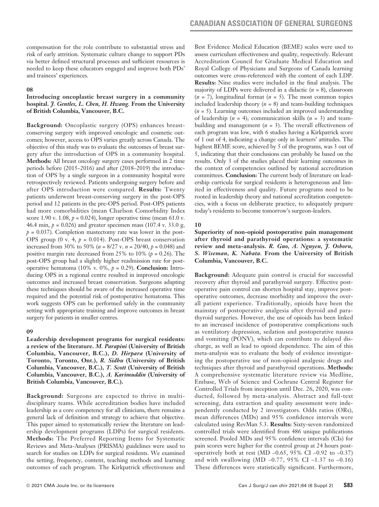compensation for the role contribute to substantial stress and risk of early attrition. Systematic culture change to support PDs via better defined structural processes and sufficient resources is needed to keep these educators engaged and improve both PDs' and trainees' experiences.

#### **08**

# **Introducing oncoplastic breast surgery in a community hospital.** *J. Gentles, L. Chen, H. Hwang.* **From the University of British Columbia, Vancouver, B.C.**

**Background:** Oncoplastic surgery (OPS) enhances breastconserving surgery with improved oncologic and cosmetic outcomes; however, access to OPS varies greatly across Canada. The objective of this study was to evaluate the outcomes of breast surgery after the introduction of OPS in a community hospital. **Methods:** All breast oncology surgery cases performed in 2 time periods before (2015–2016) and after (2018–2019) the introduction of OPS by a single surgeon in a community hospital were retrospectively reviewed. Patients undergoing surgery before and after OPS introduction were compared. **Results:** Twenty patients underwent breast-conserving surgery in the post-OPS period and 12 patients in the pre-OPS period. Post-OPS patients had more comorbidities (mean Charlson Comorbidity Index score 1.90 v. 1.08,  $p = 0.024$ ), longer operative time (mean 61.0 v. 46.4 min, *p* = 0.026) and greater specimen mass (107.4 v. 33.0 g,  $p = 0.037$ ). Completion mastectomy rate was lower in the post-OPS group (0 v. 4, *p* = 0.014). Post-OPS breast conservation increased from 30% to 50% (*n* = 8/27 v. *n* = 20/40, *p* = 0.048) and positive margin rate decreased from 25% to 10%  $(p = 0.26)$ . The post-OPS group had a slightly higher readmission rate for postoperative hematoma (10% v. 0%, *p* = 0.29). **Conclusion:** Introducing OPS in a regional centre resulted in improved oncologic outcomes and increased breast conservation. Surgeons adapting these techniques should be aware of the increased operative time required and the potential risk of postoperative hematoma. This work suggests OPS can be performed safely in the community setting with appropriate training and improve outcomes in breast surgery for patients in smaller centres.

# **09**

**Leadership development programs for surgical residents: a review of the literature.** *M. Parapini* **(University of British Columbia, Vancouver, B.C.),** *D. Hirpara* **(University of Toronto, Toronto, Ont.),** *R. Sidhu* **(University of British Columbia, Vancouver, B.C.),** *T. Scott* **(University of British Columbia, Vancouver, B.C.),** *A. Karimuddin* **(University of British Columbia, Vancouver, B.C.).**

**Background:** Surgeons are expected to thrive in multidisciplinary teams. While accreditation bodies have included leadership as a core competency for all clinicians, there remains a general lack of definition and strategy to achieve that objective. This paper aimed to systematically review the literature on leadership development programs (LDPs) for surgical residents. **Methods:** The Preferred Reporting Items for Systematic Reviews and Meta-Analyses (PRISMA) guidelines were used to search for studies on LDPs for surgical residents. We examined the setting, frequency, content, teaching methods and learning outcomes of each program. The Kirkpatrick effectiveness and Best Evidence Medical Education (BEME) scales were used to assess curriculum effectiveness and quality, respectively. Relevant Accreditation Council for Graduate Medical Education and Royal College of Physicians and Surgeons of Canada learning outcomes were cross-referenced with the content of each LDP. **Results:** Nine studies were included in the final analysis. The majority of LDPs were delivered in a didactic (*n* = 8), classroom (*n* = 7), longitudinal format (*n* = 5). The most common topics included leadership theory  $(n = 8)$  and team-building techniques (*n* = 5). Learning outcomes included an improved understanding of leadership (*n* = 4), communication skills (*n* = 3) and teambuilding and management  $(n = 3)$ . The overall effectiveness of each program was low, with 6 studies having a Kirkpatrick score of 1 out of 4, indicating a change only in learners' attitudes. The highest BEME score, achieved by 5 of the programs, was 3 out of 5, indicating that their conclusions can probably be based on the results. Only 3 of the studies placed their learning outcomes in the context of competencies outlined by national accreditation committees. **Conclusion:** The current body of literature on leadership curricula for surgical residents is heterogeneous and limited in effectiveness and quality. Future programs need to be rooted in leadership theory and national accreditation competencies, with a focus on deliberate practice, to adequately prepare today's residents to become tomorrow's surgeon-leaders.

# **10**

**Superiority of non-opioid postoperative pain management after thyroid and parathyroid operations: a systematic review and meta-analysis.** *R. Guo, A. Nguyen, J. Osborn, S. Wiseman, K. Nabata.* **From the University of British Columbia, Vancouver, B.C.**

**Background:** Adequate pain control is crucial for successful recovery after thyroid and parathyroid surgery. Effective postoperative pain control can shorten hospital stay, improve postoperative outcomes, decrease morbidity and improve the overall patient experience. Traditionally, opioids have been the mainstay of postoperative analgesia after thyroid and parathyroid surgeries. However, the use of opioids has been linked to an increased incidence of postoperative complications such as ventilatory depression, sedation and postoperative nausea and vomiting (PONV), which can contribute to delayed discharge, as well as lead to opioid dependence. The aim of this meta-analysis was to evaluate the body of evidence investigating the postoperative use of non-opioid analgesic drugs and techniques after thyroid and parathyroid operations. **Methods:** A comprehensive systematic literature review via Medline, Embase, Web of Science and Cochrane Central Register for Controlled Trials from inception until Dec. 26, 2020, was conducted, followed by meta-analysis. Abstract and full-text screening, data extraction and quality assessment were independently conducted by 2 investigators. Odds ratios (ORs), mean differences (MDs) and 95% confidence intervals were calculated using RevMan 5.3. **Results:** Sixty-seven randomized controlled trials were identified from 486 unique publications screened. Pooled MDs and 95% confidence intervals (CIs) for pain scores were higher for the control group at 24 hours postoperatively both at rest (MD –0.65, 95% CI –0.92 to –0.37) and with swallowing (MD  $-0.77$ , 95% CI  $-1.37$  to  $-0.16$ ) These differences were statistically significant. Furthermore,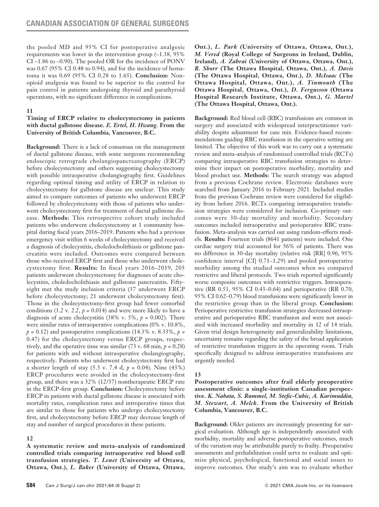the pooled MD and 95% CI for postoperative analgesic requirements was lower in the intervention group (–1.38, 95% CI –1.86 to –0.90). The pooled OR for the incidence of PONV was 0.67 (95% CI 0.48 to 0.94), and for the incidence of hematoma it was 0.69 (95% CI 0.28 to 1.65). **Conclusion:** Nonopioid analgesia was found to be superior to the control for pain control in patients undergoing thyroid and parathyroid operations, with no significant difference in complications.

# **11**

# **Timing of ERCP relative to cholecystectomy in patients with ductal gallstone disease.** *E. Ertel, H. Hwang.* **From the University of British Columbia, Vancouver, B.C.**

**Background:** There is a lack of consensus on the management of ductal gallstone disease, with some surgeons recommending endoscopic retrograde cholangiopancreatography (ERCP) before cholecystectomy and others suggesting cholecystectomy with possible intraoperative cholangiography first. Guidelines regarding optimal timing and utility of ERCP in relation to cholecystectomy for gallstone disease are unclear. This study aimed to compare outcomes of patients who underwent ERCP followed by cholecystectomy with those of patients who underwent cholecystectomy first for treatment of ductal gallstone disease. **Methods:** This retrospective cohort study included patients who underwent cholecystectomy at 1 community hospital during fiscal years 2016–2019. Patients who had a previous emergency visit within 6 weeks of cholecystectomy and received a diagnosis of cholecystitis, choledocholithiasis or gallstone pancreatitis were included. Outcomes were compared between those who received ERCP first and those who underwent cholecystectomy first. **Results:** In fiscal years 2016–2019, 205 patients underwent cholecystectomy for diagnoses of acute cholecystitis, choledocholithiasis and gallstone pancreatitis. Fiftyeight met the study inclusion criteria (37 underwent ERCP before cholecystectomy; 21 underwent cholecystectomy first). Those in the cholecystectomy-first group had fewer comorbid conditions (1.2 v. 2.2,  $p = 0.014$ ) and were more likely to have a diagnosis of acute cholecystitis (38% v. 5%,  $p = 0.002$ ). There were similar rates of intraoperative complications (0% v. 10.8%,  $p = 0.12$ ) and postoperative complications (14.3% v. 8.33%,  $p =$ 0.47) for the cholecystectomy versus ERCP groups, respectively, and the operative time was similar  $(73 \text{ v. } 68 \text{ min}, p = 0.28)$ for patients with and without intraoperative cholangiography, respectively. Patients who underwent cholecystectomy first had a shorter length of stay (5.3 v. 7.4 d, *p* = 0.04). Nine (43%) ERCP procedures were avoided in the cholecystectomy-first group, and there was a 32% (12/37) nontherapeutic ERCP rate in the ERCP-first group. **Conclusion:** Cholecystectomy before ERCP in patients with ductal gallstone disease is associated with mortality rates, complication rates and introperative times that are similar to those for patients who undergo cholecystectomy first, and cholecystectomy before ERCP may decrease length of stay and number of surgical procedures in these patients.

# **12**

**A systematic review and meta-analysis of randomized controlled trials comparing intraoperative red blood cell transfusion strategies.** *T. Lenet* **(University of Ottawa, Ottawa, Ont.),** *L. Baker* **(University of Ottawa, Ottawa,**  **Ont.),** *L. Park* **(University of Ottawa, Ottawa, Ont.),**  *M. Vered* **(Royal College of Surgeons in Ireland, Dublin, Ireland),** *A. Zahrai* **(University of Ottawa, Ottawa, Ont.),**  *R. Shorr* **(The Ottawa Hospital, Ottawa, Ont.),** *A. Davis* **(The Ottawa Hospital, Ottawa, Ont.),** *D. McIsaac* **(The Ottawa Hospital, Ottawa, Ont.),** *A. Tinmouth* **(The Ottawa Hospital, Ottawa, Ont.),** *D. Fergusson* **(Ottawa Hospital Research Institute, Ottawa, Ont.),** *G. Martel* **(The Ottawa Hospital, Ottawa, Ont.).**

**Background:** Red blood cell (RBC) transfusions are common in surgery and associated with widespread interpractitioner variability despite adjustment for case mix. Evidence-based recommendations guiding RBC transfusion in the operative setting are limited. The objective of this work was to carry out a systematic review and meta-analysis of randomized controlled trials (RCTs) comparing intraoperative RBC transfusion strategies to determine their impact on postoperative morbidity, mortality and blood product use. **Methods:** The search strategy was adapted from a previous Cochrane review. Electronic databases were searched from January 2016 to February 2021. Included studies from the previous Cochrane review were considered for eligibility from before 2016. RCTs comparing intraoperative transfusion strategies were considered for inclusion. Co-primary outcomes were 30-day mortality and morbidity. Secondary outcomes included intraoperative and perioperative RBC transfusion. Meta-analysis was carried out using random-effects models. **Results:** Fourteen trials (8641 patients) were included. One cardiac surgery trial accounted for 56% of patients. There was no difference in 30-day mortality (relative risk [RR] 0.96, 95% confidence interval [CI] 0.71–1.29) and pooled postoperative morbidity among the studied outcomes when we compared restrictive and liberal protocols. Two trials reported significantly worse composite outcomes with restrictive triggers. Intraoperative (RR 0.53, 95% CI 0.43–0.64) and perioperative (RR 0.70, 95% CI 0.62–0.79) blood transfusions were significantly lower in the restrictive group than in the liberal group. **Conclusion:** Perioperative restrictive transfusion strategies decreased intraoperative and perioperative RBC transfusion and were not associated with increased morbidity and mortality in 12 of 14 trials. Given trial design heterogeneity and generalizability limitations, uncertainty remains regarding the safety of the broad application of restrictive transfusion triggers in the operating room. Trials specifically designed to address intraoperative transfusions are urgently needed.

# **13**

**Postoperative outcomes after frail elderly preoperative assessment clinic: a single-institution Canadian perspective.** *K. Nabata, S. Rummel, M. Stefic-Cubic, A. Karimuddin, M. Stewart, A. Melck.* **From the University of British Columbia, Vancouver, B.C.**

**Background:** Older patients are increasingly presenting for surgical evaluation. Although age is independently associated with morbidity, mortality and adverse postoperative outcomes, much of the variation may be attributable purely to frailty. Preoperative assessments and prehabilitation could serve to evaluate and optimize physical, psychological, functional and social issues to improve outcomes. Our study's aim was to evaluate whether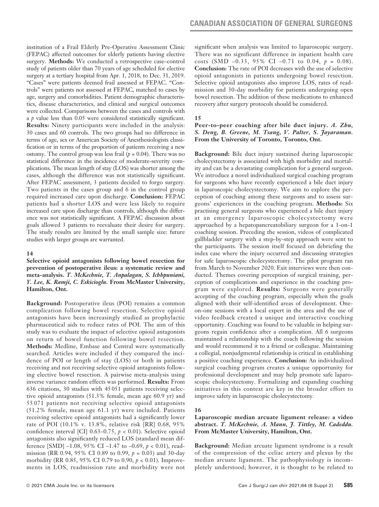institution of a Frail Elderly Pre-Operative Assessment Clinic (FEPAC) affected outcomes for elderly patients having elective surgery. **Methods:** We conducted a retrospective case–control study of patients older than 70 years of age scheduled for elective surgery at a tertiary hospital from Apr. 1, 2018, to Dec. 31, 2019. "Cases" were patients deemed frail assessed at FEPAC. "Controls" were patients not assessed at FEPAC, matched to cases by age, surgery and comorbidities. Patient demographic characteristics, disease characteristics, and clinical and surgical outcomes were collected. Comparisons between the cases and controls with a *p* value less than 0.05 were considered statistically significant. **Results:** Ninety participants were included in the analysis: 30 cases and 60 controls. The two groups had no difference in terms of age, sex or American Society of Anesthesiologists classification or in terms of the proportion of patients receiving a new ostomy. The control group was less frail  $(p = 0.04)$ . There was no statistical difference in the incidence of moderate-severity complications. The mean length of stay (LOS) was shorter among the cases, although the difference was not statistically significant. After FEPAC assessment, 3 patients decided to forgo surgery. Two patients in the cases group and 6 in the control group required increased care upon discharge. **Conclusion:** FEPAC patients had a shorter LOS and were less likely to require increased care upon discharge than controls, although the difference was not statistically significant. A FEPAC discussion about goals allowed 3 patients to reevaluate their desire for surgery. The study results are limited by the small sample size: future studies with larger groups are warranted.

#### **14**

**Selective opioid antagonists following bowel resection for prevention of postoperative ileus: a systematic review and meta-analysis.** *T. McKechnie, T. Anpalagan, S. Ichhpuniani, Y. Lee, K. Ramji, C. Eskicioglu.* **From McMaster University, Hamilton, Ont.**

**Background:** Postoperative ileus (POI) remains a common complication following bowel resection. Selective opioid antagonists have been increasingly studied as prophylactic pharmaceutical aids to reduce rates of POI. The aim of this study was to evaluate the impact of selective opioid antagonists on return of bowel function following bowel resection. **Methods:** Medline, Embase and Central were systematically searched. Articles were included if they compared the incidence of POI or length of stay (LOS) or both in patients receiving and not receiving selective opioid antagonists following elective bowel resection. A pairwise meta-analysis using inverse variance random effects was performed. **Results:** From 636 citations, 30 studies with 45 051 patients receiving selective opioid antagonists (51.3% female, mean age 60.9 yr) and 55 071 patients not receiving selective opioid antagonists (51.2% female, mean age 61.1 yr) were included. Patients receiving selective opioid antagonists had a significantly lower rate of POI (10.1% v. 13.8%, relative risk [RR] 0.68, 95% confidence interval [CI]  $0.63-0.75$ ,  $p < 0.01$ ). Selective opioid antagonists also significantly reduced LOS (standard mean difference [SMD] –1.08, 95% CI –1.47 to –0.69, *p* < 0.01), readmission (RR 0.94, 95% CI 0.89 to 0.99, *p* = 0.03) and 30-day morbidity (RR 0.85, 95% CI 0.79 to 0.90, *p* < 0.01). Improvements in LOS, readmission rate and morbidity were not significant when analysis was limited to laparoscopic surgery. There was no significant difference in inpatient health care costs (SMD –0.33, 95% CI –0.71 to 0.04, *p* = 0.08). **Conclusion:** The rate of POI decreases with the use of selective opioid antagonists in patients undergoing bowel resection. Selective opioid antagonists also improve LOS, rates of readmission and 30-day morbidity for patients undergoing open bowel resection. The addition of these medications to enhanced recovery after surgery protocols should be considered.

#### **15**

# **Peer-to-peer coaching after bile duct injury.** *A. Zhu, S. Deng, B. Greene, M. Tsang, V. Palter, S. Jayaraman.* **From the University of Toronto, Toronto, Ont.**

**Background:** Bile duct injury sustained during laparoscopic cholecystectomy is associated with high morbidity and mortality and can be a devastating complication for a general surgeon. We introduce a novel individualized surgical coaching program for surgeons who have recently experienced a bile duct injury in laparoscopic cholecystectomy. We aim to explore the perception of coaching among these surgeons and to assess surgeons' experiences in the coaching program. **Methods:** Six practising general surgeons who experienced a bile duct injury at an emergency laparoscopic cholecystectomy were approached by a hepatopancreatobiliary surgeon for a 1-on-1 coaching session. Preceding the session, videos of complicated gallbladder surgery with a step-by-step approach were sent to the participants. The session itself focused on debriefing the index case where the injury occurred and discussing strategies for safe laparoscopic cholecystectomy. The pilot program ran from March to November 2020. Exit interviews were then conducted. Themes covering perception of surgical training, perception of complications and experience in the coaching program were explored. **Results:** Surgeons were generally accepting of the coaching program, especially when the goals aligned with their self-identified areas of development. Oneon-one sessions with a local expert in the area and the use of video feedback created a unique and interactive coaching opportunity. Coaching was found to be valuable in helping surgeons regain confidence after a complication. All 6 surgeons maintained a relationship with the coach following the session and would recommend it to a friend or colleague. Maintaining a collegial, nonjudgmental relationship is critical in establishing a positive coaching experience. **Conclusion:** An individualized surgical coaching program creates a unique opportunity for professional development and may help promote safe laparoscopic cholecystectomy. Formalizing and expanding coaching initiatives in this context are key in the broader effort to improve safety in laparoscopic cholecystectomy.

### **16**

# **Laparoscopic median arcuate ligament release: a video abstract.** *T. McKechnie, A. Mann, J. Tittley, M. Cadeddu.* **From McMaster University, Hamilton, Ont.**

**Background:** Median arcuate ligament syndrome is a result of the compression of the celiac artery and plexus by the median arcuate ligament. The pathophysiology is incompletely understood; however, it is thought to be related to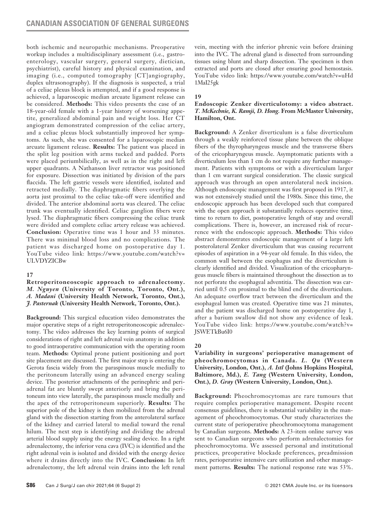both ischemic and neuropathic mechanisms. Preoperative workup includes a multidisciplinary assessment (i.e., gastroenterology, vascular surgery, general surgery, dietician, psychiatrist), careful history and physical examination, and imaging (i.e., computed tomography [CT]angiography, duplex ultrasonography). If the diagnosis is suspected, a trial of a celiac plexus block is attempted, and if a good response is achieved, a laparoscopic median arcuate ligament release can be considered. **Methods:** This video presents the case of an 18-year-old female with a 1-year history of worsening appetite, generalized abdominal pain and weight loss. Her CT angiogram demonstrated compression of the celiac artery, and a celiac plexus block substantially improved her symptoms. As such, she was consented for a laparoscopic median arcuate ligament release. **Results:** The patient was placed in the split leg position with arms tucked and padded. Ports were placed periumbilically, as well as in the right and left upper quadrants. A Nathanson liver retractor was positioned for exposure. Dissection was initiated by division of the pars flaccida. The left gastric vessels were identified, isolated and retracted medially. The diaphragmatic fibers overlying the aorta just proximal to the celiac take-off were identified and divided. The anterior abdominal aorta was cleared. The celiac trunk was eventually identified. Celiac ganglion fibers were lysed. The diaphragmatic fibers compressing the celiac trunk were divided and complete celiac artery release was achieved. **Conclusion:** Operative time was 1 hour and 33 minutes. There was minimal blood loss and no complications. The patient was discharged home on postoperative day 1. YouTube video link: https://www.youtube.com/watch?v= **ULVDYZICBw** 

# **17**

**Retroperitoneoscopic approach to adrenalectomy.**  *M. Nguyen* **(University of Toronto, Toronto, Ont.),**  *A. Madani* **(University Health Network, Toronto, Ont.),**  *J. Pasternak* **(University Health Network, Toronto, Ont.).**

**Background:** This surgical education video demonstrates the major operative steps of a right retroperitoneoscopic adrenalectomy. The video addresses the key learning points of surgical considerations of right and left adrenal vein anatomy in addition to good intraoperative communication with the operating room team. **Methods:** Optimal prone patient positioning and port site placement are discussed. The first major step is entering the Gerota fascia widely from the paraspinous muscle medially to the peritoneum laterally using an advanced energy sealing device. The posterior attachments of the perinephric and periadrenal fat are bluntly swept anteriorly and bring the peritoneum into view laterally, the paraspinous muscle medially and the apex of the retroperitoneum superiorly. **Results:** The superior pole of the kidney is then mobilized from the adrenal gland with the dissection starting from the anterolateral surface of the kidney and carried lateral to medial toward the renal hilum. The next step is identifying and dividing the adrenal arterial blood supply using the energy sealing device. In a right adrenalectomy, the inferior vena cava (IVC) is identified and the right adrenal vein is isolated and divided with the energy device where it drains directly into the IVC. **Conclusion:** In left adrenalectomy, the left adrenal vein drains into the left renal vein, meeting with the inferior phrenic vein before draining into the IVC. The adrenal gland is dissected from surrounding tissues using blunt and sharp dissection. The specimen is then extracted and ports are closed after ensuring good hemostasis. YouTube video link: https://www.youtube.com/watch?v=uHd 1MaI25gk

**19**

# **Endoscopic Zenker diverticulotomy: a video abstract.**  *T. McKechnie, K. Ramji, D. Hong.* **From McMaster University, Hamilton, Ont.**

**Background:** A Zenker diverticulum is a false diverticulum through a weakly reinforced tissue plane between the oblique fibers of the thyropharyngeus muscle and the transverse fibers of the cricopharyngeus muscle. Asymptomatic patients with a diverticulum less than 1 cm do not require any further management. Patients with symptoms or with a diverticulum larger than 1 cm warrant surgical consideration. The classic surgical approach was through an open anterolateral neck incision. Although endoscopic management was first proposed in 1917, it was not extensively studied until the 1980s. Since this time, the endoscopic approach has been developed such that compared with the open approach it substantially reduces operative time, time to return to diet, postoperative length of stay and overall complications. There is, however, an increased risk of recurrence with the endoscopic approach. **Methods:** This video abstract demonstrates endoscopic management of a large left posterolateral Zenker diverticulum that was causing recurrent episodes of aspiration in a 94-year old female. In this video, the common wall between the esophagus and the diverticulum is clearly identified and divided. Visualization of the cricopharyngeus muscle fibers is maintained throughout the dissection as to not perforate the esophageal adventitia. The dissection was carried until 0.5 cm proximal to the blind end of the diverticulum. An adequate overflow tract between the diverticulum and the esophageal lumen was created. Operative time was 21 minutes, and the patient was discharged home on postoperative day 1, after a barium swallow did not show any evidence of leak. YouTube video link: https://www.youtube.com/watch?v= JSWETkBu6I0

# **20**

**Variability in surgeons' perioperative management of pheochromocytomas in Canada.** *L. Qu* **(Western University, London, Ont.),** *A. Istl* **(Johns Hopkins Hospital, Baltimore, Md.),** *E. Tang* **(Western University, London, Ont.),** *D. Gray* **(Western University, London, Ont.).**

**Background:** Pheochromocytomas are rare tumours that require complex perioperative management. Despite recent consensus guidelines, there is substantial variability in the management of pheochromocytomas. Our study characterizes the current state of perioperative pheochromocytoma management by Canadian surgeons. **Methods:** A 23-item online survey was sent to Canadian surgeons who perform adrenalectomies for pheochromocytoma. We assessed personal and institutional practices, preoperative blockade preferences, preadmission rates, perioperative intensive care utilization and other management patterns. **Results:** The national response rate was 53%.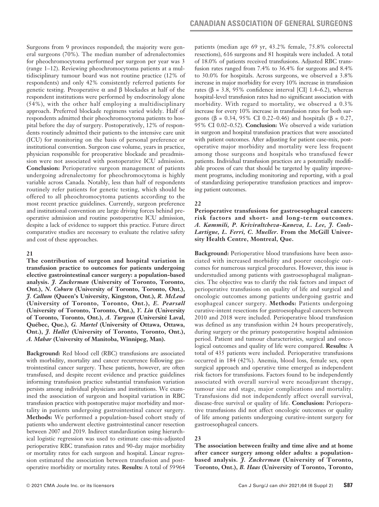Surgeons from 9 provinces responded; the majority were general surgeons (70%). The median number of adrenalectomies for pheochromocytoma performed per surgeon per year was 3 (range 1–12). Reviewing pheochromocytoma patients at a multidisciplinary tumour board was not routine practice (12% of respondents) and only 42% consistently referred patients for genetic testing. Preoperative α and β blockades at half of the respondent institutions were performed by endocrinology alone (54%), with the other half employing a multidisciplinary approach. Preferred blockade regimens varied widely. Half of respondents admitted their pheochromocytoma patients to hospital before the day of surgery. Postoperatively, 12% of respondents routinely admitted their patients to the intensive care unit (ICU) for monitoring on the basis of personal preference or institutional convention. Surgeon case volume, years in practice, physician responsible for preoperative blockade and preadmission were not associated with postoperative ICU admission. **Conclusion:** Perioperative surgeon management of patients undergoing adrenalectomy for pheochromocytoma is highly variable across Canada. Notably, less than half of respondents routinely refer patients for genetic testing, which should be offered to all pheochromocytoma patients according to the most recent practice guidelines. Currently, surgeon preference and institutional convention are large driving forces behind preoperative admission and routine postoperative ICU admission, despite a lack of evidence to support this practice. Future direct comparative studies are necessary to evaluate the relative safety and cost of these approaches.

# **21**

**The contribution of surgeon and hospital variation in transfusion practice to outcomes for patients undergoing elective gastrointestinal cancer surgery: a population-based analysis.** *J. Zuckerman* **(University of Toronto, Toronto, Ont.),** *N. Coburn* **(University of Toronto, Toronto, Ont.),**  *J. Callum* **(Queen's University, Kingston, Ont.),** *R. McLeod*  **(University of Toronto, Toronto, Ont.),** *E. Pearsall* **(University of Toronto, Toronto, Ont.),** *Y. Lin* **(University of Toronto, Toronto, Ont.),** *A. Turgeon* **(Université Laval, Québec, Que.),** *G. Martel* **(University of Ottawa, Ottawa, Ont.),** *J. Hallet* **(University of Toronto, Toronto, Ont.),**  *A. Mahar* **(University of Manitoba, Winnipeg, Man).**

**Background:** Red blood cell (RBC) transfusions are associated with morbidity, mortality and cancer recurrence following gastrointestinal cancer surgery. These patients, however, are often transfused, and despite recent evidence and practice guidelines informing transfusion practice substantial transfusion variation persists among individual physicians and institutions. We examined the association of surgeon and hospital variation in RBC transfusion practice with postoperative major morbidity and mortality in patients undergoing gastrointestinal cancer surgery. **Methods:** We performed a population-based cohort study of patients who underwent elective gastrointestinal cancer resection between 2007 and 2019. Indirect standardization using hierarchical logistic regression was used to estimate case-mix-adjusted perioperative RBC transfusion rates and 90-day major morbidity or mortality rates for each surgeon and hospital. Linear regression estimated the association between transfusion and postoperative morbidity or mortality rates. **Results:** A total of 59964

patients (median age 69 yr, 43.2% female, 75.8% colorectal resections), 616 surgeons and 81 hospitals were included. A total of 18.0% of patients received transfusions. Adjusted RBC transfusion rates ranged from 7.4% to 36.4% for surgeons and 8.4% to 30.0% for hospitals. Across surgeons, we observed a 3.8% increase in major morbidity for every 10% increase in transfusion rates (β = 3.8, 95% confidence interval [CI] 1.4–6.2), whereas hospital-level transfusion rates had no significant association with morbidity. With regard to mortality, we observed a 0.3% increase for every 10% increase in transfusion rates for both surgeons (β = 0.34, 95% CI 0.22–0.46) and hospitals (β = 0.27, 95% CI 0.02–0.52). **Conclusion:** We observed a wide variation in surgeon and hospital transfusion practices that were associated with patient outcomes. After adjusting for patient case-mix, postoperative major morbidity and mortality were less frequent among those surgeons and hospitals who transfused fewer patients. Individual transfusion practices are a potentially modifiable process of care that should be targeted by quality improvement programs, including monitoring and reporting, with a goal of standardizing perioperative transfusion practices and improving patient outcomes.

# **22**

**Perioperative transfusions for gastroesophageal cancers: risk factors and short- and long-term outcomes.**  *A. Kammili, P. Kriviraltcheva-Kaneva, L. Lee, J. Cools-Lartigue, L. Ferri, C. Mueller.* **From the McGill University Health Centre, Montreal, Que.**

**Background:** Perioperative blood transfusions have been associated with increased morbidity and poorer oncologic outcomes for numerous surgical procedures. However, this issue is understudied among patients with gastroesophageal malignancies. The objective was to clarify the risk factors and impact of perioperative transfusions on quality of life and surgical and oncologic outcomes among patients undergoing gastric and esophageal cancer surgery. **Methods:** Patients undergoing curative-intent resections for gastroesophageal cancers between 2010 and 2018 were included. Perioperative blood transfusion was defined as any transfusion within 24 hours preoperatively, during surgery or the primary postoperative hospital admission period. Patient and tumour characteristics, surgical and oncological outcomes and quality of life were compared. **Results:** A total of 435 patients were included. Perioperative transfusions occurred in 184 (42%). Anemia, blood loss, female sex, open surgical approach and operative time emerged as independent risk factors for transfusions. Factors found to be independently associated with overall survival were neoadjuvant therapy, tumour size and stage, major complications and mortality. Transfusions did not independently affect overall survival, disease-free survival or quality of life. **Conclusion:** Perioperative transfusions did not affect oncologic outcomes or quality of life among patients undergoing curative-intent surgery for gastroesophageal cancers.

# **23**

**The association between frailty and time alive and at home after cancer surgery among older adults: a populationbased analysis.** *J. Zuckerman* **(University of Toronto, Toronto, Ont.),** *B. Haas* **(University of Toronto, Toronto,**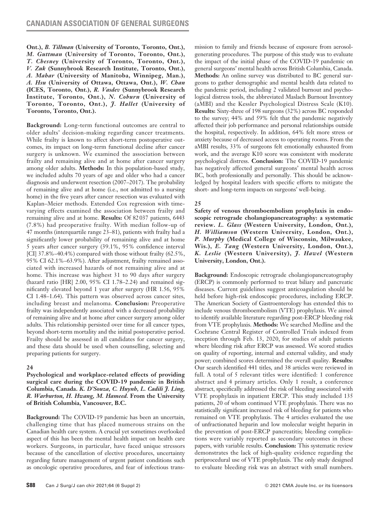**Ont.),** *B. Tillman* **(University of Toronto, Toronto, Ont.),**  *M. Guttman* **(University of Toronto, Toronto, Ont.),**  *T. Chesney* **(University of Toronto, Toronto, Ont.),**  *V. Zuk* **(Sunnybrook Research Institute, Toronto, Ont.),**  *A. Mahar* **(University of Manitoba, Winnipeg, Man.),**  *A. Hsu* **(University of Ottawa, Ottawa, Ont.),** *W. Chan* **(ICES, Toronto, Ont.),** *R. Vasdev* **(Sunnybrook Research Institute, Toronto, Ont.),** *N. Coburn* **(University of Toronto, Toronto, Ont.),** *J. Hallet* **(University of Toronto, Toronto, Ont.).**

**Background:** Long-term functional outcomes are central to older adults' decision-making regarding cancer treatments. While frailty is known to affect short-term postoperative outcomes, its impact on long-term functional decline after cancer surgery is unknown. We examined the association between frailty and remaining alive and at home after cancer surgery among older adults. **Methods:** In this population-based study, we included adults 70 years of age and older who had a cancer diagnosis and underwent resection (2007–2017). The probability of remaining alive and at home (i.e., not admitted to a nursing home) in the five years after cancer resection was evaluated with Kaplan–Meier methods. Extended Cox regression with timevarying effects examined the association between frailty and remaining alive and at home. **Results:** Of 82037 patients, 6443 (7.8%) had preoperative frailty. With median follow-up of 47 months (interquartile range 23–81), patients with frailty had a significantly lower probability of remaining alive and at home 5 years after cancer surgery (39.1%, 95% confidence interval [CI] 37.8%–40.4%) compared with those without frailty (62.5%, 95% CI 62.1%–63.9%). After adjustment, frailty remained associated with increased hazards of not remaining alive and at home. This increase was highest 31 to 90 days after surgery (hazard ratio [HR] 2.00, 95% CI 1.78–2.24) and remained significantly elevated beyond 1 year after surgery (HR 1.56, 95% CI 1.48–1.64). This pattern was observed across cancer sites, including breast and melanoma. **Conclusion:** Preoperative frailty was independently associated with a decreased probability of remaining alive and at home after cancer surgery among older adults. This relationship persisted over time for all cancer types, beyond short-term mortality and the initial postoperative period. Frailty should be assessed in all candidates for cancer surgery, and these data should be used when counselling, selecting and preparing patients for surgery.

# **24**

**Psychological and workplace-related effects of providing surgical care during the COVID-19 pandemic in British Columbia, Canada.** *K. D'Souza, C. Huynh, L. Cadili J. Ling, R. Warburton, H. Hwang, M. Hameed.* **From the University of British Columbia, Vancouver, B.C.**

**Background:** The COVID-19 pandemic has been an uncertain, challenging time that has placed numerous strains on the Canadian health care system. A crucial yet sometimes overlooked aspect of this has been the mental health impact on health care workers. Surgeons, in particular, have faced unique stressors because of the cancellation of elective procedures, uncertainty regarding future management of urgent patient conditions such as oncologic operative procedures, and fear of infectious transmission to family and friends because of exposure from aerosolgenerating procedures. The purpose of this study was to evaluate the impact of the initial phase of the COVID-19 pandemic on general surgeons' mental health across British Columbia, Canada. **Methods:** An online survey was distributed to BC general surgeons to gather demographic and mental health data related to the pandemic period, including 2 validated burnout and psychological distress tools, the abbreviated Maslach Burnout Inventory (aMBI) and the Kessler Psychological Distress Scale (K10). **Results:** Sixty-three of 198 surgeons (32%) across BC responded to the survey; 44% and 59% felt that the pandemic negatively affected their job performance and personal relationships outside the hospital, respectively. In addition, 64% felt more stress or anxiety because of decreased access to operating rooms. From the aMBI results, 33% of surgeons felt emotionally exhausted from work, and the average K10 score was consistent with moderate psychological distress. **Conclusion:** The COVID-19 pandemic has negatively affected general surgeons' mental health across BC, both professionally and personally. This should be acknowledged by hospital leaders with specific efforts to mitigate the short- and long-term impacts on surgeons' well-being.

# **25**

**Safety of venous thromboembolism prophylaxis in endoscopic retrograde cholangiopancreatography: a systematic review.** *L. Glass* **(Western University, London, Ont.),**  *H. Williamson* **(Western University, London, Ont.),**  *P. Murphy* **(Medical College of Wisconsin, Milwaukee, Wis.),** *E. Tang* **(Western University, London, Ont.),**  *K. Leslie* **(Western University),** *J. Hawel* **(Western University, London, Ont.).**

**Background:** Endoscopic retrograde cholangiopancreatography (ERCP) is commonly performed to treat biliary and pancreatic diseases. Current guidelines suggest anticoagulation should be held before high-risk endoscopic procedures, including ERCP. The American Society of Gastroenterology has extended this to include venous thromboembolism (VTE) prophylaxis. We aimed to identify available literature regarding post-ERCP bleeding risk from VTE prophylaxis. **Methods:** We searched Medline and the Cochrane Central Register of Controlled Trials indexed from inception through Feb. 13, 2020, for studies of adult patients where bleeding risk after ERCP was assessed. We scored studies on quality of reporting, internal and external validity, and study power; combined scores determined the overall quality. **Results:**  Our search identified 441 titles, and 38 articles were reviewed in full. A total of 5 relevant titles were identified: 1 conference abstract and 4 primary articles. Only 1 result, a conference abstract, specifically addressed the risk of bleeding associated with VTE prophylaxis in inpatient ERCP. This study included 135 patients, 20 of whom continued VTE prophylaxis. There was no statistically significant increased risk of bleeding for patients who remained on VTE prophylaxis. The 4 articles evaluated the use of unfractionated heparin and low molecular weight heparin in the prevention of post-ERCP pancreatitis; bleeding complications were variably reported as secondary outcomes in these papers, with variable results. **Conclusion:** This systematic review demonstrates the lack of high-quality evidence regarding the periprocedural use of VTE prophylaxis. The only study designed to evaluate bleeding risk was an abstract with small numbers.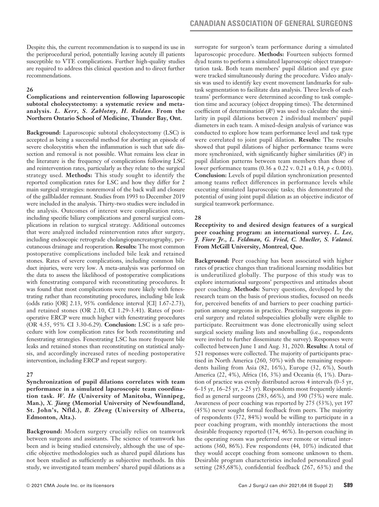Despite this, the current recommendation is to suspend its use in the periprocedural period, potentially leaving acutely ill patients susceptible to VTE complications. Further high-quality studies are required to address this clinical question and to direct further recommendations.

# **26**

**Complications and reintervention following laparoscopic subtotal cholecystectomy: a systematic review and metaanalysis.** *L. Kerr, S. Zablotny, H. Roldan.* **From the Northern Ontario School of Medicine, Thunder Bay, Ont.**

**Background:** Laparoscopic subtotal cholecystectomy (LSC) is accepted as being a successful method for aborting an episode of severe cholecystitis when the inflammation is such that safe dissection and removal is not possible. What remains less clear in the literature is the frequency of complications following LSC and reintervention rates, particularly as they relate to the surgical strategy used. **Methods:** This study sought to identify the reported complication rates for LSC and how they differ for 2 main surgical strategies: nonremoval of the back wall and closure of the gallbladder remnant. Studies from 1993 to December 2019 were included in the analysis. Thirty-two studies were included in the analysis. Outcomes of interest were complication rates, including specific biliary complications and general surgical complications in relation to surgical strategy. Additional outcomes that were analyzed included reintervention rates after surgery, including endoscopic retrograde cholangiopancreatography, percutaneous drainage and reoperation. **Results:** The most common postoperative complications included bile leak and retained stones. Rates of severe complications, including common bile duct injuries, were very low. A meta-analysis was performed on the data to assess the likelihood of postoperative complications with fenestrating compared with reconstituting procedures. It was found that most complications were more likely with fenestrating rather than reconstituting procedures, including bile leak (odds ratio [OR] 2.13, 95% confidence interval [CI] 1.67-2.73), and retained stones (OR 2.10, CI 1.29-3.41). Rates of postoperative ERCP were much higher with fenestrating procedures (OR 4.55, 95% CI 3.30-6.29). **Conclusion:** LSC is a safe procedure with low complication rates for both reconstituting and fenestrating strategies. Fenestrating LSC has more frequent bile leaks and retained stones than reconstituting on statistical analysis, and accordingly increased rates of needing postoperative intervention, including ERCP and repeat surgery.

# **27**

**Synchronization of pupil dilations correlates with team performance in a simulated laparoscopic team coordination task.** *W. He* **(University of Manitoba, Winnipeg, Man.),** *X. Jiang* **(Memorial University of Newfoundland, St. John's, Nfld.),** *B. Zheng* **(University of Alberta, Edmonton, Alta.).** 

**Background:** Modern surgery crucially relies on teamwork between surgeons and assistants. The science of teamwork has been and is being studied extensively, although the use of specific objective methodologies such as shared pupil dilations has not been studied as sufficiently as subjective methods. In this study, we investigated team members' shared pupil dilations as a

surrogate for surgeon's team performance during a simulated laparoscopic procedure. **Methods:** Fourteen subjects formed dyad teams to perform a simulated laparoscopic object transportation task. Both team members' pupil dilation and eye gaze were tracked simultaneously during the procedure. Video analysis was used to identify key event movement landmarks for subtask segmentation to facilitate data analysis. Three levels of each teams' performance were determined according to task completion time and accuracy (object dropping times). The determined coefficient of determination  $(R^2)$  was used to calculate the similarity in pupil dilations between 2 individual members' pupil diameters in each team. A mixed-design analysis of variance was conducted to explore how team performance level and task type were correlated to joint pupil dilation. **Results:** The results showed that pupil dilations of higher performance teams were more synchronized, with significantly higher similarities (*R*<sup>2</sup> ) in pupil dilation patterns between team members than those of lower performance teams (0.36 ± 0.22 v. 0.21 ± 0.14, *p* < 0.001). **Conclusion:** Levels of pupil dilation synchronization presented among teams reflect differences in performance levels while executing simulated laparoscopic tasks; this demonstrated the potential of using joint pupil dilation as an objective indicator of surgical teamwork performance.

# **28**

**Receptivity to and desired design features of a surgical peer coaching program: an international survey.** *L. Lee, J. Fiore Jr., L. Feldman, G. Fried, C. Mueller, S. Valanci.*  **From McGill University, Montreal, Que.** 

**Background:** Peer coaching has been associated with higher rates of practice changes than traditional learning modalities but is underutilized globally. The purpose of this study was to explore international surgeons' perspectives and attitudes about peer coaching. **Methods:** Survey questions, developed by the research team on the basis of previous studies, focused on needs for, perceived benefits of and barriers to peer coaching participation among surgeons in practice. Practising surgeons in general surgery and related subspecialties globally were eligible to participate. Recruitment was done electronically using select surgical society mailing lists and snowballing (i.e., respondents were invited to further disseminate the survey). Responses were collected between June 1 and Aug. 31, 2020. **Results:** A total of 521 responses were collected. The majority of participants practised in North America (260, 50%) with the remaining respondents hailing from Asia (82, 16%), Europe (32, 6%), South America (22, 4%), Africa (16, 3%) and Oceania (6, 1%). Duration of practice was evenly distributed across 4 intervals (0–5 yr, 6–15 yr, 16–25 yr, > 25 yr). Respondents most frequently identified as general surgeons (283, 66%), and 390 (75%) were male. Awareness of peer coaching was reported by 275 (53%), yet 197 (45%) never sought formal feedback from peers. The majority of respondents (372, 84%) would be willing to participate in a peer coaching program, with monthly interactions the most desirable frequency reported (174, 46%). In-person coaching in the operating room was preferred over remote or virtual interactions (360, 86%). Few respondents (44, 10%) indicated that they would accept coaching from someone unknown to them. Desirable program characteristics included personalized goal setting (285,68%), confidential feedback (267, 63%) and the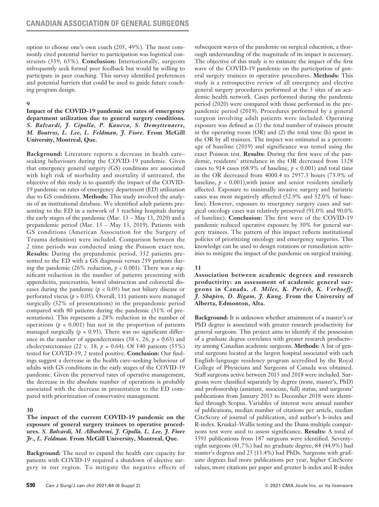option to choose one's own coach (205, 49%). The most commonly cited potential barrier to participation was logistical constraints (339, 65%). **Conclusion:** Internationally, surgeons infrequently seek formal peer feedback but would be willing to participate in peer coaching. This survey identified preferences and potential barriers that could be used to guide future coaching program design.

# **9**

# **Impact of the COVID-19 pandemic on rates of emergency department utilization due to general surgery conditions.**  *S. Balvardi, J. Cipolla, P. Kaneva, S. Demyttenaere, M. Boutros, L. Lee, L. Feldman, J. Fiore.* **From McGill University, Montreal, Que.**

**Background:** Literature reports a decrease in health care– seeking behaviours during the COVID-19 pandemic. Given that emergency general surgery (GS) conditions are associated with high risk of morbidity and mortality if untreated, the objective of this study is to quantify the impact of the COVID-19 pandemic on rates of emergency department (ED) utilization due to GS conditions. **Methods:** This study involved the analysis of an institutional database. We identified adult patients presenting to the ED in a network of 3 teaching hospitals during the early stages of the pandemic (Mar. 13 – May 13, 2020) and a prepandemic period (Mar. 13 – May 13, 2019). Patients with GS conditions (American Association for the Surgery of Trauma definition) were included. Comparison between the 2 time periods was conducted using the Poisson exact test. **Results:** During the prepandemic period, 352 patients presented to the ED with a GS diagnosis versus 259 patients during the pandemic  $(26\% \text{ reduction}, p < 0.001)$ . There was a significant reduction in the number of patients presenting with appendicitis, pancreatitis, bowel obstruction and colorectal diseases during the pandemic  $(p < 0.05)$  but not biliary disease or perforated viscus (*p* > 0.05). Overall, 111 patients were managed surgically (32% of presentations) in the prepandemic period compared with 80 patients during the pandemic (31% of presentations). This represents a 28% reduction in the number of operations ( $p = 0.001$ ) but not in the proportion of patients managed surgically ( $p = 0.93$ ). There was no significant difference in the number of appendectomies (38 v. 26,  $p = 0.63$ ) and cholecystectomies (22 v. 18, *p* = 0.64). Of 140 patients (55%) tested for COVID-19, 2 tested positive. **Conclusion:** Our findings suggest a decrease in the health care–seeking behaviour of adults with GS conditions in the early stages of the COVID-19 pandemic. Given the preserved rates of operative management, the decrease in the absolute number of operations is probably associated with the decrease in presentation to the ED compared with prioritization of conservative management.

### **30**

# **The impact of the current COVID-19 pandemic on the exposure of general surgery trainees to operative procedures.** *S. Balvardi, M. Alhashemi, J. Cipolla, L. Lee, J. Fiore Jr., L. Feldman.* **From McGill University, Montreal, Que.**

**Background:** The need to expand the health care capacity for patients with COVID-19 required a shutdown of elective surgery in our region. To mitigate the negative effects of subsequent waves of the pandemic on surgical education, a thorough understanding of the magnitude of its impact is necessary. The objective of this study is to estimate the impact of the first wave of the COVID-19 pandemic on the participation of general surgery trainees in operative procedures. **Methods:** This study is a retrospective review of all emergency and elective general surgery procedures performed at the 3 sites of an academic health network. Cases performed during the pandemic period (2020) were compared with those performed in the prepandemic period (2019). Procedures performed by a general surgeon involving adult patients were included. Operating exposure was defined as (1) the total number of trainees present in the operating room (OR) and (2) the total time (h) spent in the OR by all trainees. The impact was estimated as a percentage of baseline (2019) and significance was tested using the exact Poisson test. **Results:** During the first wave of the pandemic, residents' attendance in the OR decreased from 1328 cases to 914 cases (68.9% of baseline, *p* < 0.001) and total time in the OR decreased from 4000.4 to 2957.3 hours (73.9% of baseline,  $p < 0.001$ ), with junior and senior residents similarly affected. Exposure to minimally invasive surgery and bariatric cases was most negatively affected (52.9% and 52.0% of baseline). However, exposure to emergency surgery cases and surgical oncology cases was relatively preserved (91.0% and 90.0% of baseline). **Conclusion:** The first wave of the COVID-19 pandemic reduced operative exposure by 30% for general surgery trainees. The pattern of this impact reflects institutional policies of prioritizing oncology and emergency surgeries. This knowledge can be used to design rotations or remediation activities to mitigate the impact of the pandemic on surgical training.

### **31**

**Association between academic degrees and research productivity: an assessment of academic general surgeons in Canada.** *A. Miles, K. Purich, K. Verhoeff, J. Shapiro, D. Bigam, J. Kung.* **From the University of Alberta, Edmonton, Alta.**

**Background:** It is unknown whether attainment of a master's or PhD degree is associated with greater research productivity for general surgeons. This project aims to identify if the possession of a graduate degree correlates with greater research productivity among Canadian academic surgeons. **Methods:** A list of general surgeons located at the largest hospital associated with each English-language residency program accredited by the Royal College of Physicians and Surgeons of Canada was obtained. Staff surgeons active between 2013 and 2018 were included. Surgeons were classified separately by degree (none, master's, PhD) and professorship (assistant, associate, full) status, and surgeons' publications from January 2013 to December 2018 were identified through Scopus. Variables of interest were annual number of publications, median number of citations per article, median CiteScore of journal of publication, and author's h-index and R-index. Kruskal–Wallis testing and the Dunn multiple comparisons test were used to assess significance. **Results:** A total of 3591 publications from 187 surgeons were identified. Seventyeight surgeons (41.7%) had no graduate degree, 84 (44.9%) had master's degrees and 25 (13.4%) had PhDs. Surgeons with graduate degrees had more publications per year, higher CiteScore values, more citations per paper and greater h-index and R-index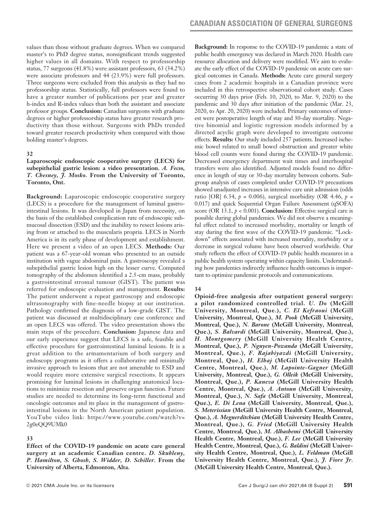values than those without graduate degrees. When we compared master's to PhD degree status, nonsignificant trends suggested higher values in all domains. With respect to professorship status, 77 surgeons (41.8%) were assistant professors, 63 (34.2%) were associate professors and 44 (23.9%) were full professors. Three surgeons were excluded from this analysis as they had no professorship status. Statistically, full professors were found to have a greater number of publications per year and greater h-index and R-index values than both the assistant and associate professor groups. **Conclusion:** Canadian surgeons with graduate degrees or higher professorship status have greater research productivity than those without. Surgeons with PhDs trended toward greater research productivity when compared with those holding master's degrees.

### **32**

# **Laparoscopic endoscopic cooperative surgery (LECS) for subepithelial gastric lesion: a video presentation.** *A. Fecso, T. Chesney, J. Mosko.* **From the University of Toronto, Toronto, Ont.**

**Background:** Laparoscopic endoscopic cooperative surgery (LECS) is a procedure for the management of luminal gastrointestinal lesions. It was developed in Japan from necessity, on the basis of the established complication rate of endoscopic submucosal dissection (ESD) and the inability to resect lesions arising from or attached to the muscularis propria. LECS in North America is in its early phase of development and establishment. Here we present a video of an open LECS. **Methods:** Our patient was a 67-year-old woman who presented to an outside institution with vague abdominal pain. A gastroscopy revealed a subepithelial gastric lesion high on the lesser curve. Computed tomography of the abdomen identified a 2.5-cm mass, probably a gastrointestinal stromal tumour (GIST). The patient was referred for endoscopic evaluation and management. **Results:** The patient underwent a repeat gastroscopy and endoscopic ultrasonography with fine-needle biopsy at our institution. Pathology confirmed the diagnosis of a low-grade GIST. The patient was discussed at multidisciplinary case conference and an open LECS was offered. The video presentation shows the main steps of the procedure. **Conclusion:** Japanese data and our early experience suggest that LECS is a safe, feasible and effective procedure for gastrointestinal luminal lesions. It is a great addition to the armamentarium of both surgery and endoscopy programs as it offers a collaborative and minimally invasive approach to lesions that are not amenable to ESD and would require more extensive surgical resections. It appears promising for luminal lesions in challenging anatomical locations to minimize resection and preserve organ function. Future studies are needed to determine its long-term functional and oncologic outcomes and its place in the management of gastrointestinal lesions in the North American patient population. YouTube video link: https://www.youtube.com/watch?v= 2g0eQQ9UMk0

### **33**

**Effect of the COVID-19 pandemic on acute care general surgery at an academic Canadian centre.** *D. Skubleny, P. Hamilton, S. Ghosh, S. Widder, D. Schiller.* **From the University of Alberta, Edmonton, Alta.**

**Background:** In response to the COVID-19 pandemic a state of public health emergency was declared in March 2020. Health care resource allocation and delivery were modified. We aim to evaluate the early effect of the COVID-19 pandemic on acute care surgical outcomes in Canada. **Methods:** Acute care general surgery cases from 2 academic hospitals in a Canadian province were included in this retrospective observational cohort study. Cases occurring 30 days prior (Feb. 10, 2020, to Mar. 9, 2020) to the pandemic and 30 days after initiation of the pandemic (Mar. 23, 2020, to Apr. 20, 2020) were included. Primary outcomes of interest were postoperative length of stay and 30-day mortality. Negative binomial and logistic regression models informed by a directed acyclic graph were developed to investigate outcome effects. **Results:** Our study included 257 patients. Increased ischemic bowel related to small bowel obstruction and greater white blood cell counts were found during the COVID-19 pandemic. Decreased emergency department wait times and interhospital transfers were also identified. Adjusted models found no difference in length of stay or 30-day mortality between cohorts. Subgroup analysis of cases completed under COVID-19 precautions showed unadjusted increases in intensive care unit admission (odds ratio [OR] 6.34,  $p = 0.006$ ), surgical morbidity (OR 4.46,  $p =$ 0.017) and quick Sequential Organ Failure Assessment (qSOFA) score (OR 13.1,  $p < 0.001$ ). **Conclusion:** Effective surgical care is possible during global pandemics. We did not observe a meaningful effect related to increased morbidity, mortality or length of stay during the first wave of the COVID-19 pandemic. "Lockdown" effects associated with increased mortality, morbidity or a decrease in surgical volume have been observed worldwide. Our study reflects the effect of COVID-19 public health measures in a public health system operating within capacity limits. Understanding how pandemics indirectly influence health outcomes is important to optimize pandemic protocols and communications.

# **34**

**Opioid-free analgesia after outpatient general surgery: a pilot randomized controlled trial.** *U. Do* **(McGill University, Montreal, Que.),** *C. El Kefraoui* **(McGill University, Montreal, Que.),** *M. Pook* **(McGill University, Montreal, Que.),** *N. Barone* **(McGill University, Montreal, Que.),** *S. Balvardi* **(McGill University, Montreal, Que.),**  *H. Montgomery* **(McGill University Health Centre, Montreal, Que.),** *P. Nguyen-Powanda* **(McGill University, Montreal, Que.),** *F. Rajabiyazdi* **(McGill University, Montreal, Que.),** *H. Elhaj* **(McGill University Health Centre, Montreal, Que.),** *M. Lapointe-Gagner* **(McGill University, Montreal, Que.),** *G. Olleik* **(McGill University, Montreal, Que.),** *P. Kaneva* **(McGill University Health Centre, Montreal, Que.),** *A. Antoun* **(McGill University, Montreal, Que.),** *N. Safa* **(McGill University, Montreal, Que.),** *E. Di Lena* **(McGill University, Montreal, Que.),**  *S. Meterissian* **(McGill University Health Centre, Montreal, Que.),** *A. Meguerditchian* **(McGill University Health Centre, Montreal, Que.),** *G. Fried* **(McGill University Health Centre, Montreal, Que.),** *M. Alhashemi* **(McGill University Health Centre, Montreal, Que.),** *F. Lee* **(McGill University Health Centre, Montreal, Que.),** *G. Baldini* **(McGill University Health Centre, Montreal, Que.),** *L. Feldman* **(McGill University Health Centre, Montreal, Que.),** *J. Fiore Jr.* **(McGill University Health Centre, Montreal, Que.).**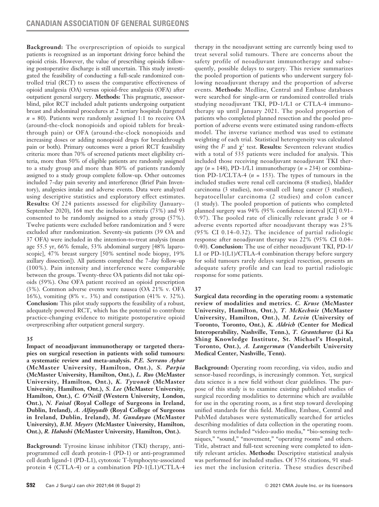**Background:** The overprescription of opioids to surgical patients is recognized as an important driving force behind the opioid crisis. However, the value of prescribing opioids following postoperative discharge is still uncertain. This study investigated the feasibility of conducting a full-scale randomized controlled trial (RCT) to assess the comparative effectiveness of opioid analgesia (OA) versus opioid-free analgesia (OFA) after outpatient general surgery. **Methods:** This pragmatic, assessorblind, pilot RCT included adult patients undergoing outpatient breast and abdominal procedures at 2 tertiary hospitals (targeted  $n = 80$ ). Patients were randomly assigned 1:1 to receive OA (around-the-clock nonopioids and opioid tablets for breakthrough pain) or OFA (around-the-clock nonopioids and increasing doses or adding nonopioid drugs for breakthrough pain or both). Primary outcomes were a priori RCT feasibility criteria: more than 70% of screened patients meet eligibility criteria, more than 50% of eligible patients are randomly assigned to a study group and more than 80% of patients randomly assigned to a study group complete follow-up. Other outcomes included 7-day pain severity and interference (Brief Pain Inventory), analgesics intake and adverse events. Data were analyzed using descriptive statistics and exploratory effect estimates. **Results:** Of 224 patients assessed for eligibility (January– September 2020), 164 met the inclusion criteria (73%) and 93 consented to be randomly assigned to a study group (57%). Twelve patients were excluded before randomization and 5 were excluded after randomization. Seventy-six patients (39 OA and 37 OFA) were included in the intention-to-treat analysis (mean age 55.5 yr, 66% female, 53% abdominal surgery [48% laparoscopic], 47% breast surgery [50% sentinel node biopsy, 19% axillary dissection]). All patients completed the 7-day follow-up (100%). Pain intensity and interference were comparable between the groups. Twenty-three OA patients did not take opioids (59%). One OFA patient received an opioid prescription (3%). Common adverse events were nausea (OA 21% v. OFA 16%), vomiting (8% v.. 3%) and constipation (41% v. 32%). **Conclusion:** This pilot study supports the feasibility of a robust, adequately powered RCT, which has the potential to contribute practice-changing evidence to mitigate postoperative opioid overprescribing after outpatient general surgery.

### **35**

**Impact of neoadjuvant immunotherapy or targeted therapies on surgical resection in patients with solid tumours: a systematic review and meta-analysis.** *P.E. Serrano Aybar*  **(McMaster University, Hamilton, Ont.),** *S. Parpia* **(McMaster University, Hamilton, Ont.),** *L. Ruo* **(McMaster University, Hamilton, Ont.),** *K. Tywonek* **(McMaster University, Hamilton, Ont.),** *S. Lee* **(McMaster University, Hamilton, Ont.),** *C. O'Neill* **(Western University, London, Ont.),** *N. Faisal* **(Royal College of Surgeons in Ireland, Dublin, Ireland),** *A. Alfayyadh* **(Royal College of Surgeons in Ireland, Dublin, Ireland),** *M. Gundayao* **(McMaster University),** *B.M. Meyers* **(McMaster University, Hamilton, Ont.),** *R. Habashi* **(McMaster University, Hamilton, Ont.).**

**Background:** Tyrosine kinase inhibitor (TKI) therapy, antiprogrammed cell death protein-1 (PD-1) or anti-programmed cell death ligand-1 (PD-L1), cytotoxic T-lymphocyte-associated protein 4 (CTLA-4) or a combination PD-1(L1)/CTLA-4 therapy in the neoadjuvant setting are currently being used to treat several solid tumours. There are concerns about the safety profile of neoadjuvant immunotherapy and subsequently, possible delays to surgery. This review summarizes the pooled proportion of patients who underwent surgery following neoadjuvant therapy and the proportion of adverse events. **Methods:** Medline, Central and Embase databases were searched for single-arm or randomized controlled trials studying neoadjuvant TKI, PD-1/L1 or CTLA-4 immunotherapy up until January 2021. The pooled proportion of patients who completed planned resection and the pooled proportion of adverse events were estimated using random-effects model. The inverse variance method was used to estimate weighting of each trial. Statistical heterogeneity was calculated using the  $I^2$  and  $\chi^2$  test. **Results:** Seventeen relevant studies with a total of 535 patients were included for analysis. This included those receiving neoadjuvant neoadjuvant TKI therapy (*n* = 148), PD-1/L1 immunotherapy (*n* = 234) or combination PD-1/CLTA-4 (*n* = 153). The types of tumours in the included studies were renal cell carcinoma (8 studies), bladder carcinoma (3 studies), non–small cell lung cancer (3 studies), hepatocellular carcinoma (2 studies) and colon cancer (1 study). The pooled proportion of patients who completed planned surgery was 94% (95% confidence interval [CI] 0.91– 0.97). The pooled rate of clinically relevant grade 3 or 4 adverse events reported after neoadjuvant therapy was 23% (95% CI 0.14–0.32). The incidence of partial radiologic response after neoadjuvant therapy was 22% (95% CI 0.04– 0.40). **Conclusion:** The use of either neoadjuvant TKI, PD-1/ L1 or PD-1(L1)/CTLA-4 combination therapy before surgery for solid tumours rarely delays surgical resection, presents an adequate safety profile and can lead to partial radiologic response for some patients.

# **37**

**Surgical data recording in the operating room: a systematic review of modalities and metrics.** *C. Kruse* **(McMaster University, Hamilton, Ont.),** *T. McKechnie* **(McMaster University, Hamilton, Ont.),** *M. Levin* **(University of Toronto, Toronto, Ont.),** *K. Aldrich* **(Center for Medical Interoperability, Nashville, Tenn.),** *T. Grantcharov* **(Li Ka Shing Knowledge Institute, St. Michael's Hospital, Toronto, Ont.),** *A. Langerman* **(Vanderbilt University Medical Center, Nashville, Tenn).**

**Background:** Operating room recording, via video, audio and sensor-based recordings, is increasingly common. Yet, surgical data science is a new field without clear guidelines. The purpose of this study is to examine existing published studies of surgical recording modalities to determine which are available for use in the operating room, as a first step toward developing unified standards for this field. Medline, Embase, Central and PubMed databases were systematically searched for articles describing modalities of data collection in the operating room. Search terms included "video-audio media," "bio-sensing techniques," "sound," "movement," "operating rooms" and others. Title, abstract and full-text screening were completed to identify relevant articles. **Methods:** Descriptive statistical analysis was performed for included studies. Of 3756 citations, 91 studies met the inclusion criteria. These studies described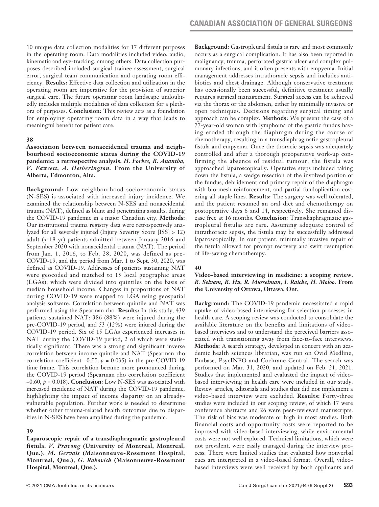10 unique data collection modalities for 17 different purposes in the operating room. Data modalities included video, audio, kinematic and eye-tracking, among others. Data collection purposes described included surgical trainee assessment, surgical error, surgical team communication and operating room efficiency. **Results:** Effective data collection and utilization in the operating room are imperative for the provision of superior surgical care. The future operating room landscape undoubtedly includes multiple modalities of data collection for a plethora of purposes. **Conclusion:** This review acts as a foundation for employing operating room data in a way that leads to meaningful benefit for patient care.

### **38**

**Association between nonaccidental trauma and neighbourhood socioeconomic status during the COVID-19 pandemic: a retrospective analysis.** *H. Forbes, R. Anantha, V. Fawcett, A. Hetherington.* **From the University of Alberta, Edmonton, Alta.**

**Background:** Low neighbourhood socioeconomic status (N-SES) is associated with increased injury incidence. We examined the relationship between N-SES and nonaccidental trauma (NAT), defined as blunt and penetrating assaults, during the COVID-19 pandemic in a major Canadian city. **Methods:** Our institutional trauma registry data were retrospectively analyzed for all severely injured (Injury Severity Score [ISS] > 12) adult (> 18 yr) patients admitted between January 2016 and September 2020 with nonaccidental trauma (NAT). The period from Jan. 1, 2016, to Feb. 28, 2020, was defined as pre-COVID-19, and the period from Mar. 1 to Sept. 30, 2020, was defined as COVID-19. Addresses of patients sustaining NAT were geocoded and matched to 15 local geographic areas (LGAs), which were divided into quintiles on the basis of median household income. Changes in proportions of NAT during COVID-19 were mapped to LGA using geospatial analysis software. Correlation between quintile and NAT was performed using the Spearman rho. **Results:** In this study, 439 patients sustained NAT: 386 (88%) were injured during the pre-COVID-19 period, and 53 (12%) were injured during the COVID-19 period. Six of 15 LGAs experienced increases in NAT during the COVID-19 period, 2 of which were statistically significant. There was a strong and significant inverse correlation between income quintile and NAT (Spearman rho correlation coefficient  $-0.55$ ,  $p = 0.035$ ) in the pre-COVID-19 time frame. This correlation became more pronounced during the COVID-19 period (Spearman rho correlation coefficient –0.60, *p* = 0.018). **Conclusion:** Low N-SES was associated with increased incidence of NAT during the COVID-19 pandemic, highlighting the impact of income disparity on an alreadyvulnerable population. Further work is needed to determine whether other trauma-related health outcomes due to disparities in N-SES have been amplified during the pandemic.

# **39**

**Laparoscopic repair of a transdiaphragmatic gastropleural fistula.** *V. Pravong* **(University of Montreal, Montreal, Que.),** *M. Gervais* **(Maisonneuve-Rosemont Hospital, Montreal, Que.),** *G. Rakovich* **(Maisonneuve-Rosemont Hospital, Montreal, Que.).**

**Background:** Gastropleural fistula is rare and most commonly occurs as a surgical complication. It has also been reported in malignancy, trauma, perforated gastric ulcer and complex pulmonary infections, and it often presents with empyema. Initial management addresses intrathoracic sepsis and includes antibiotics and chest drainage. Although conservative treatment has occasionally been successful, definitive treatment usually requires surgical management. Surgical access can be achieved via the thorax or the abdomen, either by minimally invasive or open techniques. Decisions regarding surgical timing and approach can be complex. **Methods:** We present the case of a 77-year-old woman with lymphoma of the gastric fundus having eroded through the diaphragm during the course of chemotherapy, resulting in a transdiaphragmatic gastropleural fistula and empyema. Once the thoracic sepsis was adequately controlled and after a thorough preoperative work-up confirming the absence of residual tumour, the fistula was approached laparoscopically. Operative steps included taking down the fistula, a wedge resection of the involved portion of the fundus, debridement and primary repair of the diaphragm with bio-mesh reinforcement, and partial fundoplication covering all staple lines. **Results:** The surgery was well tolerated, and the patient resumed an oral diet and chemotherapy on postoperative days 6 and 14, respectively. She remained disease free at 16 months. **Conclusion:** Transdiaphragmatic gastropleural fistulas are rare. Assuming adequate control of intrathoracic sepsis, the fistula may be successfully addressed laparoscopically. In our patient, minimally invasive repair of the fistula allowed for prompt recovery and swift resumption of life-saving chemotherapy.

### **40**

# **Video-based interviewing in medicine: a scoping review.**  *R. Selvam, R. Hu, R. Musselman, I. Raiche, H. Moloo.* **From the University of Ottawa, Ottawa, Ont.**

**Background:** The COVID-19 pandemic necessitated a rapid uptake of video-based interviewing for selection processes in health care. A scoping review was conducted to consolidate the available literature on the benefits and limitations of videobased interviews and to understand the perceived barriers associated with transitioning away from face-to-face interviews. **Methods:** A search strategy, developed in concert with an academic health sciences librarian, was run on Ovid Medline, Embase, PsycINFO and Cochrane Central. The search was performed on Mar. 31, 2020, and updated on Feb. 21, 2021. Studies that implemented and evaluated the impact of videobased interviewing in health care were included in our study. Review articles, editorials and studies that did not implement a video-based interview were excluded. **Results:** Forty-three studies were included in our scoping review, of which 17 were conference abstracts and 26 were peer-reviewed manuscripts. The risk of bias was moderate or high in most studies. Both financial costs and opportunity costs were reported to be improved with video-based interviewing, while environmental costs were not well explored. Technical limitations, which were not prevalent, were easily managed during the interview process. There were limited studies that evaluated how nonverbal cues are interpreted in a video-based format. Overall, videobased interviews were well received by both applicants and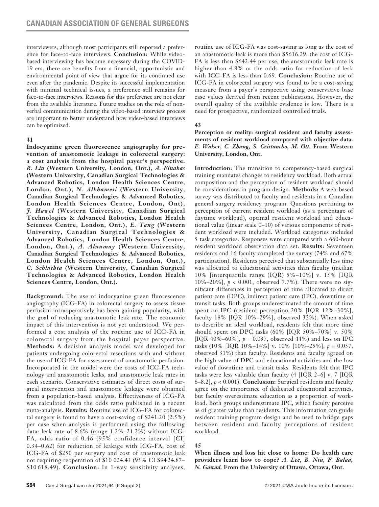interviewers, although most participants still reported a preference for face-to-face interviews. **Conclusion:** While videobased interviewing has become necessary during the COVID-19 era, there are benefits from a financial, opportunistic and environmental point of view that argue for its continued use even after the pandemic. Despite its successful implementation with minimal technical issues, a preference still remains for face-to-face interviews. Reasons for this preference are not clear from the available literature. Future studies on the role of nonverbal communication during the video-based interview process are important to better understand how video-based interviews can be optimized.

### **41**

**Indocyanine green fluorescence angiography for prevention of anastomotic leakage in colorectal surgery: a cost analysis from the hospital payer's perspective.**  *R. Liu* **(Western University, London, Ont.),** *A. Elnahas* **(Western University, Canadian Surgical Technologies & Advanced Robotics, London Health Sciences Centre, London, Ont.),** *N. Alkhamesi* **(Western University, Canadian Surgical Technologies & Advanced Robotics, London Health Sciences Centre, London, Ont),**  *J. Hawel* **(Western University, Canadian Surgical Technologies & Advanced Robotics, London Health Sciences Centre, London, Ont.),** *E. Tang* **(Western University, Canadian Surgical Technologies & Advanced Robotics, London Health Sciences Centre, London, Ont.),** *A. Alnumay* **(Western University, Canadian Surgical Technologies & Advanced Robotics, London Health Sciences Centre, London, Ont.),**  *C. Schlachta* **(Western University, Canadian Surgical Technologies & Advanced Robotics, London Health Sciences Centre, London, Ont.).**

**Background:** The use of indocyanine green fluorescence angiography (ICG-FA) in colorectal surgery to assess tissue perfusion intraoperatively has been gaining popularity, with the goal of reducing anastomotic leak rate. The economic impact of this intervention is not yet understood. We performed a cost analysis of the routine use of ICG-FA in colorectal surgery from the hospital payer perspective. **Methods:** A decision analysis model was developed for patients undergoing colorectal resections with and without the use of ICG-FA for assessment of anastomotic perfusion. Incorporated in the model were the costs of ICG-FA technology and anastomotic leaks, and anastomotic leak rates in each scenario. Conservative estimates of direct costs of surgical intervention and anastomotic leakage were obtained from a population-based analysis. Effectiveness of ICG-FA was calculated from the odds ratio published in a recent meta-analysis. **Results:** Routine use of ICG-FA for colorectal surgery is found to have a cost-saving of \$241.20 (2.5%) per case when analysis is performed using the following data: leak rate of 8.6% (range 1.2%–21.2%) without ICG-FA, odds ratio of 0.46 (95% confidence interval [CI] 0.34–0.62) for reduction of leakage with ICG-FA, cost of ICG-FA of \$250 per surgery and cost of anastomotic leak not requiring reoperation of \$10 024.43 (95% CI \$94 24.87– \$10 618.49). **Conclusion:** In 1-way sensitivity analyses,

routine use of ICG-FA was cost-saving as long as the cost of an anastomotic leak is more than \$5616.29, the cost of ICG-FA is less than \$642.44 per use, the anastomotic leak rate is higher than 4.8% or the odds ratio for reduction of leak with ICG-FA is less than 0.69. **Conclusion:** Routine use of ICG-FA in colorectal surgery was found to be a cost-saving measure from a payer's perspective using conservative base case values derived from recent publications. However, the overall quality of the available evidence is low. There is a need for prospective, randomized controlled trials.

# **43**

**Perception or reality: surgical resident and faculty assessments of resident workload compared with objective data.**  *E. Walser, C. Zhang, S. Cristancho, M. Ott.* **From Western University, London, Ont.**

**Introduction:** The transition to competency-based surgical training mandates changes to residency workload. Both actual composition and the perception of resident workload should be considerations in program design. **Methods:** A web-based survey was distributed to faculty and residents in a Canadian general surgery residency program. Questions pertaining to perception of current resident workload (as a percentage of daytime workload), optimal resident workload and educational value (linear scale 0–10) of various components of resident workload were included. Workload categories included 5 task categories. Responses were compared with a 660-hour resident workload observation data set. **Results:** Seventeen residents and 16 faculty completed the survey (74% and 67% participation). Residents perceived that substantially less time was allocated to educational activities than faculty (median 10% [interquartile range (IQR) 5%–10%] v. 15% [IQR 10%–20%], *p* < 0.001, observed 7.7%). There were no significant differences in perception of time allocated to direct patient care (DPC), indirect patient care (IPC), downtime or transit tasks. Both groups underestimated the amount of time spent on IPC (resident perception 20% [IQR 12%–30%], faculty 18% [IQR 10%–29%], observed 32%). When asked to describe an ideal workload, residents felt that more time should spent on DPC tasks (60% [IQR 50%–70%] v. 50% [IQR 40%–60%],  $p = 0.037$ , observed 44%) and less on IPC tasks (10% [IQR 10%–14%] v. 10% [10%–25%],  $p = 0.037$ , observed 31%) than faculty. Residents and faculty agreed on the high value of DPC and educational activities and the low value of downtime and transit tasks. Residents felt that IPC tasks were less valuable than faculty (4 [IQR 2–6] v. 7 [IQR 6–8.2], *p* < 0.001). **Conclusion:** Surgical residents and faculty agree on the importance of dedicated educational activities, but faculty overestimate education as a proportion of workload. Both groups underestimate IPC, which faculty perceive as of greater value than residents. This information can guide resident training program design and be used to bridge gaps between resident and faculty perceptions of resident workload.

# **45**

**When illness and loss hit close to home: Do health care providers learn how to cope?** *A. Lee, B. Niu, F. Balaa, N. Gawad.* **From the University of Ottawa, Ottawa, Ont.**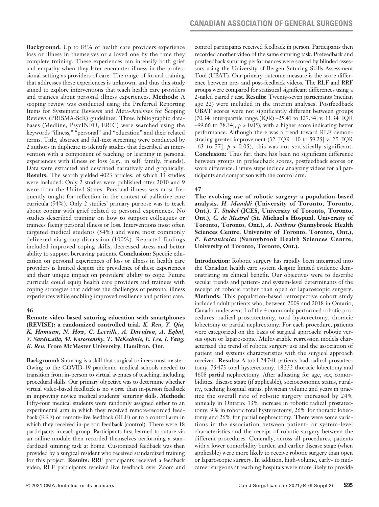**Background:** Up to 85% of health care providers experience loss or illness in themselves or a loved one by the time they complete training. These experiences can intensify both grief and empathy when they later encounter illness in the professional setting as providers of care. The range of formal training that addresses these experiences is unknown, and thus this study aimed to explore interventions that teach health care providers and trainees about personal illness experiences. **Methods:** A scoping review was conducted using the Preferred Reporting Items for Systematic Reviews and Meta-Analyses for Scoping Reviews (PRISMA-ScR) guidelines. Three bibliographic databases (Medline, PsycINFO, ERIC) were searched using the keywords "illness," "personal" and "education" and their related terms. Title, abstract and full-text screening were conducted by 2 authors in duplicate to identify studies that described an intervention with a component of teaching or learning in personal experiences with illness or loss (e.g., in self, family, friends). Data were extracted and described narratively and graphically. **Results:** The search yielded 4023 articles, of which 13 studies were included. Only 2 studies were published after 2010 and 9 were from the United States. Personal illness was most frequently taught for reflection in the context of palliative care curricula (54%). Only 2 studies' primary purpose was to teach about coping with grief related to personal experiences. No studies described training on how to support colleagues or trainees facing personal illness or loss. Interventions most often targeted medical students (54%) and were most commonly delivered via group discussion (100%). Reported findings included improved coping skills, decreased stress and better ability to support bereaving patients. **Conclusion:** Specific education on personal experiences of loss or illness in health care providers is limited despite the prevalence of these experiences and their unique impact on providers' ability to cope. Future curricula could equip health care providers and trainees with coping strategies that address the challenges of personal illness experiences while enabling improved resilience and patient care.

### **46**

**Remote video-based suturing education with smartphones (REVISE): a randomized controlled trial.** *K. Ren, Y. Qiu, K. Hamann, N. How, C. Leveille, A. Davidson, A. Eqbal, Y. Sardiwalla, M. Korostensky, T. McKechnie, E. Lee, I. Yang, K. Ren.* **From McMaster University, Hamilton, Ont.**

**Background:** Suturing is a skill that surgical trainees must master. Owing to the COVID-19 pandemic, medical schools needed to transition from in-person to virtual avenues of teaching, including procedural skills. Our primary objective was to determine whether virtual video-based feedback is no worse than in-person feedback in improving novice medical students' suturing skills. **Methods:** Fifty-four medical students were randomly assigned either to an experimental arm in which they received remote-recorded feedback (RRF) or remote-live feedback (RLF) or to a control arm in which they received in-person feedback (control). There were 18 participants in each group. Participants first learned to suture via an online module then recorded themselves performing a standardized suturing task at home. Customized feedback was then provided by a surgical resident who received standardized training for this project. **Results:** RRF participants received a feedback video, RLF participants received live feedback over Zoom and control participants received feedback in person. Participants then recorded another video of the same suturing task. Prefeedback and postfeedback suturing performances were scored by blinded assessors using the University of Bergen Suturing Skills Assessment Tool (UBAT). Our primary outcome measure is the score difference between pre- and post-feedback videos. The RLF and RRF groups were compared for statistical significant differences using a 2-tailed paired *t* test. **Results:** Twenty-seven participants (median age 22) were included in the interim analyses. Postfeedback UBAT scores were not significantly different between groups (70.34 [interquartile range (IQR) –25.41 to 127.34] v. 11.34 [IQR  $-99.66$  to 78.34],  $p > 0.05$ ), with a higher score indicating better performance. Although there was a trend toward RLF demonstrating greater improvement (32 [IQR –10 to 59.25] v. 25 [IQR  $-63$  to 77],  $p > 0.05$ ), this was not statistically significant. **Conclusion:** Thus far, there has been no significant difference between groups in prefeedback scores, postfeedback scores or score difference. Future steps include analyzing videos for all participants and comparison with the control arm.

### **47**

**The evolving use of robotic surgery: a population-based analysis.** *H. Muaddi* **(University of Toronto, Toronto, Ont.),** *T. Stukel* **(ICES, University of Toronto, Toronto, Ont.),** *C. de Mestral* **(St. Michael**'**s Hospital, University of Toronto, Toronto, Ont.),** *A. Nathens* **(Sunnybrook Health Sciences Centre, University of Toronto, Toronto, Ont.),**  *P. Karanicolas* **(Sunnybrook Health Sciences Centre, University of Toronto, Toronto, Ont.).**

**Introduction:** Robotic surgery has rapidly been integrated into the Canadian health care system despite limited evidence demonstrating its clinical benefit. Our objectives were to describe secular trends and patient- and system-level determinants of the receipt of robotic rather than open or laparoscopic surgery. **Methods:** This population-based retrospective cohort study included adult patients who, between 2009 and 2018 in Ontario, Canada, underwent 1 of the 4 commonly performed robotic procedures: radical prostatectomy, total hysterectomy, thoracic lobectomy or partial nephrectomy. For each procedure, patients were categorized on the basis of surgical approach: robotic versus open or laparoscopic. Multivariable regression models characterized the trend of robotic surgery use and the association of patient and systems characteristics with the surgical approach received. **Results:** A total 24741 patients had radical prostatectomy, 75473 total hysterectomy, 18252 thoracic lobectomy and 4608 partial nephrectomy. After adjusting for age, sex, comorbidities, disease stage (if applicable), socioeconomic status, rurality, teaching hospital status, physician volume and years in practice the overall rate of robotic surgery increased by 24% annually in Ontario: 13% increase in robotic radical prostatectomy, 9% in robotic total hysterectomy, 26% for thoracic lobectomy and 26% for partial nephrectomy. There were some variations in the association between patient- or system-level characteristics and the receipt of robotic surgery between the different procedures. Generally, across all procedures, patients with a lower comorbidity burden and earlier disease stage (when applicable) were more likely to receive robotic surgery than open or laparoscopic surgery. In addition, high-volume, early- to midcareer surgeons at teaching hospitals were more likely to provide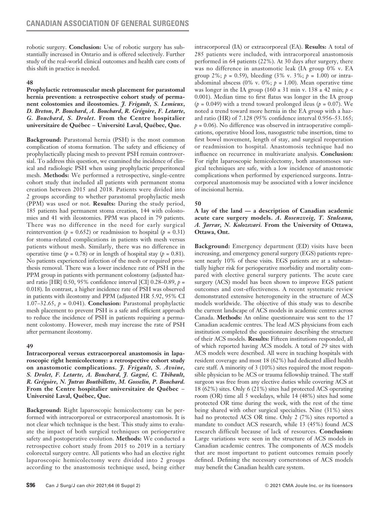robotic surgery. **Conclusion:** Use of robotic surgery has substantially increased in Ontario and is offered selectively. Further study of the real-world clinical outcomes and health care costs of this shift in practice is needed.

# **48**

**Prophylactic retromuscular mesh placement for parastomal hernia prevention: a retrospective cohort study of permanent colostomies and ileostomies.** *J. Frigault***,** *S. Lemieux***,**  *D. Breton***,** *P. Bouchard***,** *A. Bouchard***,** *R. Grégoire***,** *F. Letarte***,**  *G. Bouchard***,** *S. Drolet.* **From the Centre hospitalier universitaire de Québec** − **Université Laval, Québec, Que.**

**Background:** Parastomal hernia (PSH) is the most common complication of stoma formation. The safety and efficiency of prophylactically placing mesh to prevent PSH remain controversial. To address this question, we examined the incidence of clinical and radiologic PSH when using prophylactic preperitoneal mesh. **Methods:** We performed a retrospective, single-centre cohort study that included all patients with permanent stoma creation between 2015 and 2018. Patients were divided into 2 groups according to whether parastomal prophylactic mesh (PPM) was used or not. **Results:** During the study period, 185 patients had permanent stoma creation, 144 with colostomies and 41 with ileostomies. PPM was placed in 79 patients. There was no difference in the need for early surgical reintervention ( $p = 0.652$ ) or readmission to hospital ( $p = 0.31$ ) for stoma-related complications in patients with mesh versus patients without mesh. Similarly, there was no difference in operative time ( $p = 0.78$ ) or in length of hospital stay ( $p = 0.81$ ). No patients experienced infection of the mesh or required prosthesis removal. There was a lower incidence rate of PSH in the PPM group in patients with permanent colostomy (adjusted hazard ratio [HR] 0.50, 95% confidence interval [CI] 0.28–0.89, *p* = 0.018). In contrast, a higher incidence rate of PSH was observed in patients with ileostomy and PPM (adjusted HR 5.92, 95% CI 1.07–32.65,  $p = 0.041$ ). **Conclusion:** Parastomal prophylactic mesh placement to prevent PSH is a safe and efficient approach to reduce the incidence of PSH in patients requiring a permanent colostomy. However, mesh may increase the rate of PSH after permanent ileostomy.

# **49**

**Intracorporeal versus extracorporeal anastomosis in laparoscopic right hemicolectomy: a retrospective cohort study on anastomotic complications.** *J. Frigault, S. Avoine, S. Drolet, F. Letarte, A. Bouchard, J. Gagné, C. Thibault, R. Grégoire, N. Jutras Bouthillette, M. Gosselin, P. Bouchard.*  **From the Centre hospitalier universitaire de Québec** − **Université Laval, Québec, Que.**

**Background:** Right laparoscopic hemicolectomy can be performed with intracorporeal or extracorporeal anastomosis. It is not clear which technique is the best. This study aims to evaluate the impact of both surgical techniques on perioperative safety and postoperative evolution. **Methods:** We conducted a retrospective cohort study from 2015 to 2019 in a tertiary colorectal surgery centre. All patients who had an elective right laparoscopic hemicolectomy were divided into 2 groups according to the anastomosis technique used, being either intracorporeal (IA) or extracorporeal (EA). **Results:** A total of 285 patients were included, with intracorporeal anastomosis performed in 64 patients (22%). At 30 days after surgery, there was no difference in anastomotic leak (IA group 0% v. EA group 2%; *p* = 0.59), bleeding (3% v. 3%; *p* = 1.00) or intraabdominal abscess (0% v. 0%;  $p = 1.00$ ). Mean operative time was longer in the IA group (160  $\pm$  31 min v. 138  $\pm$  42 min; *p* < 0.001). Median time to first flatus was longer in the IA group  $(p = 0.049)$  with a trend toward prolonged ileus  $(p = 0.07)$ . We noted a trend toward more hernia in the EA group with a hazard ratio (HR) of 7.128 (95% confidence interval 0.956–53.165;  $p = 0.06$ ). No difference was observed in intraoperative complications, operative blood loss, nasogastric tube insertion, time to first bowel movement, length of stay, and surgical reoperation or readmission to hospital. Anastomosis technique had no influence on recurrence in multivariate analysis. **Conclusion:** For right laparoscopic hemicolectomy, both anastomoses surgical techniques are safe, with a low incidence of anastomotic complications when performed by experienced surgeons. Intracorporeal anastomosis may be associated with a lower incidence of incisional hernia.

# **50**

**A lay of the land — a description of Canadian academic acute care surgery models.** *A***.** *Rosenzveig, T. Stuleanu, A. Jarrar, N. Kolozsvari.* **From the University of Ottawa, Ottawa, Ont.**

**Background:** Emergency department (ED) visits have been increasing, and emergency general surgery (EGS) patients represent nearly 10% of these visits. EGS patients are at a substantially higher risk for perioperative morbidity and mortality compared with elective general surgery patients. The acute care surgery (ACS) model has been shown to improve EGS patient outcomes and cost-effectiveness. A recent systematic review demonstrated extensive heterogeneity in the structure of ACS models worldwide. The objective of this study was to describe the current landscape of ACS models in academic centres across Canada. **Methods:** An online questionnaire was sent to the 17 Canadian academic centres. The lead ACS physicians from each institution completed the questionnaire describing the structure of their ACS models. **Results:** Fifteen institutions responded, all of which reported having ACS models. A total of 29 sites with ACS models were described. All were in teaching hospitals with resident coverage and most 18 (62%) had dedicated allied health care staff. A minority of 3 (10%) sites required the most responsible physician to be ACS or trauma fellowship trained. The staff surgeon was free from any elective duties while covering ACS at 18 (62%) sites. Only 6 (21%) sites had protected ACS operating room (OR) time all 5 weekdays, while 14 (48%) sites had some protected OR time during the week, with the rest of the time being shared with other surgical specialties. Nine (31%) sites had no protected ACS OR time. Only 2 (7%) sites reported a mandate to conduct ACS research, while 13 (45%) found ACS research difficult because of lack of resources. **Conclusion:** Large variations were seen in the structure of ACS models in Canadian academic centres. The components of ACS models that are most important to patient outcomes remain poorly defined. Defining the necessary cornerstones of ACS models may benefit the Canadian health care system.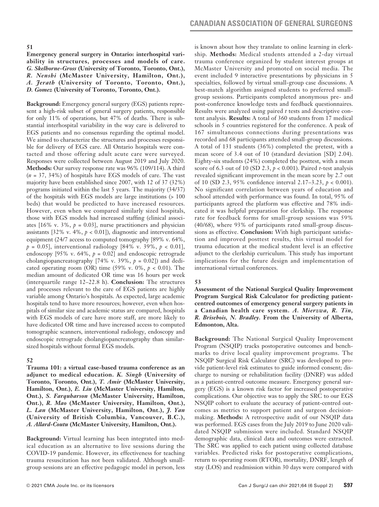**51**

**Emergency general surgery in Ontario: interhospital variability in structures, processes and models of care.**  *G. Skelhorne-Gross* **(University of Toronto, Toronto, Ont.),**  *R. Nenshi* **(McMaster University, Hamilton, Ont.),**  *A. Jerath* **(University of Toronto, Toronto, Ont.),** 

*D. Gomez* **(University of Toronto, Toronto, Ont.).** 

**Background:** Emergency general surgery (EGS) patients represent a high-risk subset of general surgery patients, responsible for only 11% of operations, but 47% of deaths. There is substantial interhospital variability in the way care is delivered to EGS patients and no consensus regarding the optimal model. We aimed to characterize the structures and processes responsible for delivery of EGS care. All Ontario hospitals were contacted and those offering adult acute care were surveyed. Responses were collected between August 2019 and July 2020. **Methods:** Our survey response rate was 96% (109/114). A third (*n* = 37, 34%) of hospitals have EGS models of care. The vast majority have been established since 2007, with 12 of 37 (32%) programs initiated within the last 5 years. The majority (34/37) of the hospitals with EGS models are large institutions (> 100 beds) that would be predicted to have increased resources. However, even when we compared similarly sized hospitals, those with EGS models had increased staffing (clinical associates [16% v. 3%,  $p = 0.03$ ], nurse practitioners and physician assistants [32% v. 4%, *p* < 0.01]), diagnostic and interventional equipment (24/7 access to computed tomography [89% v. 64%, *p* = 0.05], interventional radiology [84% v. 39%, *p* < 0.01], endoscopy [95% v. 64%, *p* = 0.02] and endoscopic retrograde cholangiopancreatography [74% v. 39%,  $p = 0.02$ ]) and dedicated operating room (OR) time (59% v. 0%,  $p < 0.01$ ). The median amount of dedicated OR time was 16 hours per week (interquartile range 12–22.8 h). **Conclusion:** The structures and processes relevant to the care of EGS patients are highly variable among Ontario's hospitals. As expected, large academic hospitals tend to have more resources; however, even when hospitals of similar size and academic status are compared, hospitals with EGS models of care have more staff, are more likely to have dedicated OR time and have increased access to computed tomographic scanners, interventional radiology, endoscopy and endoscopic retrograde cholangiopancreatography than similarsized hospitals without formal EGS models.

### **52**

**Trauma 101: a virtual case-based trauma conference as an adjunct to medical education.** *K. Singh* **(University of Toronto, Toronto, Ont.),** *T. Amir* **(McMaster University, Hamilton, Ont.),** *E. Liu* **(McMaster University, Hamilton, Ont.),** *S. Farquharson* **(McMaster University, Hamilton, Ont.),** *R. Mao* **(McMaster University, Hamilton, Ont.),**  *L. Lan* **(McMaster University, Hamilton, Ont.),** *J. Yan* **(University of British Columbia, Vancouver, B.C.),**  *A. Allard-Coutu* **(McMaster University, Hamilton, Ont.).**

**Background:** Virtual learning has been integrated into medical education as an alternative to live sessions during the COVID-19 pandemic. However, its effectiveness for teaching trauma resuscitation has not been validated. Although smallgroup sessions are an effective pedagogic model in person, less is known about how they translate to online learning in clerkship. **Methods:** Medical students attended a 2-day virtual trauma conference organized by student interest groups at McMaster University and promoted on social media. The event included 9 interactive presentations by physicians in 5 specialties, followed by virtual small-group case discussions. A best-match algorithm assigned students to preferred smallgroup sessions. Participants completed anonymous pre- and post-conference knowledge tests and feedback questionnaires. Results were analyzed using paired *t* tests and descriptive content analysis. **Results:** A total of 360 students from 17 medical schools in 5 countries registered for the conference. A peak of 167 simultaneous connections during presentations was recorded and 68 participants attended small-group discussions. A total of 131 students (36%) completed the pretest, with a mean score of 3.4 out of 10 (standard deviation [SD] 2.04). Eighty-six students (24%) completed the posttest, with a mean score of 6.3 out of 10 (SD 2.3, *p* < 0.001). Paired *t*-test analysis revealed significant improvement in the mean score by 2.7 out of 10 (SD 2.3, 95% confidence interval 2.17–3.23, *p* < 0.001). No significant correlation between years of education and school attended with performance was found. In total, 95% of participants agreed the platform was effective and 78% indicated it was helpful preparation for clerkship. The response rate for feedback forms for small-group sessions was 59% (40/68), where 93% of participants rated small-group discussions as effective. **Conclusion:** With high participant satisfaction and improved posttest results, this virtual model for trauma education at the medical student level is an effective adjunct to the clerkship curriculum. This study has important implications for the future design and implementation of international virtual conferences.

### **53**

**Assessment of the National Surgical Quality Improvement Program Surgical Risk Calculator for predicting patientcentred outcomes of emergency general surgery patients in a Canadian health care system.** *A. Mierzwa, R. Tin, R. Brisebois, N. Bradley.* **From the University of Alberta, Edmonton, Alta.** 

**Background:** The National Surgical Quality Improvement Program (NSQIP) tracks postoperative outcomes and benchmarks to drive local quality improvement programs. The NSQIP Surgical Risk Calculator (SRC) was developed to provide patient-level risk estimates to guide informed consent; discharge to nursing or rehabilitation facility (DNRF) was added as a patient-centred outcome measure. Emergency general surgery (EGS) is a known risk factor for increased postoperative complications. Our objective was to apply the SRC to our EGS NSQIP cohort to evaluate the accuracy of patient-centred outcomes as metrics to support patient and surgeon decisionmaking. **Methods:** A retrospective audit of our NSQIP data was performed. EGS cases from the July 2019 to June 2020 validated NSQIP submission were included. Standard NSQIP demographic data, clinical data and outcomes were extracted. The SRC was applied to each patient using collected database variables. Predicted risks for postoperative complications, return to operating room (RTOR), mortality, DNRF, length of stay (LOS) and readmission within 30 days were compared with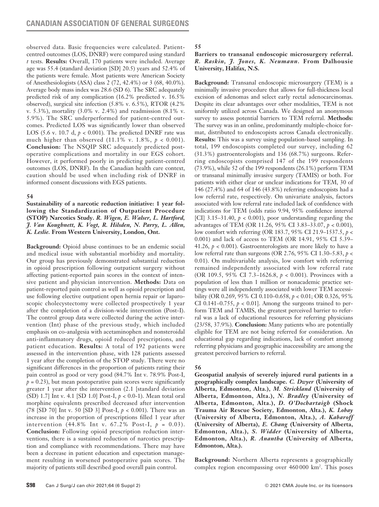observed data. Basic frequencies were calculated. Patientcentred outcomes (LOS, DNRF) were compared using standard *t* tests. **Results:** Overall, 170 patients were included. Average age was 55.4 (standard deviation [SD] 20.5) years and 52.4% of the patients were female. Most patients were American Society of Anesthesiologists (ASA) class 2 (72, 42.4%) or 3 (68, 40.0%). Average body mass index was 28.6 (SD 6). The SRC adequately predicted risk of any complication (16.2% predicted v. 16.5% observed), surgical site infection (5.8% v. 6.5%), RTOR (4.2% v. 5.3%), mortality (3.0% v. 2.4%) and readmission (8.1% v. 5.9%). The SRC underperformed for patient-centred outcomes. Predicted LOS was significantly lower than observed LOS (5.6 v. 10.7 d,  $p < 0.001$ ). The predicted DNRF rate was much higher than observed (11.1% v. 1.8%, *p* < 0.001). **Conclusion:** The NSQIP SRC adequately predicted postoperative complications and mortality in our EGS cohort. However, it performed poorly in predicting patient-centred outcomes (LOS, DNRF). In the Canadian health care context, caution should be used when including risk of DNRF in informed consent discussions with EGS patients.

# **54**

**Sustainability of a narcotic reduction initiative: 1 year following the Standardization of Outpatient Procedure (STOP) Narcotics Study.** *R. Wigen, E. Walser, L. Hartford, J. Van Koughnett, K. Vogt, R. Hilsden, N. Parry, L. Allen, K. Leslie.* **From Western University, London, Ont.**

**Background:** Opioid abuse continues to be an endemic social and medical issue with substantial morbidity and mortality. Our group has previously demonstrated substantial reduction in opioid prescription following outpatient surgery without affecting patient-reported pain scores in the context of intensive patient and physician intervention. **Methods:** Data on patient-reported pain control as well as opioid prescription and use following elective outpatient open hernia repair or laparoscopic cholecystectomy were collected prospectively 1 year after the completion of a division-wide intervention (Post-I). The control group data were collected during the active intervention (Int) phase of the previous study, which included emphasis on co-analgesia with acetaminophen and nonsteroidal anti-inflammatory drugs, opioid reduced prescriptions, and patient education. **Results:** A total of 192 patients were assessed in the intervention phase, with 128 patients assessed 1 year after the completion of the STOP study. There were no significant differences in the proportion of patients rating their pain control as good or very good (84.7% Int v. 78.9% Post-I,  $p = 0.23$ ), but mean postoperative pain scores were significantly greater 1 year after the intervention (2.1 [standard deviation (SD) 1.7] Int v. 4.1 [SD 1.0] Post-I, *p* < 0.0-1). Mean total oral morphine equivalents prescribed decreased after intervention (78 [SD 70] Int v. 50 [SD 3] Post-I, *p* < 0.001). There was an increase in the proportion of prescriptions filled 1 year after intervention (44.8% Int v. 67.2% Post-I,  $p = 0.03$ ). **Conclusion:** Following opioid prescription reduction interventions, there is a sustained reduction of narcotics prescription and compliance with recommendations. There may have been a decrease in patient education and expectation management resulting in worsened postoperative pain scores. The majority of patients still described good overall pain control.

**55**

# **Barriers to transanal endoscopic microsurgery referral.**  *R. Raskin, J. Jones, K. Neumann.* **From Dalhousie University, Halifax, N.S.**

**Background:** Transanal endoscopic microsurgery (TEM) is a minimally invasive procedure that allows for full-thickness local excision of adenomas and select early rectal adenocarcinomas. Despite its clear advantages over other modalities, TEM is not uniformly utilized across Canada. We designed an anonymous survey to assess potential barriers to TEM referral. **Methods:**  The survey was in an online, predominantly multiple-choice format, distributed to endoscopists across Canada electronically. **Results:** This was a survey using population-based sampling. In total, 199 endoscopists completed our survey, including 62 (31.3%) gastroenterologists and 136 (68.7%) surgeons. Referring endoscopists comprised 147 of the 199 respondents (73.9%), while 52 of the 199 respondents (26.1%) perform TEM or transanal minimally invasive surgery (TAMIS) or both. For patients with either clear or unclear indications for TEM, 30 of 146 (27.4%) and 64 of 146 (43.8%) referring endoscopists had a low referral rate, respectively. On univariate analysis, factors associated with low referral rate included lack of confidence with indications for TEM (odds ratio 9.94, 95% confidence interval [CI]  $3.15-31.40$ ,  $p < 0.001$ ), poor understanding regarding the advantages of TEM (OR 11.26, 95% CI 3.83–33.07, *p* < 0.001), low comfort with referring (OR 183.7, 95% CI 21.9–1537.5, *p* < 0.001) and lack of access to TEM (OR 14.91, 95% CI 5.39– 41.26,  $p < 0.001$ ). Gastroenterologists are more likely to have a low referral rate than surgeons (OR 2.76, 95% CI 1.30–5.83, *p* < 0.01). On multivariable analysis, low comfort with referring remained independently associated with low referral rate (OR 109.5, 95% CI 7.3–1626.8, *p* < 0.001). Provinces with a population of less than 1 million or nonacademic practice settings were all independently associated with lower TEM accessibility (OR 0.269, 95% CI 0.110–0.658, *p* < 0.01; OR 0.326, 95% CI 0.141–0.755,  $p < 0.01$ ]. Among the surgeons trained to perform TEM and TAMIS, the greatest perceived barrier to referral was a lack of educational resources for referring physicians (23/58, 37.9%). **Conclusion:** Many patients who are potentially eligible for TEM are not being referred for consideration. An educational gap regarding indications, lack of comfort among referring physicians and geographic inaccessibility are among the greatest perceived barriers to referral.

# **56**

**Geospatial analysis of severely injured rural patients in a geographically complex landscape.** *C. Dwyer* **(University of Alberta, Edmonton, Alta.),** *M. Strickland* **(University of Alberta, Edmonton, Alta.),** *N. Bradley* **(University of Alberta, Edmonton, Alta.),** *D. O'Dochartaigh* **(Shock Trauma Air Rescue Society, Edmonton, Alta.),** *K. Lobay* **(University of Alberta, Edmonton, Alta.),** *A. Kabaroff* **(University of Alberta),** *E. Chang* **(University of Alberta, Edmonton, Alta.),** *S. Widder* **(University of Alberta, Edmonton, Alta.),** *R. Anantha* **(University of Alberta, Edmonton, Alta.).**

**Background:** Northern Alberta represents a geographically complex region encompassing over 460 000 km2 . This poses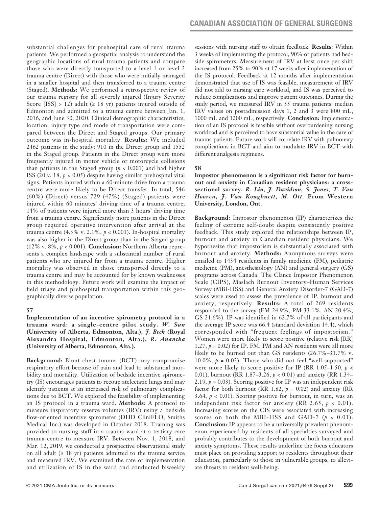substantial challenges for prehospital care of rural trauma patients. We performed a geospatial analysis to understand the geographic locations of rural trauma patients and compare those who were directly transported to a level 1 or level 2 trauma centre (Direct) with those who were initially managed in a smaller hospital and then transferred to a trauma centre (Staged). **Methods:** We performed a retrospective review of our trauma registry for all severely injured (Injury Severity Score [ISS] > 12) adult ( $\geq$  18 yr) patients injured outside of Edmonton and admitted to a trauma centre between Jan. 1, 2016, and June 30, 2020. Clinical demographic characteristics, location, injury type and mode of transportation were compared between the Direct and Staged groups. Our primary outcome was in-hospital mortality. **Results:** We included 2462 patients in the study: 910 in the Direct group and 1552 in the Staged group. Patients in the Direct group were more frequently injured in motor vehicle or motorcycle collisions than patients in the Staged group  $(p < 0.001)$  and had higher ISS (20 v. 18, *p* < 0.05) despite having similar prehospital vital signs. Patients injured within a 60-minute drive from a trauma centre were more likely to be Direct transfer. In total, 546 (60%) (Direct) versus 729 (47%) (Staged) patients were injured within 60 minutes' driving time of a trauma centre; 14% of patients were injured more than 3 hours' driving time from a trauma centre. Significantly more patients in the Direct group required operative intervention after arrival at the trauma centre  $(4.3\% \text{ v. } 2.1\%, p < 0.001)$ . In-hospital mortality was also higher in the Direct group than in the Staged group (12% v. 8%, *p* < 0.001). **Conclusion:** Northern Alberta represents a complex landscape with a substantial number of rural patients who are injured far from a trauma centre. Higher mortality was observed in those transported directly to a trauma centre and may be accounted for by known weaknesses in this methodology. Future work will examine the impact of field triage and prehospital transportation within this geographically diverse population.

# **57**

**Implementation of an incentive spirometry protocol in a trauma ward: a single-centre pilot study.** *W. Sun* **(University of Alberta, Edmonton, Alta.),** *J. Beck* **(Royal Alexandra Hospital, Edmonton, Alta.),** *R. Anantha* **(University of Alberta, Edmonton, Alta.).**

**Background:** Blunt chest trauma (BCT) may compromise respiratory effort because of pain and lead to substantial morbidity and mortality. Utilization of bedside incentive spirometry (IS) encourages patients to recoup atelectatic lungs and may identify patients at an increased risk of pulmonary complications due to BCT. We explored the feasibility of implementing an IS protocol in a trauma ward. **Methods:** A protocol to measure inspiratory reserve volumes (IRV) using a bedside flow-oriented incentive spirometer (DHD CliniFLO, Smiths Medical Inc.) was developed in October 2018. Training was provided to nursing staff in a trauma ward at a tertiary care trauma centre to measure IRV. Between Nov. 1, 2018, and Mar. 12, 2019, we conducted a prospective observational study on all adult  $(≥ 18 \text{ yr})$  patients admitted to the trauma service and measured IRV. We examined the rate of implementation and utilization of IS in the ward and conducted biweekly sessions with nursing staff to obtain feedback. **Results:** Within 3 weeks of implementing the protocol, 90% of patients had bedside spirometers. Measurement of IRV at least once per shift increased from 25% to 90% at 17 weeks after implementation of the IS protocol. Feedback at 12 months after implementation demonstrated that use of IS was feasible, measurement of IRV did not add to nursing care workload, and IS was perceived to reduce complications and improve patient outcomes. During the study period, we measured IRV in 55 trauma patients: median IRV values on postadmission days 1, 2 and 3 were 800 mL, 1000 mL and 1200 mL, respectively. **Conclusion:** Implementation of an IS protocol is feasible without overburdening nursing workload and is perceived to have substantial value in the care of trauma patients. Future work will correlate IRV with pulmonary complications in BCT and aim to modulate IRV in BCT with different analgesia regimens.

# **58**

**Impostor phenomenon is a significant risk factor for burnout and anxiety in Canadian resident physicians: a crosssectional survey.** *R. Liu, J. Davidson, S. Jones, T. Van Hooren, J. Van Koughnett, M. Ott.* **From Western University, London, Ont.**

**Background:** Impostor phenomenon (IP) characterizes the feeling of extreme self-doubt despite consistently positive feedback. This study explored the relationships between IP, burnout and anxiety in Canadian resident physicians. We hypothesize that impostorism is substantially associated with burnout and anxiety. **Methods:** Anonymous surveys were emailed to 1434 residents in family medicine (FM), pediatric medicine (PM), anesthesiology (AN) and general surgery (GS) programs across Canada. The Clance Impostor Phenomenon Scale (CIPS), Maslach Burnout Inventory–Human Services Survey (MBI-HSS) and General Anxiety Disorder-7 (GAD-7) scales were used to assess the prevalence of IP, burnout and anxiety, respectively. **Results:** A total of 269 residents responded to the survey (FM 24.9%, PM 33.1%, AN 20.4%, GS 21.6%). IP was identified in 62.7% of all participants and the average IP score was 66.4 (standard deviation 14.4), which corresponded with "frequent feelings of impostorism." Women were more likely to score positive (relative risk [RR] 1.27,  $p = 0.02$ ) for IP. FM, PM and AN residents were all more likely to be burned out than GS residents (26.7%–31.7% v. 10.0%,  $p = 0.02$ ). Those who did not feel "well-supported" were more likely to score positive for IP (RR 1.05–1.50, *p* < 0.01), burnout (RR 1.87–3.26, *p* < 0.01) and anxiety (RR 1.34– 2.19,  $p = 0.03$ ). Scoring positive for IP was an independent risk factor for both burnout (RR 1.82,  $p = 0.02$ ) and anxiety (RR 3.64,  $p < 0.01$ ). Scoring positive for burnout, in turn, was an independent risk factor for anxiety (RR 2.65,  $p < 0.01$ ). Increasing scores on the CIS were associated with increasing scores on both the MBI-HSS and GAD-7  $(p < 0.01)$ . **Conclusion:** IP appears to be a universally prevalent phenomenon experienced by residents of all specialties surveyed and probably contributes to the development of both burnout and anxiety symptoms. These results underline the focus educators must place on providing support to residents throughout their education, particularly to those in vulnerable groups, to alleviate threats to resident well-being.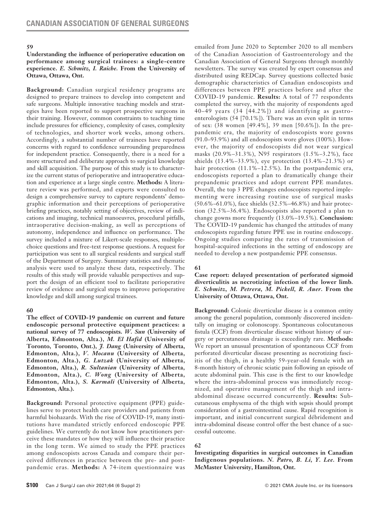#### **59**

#### **Understanding the influence of perioperative education on performance among surgical trainees: a single-centre experience.** *E. Schmitz, I. Raiche.* **From the University of Ottawa, Ottawa, Ont.**

**Background:** Canadian surgical residency programs are designed to prepare trainees to develop into competent and safe surgeons. Multiple innovative teaching models and strategies have been reported to support prospective surgeons in their training. However, common constraints to teaching time include pressures for efficiency, complexity of cases, complexity of technologies, and shorter work weeks, among others. Accordingly, a substantial number of trainees have reported concerns with regard to confidence surrounding preparedness for independent practice. Consequently, there is a need for a more structured and deliberate approach to surgical knowledge and skill acquisition. The purpose of this study is to characterize the current status of perioperative and intraoperative education and experience at a large single centre. **Methods:** A literature review was performed, and experts were consulted to design a comprehensive survey to capture respondents' demographic information and their perceptions of perioperative briefing practices, notably setting of objectives, review of indications and imaging, technical manoeuvres, procedural pitfalls, intraoperative decision-making, as well as perceptions of autonomy, independence and influence on performance. The survey included a mixture of Likert-scale responses, multiplechoice questions and free-text response questions. A request for participation was sent to all surgical residents and surgical staff of the Department of Surgery. Summary statistics and thematic analysis were used to analyze these data, respectively. The results of this study will provide valuable perspectives and support the design of an efficient tool to facilitate perioperative review of evidence and surgical steps to improve perioperative knowledge and skill among surgical trainees.

### **60**

**The effect of COVID-19 pandemic on current and future endoscopic personal protective equipment practices: a national survey of 77 endoscopists.** *W. Sun* **(University of Alberta, Edmonton, Alta.),** *M. El Hafid* **(University of Toronto, Toronto, Ont.),** *J. Dang* **(University of Alberta, Edmonton, Alta.),** *V. Mocanu* **(University of Alberta, Edmonton, Alta.),** *G. Lutzak* **(University of Alberta, Edmonton, Alta.),** *R. Sultanian* **(University of Alberta, Edmonton, Alta.),** *C. Wong* **(University of Alberta, Edmonton, Alta.),** *S. Karmali* **(University of Alberta, Edmonton, Alta.).**

**Background:** Personal protective equipment (PPE) guidelines serve to protect health care providers and patients from harmful biohazards. With the rise of COVID-19, many institutions have mandated strictly enforced endoscopic PPE guidelines. We currently do not know how practitioners perceive these mandates or how they will influence their practice in the long term. We aimed to study the PPE practices among endoscopists across Canada and compare their perceived differences in practice between the pre- and postpandemic eras. **Methods:** A 74-item questionnaire was emailed from June 2020 to September 2020 to all members of the Canadian Association of Gastroenterology and the Canadian Association of General Surgeons through monthly newsletters. The survey was created by expert consensus and distributed using REDCap. Survey questions collected basic demographic characteristics of Canadian endoscopists and differences between PPE practices before and after the COVID-19 pandemic. **Results:** A total of 77 respondents completed the survey, with the majority of respondents aged 40–49 years (34 [44.2%]) and identifying as gastroenterologists (54 [70.1%]). There was an even split in terms of sex: (38 women [49.4%], 39 men [50.6%]). In the prepandemic era, the majority of endoscopists wore gowns (91.0–93.9%) and all endoscopists wore gloves (100%). However, the majority of endoscopists did not wear surgical masks (20.9%–31.3%), N95 respirators (1.5%–3.2%), face shields (13.4%–33.9%), eye protection (13.4%–21.3%) or hair protection (11.1%-12.5%). In the postpandemic era, endoscopists reported a plan to dramatically change their prepandemic practices and adopt current PPE mandates. Overall, the top 3 PPE changes endoscopists reported implementing were increasing routine use of surgical masks (50.6%–61.0%), face shields (32.5%–46.8%) and hair protection (32.5%–36.4%). Endoscopists also reported a plan to change gowns more frequently (13.0%–19.5%). **Conclusion:** The COVID-19 pandemic has changed the attitudes of many endoscopists regarding future PPE use in routine endoscopy. Ongoing studies comparing the rates of transmission of hospital-acquired infections in the setting of endoscopy are needed to develop a new postpandemic PPE consensus.

### **61**

### **Case report: delayed presentation of perforated sigmoid diverticulitis as necrotizing infection of the lower limb***. E. Schmitz, M. Petrera, M. Pickell, R. Auer.* **From the University of Ottawa, Ottawa, Ont.**

**Background:** Colonic diverticular disease is a common entity among the general population, commonly discovered incidentally on imaging or colonoscopy. Spontaneous colocutaneous fistula (CCF) from diverticular disease without history of surgery or percutaneous drainage is exceedingly rare. **Methods:** We report an unusual presentation of spontaneous CCF from perforated diverticular disease presenting as necrotizing fasciitis of the thigh, in a healthy 59-year-old female with an 8-month history of chronic sciatic pain following an episode of acute abdominal pain. This case is the first to our knowledge where the intra-abdominal process was immediately recognized, and operative management of the thigh and intraabdominal disease occurred concurrently. **Results:** Subcutaneous emphysema of the thigh with sepsis should prompt consideration of a gastrointestinal cause. Rapid recognition is important, and initial concurrent surgical débridement and intra-abdominal disease control offer the best chance of a successful outcome.

### **62**

**Investigating disparities in surgical outcomes in Canadian Indigenous populations.** *N. Patro, B. Li, Y. Lee.* **From McMaster University, Hamilton, Ont.**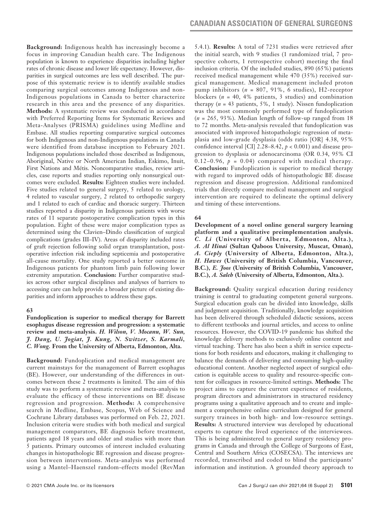**Background:** Indigenous health has increasingly become a focus in improving Canadian health care. The Indigenous population is known to experience disparities including higher rates of chronic disease and lower life expectancy. However, disparities in surgical outcomes are less well described. The purpose of this systematic review is to identify available studies comparing surgical outcomes among Indigenous and non-Indigenous populations in Canada to better characterize research in this area and the presence of any disparities. **Methods:** A systematic review was conducted in accordance with Preferred Reporting Items for Systematic Reviews and Meta-Analyses (PRISMA) guidelines using Medline and Embase. All studies reporting comparative surgical outcomes for both Indigenous and non-Indigenous populations in Canada were identified from database inception to February 2021. Indigenous populations included those described as Indigenous, Aboriginal, Native or North American Indian, Eskimo, Inuit, First Nations and Métis. Noncomparative studies, review articles, case reports and studies reporting only nonsurgical outcomes were excluded. **Results:** Eighteen studies were included. Five studies related to general surgery, 5 related to urology, 4 related to vascular surgery, 2 related to orthopedic surgery and 1 related to each of cardiac and thoracic surgery. Thirteen studies reported a disparity in Indigenous patients with worse rates of 11 separate postoperative complication types in this population. Eight of these were major complication types as determined using the Clavien–Dindo classification of surgical complications (grades III–IV). Areas of disparity included rates of graft rejection following solid organ transplantation, postoperative infection risk including septicemia and postoperative all-cause mortality. One study reported a better outcome in Indigenous patients for phantom limb pain following lower extremity amputation. **Conclusion:** Further comparative studies across other surgical disciplines and analyses of barriers to accessing care can help provide a broader picture of existing disparities and inform approaches to address these gaps.

### **63**

**Fundoplication is superior to medical therapy for Barrett esophagus disease regression and progression: a systematic review and meta-analysis.** *H. Wilson, V. Mocanu, W. Sun, J. Dang, U. Jogiat, J. Kung, N. Switzer, S. Karmali, C. Wong.* **From the University of Alberta, Edmonton, Alta.**

**Background:** Fundoplication and medical management are current mainstays for the management of Barrett esophagus (BE). However, our understanding of the differences in outcomes between these 2 treatments is limited. The aim of this study was to perform a systematic review and meta-analysis to evaluate the efficacy of these interventions on BE disease regression and progression. **Methods:** A comprehensive search in Medline, Embase, Scopus, Web of Science and Cochrane Library databases was performed on Feb. 22, 2021. Inclusion criteria were studies with both medical and surgical management comparators, BE diagnosis before treatment, patients aged 18 years and older and studies with more than 5 patients. Primary outcomes of interest included evaluating changes in histopathologic BE regression and disease progression between interventions. Meta-analysis was performed using a Mantel–Haenszel random-effects model (RevMan 5.4.1). **Results:** A total of 7231 studies were retrieved after the initial search, with 9 studies (1 randomized trial, 7 prospective cohorts, 1 retrospective cohort) meeting the final inclusion criteria. Of the included studies, 890 (65%) patients received medical management while 470 (35%) received surgical management. Medical management included proton pump inhibitors (*n* = 807, 91%, 6 studies), H2-receptor blockers (*n* = 40, 4% patients, 3 studies) and combination therapy  $(n = 43$  patients, 5%, 1 study). Nissen fundoplication was the most commonly performed type of fundoplication (*n* = 265, 93%). Median length of follow-up ranged from 18 to 72 months. Meta-analysis revealed that fundoplication was associated with improved histopathologic regression of metaplasia and low-grade dysplasia (odds ratio [OR] 4.38, 95% confidence interval [CI] 2.28–8.42, *p* < 0.001) and disease progression to dysplasia or adenocarcinoma (OR 0.34, 95% CI 0.12–0.96,  $p = 0.04$ ) compared with medical therapy. **Conclusion:** Fundoplication is superior to medical therapy with regard to improved odds of histopathologic BE disease regression and disease progression. Additional randomized trials that directly compare medical management and surgical intervention are required to delineate the optimal delivery and timing of these interventions.

### **64**

**Development of a novel online general surgery learning platform and a qualitative preimplementation analysis.**  *C. Li* **(University of Alberta, Edmonton, Alta.),**  *A. Al Hinai* **(Sultan Qaboos University, Muscat, Oman),**  *A. Cieply* **(University of Alberta, Edmonton, Alta.),**  *H. Hawes* **(University of British Columbia, Vancouver, B.C.),** *E. Joos* **(University of British Columbia, Vancouver, B.C.),** *A. Saleh* **(University of Alberta, Edmonton, Alta.).**

**Background:** Quality surgical education during residency training is central to graduating competent general surgeons. Surgical education goals can be divided into knowledge, skills and judgment acquisition. Traditionally, knowledge acquisition has been delivered through scheduled didactic sessions, access to different textbooks and journal articles, and access to online resources. However, the COVID-19 pandemic has shifted the knowledge delivery methods to exclusively online content and virtual teaching. There has also been a shift in service expectations for both residents and educators, making it challenging to balance the demands of delivering and consuming high-quality educational content. Another neglected aspect of surgical education is equitable access to quality and resource-specific content for colleagues in resource-limited settings. **Methods:** The project aims to capture the current experience of residents, program directors and administrators in structured residency programs using a qualitative approach and to create and implement a comprehensive online curriculum designed for general surgery trainees in both high- and low-resource settings. **Results:** A structured interview was developed by educational experts to capture the lived experience of the interviewees. This is being administered to general surgery residency programs in Canada and through the College of Surgeons of East, Central and Southern Africa (COSECSA). The interviews are recorded, transcribed and coded to blind the participants' information and institution. A grounded theory approach to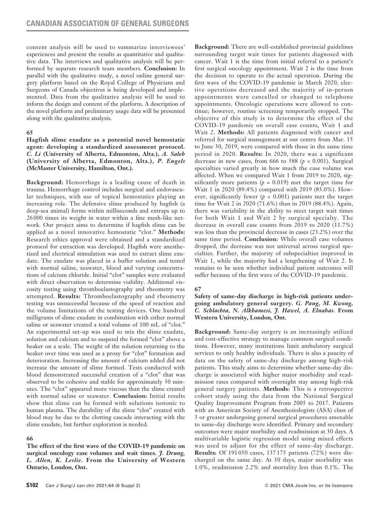content analysis will be used to summarize interviewees' experiences and present the results as quantitative and qualitative data. The interviews and qualitative analysis will be performed by separate research team members. **Conclusion:** In parallel with the qualitative study, a novel online general surgery platform based on the Royal College of Physicians and Surgeons of Canada objectives is being developed and implemented. Data from the qualitative analysis will be used to inform the design and content of the platform. A description of the novel platform and preliminary usage data will be presented along with the qualitative analysis.

### **65**

**Hagfish slime exudate as a potential novel hemostatic agent: developing a standardized assessment protocol.**  *C. Li* **(University of Alberta, Edmonton, Alta.),** *A. Saleh* **(University of Alberta, Edmonton, Alta.),** *P. Engels* **(McMaster University, Hamilton, Ont.).**

**Background:** Hemorrhage is a leading cause of death in trauma. Hemorrhage control includes surgical and endovascular techniques, with use of topical hemostatics playing an increasing role. The defensive slime produced by hagfish (a deep-sea animal) forms within milliseconds and entraps up to 26 000 times its weight in water within a fine mesh-like network. Our project aims to determine if hagfish slime can be applied as a novel innovative hemostatic "clot." **Methods:** Research ethics approval were obtained and a standardized protocol for extraction was developed. Hagfish were anesthetized and electrical stimulation was used to extract slime exudate. The exudate was placed in a buffer solution and tested with normal saline, seawater, blood and varying concentrations of calcium chloride. Initial "clot" samples were evaluated with direct observation to determine viability. Additional viscosity testing using thromboelastography and rheometry was attempted. **Results:** Thromboelastography and rheometry testing was unsuccessful because of the speed of reaction and the volume limitations of the testing devices. One hundred milligrams of slime exudate in combination with either normal saline or seawater created a total volume of 100 mL of "clot." An experimental set-up was used to mix the slime exudate, solution and calcium and to suspend the formed "clot" above a beaker on a scale. The weight of the solution returning to the beaker over time was used as a proxy for "clot" formation and deterioration. Increasing the amount of calcium added did not increase the amount of slime formed. Tests conducted with blood demonstrated successful creation of a "clot" that was observed to be cohesive and stable for approximately 30 minutes. The "clot" appeared more viscous than the slime created with normal saline or seawater. **Conclusion:** Initial results show that slime can be formed with solutions isotonic to human plasma. The durability of the slime "clot" created with blood may be due to the clotting cascade interacting with the slime exudate, but further exploration is needed.

# **66**

**The effect of the first wave of the COVID-19 pandemic on surgical oncology case volumes and wait times.** *J. Drung, L. Allen, K. Leslie.* **From the University of Western Ontario, London, Ont.**

**Background:** There are well-established provincial guidelines surrounding target wait times for patients diagnosed with cancer. Wait 1 is the time from initial referral to a patient's first surgical oncology appointment. Wait 2 is the time from the decision to operate to the actual operation. During the first wave of the COVID-19 pandemic in March 2020, elective operations decreased and the majority of in-person appointments were cancelled or changed to telephone appointments. Oncologic operations were allowed to continue; however, routine screening temporarily stopped. The objective of this study is to determine the effect of the COVID-19 pandemic on overall case counts, Wait 1 and Wait 2. **Methods:** All patients diagnosed with cancer and referred for surgical management at our centre from Mar. 15 to June 30, 2019, were compared with those in the same time period in 2020. **Results:** In 2020, there was a significant decrease in new cases, from 666 to 588  $(p < 0.001)$ . Surgical specialties varied greatly in how much the case volume was affected. When we compared Wait 1 from 2019 to 2020, significantly more patients ( $p = 0.019$ ) met the target time for Wait 1 in 2020 (89.4%) compared with 2019 (85.0%). However, significantly fewer ( $p < 0.001$ ) patients met the target time for Wait 2 in 2020 (71.6%) than in 2019 (88.4%). Again, there was variability in the ability to meet target wait times for both Wait 1 and Wait 2 by surgical specialty. The decrease in overall case counts from 2019 to 2020 (11.7%) was less than the provincial decrease in cases (23.2%) over the same time period. **Conclusion:** While overall case volumes dropped, the decrease was not universal across surgical specialties. Further, the majority of subspecialties improved in Wait 1, while the majority had a lengthening of Wait 2. It remains to be seen whether individual patient outcomes will suffer because of the first wave of the COVID-19 pandemic.

# **67**

**Safety of same-day discharge in high-risk patients undergoing ambulatory general surgery.** *G. Pang, M. Kwong, C. Schlachta, N. Alkhamesi, J. Hawel, A. Elnahas.* **From Western University, London, Ont.**

**Background:** Same-day surgery is an increasingly utilized and cost-effective strategy to manage common surgical conditions. However, many institutions limit ambulatory surgical services to only healthy individuals. There is also a paucity of data on the safety of same-day discharge among high-risk patients. This study aims to determine whether same-day discharge is associated with higher major morbidity and readmission rates compared with overnight stay among high-risk general surgery patients. **Methods:** This is a retrospective cohort study using the data from the National Surgical Quality Improvement Program from 2005 to 2017. Patients with an American Society of Anesthesiologists (ASA) class of 3 or greater undergoing general surgical procedures amenable to same-day discharge were identified. Primary and secondary outcomes were major morbidity and readmission at 30 days. A multivariable logistic regression model using mixed effects was used to adjust for the effect of same-day discharge. **Results:** Of 191 050 cases, 137 175 patients (72%) were discharged on the same day. At 30 days, major morbidity was 1.0%, readmission 2.2% and mortality less than 0.1%. The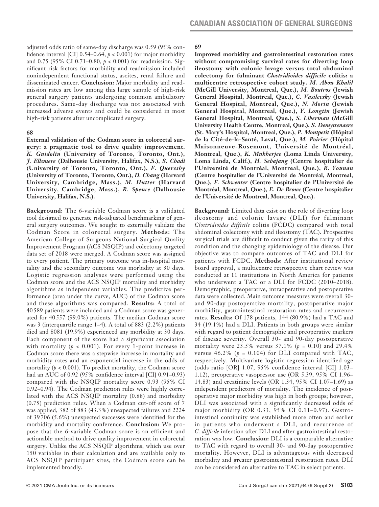adjusted odds ratio of same-day discharge was 0.59 (95% confidence interval [CI]  $0.54-0.64$ ,  $p < 0.001$  for major morbidity and 0.75 (95% CI 0.71–0.80, *p* < 0.001) for readmission. Significant risk factors for morbidity and readmission included nonindependent functional status, ascites, renal failure and disseminated cancer. **Conclusion:** Major morbidity and readmission rates are low among this large sample of high-risk general surgery patients undergoing common ambulatory procedures. Same-day discharge was not associated with increased adverse events and could be considered in most high-risk patients after uncomplicated surgery.

#### **68**

**External validation of the Codman score in colorectal surgery: a pragmatic tool to drive quality improvement.** *K. Guidolin* **(University of Toronto, Toronto, Ont.),**  *J. Ellsmere* **(Dalhousie University, Halifax, N.S.),** *S. Chadi*  **(University of Toronto, Toronto, Ont.),** *F. Quereshy* **(University of Toronto, Toronto, Ont.),** *D. Chang* **(Harvard University, Cambridge, Mass.),** *M. Hutter* **(Harvard University, Cambridge, Mass.),** *R. Spence* **(Dalhousie University, Halifax, N.S.).**

**Background:** The 6-variable Codman score is a validated tool designed to generate risk-adjusted benchmarking of general surgery outcomes. We sought to externally validate the Codman Score in colorectal surgery. **Methods:** The American College of Surgeons National Surgical Quality Improvement Program (ACS NSQIP) and colectomy targeted data set of 2018 were merged. A Codman score was assigned to every patient. The primary outcome was in-hospital mortality and the secondary outcome was morbidity at 30 days. Logistic regression analyses were performed using the Codman score and the ACS NSQIP mortality and morbidity algorithms as independent variables. The predictive performance (area under the curve, AUC) of the Codman score and these algorithms was compared. **Results:** A total of 40 589 patients were included and a Codman score was generated for 40 557 (99.0%) patients. The median Codman score was 3 (interquartile range 1–4). A total of 883 (2.2%) patients died and 8081 (19.9%) experienced any morbidity at 30 days. Each component of the score had a significant association with mortality  $(p < 0.001)$ . For every 1-point increase in Codman score there was a stepwise increase in mortality and morbidity rates and an exponential increase in the odds of mortality (*p* < 0.001). To predict mortality, the Codman score had an AUC of 0.92 (95% confidence interval [CI] 0.91–0.93) compared with the NSQIP mortality score 0.93 (95% CI 0.92–0.94). The Codman prediction rules were highly correlated with the ACS NSQIP mortality (0.88) and morbidity (0.75) prediction rules. When a Codman cut-off score of 7 was applied, 382 of 883 (43.3%) unexpected failures and 2224 of 39 706 (5.6%) unexpected successes were identified for the morbidity and mortality conference. **Conclusion:** We propose that the 6-variable Codman score is an efficient and actionable method to drive quality improvement in colorectal surgery. Unlike the ACS NSQIP algorithms, which use over 150 variables in their calculation and are available only to ACS NSQIP participant sites, the Codman score can be implemented broadly.

# **69**

**Improved morbidity and gastrointestinal restoration rates without compromising survival rates for diverting loop ileostomy with colonic lavage versus total abdominal colectomy for fulminant** *Clostridioides difficile* **colitis: a multicentre retrospective cohort study.** *M. Abou Khalil*  **(McGill University, Montreal, Que.),** *M. Boutros* **(Jewish General Hospital, Montreal, Que.),** *C. Vasilevsky* **(Jewish General Hospital, Montreal, Que.),** *N. Morin* **(Jewish General Hospital, Montreal, Que.),** *Y. Longtin* **(Jewish General Hospital, Montreal, Que.),** *S. Liberman* **(McGill University Health Centre, Montreal, Que.),** *S. Demyttenaere* **(St. Mary's Hospital, Montreal, Que.),** *P. Montpetit* **(Hôpital de la Cité-de-la-Santé, Laval, Que.),** *M. Poirier* **(Hôpital Maisonneuve-Rosemont, Université de Montréal, Montreal, Que.),** *K. Mukherjee* **(Loma Linda University, Loma Linda, Calif.),** *H. Sebajang* **(Centre hospitalier de l'Université de Montréal, Montreal, Que.),** *R. Younan* **(Centre hospitalier de l'Université de Montréal, Montreal, Que.),** *F. Schwenter* **(Centre hospitalier de l'Université de Montréal, Montreal, Que.),** *E. De Broux* **(Centre hospitalier de l'Université de Montreal, Montreal, Que.).**

**Background:** Limited data exist on the role of diverting loop ileostomy and colonic lavage (DLI) for fulminant *Clostridioides difficile* colitis (FCDC) compared with total abdominal colectomy with end ileostomy (TAC). Prospective surgical trials are difficult to conduct given the rarity of this condition and the changing epidemiology of the disease. Our objective was to compare outcomes of TAC and DLI for patients with FCDC. **Methods:** After institutional review board approval, a multicentre retrospective chart review was conducted at 11 institutions in North America for patients who underwent a TAC or a DLI for FCDC (2010–2018). Demographic, preoperative, intraoperative and postoperative data were collected. Main outcome measures were overall 30 and 90-day postoperative mortality, postoperative major morbidity, gastrointestinal restoration rates and recurrence rates. **Results:** Of 178 patients, 144 (80.9%) had a TAC and 34 (19.1%) had a DLI. Patients in both groups were similar with regard to patient demographic and preoperative markers of disease severity. Overall 30- and 90-day postoperative mortality were 23.5% versus 37.1% (*p* = 0.10) and 29.4% versus  $46.2\%$  ( $p = 0.104$ ) for DLI compared with TAC, respectively. Multivariate logistic regression identified age (odds ratio [OR] 1.07, 95% confidence interval [CI] 1.03– 1.12), preoperative vasopressor use (OR 5.39, 95% CI 1.96– 14.83) and creatinine levels (OR 1.34, 95% CI 1.07–1.69) as independent predictors of mortality. The incidence of postoperative major morbidity was high in both groups; however, DLI was associated with a significantly decreased odds of major morbidity (OR 0.33, 95% CI 0.11–0.97). Gastrointestinal continuity was established more often and earlier in patients who underwent a DLI, and recurrence of *C. difficile* infection after DLI and after gastrointestinal restoration was low. **Conclusion:** DLI is a comparable alternative to TAC with regard to overall 30- and 90-day postoperative mortality. However, DLI is advantageous with decreased morbidity and greater gastrointestinal restoration rates. DLI can be considered an alternative to TAC in select patients.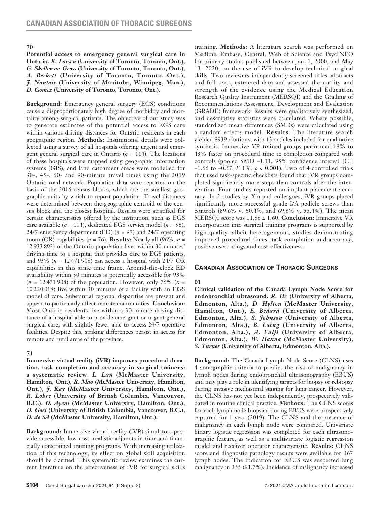#### **70**

**Potential access to emergency general surgical care in Ontario.** *K. Larsen* **(University of Toronto, Toronto, Ont.),**  *G. Skelhorne-Gross* **(University of Toronto, Toronto, Ont.),**  *A. Beckett* **(University of Toronto, Toronto, Ont.),**  *J. Nantais* **(University of Manitoba, Winnipeg, Man.),**  *D. Gomez* **(University of Toronto, Toronto, Ont.).**

**Background:** Emergency general surgery (EGS) conditions cause a disproportionately high degree of morbidity and mortality among surgical patients. The objective of our study was to generate estimates of the potential access to EGS care within various driving distances for Ontario residents in each geographic region. **Methods:** Institutional details were collected using a survey of all hospitals offering urgent and emergent general surgical care in Ontario (*n* = 114). The locations of these hospitals were mapped using geographic information systems (GIS), and land catchment areas were modelled for 30-, 45-, 60- and 90-minute travel times using the 2019 Ontario road network. Population data were reported on the basis of the 2016 census blocks, which are the smallest geographic units by which to report population. Travel distances were determined between the geographic centroid of the census block and the closest hospital. Results were stratified for certain characteristics offered by the institution, such as EGS care available (*n* = 114), dedicated EGS service model (*n* = 36), 24/7 emergency department (ED) (*n* = 97) and 24/7 operating room (OR) capabilities (*n* = 76). **Results:** Nearly all (96%, *n* = 12 933 892) of the Ontario population lives within 30 minutes' driving time to a hospital that provides care to EGS patients, and 93% (*n* = 12 471 908) can access a hospital with 24/7 OR capabilities in this same time frame. Around-the-clock ED availability within 30 minutes is potentially accessible for 93% (*n* = 12 471 908) of the population. However, only 76% (*n* = 10 220 018) live within 30 minutes of a facility with an EGS model of care. Substantial regional disparities are present and appear to particularly affect remote communities. **Conclusion:**  Most Ontario residents live within a 30-minute driving distance of a hospital able to provide emergent or urgent general surgical care, with slightly fewer able to access 24/7 operative facilities. Despite this, striking differences persist in access for remote and rural areas of the province.

### **71**

**Immersive virtual reality (iVR) improves procedural duration, task completion and accuracy in surgical trainees: a systematic review.** *L. Lan* **(McMaster University, Hamilton, Ont.),** *R. Mao* **(McMaster University, Hamilton, Ont.),** *J. Kay* **(McMaster University, Hamilton, Ont.),**  *R. Lohre* **(University of British Columbia, Vancouver, B.C.),** *O. Ayeni* **(McMaster University, Hamilton, Ont.),**  *D. Goel* **(University of British Columbia, Vancouver, B.C.),**  *D. de SA* **(McMaster University, Hamilton, Ont.).**

**Background:** Immersive virtual reality (iVR) simulators provide accessible, low-cost, realistic adjuncts in time and financially constrained training programs. With increasing utilization of this technology, its effect on global skill acquisition should be clarified. This systematic review examines the current literature on the effectiveness of iVR for surgical skills training. **Methods:** A literature search was performed on Medline, Embase, Central, Web of Science and PsycINFO for primary studies published between Jan. 1, 2000, and May 13, 2020, on the use of iVR to develop technical surgical skills. Two reviewers independently screened titles, abstracts and full texts, extracted data and assessed the quality and strength of the evidence using the Medical Education Research Quality Instrument (MERSQI) and the Grading of Recommendations Assessment, Development and Evaluation (GRADE) framework. Results were qualitatively synthesized, and descriptive statistics were calculated. Where possible, standardized mean differences (SMDs) were calculated using a random effects model. **Results:** The literature search yielded 8939 citations, with 13 articles included for qualitative synthesis. Immersive VR-trained groups performed 18% to 43% faster on procedural time to completion compared with controls (pooled SMD –1.11, 95% confidence interval [CI]  $-1.66$  to  $-0.57$ ,  *1%,*  $*p* < 0.001$ *). Two of 4 controlled trials* that used task-specific checklists found that iVR groups completed significantly more steps than controls after the intervention. Four studies reported on implant placement accuracy. In 2 studies by Xin and colleagues, iVR groups placed significantly more successful grade I/A pedicle screws than controls (89.6% v. 60.4%, and 69.6% v. 55.4%). The mean MERSQI score was 11.88 ± 1.60. **Conclusion:** Immersive VR incorporation into surgical training programs is supported by high-quality, albeit heterogeneous, studies demonstrating improved procedural times, task completion and accuracy, positive user ratings and cost-effectiveness.

### **Canadian Association of Thoracic Surgeons**

#### **01**

**Clinical validation of the Canada Lymph Node Score for endobronchial ultrasound.** *R. He* **(University of Alberta, Edmonton, Alta.),** *D. Hylton* **(McMaster University, Hamilton, Ont.),** *E. Bedard* **(University of Alberta, Edmonton, Alta.),** *S. Johnson* **(University of Alberta, Edmonton, Alta.),** *B. Laing* **(University of Alberta, Edmonton, Alta.),** *A. Valji* **(University of Alberta, Edmonton, Alta.),** *W. Hanna* **(McMaster University),**  *S. Turner* **(University of Alberta, Edmonton, Alta.).**

**Background:** The Canada Lymph Node Score (CLNS) uses 4 sonographic criteria to predict the risk of malignancy in lymph nodes during endobronchial ultrasonography (EBUS) and may play a role in identifying targets for biopsy or rebiopsy during invasive mediastinal staging for lung cancer. However, the CLNS has not yet been independently, prospectively validated in routine clinical practice. **Methods:** The CLNS scores for each lymph node biopsied during EBUS were prospectively captured for 1 year (2019). The CLNS and the presence of malignancy in each lymph node were compared. Univariate binary logistic regression was completed for each ultrasonographic feature, as well as a multivariate logistic regression model and receiver operator characteristic. **Results:** CLNS score and diagnostic pathology results were available for 367 lymph nodes. The indication for EBUS was suspected lung malignancy in 355 (91.7%). Incidence of malignancy increased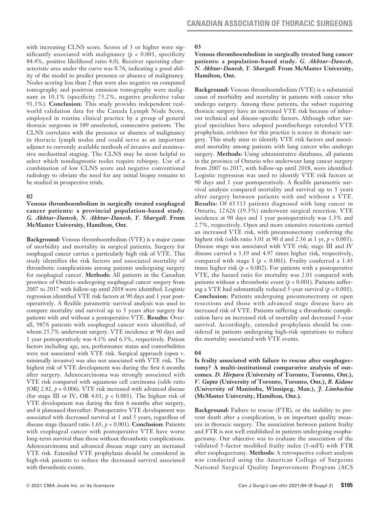with increasing CLNS score. Scores of 3 or higher were significantly associated with malignancy (*p* < 0.001, specificity 84.4%, positive likelihood ratio 4.0). Receiver operating characteristic area under the curve was 0.76, indicating a good ability of the model to predict presence or absence of malignancy. Nodes scoring less than 2 that were also negative on computed tomography and positron emission tomography were malignant in 10.1% (specificity 75.2%, negative predictive value 91.3%). **Conclusion:** This study provides independent realworld validation data for the Canada Lymph Node Score, employed in routine clinical practice by a group of general thoracic surgeons in 189 unselected, consecutive patients. The CLNS correlates with the presence or absence of malignancy in thoracic lymph nodes and could serve as an important adjunct to currently available methods of invasive and noninvasive mediastinal staging. The CLNS may be most helpful to select which nondiagnostic nodes require rebiopsy. Use of a combination of low CLNS score and negative conventional radiology to obviate the need for any initial biopsy remains to be studied in prospective trials.

### **02**

**Venous thromboembolism in surgically treated esophageal cancer patients: a provincial population-based study.**  *G. Akhtar-Danesh, N. Akhtar-Danesh, Y. Shargall.* **From McMaster University, Hamilton, Ont.** 

**Background:** Venous thromboembolism (VTE) is a major cause of morbidity and mortality in surgical patients. Surgery for esophageal cancer carries a particularly high risk of VTE. This study identifies the risk factors and associated mortality of thrombotic complications among patients undergoing surgery for esophageal cancer. **Methods:** All patients in the Canadian province of Ontario undergoing esophageal cancer surgery from 2007 to 2017 with follow-up until 2018 were identified. Logistic regression identified VTE risk factors at 90 days and 1 year postoperatively. A flexible parametric survival analysis was used to compare mortality and survival up to 5 years after surgery for patients with and without a postoperative VTE. **Results:** Overall, 9876 patients with esophageal cancer were identified, of whom 25.7% underwent surgery. VTE incidence at 90 days and 1 year postoperatively was 4.1% and 6.3%, respectively. Patient factors including age, sex, performance status and comorbidities were not associated with VTE risk. Surgical approach (open v. minimally invasive) was also not associated with VTE risk. The highest risk of VTE development was during the first 6 months after surgery. Adenocarcinoma was strongly associated with VTE risk compared with squamous cell carcinoma (odds ratio [OR]  $2.82$ ,  $p = 0.006$ ). VTE risk increased with advanced disease (for stage III or IV, OR 4.01, *p* < 0.001). The highest risk of VTE development was during the first 6 months after surgery, and it plateaued thereafter. Postoperative VTE development was associated with decreased survival at 1 and 5 years, regardless of disease stage (hazard ratio 1.65, *p* < 0.001). **Conclusion:** Patients with esophageal cancer with postoperative VTE have worse long-term survival than those without thrombotic complications. Adenocarcinoma and advanced disease stage carry an increased VTE risk. Extended VTE prophylaxis should be considered in high-risk patients to reduce the decreased survival associated with thrombotic events.

# **03**

# **Venous thromboembolism in surgically treated lung cancer patients: a population-based study.** *G. Akhtar-Danesh, N. Akhtar-Danesh, Y. Shargall.* **From McMaster University, Hamilton, Ont.**

**Background:** Venous thromboembolism (VTE) is a substantial cause of morbidity and mortality in patients with cancer who undergo surgery. Among these patients, the subset requiring thoracic surgery have an increased VTE risk because of inherent technical and disease-specific factors. Although other surgical specialties have adopted postdischarge extended VTE prophylaxis, evidence for this practice is scarce in thoracic surgery. This study aims to identify VTE risk factors and associated mortality among patients with lung cancer who undergo surgery. **Methods:** Using administrative databases, all patients in the province of Ontario who underwent lung cancer surgery from 2007 to 2017, with follow-up until 2018, were identified. Logistic regression was used to identify VTE risk factors at 90 days and 1 year postoperatively. A flexible parametric survival analysis compared mortality and survival up to 5 years after surgery between patients with and without a VTE. **Results:** Of 65 513 patients diagnosed with lung cancer in Ontario, 12 626 (19.3%) underwent surgical resection. VTE incidence at 90 days and 1 year postoperatively was 1.3% and 2.7%, respectively. Open and more extensive resections carried an increased VTE risk, with pneumonectomy conferring the highest risk (odds ratio 3.01 at 90 d and 2.36 at 1 yr, *p* < 0.001). Disease stage was associated with VTE risk; stage III and IV disease carried a 3.19 and 4.97 times higher risk, respectively, compared with stage I ( $p < 0.001$ ). Frailty conferred a 1.43 times higher risk  $(p = 0.002)$ . For patients with a postoperative VTE, the hazard ratio for mortality was 2.01 compared with patients without a thrombotic event (*p* < 0.001). Patients suffering a VTE had substantially reduced  $5$ -year survival ( $p < 0.001$ ). **Conclusion:** Patients undergoing pneumonectomy or open resections and those with advanced stage disease have an increased risk of VTE. Patients suffering a thrombotic complication have an increased risk of mortality and decreased 5-year survival. Accordingly, extended prophylaxis should be considered in patients undergoing high-risk operations to reduce the mortality associated with VTE events.

### **04**

# **Is frailty associated with failure to rescue after esophagectomy? A multi-institutional comparative analysis of outcomes.** *D. Hirpara* **(University of Toronto, Toronto, Ont.),**  *V. Gupta* **(University of Toronto, Toronto, Ont.),** *B. Kidane*  **(University of Manitoba, Winnipeg, Man.),** *J. Limbachia*  **(McMaster University, Hamilton, Ont.).**

**Background:** Failure to rescue (FTR), or the inability to prevent death after a complication, is an important quality measure in thoracic surgery. The association between patient frailty and FTR is not well established in patients undergoing esophagectomy. Our objective was to evaluate the association of the validated 5-factor modified frailty index (5-mFI) with FTR after esophagectomy. **Methods:** A retrospective cohort analysis was conducted using the American College of Surgeons National Surgical Quality Improvement Program (ACS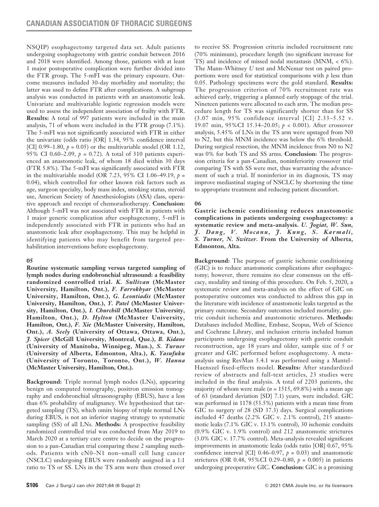NSQIP) esophagectomy targeted data set. Adult patients undergoing esophagectomy with gastric conduit between 2016 and 2018 were identified. Among those, patients with at least 1 major postoperative complication were further divided into the FTR group. The 5-mFI was the primary exposure. Outcome measures included 30-day morbidity and mortality; the latter was used to define FTR after complications. A subgroup analysis was conducted in patients with an anastomotic leak. Univariate and multivariable logistic regression models were used to assess the independent association of frailty with FTR. **Results:** A total of 997 patients were included in the main analysis, 71 of whom were included in the FTR group (7.1%). The 5-mFI was not significantly associated with FTR in either the univariate (odds ratio [OR] 1.34, 95% confidence interval [CI]  $0.99-1.80$ ,  $p = 0.05$  or the multivariable model (OR 1.12, 95% CI 0.60–2.09, *p* = 0.72). A total of 310 patients experienced an anastomotic leak, of whom 18 died within 30 days (FTR 5.8%). The 5-mFI was significantly associated with FTR in the multivariable model (OR 7.23, 95% CI 1.06–49.19, *p* = 0.04), which controlled for other known risk factors such as age, surgeon specialty, body mass index, smoking status, steroid use, American Society of Anesthesiologists (ASA) class, operative approach and receipt of chemoradiotherapy. **Conclusion:** Although 5-mFI was not associated with FTR in patients with 1 major generic complication after esophagectomy, 5-mFI is independently associated with FTR in patients who had an anastomotic leak after esophagectomy. This may be helpful in identifying patients who may benefit from targeted prehabilitation interventions before esophagectomy.

### **05**

**Routine systematic sampling versus targeted sampling of lymph nodes during endobronchial ultrasound: a feasibility randomized controlled trial.** *K. Sullivan* **(McMaster University, Hamilton, Ont.),** *F. Farrokhyar* **(McMaster University, Hamilton, Ont.),** *G. Leontiadis* **(McMaster University, Hamilton, Ont.),** *Y. Patel* **(McMaster University, Hamilton, Ont.),** *I. Churchill* **(McMaster University, Hamilton, Ont.),** *D. Hylton* **(McMaster University, Hamilton, Ont.),** *F. Xie* **(McMaster University, Hamilton, Ont.),** *A. Seely* **(University of Ottawa, Ottawa, Ont.),**  *J. Spicer* **(McGill University, Montreal, Que.),** *B. Kidane* **(University of Manitoba, Winnipeg, Man.),** *S. Turner* **(University of Alberta, Edmonton, Alta.),** *K. Yasufuku* **(University of Toronto, Toronto, Ont.),** *W. Hanna* **(McMaster University, Hamilton, Ont.).**

**Background:** Triple normal lymph nodes (LNs), appearing benign on computed tomography, positron emission tomography and endobronchial ultrasonography (EBUS), have a less than 6% probability of malignancy. We hypothesized that targeted sampling (TS), which omits biopsy of triple normal LNs during EBUS, is not an inferior staging strategy to systematic sampling (SS) of all LNs. **Methods:** A prospective feasibility randomized controlled trial was conducted from May 2019 to March 2020 at a tertiary care centre to decide on the progression to a pan-Canadian trial comparing these 2 sampling methods. Patients with cN0–N1 non–small cell lung cancer (NSCLC) undergoing EBUS were randomly assigned in a 1:1 ratio to TS or SS. LNs in the TS arm were then crossed over to receive SS. Progression criteria included recruitment rate (70% minimum), procedure length (no significant increase for TS) and incidence of missed nodal metastasis (MNM, < 6%). The Mann–Whitney *U* test and McNemar test on paired proportions were used for statistical comparisons with *p* less than 0.05. Pathology specimens were the gold standard. **Results:** The progression criterion of 70% recruitment rate was achieved early, triggering a planned early stoppage of the trial. Nineteen patients were allocated to each arm. The median procedure length for TS was significantly shorter than for SS (3.07 min, 95% confidence interval [CI] 2.33–5.52 v. 19.07 min, 95%CI 15.34–20.05; *p* < 0.001). After crossover analysis, 5.45% of LNs in the TS arm were upstaged from N0 to N2, but this MNM incidence was below the 6% threshold. During surgical resection, the MNM incidence from N0 to N2 was 0% for both TS and SS arms. **Conclusion:** The progression criteria for a pan-Canadian, noninferiority crossover trial comparing TS with SS were met, thus warranting the advancement of such a trial. If noninferior in its diagnosis, TS may improve mediastinal staging of NSCLC by shortening the time to appropriate treatment and reducing patient discomfort.

### **06**

**Gastric ischemic conditioning reduces anastomotic complications in patients undergoing esophagectomy: a systematic review and meta-analysis.** *U. Jogiat, W. Sun,*   $j.$  Dang, V. Mocanu, J. Kung, S. Karmali, *S. Turner, N. Switzer.* **From the University of Alberta, Edmonton, Alta.**

**Background:** The purpose of gastric ischemic conditioning (GIC) is to reduce anastomotic complications after esophagectomy; however, there remains no clear consensus on the efficacy, modality and timing of this procedure. On Feb. 5, 2020, a systematic review and meta-analysis on the effect of GIC on postoperative outcomes was conducted to address this gap in the literature with incidence of anastomotic leaks targeted as the primary outcome. Secondary outcomes included mortality, gastric conduit ischemia and anastomotic strictures. **Methods:** Databases included Medline, Embase, Scopus, Web of Science and Cochrane Library, and inclusion criteria included human participants undergoing esophagectomy with gastric conduit reconstruction, age 18 years and older, sample size of 5 or greater and GIC performed before esophagectomy. A metaanalysis using RevMan 5.4.1 was performed using a Mantel– Haenszel fixed-effects model. **Results:** After standardized review of abstracts and full-text articles, 23 studies were included in the final analysis. A total of 2203 patients, the majority of whom were male (*n* = 1515, 69.8%) with a mean age of 63 (standard deviation [SD] 7.1) years, were included. GIC was performed in 1178 (53.5%) patients with a mean time from GIC to surgery of 28 (SD 37.3) days. Surgical complications included 47 deaths (2.2% GIC v. 2.1% control), 215 anastomotic leaks (7.1% GIC v. 13.1% control), 30 ischemic conduits (0.9% GIC v. 1.9% control) and 212 anastomotic strictures (3.0% GIC v. 17.7% control). Meta-analysis revealed significant improvements in anastomotic leaks (odds ratio [OR] 0.67, 95% confidence interval [CI]  $0.46-0.97$ ,  $p = 0.03$ ) and anastomotic strictures (OR 0.48, 95%CI 0.29–0.80, *p* = 0.005) in patients undergoing preoperative GIC. **Conclusion:** GIC is a promising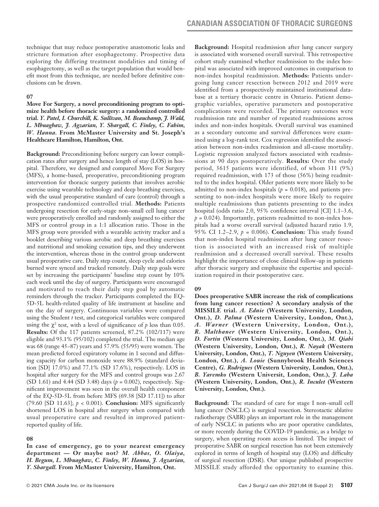technique that may reduce postoperative anastomotic leaks and stricture formation after esophagectomy. Prospective data exploring the differing treatment modalities and timing of esophagectomy, as well as the target population that would benefit most from this technique, are needed before definitive conclusions can be drawn.

#### **07**

**Move For Surgery, a novel preconditioning program to optimize health before thoracic surgery: a randomized controlled trial.** *Y. Patel, I. Churchill, K. Sullivan, M. Beauchamp, J. Wald, L. Mbuagbaw, J. Agzarian, Y. Shargall, C. Finley, C. Fahim, W. Hanna.* **From McMaster University and St. Joseph's Healthcare Hamilton, Hamilton, Ont.**

**Background:** Preconditioning before surgery can lower complication rates after surgery and hence length of stay (LOS) in hospital. Therefore, we designed and compared Move For Surgery (MFS), a home-based, preoperative, preconditioning program intervention for thoracic surgery patients that involves aerobic exercise using wearable technology and deep breathing exercises, with the usual preoperative standard of care (control) through a prospective randomized controlled trial. **Methods:** Patients undergoing resection for early-stage non–small cell lung cancer were preoperatively enrolled and randomly assigned to either the MFS or control group in a 1:1 allocation ratio. Those in the MFS group were provided with a wearable activity tracker and a booklet describing various aerobic and deep breathing exercises and nutritional and smoking cessation tips, and they underwent the intervention, whereas those in the control group underwent usual preoperative care. Daily step count, sleep cycle and calories burned were synced and tracked remotely. Daily step goals were set by increasing the participants' baseline step count by 10% each week until the day of surgery. Participants were encouraged and motivated to reach their daily step goal by automatic reminders through the tracker. Participants completed the EQ-5D-5L health-related quality of life instrument at baseline and on the day of surgery. Continuous variables were compared using the Student *t* test, and categorical variables were compared using the  $\chi^2$  test, with a level of significance of  $p$  less than 0.05. **Results:** Of the 117 patients screened, 87.2% (102/117) were eligible and 93.1% (95/102) completed the trial. The median age was 68 (range 45–87) years and 57.9% (55/95) were women. The mean predicted forced expiratory volume in 1 second and diffusing capacity for carbon monoxide were 88.9% (standard deviation [SD] 17.0%) and 77.1% (SD 17.6%), respectively. LOS in hospital after surgery for the MFS and control groups was 2.67 (SD 1.61) and 4.44 (SD 3.48) days (*p* = 0.002), respectively. Significant improvement was seen in the overall health component of the EQ-5D-5L from before MFS (69.38 [SD 17.11]) to after (79.60 [SD 11.63]; *p* < 0.001). **Conclusion:** MFS significantly shortened LOS in hospital after surgery when compared with usual preoperative care and resulted in improved patientreported quality of life.

### **08**

**In case of emergency, go to your nearest emergency department — Or maybe not?** *M. Abbas, O. Olaiya, H. Begum, L. Mbuagbaw, C. Finley, W. Hanna, J. Agzarian, Y. Shargall.* **From McMaster University, Hamilton, Ont.**

**Background:** Hospital readmission after lung cancer surgery is associated with worsened overall survival. This retrospective cohort study examined whether readmission to the index hospital was associated with improved outcomes in comparison to non-index hospital readmission. **Methods:** Patients undergoing lung cancer resection between 2012 and 2019 were identified from a prospectively maintained institutional database at a tertiary thoracic centre in Ontario. Patient demographic variables, operative parameters and postoperative complications were recorded. The primary outcomes were readmission rate and number of repeated readmissions across index and non-index hospitals. Overall survival was examined as a secondary outcome and survival differences were examined using a log-rank test. Cox regression identified the association between non-index readmission and all-cause mortality. Logistic regression analyzed factors associated with readmissions at 90 days postoperatively. **Results:** Over the study period, 3615 patients were identified, of whom 311 (9%) required readmission, with 173 of those (56%) being readmitted to the index hospital. Older patients were more likely to be admitted to non-index hospitals  $(p = 0.018)$ , and patients presenting to non-index hospitals were more likely to require multiple readmissions than patients presenting to the index hospital (odds ratio 2.0, 95% confidence interval [CI] 1.1–3.6,  $p = 0.024$ ). Importantly, patients readmitted to non-index hospitals had a worse overall survival (adjusted hazard ratio 1.9, 95% CI 1.2–2.9, *p* = 0.006). **Conclusion:** This study found that non-index hospital readmission after lung cancer resection is associated with an increased risk of multiple readmission and a decreased overall survival. These results highlight the importance of close clinical follow-up in patients after thoracic surgery and emphasize the expertise and specialization required in their postoperative care.

# **09**

**Does preoperative SABR increase the risk of complications from lung cancer resection? A secondary analysis of the MISSILE trial.** *A. Ednie* **(Western University, London, Ont.),** *D. Palma* **(Western University, London, Ont.),**  *A. Warner* **(Western University, London, Ont.),**  *R. Malthaner* **(Western University, London, Ont.),**  *D. Fortin* **(Western University, London, Ont.),** *M. Qiabi* **(Western University, London, Ont.),** *R. Nayak* **(Western University, London, Ont.),** *T. Nguyen* **(Western University, London, Ont.),** *A. Louie* **(Sunnybrook Health Sciences Centre),** *G. Rodrigues* **(Western University, London, Ont.),**  *B. Yaremko* **(Western Universit, London, Ont.),** *J. Laba* **(Western University, London, Ont.),** *R. Inculet* **(Western University, London, Ont.).**

**Background:** The standard of care for stage I non–small cell lung cancer (NSCLC) is surgical resection. Stereotactic ablative radiotherapy (SABR) plays an important role in the management of early NSCLC in patients who are poor operative candidates, or more recently during the COVID-19 pandemic, as a bridge to surgery, when operating room access is limited. The impact of preoperative SABR on surgical resection has not been extensively explored in terms of length of hospital stay (LOS) and difficulty of surgical resection (DSR). Our unique published prospective MISSILE study afforded the opportunity to examine this.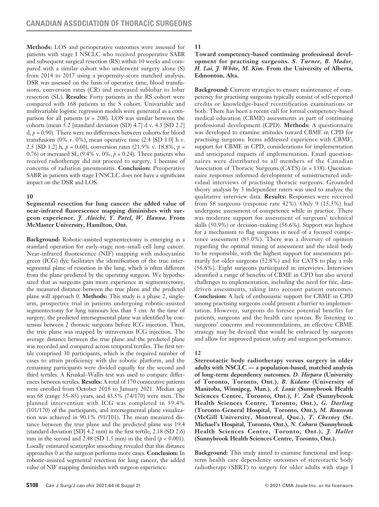**Methods:** LOS and perioperative outcomes were assessed for patients with stage I NSCLC who received preoperative SABR and subsequent surgical resection (RS) within 10 weeks and compared with a similar cohort who underwent surgery alone (S) from 2014 to 2017 using a propensity-score matched analysis. DSR was assessed on the basis of operative time, blood transfusions, conversion rates (CR) and increased sublobar to lobar resection (SL). **Results:** Forty patients in the RS cohort were compared with 168 patients in the S cohort. Univariable and multivariable logistic regression models were generated as a comparison for all patients (*n* = 208). LOS was similar between the cohorts (mean 5.2 [standard deviation (SD) 4.7] d v. 4.3 [SD 2.2]  $d, p = 0.90$ ). There were no differences between cohorts for blood transfusions (0% v. 0%), mean operative time (2.4 [SD 1.0] h v. 2.5 [SD 1.2] h, *p* = 0.60), conversion rates (21.9% v. 18.8%, *p* = 0.76) or increased SL (9.4% v. 0%,  $p = 0.24$ ). Three patients who received radiotherapy did not proceed to surgery, 1 because of concerns of radiation pneumonitis. **Conclusion:** Preoperative SABR in patients with stage I NSCLC does not have a significant impact on the DSR and LOS.

### **10**

**Segmental resection for lung cancer: the added value of near-infrared fluorescence mapping diminishes with surgeon experience.** *J. Alaichi, Y. Patel, W. Hanna.* **From McMaster University, Hamilton, Ont.**

**Background:** Robotic-assisted segmentectomy is emerging as a standard operation for early-stage non–small cell lung cancer. Near-infrared fluorescence (NIF) mapping with indocyanine green (ICG) dye facilitates the identification of the true intersegmental plane of resection in the lung, which is often different from the plane predicted by the operating surgeon. We hypothesized that as surgeons gain more experience in segmentectomy, the measured distance between the true plane and the predicted plane will approach 0. **Methods:** This study is a phase 2, singlearm, prospective trial in patients undergoing robotic-assisted segmentectomy for lung tumours less than 3 cm. At the time of surgery, the predicted intersegmental plane was identified by consensus between 2 thoracic surgeons before ICG injection. Then, the true plane was mapped by intravenous ICG injection. The average distance between the true plane and the predicted plane was recorded and compared across temporal tertiles. The first tertile comprised 30 participants, which is the required number of cases to attain proficiency with the robotic platform, and the remaining participants were divided equally for the second and third tertiles. A Kruskal–Wallis test was used to compare differences between tertiles. **Results:** A total of 170 consecutive patients were enrolled from October 2016 to January 2021. Median age was 68 (range 35–85) years, and 43.5% (74/170) were men. The planned intervention with ICG was completed in 59.4% (101/170) of the participants, and intersegmental plane visualization was achieved in 90.1% (91/101). The mean measured distance between the true plane and the predicted plane was 19.4 (standard deviation [SD] 4.2 mm) in the first tertile, 2.18 (SD 2.6) mm in the second and 2.48 (SD 1.5 mm) in the third (*p* < 0.001). Locally estimated scatterplot smoothing revealed that this distance approaches 0 as the surgeon performs more cases. **Conclusion:** In robotic-assisted segmental resection for lung cancer, the added value of NIF mapping diminishes with surgeon experience.

# **11**

**Toward competency-based continuing professional development for practising surgeons.** *S. Turner, B. Mador, H. Lai, J. White, M. Kim.* **From the University of Alberta, Edmonton, Alta.**

**Background:** Current strategies to ensure maintenance of competency for practising surgeons typically consist of self-reported credits or knowledge-based recertification examinations or both. There has been a recent call for formal competency-based medical education (CBME) assessments as part of continuing professional development (CPD). **Methods:** A questionnaire was developed to examine attitudes toward CBME in CPD for practising surgeons. Items addressed experience with CBME, support for CBME in CPD, considerations for implementation and anticipated impacts of implementation. Email questionnaires were distributed to all members of the Canadian Association of Thoracic Surgeons (CATS) (*n* = 138). Questionnaire responses informed development of semistructured individual interviews of practising thoracic surgeons. Grounded theory analysis by 3 independent raters was used to analyze the qualitative interview data. **Results:** Responses were received from 58 surgeons (response rate 42%). Only 9 (15.5%) had undergone assessment of competence while in practice. There was moderate support for assessment of surgeons' technical skills (50.9%) or decision-making (56.6%). Support was highest for a mechanism to flag surgeons in need of a focused competence assessment (83.0%). There was a diversity of opinion regarding the optimal timing of assessment and the ideal body to be responsible, with the highest support for assessments primarily for older surgeons (52.8%) and for CATS to play a role (56.6%). Eight surgeons participated in interviews. Interviews identified a range of benefits of CBME in CPD but also several challenges to implementation, including the need for fair, datadriven assessments, taking into account patient outcomes. **Conclusion:** A lack of enthusiastic support for CBME in CPD among practising surgeons could present a barrier to implementation. However, surgeons do foresee potential benefits for patients, surgeons and the health care system. By listening to surgeons' concerns and recommendations, an effective CBME strategy may be devised that would be embraced by surgeons and allow for improved patient safety and surgeon performance.

# **12**

**Stereotactic body radiotherapy versus surgery in older adults with NSCLC — a population-based, matched analysis of long-term dependency outcomes.** *D. Hirpara* **(University of Toronto, Toronto, Ont.),** *B. Kidane* **(University of Manitoba, Winnipeg, Man.),** *A. Louie* **(Sunnybrook Health Sciences Centre, Toronto, Ont.),** *V. Zuk* **(Sunnybrook Health Sciences Centre, Toronto, Ont.),** *G. Darling* **(Toronto General Hospital, Toronto, Ont.),** *M. Rousseau* **(McGill University, Montreal, Que.),** *T. Chesney* **(St. Michael's Hospital, Toronto, Ont.),** *N. Coburn* **(Sunnybrook Health Sciences Centre, Toronto, Ont.),** *J. Hallet*  **(Sunnybrook Health Sciences Centre, Toronto, Ont.).**

**Background:** This study aimed to examine functional and longterm health care dependency outcomes of stereotactic body radiotherapy (SBRT) to surgery for older adults with stage I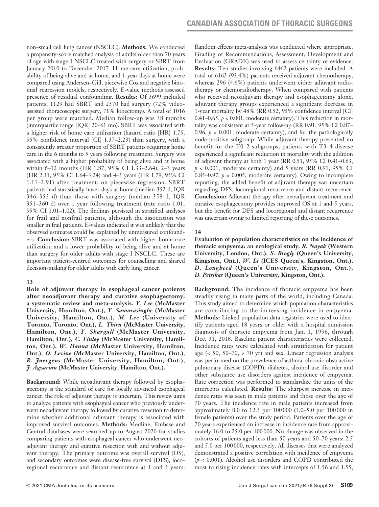non–small cell lung cancer (NSCLC). **Methods:** We conducted a propensity-score matched analysis of adults older than 70 years of age with stage I NSCLC treated with surgery or SBRT from January 2010 to December 2017. Home care utilization, probability of being alive and at home, and 1-year days at home were compared using Andersen–Gill, piecewise Cox and negative binomial regression models, respectively. E-value methods assessed presence of residual confounding. **Results:** Of 3699 included patients, 1129 had SBRT and 2570 had surgery (72% videoassisted thoracoscopic surgery, 71% lobectomy). A total of 1016 per group were matched. Median follow-up was 38 months (interquartile range [IQR] 20–61 mo). SBRT was associated with a higher risk of home care utilization (hazard ratio [HR] 1.75, 95% confidence interval [CI] 1.37–2.23) than surgery, with a consistently greater proportion of SBRT patients requiring home care in the 6 months to 5 years following treatment. Surgery was associated with a higher probability of being alive and at home within 6–12 months (HR 1.87, 95% CI 1.33–2.64), 2–3 years (HR 2.31, 95% CI 1.64–3.24) and 4–5 years (HR 1.79, 95% CI 1.11–2.91) after treatment, on piecewise regression. SBRT patients had statistically fewer days at home (median 352 d, IQR 346–355 d) than those with surgery (median 358 d, IQR 351–360 d) over 1 year following treatment (rate ratio 1.01, 95% CI 1.01–1.02). The findings persisted in stratified analyses for frail and nonfrail patients, although the association was smaller in frail patients. E-values indicated it was unlikely that the observed estimates could be explained by unmeasured confounders. **Conclusion:** SBRT was associated with higher home care utilization and a lower probability of being alive and at home than surgery for older adults with stage I NSCLC. These are important patient-centred outcomes for counselling and shared decision-making for older adults with early lung cancer.

### **13**

**Role of adjuvant therapy in esophageal cancer patients after neoadjuvant therapy and curative esophagectomy: a systematic review and meta-analysis.** *Y. Lee* **(McMaster University, Hamilton, Ont.),** *Y. Samarasinghe* **(McMaster University, Hamilton, Ont.),** *M. Lee* **(University of Toronto, Toronto, Ont.),** *L. Thiru* **(McMaster University, Hamilton, Ont.),** *Y. Shargall* **(McMaster University, Hamilton, Ont.),** *C. Finley* **(McMaster University, Hamilton, Ont.),** *W. Hanna* **(McMaster University, Hamilton, Ont.),** *O. Levine* **(McMaster University, Hamilton, Ont.),**  *R. Juergens* **(McMaster University, Hamilton, Ont.),**  *J. Agzarian* **(McMaster University, Hamilton, Ont.).**

**Background:** While neoadjuvant therapy followed by esophagectomy is the standard of care for locally advanced esophageal cancer, the role of adjuvant therapy is uncertain. This review aims to analyze patients with esophageal cancer who previously underwent neoadjuvant therapy followed by curative resection to determine whether additional adjuvant therapy is associated with improved survival outcomes. **Methods:** Medline, Embase and Central databases were searched up to August 2020 for studies comparing patients with esophageal cancer who underwent neoadjuvant therapy and curative resection with and without adjuvant therapy. The primary outcome was overall survival (OS), and secondary outcomes were disease-free survival (DFS), locoregional recurrence and distant recurrence at 1 and 5 years. Random effects meta-analysis was conducted where appropriate. Grading of Recommendations, Assessment, Development and Evaluation (GRADE) was used to assess certainty of evidence. **Results:** Ten studies involving 6462 patients were included. A total of 6162 (95.4%) patients received adjuvant chemotherapy, whereas 296 (4.6%) patients underwent either adjuvant radiotherapy or chemoradiotherapy. When compared with patients who received neoadjuvant therapy and esophagectomy alone, adjuvant therapy groups experienced a significant decrease in 1-year mortality by 48% (RR 0.52, 95% confidence interval [CI] 0.41–0.65,  $p < 0.001$ , moderate certainty). This reduction in mortality was consistent at 5-year follow-up (RR 0.91, 95% CI 0.87– 0.96,  $p < 0.001$ , moderate certainty), and for the pathologically node-positive subgroup. While adjuvant therapy presented no benefit for the T0–2 subgroups, patients with T3–4 disease experienced a significant reduction in mortality with the addition of adjuvant therapy at both 1 year (RR 0.51, 95% CI 0.41–0.63,  $p < 0.001$ , moderate certainty) and 5 years (RR 0.91, 95% CI 0.85–0.97,  $p = 0.005$ , moderate certainty). Owing to incomplete reporting, the added benefit of adjuvant therapy was uncertain regarding DFS, locoregional recurrence and distant recurrence. **Conclusion:** Adjuvant therapy after neoadjuvant treatment and curative esophagectomy provides improved OS at 1 and 5 years, but the benefit for DFS and locoregional and distant recurrence was uncertain owing to limited reporting of these outcomes.

# **14**

**Evaluation of population characteristics on the incidence of thoracic empyema: an ecological study.** *R. Nayak* **(Western University, London, Ont.),** *S. Brogly* **(Queen's University, Kingston, Ont.),** *W. Li* **(ICES Queen's, Kingston, Ont.),**  *D. Lougheed* **(Queen's University, Kingston, Ont.),**  *D. Petsikas* **(Queen's University, Kingston, Ont.).**

**Background:** The incidence of thoracic empyema has been steadily rising in many parts of the world, including Canada. This study aimed to determine which population characteristics are contributing to the increasing incidence in empyema. **Methods:** Linked population data registries were used to identify patients aged 18 years or older with a hospital admission diagnosis of thoracic empyema from Jan. 1, 1996, through Dec. 31, 2018. Baseline patient characteristics were collected. Incidence rates were calculated with stratification for patient age  $($  < 50, 50–70,  $>$  70 yr) and sex. Linear regression analysis was performed on the prevalence of asthma, chronic obstructive pulmonary disease (COPD), diabetes, alcohol use disorder and other substance use disorders against incidence of empyema. Rate correction was performed to standardize the units of the intercepts calculated. **Results:** The sharpest increase in incidence rates was seen in male patients and those over the age of 70 years. The incidence rate in male patients increased from approximately 8.0 to 12.5 per 100 000 (3.0–5.0 per 100 000 in female patients) over the study period. Patients over the age of 70 years experienced an increase in incidence rate from approximately 16.0 to 25.0 per 100000. No change was observed in the cohorts of patients aged less than 50 years and 50–70 years: 2.5 and 5.0 per 100000, respectively. All diseases that were analyzed demonstrated a positive correlation with incidence of empyema (*p* < 0.001). Alcohol use disorders and COPD contributed the most to rising incidence rates with intercepts of 1.56 and 1.55,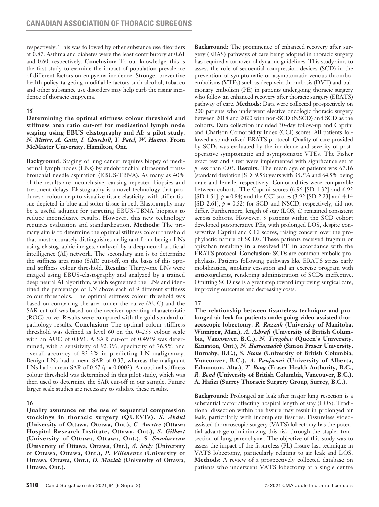respectively. This was followed by other substance use disorders at 0.87. Asthma and diabetes were the least contributory at 0.61 and 0.60, respectively. **Conclusion:** To our knowledge, this is the first study to examine the impact of population prevalence of different factors on empyema incidence. Stronger preventive health policy targeting modifiable factors such alcohol, tobacco and other substance use disorders may help curb the rising incidence of thoracic empyema.

# **15**

### **Determining the optimal stiffness colour threshold and stiffness area ratio cut-off for mediastinal lymph node staging using EBUS elastography and AI: a pilot study.**  *N. Mistry, A. Gatti, I. Churchill, Y. Patel, W. Hanna.* **From McMaster University, Hamilton, Ont.**

**Background:** Staging of lung cancer requires biopsy of mediastinal lymph nodes (LNs) by endobronchial ultrasound transbronchial needle aspiration (EBUS-TBNA). As many as 40% of the results are inconclusive, causing repeated biopsies and treatment delays. Elastography is a novel technology that produces a colour map to visualize tissue elasticity, with stiffer tissue depicted in blue and softer tissue in red. Elastography may be a useful adjunct for targeting EBUS-TBNA biopsies to reduce inconclusive results. However, this new technology requires evaluation and standardization. **Methods:** The primary aim is to determine the optimal stiffness colour threshold that most accurately distinguishes malignant from benign LNs using elastographic images, analyzed by a deep neural artificial intelligence (AI) network. The secondary aim is to determine the stiffness area ratio (SAR) cut-off, on the basis of this optimal stiffness colour threshold. **Results:** Thirty-one LNs were imaged using EBUS-elastography and analyzed by a trained deep neural AI algorithm, which segmented the LNs and identified the percentage of LN above each of 9 different stiffness colour thresholds. The optimal stiffness colour threshold was based on comparing the area under the curve (AUC) and the SAR cut-off was based on the receiver operating characteristic (ROC) curve. Results were compared with the gold standard of pathology results. **Conclusion:** The optimal colour stiffness threshold was defined as level 60 on the 0–255 colour scale with an AUC of 0.891. A SAR cut-off of 0.4959 was determined, with a sensitivity of 92.3%, specificity of 76.5% and overall accuracy of 83.3% in predicting LN malignancy. Benign LNs had a mean SAR of 0.37, whereas the malignant LNs had a mean SAR of  $0.67$  ( $p = 0.0002$ ). An optimal stiffness colour threshold was determined in this pilot study, which was then used to determine the SAR cut-off in our sample. Future larger scale studies are necessary to validate these results.

# **16**

**Quality assurance on the use of sequential compression stockings in thoracic surgery (QUESTs).** *S. Abdul* **(University of Ottawa, Ottawa, Ont.),** *C. Anestee* **(Ottawa Hospital Research Institute, Ottawa, Ont.),** *S. Gilbert*  **(University of Ottawa, Ottawa, Ont.),** *S. Sundaresan* **(University of Ottawa, Ottawa, Ont.),** *A. Seely* **(University of Ottawa, Ottawa, Ont.),** *P. Villeneuve* **(University of Ottawa, Ottawa, Ont.),** *D. Maziak* **(University of Ottawa, Ottawa, Ont.).**

**Background:** The prominence of enhanced recovery after surgery (ERAS) pathways of care being adopted in thoracic surgery has required a turnover of dynamic guidelines. This study aims to assess the role of sequential compression devices (SCD) in the prevention of symptomatic or asymptomatic venous thromboembolisms (VTEs) such as deep vein thrombosis (DVT) and pulmonary embolism (PE) in patients undergoing thoracic surgery who follow an enhanced recovery after thoracic surgery (ERATS) pathway of care. **Methods:** Data were collected prospectively on 200 patients who underwent elective oncologic thoracic surgery between 2018 and 2020 with non-SCD (NSCD) and SCD as the cohorts. Data collection included 30-day follow-up and Caprini and Charlson Comorbidity Index (CCI) scores. All patients followed a standardized ERATS protocol. Quality of care provided by SCDs was evaluated by the incidence and severity of postoperative symptomatic and asymptomatic VTEs. The Fisher exact test and *t* test were implemented with significance set at *p* less than 0.05. **Results:** The mean age of patients was 67.16 (standard deviation [SD] 9.56) years with 35.5% and 64.5% being male and female, respectively. Comorbidities were comparable between cohorts. The Caprini scores (6.96 [SD 1.32] and 6.92 [SD 1.51], *p* = 0.84) and the CCI scores (3.92 [SD 2.23] and 4.14 [SD 2.61],  $p = 0.52$ ) for SCD and NSCD, respectively, did not differ. Furthermore, length of stay (LOS, d) remained consistent across cohorts. However, 3 patients within the SCD cohort developed postoperative PEs, with prolonged LOS, despite conservative Caprini and CCI scores, raising concern over the prophylactic nature of SCDs. These patients received fragmin or apixaban resulting in a resolved PE in accordance with the ERATS protocol. **Conclusion:** SCDs are common embolic prophylaxis. Patients following pathways like ERATS stress early mobilization, smoking cessation and an exercise program with anticoagulants, rendering administration of SCDs ineffective. Omitting SCD use is a great step toward improving surgical care, improving outcomes and decreasing costs.

# **17**

**The relationship between fissureless technique and prolonged air leak for patients undergoing video-assisted thoracoscopic lobectomy.** *R. Razzak* **(University of Manitoba, Winnipeg, Man.),** *A. Ashrafi* **(University of British Columbia, Vancouver, B.C.),** *N. Tregobov* **(Queen's University, Kingston, Ont.),** *N. Hassanzadeh* **(Simon Fraser University, Burnaby, B.C.),** *S. Stone* **(University of British Columbia, Vancouver, B.C.),** *A. Panjwani* **(University of Alberta, Edmonton, Alta.),** *T. Bong* **(Fraser Health Authority, B.C.,**  *R. Bond* **(University of British Columbia, Vancouver, B.C.), A. Hafizi (Surrey Thoracic Surgery Group, Surrey, B.C.).** 

**Background:** Prolonged air leak after major lung resection is a substantial factor affecting hospital length of stay (LOS). Traditional dissection within the fissure may result in prolonged air leak, particularly with incomplete fissures. Fissureless videoassisted thoracoscopic surgery (VATS) lobectomy has the potential advantage of minimizing this risk through the stapler transection of lung parenchyma. The objective of this study was to assess the impact of the fissureless (FL) fissure-last technique in VATS lobectomy, particularly relating to air leak and LOS. **Methods:** A review of a prospectively collected database on patients who underwent VATS lobectomy at a single centre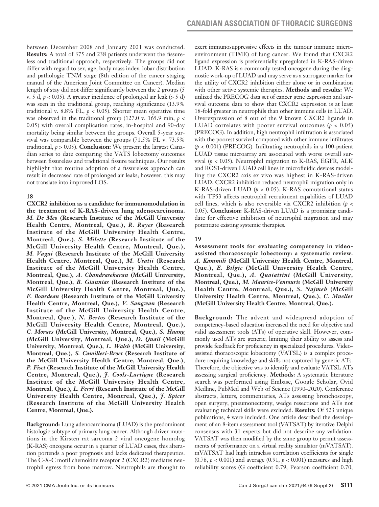between December 2008 and January 2021 was conducted. **Results:** A total of 375 and 238 patients underwent the fissureless and traditional approach, respectively. The groups did not differ with regard to sex, age, body mass index, lobar distribution and pathologic TNM stage (8th edition of the cancer staging manual of the American Joint Committee on Cancer). Median length of stay did not differ significantly between the 2 groups (5 v. 5 d,  $p < 0.05$ ). A greater incidence of prolonged air leak ( $> 5$  d) was seen in the traditional group, reaching significance (13.9% traditional v. 8.8% FL,  $p < 0.05$ ). Shorter mean operative time was observed in the traditional group (127.0 v. 165.9 min, *p* < 0.05) with overall complication rates, in-hospital and 90-day mortality being similar between the groups. Overall 5-year survival was comparable between the groups (71.5% FL v. 73.5% traditional,  $p > 0.05$ ). **Conclusion:** We present the largest Canadian series to date comparing the VATS lobectomy outcomes between fissureless and traditional fissure techniques. Our results highlight that routine adoption of a fissureless approach can result in decreased rate of prolonged air leaks; however, this may not translate into improved LOS.

# **18**

**CXCR2 inhibition as a candidate for immunomodulation in the treatment of K-RAS-driven lung adenocarcinoma.**  *M. De Meo* **(Research Institute of the McGill University Health Centre, Montreal, Que.),** *R. Rayes* **(Research Institute of the McGill University Health Centre, Montreal, Que.),** *S. Milette* **(Research Institute of the McGill University Health Centre, Montreal, Que.),**  *M. Vagai* **(Research Institute of the McGill University Health Centre, Montreal, Que.),** *M. Usatii* **(Research Institute of the McGill University Health Centre, Montreal, Que.),** *A. Chandrasekaran* **(McGill University, Montreal, Que.),** *B. Giannias* **(Research Institute of the McGill University Health Centre, Montreal, Que.),**  *F. Bourdeau* **(Research Institute of the McGill University Health Centre, Montreal, Que.),** *V. Sangwan* **(Research Institute of the McGill University Health Centre, Montreal, Que.),** *N. Bertos* **(Research Institute of the McGill University Health Centre, Montreal, Que.),**  *C. Moraes* **(McGill University, Montreal, Que.),** *S. Huang* **(McGill University, Montreal, Que.),** *D. Quail* **(McGill University, Montreal, Que.),** *L. Walsh* **(McGill University, Montreal, Que.),** *S. Camilleri-Broet* **(Research Institute of the McGill University Health Centre, Montreal, Que.),**  *P. Fiset* **(Research Institute of the McGill University Health Centre, Montreal, Que.),** *J. Cools-Lartigue* **(Research Institute of the McGill University Health Centre, Montreal, Que.),** *L. Ferri* **(Research Institute of the McGill University Health Centre, Montreal, Que.),** *J. Spicer* **(Research Institute of the McGill University Health Centre, Montreal, Que.).**

**Background:** Lung adenocarcinoma (LUAD) is the predominant histologic subtype of primary lung cancer. Although driver mutations in the Kirsten rat sarcoma 2 viral oncogene homolog (K-RAS) oncogene occur in a quarter of LUAD cases, this alteration portends a poor prognosis and lacks dedicated therapeutics. The C-X-C motif chemokine receptor 2 (CXCR2) mediates neutrophil egress from bone marrow. Neutrophils are thought to exert immunosuppressive effects in the tumour immune microenvironment (TIME) of lung cancer. We found that CXCR2 ligand expression is preferentially upregulated in K-RAS-driven LUAD. K-RAS is a commonly tested oncogene during the diagnostic work-up of LUAD and may serve as a surrogate marker for the utility of CXCR2 inhibition either alone or in combination with other active systemic therapies. **Methods and results:** We utilized the PRECOG data set of cancer gene expression and survival outcome data to show that CXCR2 expression is at least 18-fold greater in neutrophils than other immune cells in LUAD. Overexpression of 8 out of the 9 known CXCR2 ligands in LUAD correlates with poorer survival outcomes  $(p < 0.05)$ (PRECOG). In addition, high neutrophil infiltration is associated with the poorest survival compared with other immune infiltrates (*p* < 0.001) (PRECOG). Infiltrating neutrophils in a 100-patient LUAD tissue microarray are associated with worse overall survival (*p* < 0.05). Neutrophil migration to K-RAS, EGFR, ALK and ROS1-driven LUAD cell lines in microfluidic devices modelling the CXCR2 axis ex vivo was highest in K-RAS-driven LUAD. CXCR2 inhibition reduced neutrophil migration only in K-RAS-driven LUAD (*p* < 0.05). K-RAS comutational status with TP53 affects neutrophil recruitment capabilities of LUAD cell lines, which is also reversible via CXCR2 inhibition (*p* < 0.05). **Conclusion:** K-RAS-driven LUAD is a promising candidate for effective inhibition of neutrophil migration and may potentiate existing systemic therapies.

# **19**

**Assessment tools for evaluating competency in videoassisted thoracoscopic lobectomy: a systematic review.**  *A. Kammili* **(McGill University Health Centre, Montreal, Que.),** *E. Bilgic* **(McGill University Health Centre, Montreal, Que.),** *A. Quaiattini* **(McGill University, Montreal, Que.),** *M. Maurice-Ventouris* **(McGill University Health Centre, Montreal, Que.),** *S. Najmeh* **(McGill University Health Centre, Montreal, Que.),** *C. Mueller*  **(McGill University Health Centre, Montreal, Que.).**

**Background:** The advent and widespread adoption of competency-based education increased the need for objective and valid assessment tools (ATs) of operative skill. However, commonly used ATs are generic, limiting their ability to assess and provide feedback for proficiency in specialized procedures. Videoassisted thoracoscopic lobectomy (VATSL) is a complex procedure requiring knowledge and skills not captured by generic ATs. Therefore, the objective was to identify and evaluate VATSL ATs assessing surgical proficiency. **Methods:** A systematic literature search was performed using Embase, Google Scholar, Ovid Medline, PubMed and Web of Science (1990–2020). Conference abstracts, letters, commentaries, ATs assessing bronchoscopy, open surgery, pneumonectomy, wedge resections and ATs not evaluating technical skills were excluded. **Results:** Of 523 unique publications, 4 were included. One article described the development of an 8-item assessment tool (VATSAT) by iterative Delphi consensus with 31 experts but did not describe any validation. VATSAT was then modified by the same group to permit assessments of performance on a virtual reality simulator (mVATSAT). mVATSAT had high intraclass correlation coefficients for single (0.78, *p* < 0.001) and average (0.91, *p* < 0.001) measures and high reliability scores (G coefficient 0.79, Pearson coefficient 0.70,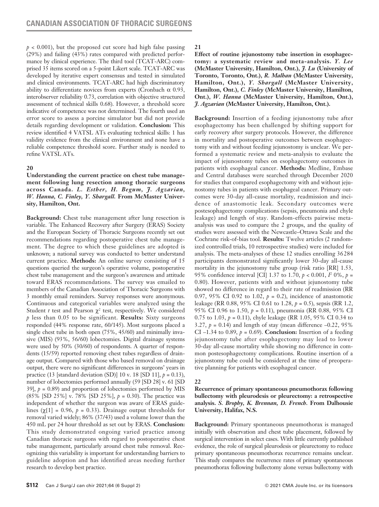$p < 0.001$ ), but the proposed cut score had high false passing (29%) and failing (43%) rates compared with predicted performance by clinical experience. The third tool (TCAT-ARC) comprised 35 items scored on a 5-point Likert scale. TCAT-ARC was developed by iterative expert consensus and tested in simulated and clinical environments. TCAT-ARC had high discriminatory ability to differentiate novices from experts (Cronbach  $\alpha$  0.93, interobserver reliability 0.73, correlation with objective structured assessment of technical skills 0.68). However, a threshold score indicative of competence was not determined. The fourth used an error score to assess a porcine simulator but did not provide details regarding development or validation. **Conclusion:** This review identified 4 VATSL ATs evaluating technical skills: 1 has validity evidence from the clinical environment and none have a reliable competence threshold score. Further study is needed to refine VATSL ATs.

# **20**

**Understanding the current practice on chest tube management following lung resection among thoracic surgeons across Canada.** *L. Esther, H. Begum, J. Agzarian, W. Hanna, C. Finley, Y. Shargall.* **From McMaster University, Hamilton, Ont.**

**Background:** Chest tube management after lung resection is variable. The Enhanced Recovery after Surgery (ERAS) Society and the European Society of Thoracic Surgeons recently set out recommendations regarding postoperative chest tube management. The degree to which these guidelines are adopted is unknown; a national survey was conducted to better understand current practice. **Methods:** An online survey consisting of 15 questions queried the surgeon's operative volume, postoperative chest tube management and the surgeon's awareness and attitude toward ERAS recommendations. The survey was emailed to members of the Canadian Association of Thoracic Surgeons with 3 monthly email reminders. Survey responses were anonymous. Continuous and categorical variables were analyzed using the Student *t* test and Pearson  $\chi^2$  test, respectively. We considered *p* less than 0.05 to be significant. **Results:** Sixty surgeons responded (44% response rate, 60/145). Most surgeons placed a single chest tube in both open (75%, 45/60) and minimally invasive (MIS) (93%, 56/60) lobectomies. Digital drainage systems were used by 50% (30/60) of respondents. A quarter of respondents (15/59) reported removing chest tubes regardless of drainage output. Compared with those who based removal on drainage output, there were no significant differences in surgeons' years in practice (13 [standard deviation (SD)] 10 v. 18 [SD 11], *p* = 0.13), number of lobectomies performed annually (59 [SD 28] v. 61 [SD 39],  $p = 0.89$  and proportion of lobectomies performed by MIS (85% [SD 25%] v. 78% [SD 25%], *p* = 0.30). The practice was independent of whether the surgeon was aware of ERAS guidelines  $(\gamma[1] = 0.96, p = 0.33)$ . Drainage output thresholds for removal varied widely; 86% (37/43) used a volume lower than the 450 mL per 24 hour threshold as set out by ERAS. **Conclusion:**  This study demonstrated ongoing varied practice among Canadian thoracic surgeons with regard to postoperative chest tube management, particularly around chest tube removal. Recognizing this variability is important for understanding barriers to guideline adoption and has identified areas needing further research to develop best practice.

**21**

**Effect of routine jejunostomy tube insertion in esophagectomy: a systematic review and meta-analysis.** *Y. Lee*  **(McMaster University, Hamilton, Ont.),** *J. Lu* **(University of Toronto, Toronto, Ont.),** *R. Malhan* **(McMaster University, Hamilton, Ont.),** *Y. Shargall* **(McMaster University, Hamilton, Ont.),** *C. Finley* **(McMaster University, Hamilton, Ont.),** *W. Hanna* **(McMaster University, Hamilton, Ont.),**  *J. Agzarian* **(McMaster University, Hamilton, Ont.).**

**Background:** Insertion of a feeding jejunostomy tube after esophagectomy has been challenged by shifting support for early recovery after surgery protocols. However, the difference in mortality and postoperative outcomes between esophagectomy with and without feeding jejunostomy is unclear. We performed a systematic review and meta-analysis to evaluate the impact of jejunostomy tubes on esophagectomy outcomes in patients with esophageal cancer. **Methods:** Medline, Embase and Central databases were searched through December 2020 for studies that compared esophagectomy with and without jejunostomy tubes in patients with esophageal cancer. Primary outcomes were 30-day all-cause mortality, readmission and incidence of anastomotic leak. Secondary outcomes were postesophagectomy complications (sepsis, pneumonia and chyle leakage) and length of stay. Random-effects pairwise metaanalysis was used to compare the 2 groups, and the quality of studies were assessed with the Newcastle–Ottawa Scale and the Cochrane risk-of-bias tool. **Results:** Twelve articles (2 randomized controlled trials, 10 retrospective studies) were included for analysis. The meta-analyses of these 12 studies enrolling 36284 participants demonstrated significantly lower 30-day all-cause mortality in the jejunostomy tube group (risk ratio [RR] 1.53, 95% confidence interval [CI] 1.37 to 1.70, *p* < 0.001, *I*<sup>2</sup> 0%, *p* = 0.80). However, patients with and without jejunostomy tube showed no difference in regard to their rate of readmission (RR 0.97, 95% CI 0.92 to 1.02,  $p = 0.2$ ), incidence of anastomotic leakage (RR 0.88, 95% CI 0.61 to 1.28, *p* = 0.5), sepsis (RR 1.2, 95% CI 0.96 to 1.50, *p* = 0.11), pneumonia (RR 0.88, 95% CI 0.75 to 1.03, *p* = 0.11), chyle leakage (RR 1.05, 95% CI 0.34 to 3.27,  $p = 0.14$ ) and length of stay (mean difference  $-0.22$ , 95% CI –1.34 to 0.89,  $p = 0.69$ ). **Conclusion:** Insertion of a feeding jejunostomy tube after esophagectomy may lead to lower 30-day all-cause mortality while showing no difference in common postesophagectomy complications. Routine insertion of a jejunostomy tube could be considered at the time of preoperative planning for patients with esophageal cancer.

### **22**

**Recurrence of primary spontaneous pneumothorax following bullectomy with pleurodesis or pleurectomy: a retrospective analysis.** *S. Brophy, K. Brennan, D. French.* **From Dalhousie University, Halifax, N.S.**

**Background:** Primary spontaneous pneumothorax is managed initially with observation and chest tube placement, followed by surgical intervention in select cases. With little currently published evidence, the role of surgical pleurodesis or pleurectomy to reduce primary spontaneous pneumothorax recurrence remains unclear. This study compares the recurrence rates of primary spontaneous pneumothorax following bullectomy alone versus bullectomy with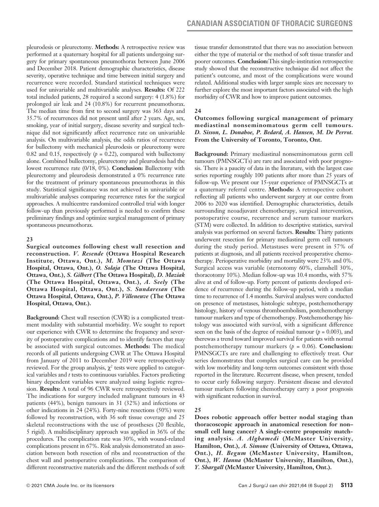pleurodesis or pleurectomy. **Methods:** A retrospective review was performed at a quaternary hospital for all patients undergoing surgery for primary spontaneous pneumothorax between June 2006 and December 2018. Patient demographic characteristics, disease severity, operative technique and time between initial surgery and recurrence were recorded. Standard statistical techniques were used for univariable and multivariable analyses. **Results:** Of 222 total included patients, 28 required a second surgery: 4 (1.8%) for prolonged air leak and 24 (10.8%) for recurrent pneumothorax. The median time from first to second surgery was 363 days and 35.7% of recurrences did not present until after 2 years. Age, sex, smoking, year of initial surgery, disease severity and surgical technique did not significantly affect recurrence rate on univariable analysis. On multivariable analysis, the odds ratios of recurrence for bullectomy with mechanical pleurodesis or pleurectomy were 0.82 and 0.15, respectively  $(p = 0.22)$ , compared with bullectomy alone. Combined bullectomy, pleurectomy and pleurodesis had the lowest recurrence rate (0/18, 0%). **Conclusion:** Bullectomy with pleurectomy and pleurodesis demonstrated a 0% recurrence rate for the treatment of primary spontaneous pneumothorax in this study. Statistical significance was not achieved in univariable or multivariable analyses comparing recurrence rates for the surgical approaches. A multicentre randomized controlled trial with longer follow-up than previously performed is needed to confirm these preliminary findings and optimize surgical management of primary spontaneous pneumothorax.

# **23**

**Surgical outcomes following chest wall resection and reconstruction.** *V. Resende* **(Ottawa Hospital Research Institute, Ottawa, Ont.),** *M. Momtazi* **(The Ottawa Hospital, Ottawa, Ont.),** *O. Solaja* **(The Ottawa Hospital, Ottawa, Ont.),** *S. Gilbert* **(The Ottawa Hospital),** *D. Maziak* **(The Ottawa Hospital, Ottawa, Ont.),** *A. Seely* **(The Ottawa Hospital, Ottawa, Ont.),** *S. Sundaresan* **(The Ottawa Hospital, Ottawa, Ont.),** *P. Villeneuve* **(The Ottawa Hospital, Ottawa, Ont.).**

**Background:** Chest wall resection (CWR) is a complicated treatment modality with substantial morbidity. We sought to report our experience with CWR to determine the frequency and severity of postoperative complications and to identify factors that may be associated with surgical outcomes. **Methods:** The medical records of all patients undergoing CWR at The Ottawa Hospital from January of 2011 to December 2019 were retrospectively reviewed. For the group analysis,  $\chi^2$  tests were applied to categorical variables and *t* tests to continuous variables. Factors predicting binary dependent variables were analyzed using logistic regression. **Results:** A total of 96 CWR were retrospectively reviewed. The indications for surgery included malignant tumours in 43 patients (44%), benign tumours in 31 (32%) and infections or other indications in 24 (24%). Forty-nine resections (50%) were followed by reconstruction, with 36 soft tissue coverage and 25 skeletal reconstructions with the use of prostheses (20 flexible, 5 rigid). A multidisciplinary approach was applied in 36% of the procedures. The complication rate was 30%, with wound-related complications present in 67%. Risk analysis demonstrated an association between both resection of ribs and reconstruction of the chest wall and postoperative complications. The comparison of different reconstructive materials and the different methods of soft tissue transfer demonstrated that there was no association between either the type of material or the method of soft tissue transfer and poorer outcomes. **Conclusion:**This single-institution retrospective study showed that the reconstructive technique did not affect the patient's outcome, and most of the complications were wound related. Additional studies with larger sample sizes are necessary to further explore the most important factors associated with the high morbidity of CWR and how to improve patient outcomes.

# **24**

# **Outcomes following surgical management of primary mediastinal nonseminomatous germ cell tumours.**  *D. Sisson, L. Donahoe, P. Bedard, A. Hansen, M. De Perrot.*  **From the University of Toronto, Toronto, Ont.**

**Background:** Primary mediastinal nonseminomatous germ cell tumours (PMNSGCTs) are rare and associated with poor prognosis. There is a paucity of data in the literature, with the largest case series reporting roughly 100 patients after more than 25 years of follow-up. We present our 15-year experience of PMNSGCTs at a quaternary referral centre. **Methods:** A retrospective cohort reflecting all patients who underwent surgery at our centre from 2006 to 2020 was identified. Demographic characteristics, details surrounding neoadjuvant chemotherapy, surgical intervention, postoperative course, recurrence and serum tumour markers (STM) were collected. In addition to descriptive statistics, survival analysis was performed on several factors. **Results:** Thirty patients underwent resection for primary mediastinal germ cell tumours during the study period. Metastases were present in 57% of patients at diagnosis, and all patients received preoperative chemotherapy. Perioperative morbidity and mortality were 23% and 0%. Surgical access was variable (sternotomy 60%, clamshell 30%, thoracotomy 10%). Median follow-up was 10.4 months, with 57% alive at end of follow-up. Forty percent of patients developed evidence of recurrence during the follow-up period, with a median time to recurrence of 1.4 months. Survival analyses were conducted on presence of metastases, histologic subtype, postchemotherapy histology, history of venous thromboembolism, postchemotherapy tumour markers and type of chemotherapy. Postchemotherapy histology was associated with survival, with a significant difference seen on the basis of the degree of residual tumour  $(p = 0.003)$ , and therewas a trend toward improved survival for patients with normal postchemotherapy tumour markers (*p* = 0.06). **Conclusion:**  PMNSGCTs are rare and challenging to effectively treat. Our series demonstrates that complex surgical care can be provided with low morbidity and long-term outcomes consistent with those reported in the literature. Recurrent disease, when present, tended to occur early following surgery. Persistent disease and elevated tumour markers following chemotherapy carry a poor prognosis with significant reduction in survival.

# **25**

**Does robotic approach offer better nodal staging than thoracoscopic approach in anatomical resection for non– small cell lung cancer? A single-centre propensity matching analysis.** *A. Alghamedi* **(McMaster University, Hamilton, Ont.),** *A. Simone* **(University of Ottawa, Ottawa, Ont.),** *H. Begum* **(McMaster University, Hamilton, Ont.),** *W. Hanna* **(McMaster University, Hamilton, Ont.),**  *Y. Shargall* **(McMaster University, Hamilton, Ont.).**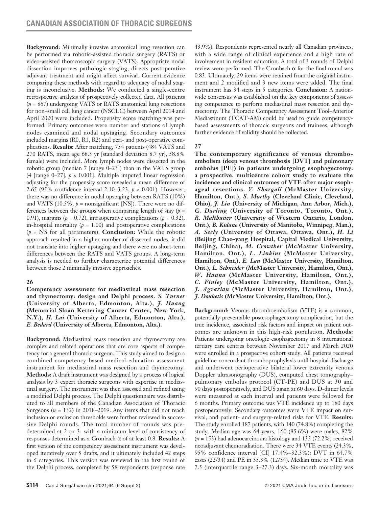**Background:** Minimally invasive anatomical lung resection can be performed via robotic-assisted thoracic surgery (RATS) or video-assisted thoracoscopic surgery (VATS). Appropriate nodal dissection improves pathologic staging, directs postoperative adjuvant treatment and might affect survival. Current evidence comparing these methods with regard to adequacy of nodal staging is inconclusive. **Methods:** We conducted a single-centre retrospective analysis of prospectively collected data. All patients (*n* = 867) undergoing VATS or RATS anatomical lung resections for non–small cell lung cancer (NSCLC) between April 2014 and April 2020 were included. Propensity score matching was performed. Primary outcomes were number and stations of lymph nodes examined and nodal upstaging. Secondary outcomes included margins (R0, R1, R2) and peri- and post-operative complications. **Results:** After matching, 754 patients (484 VATS and 270 RATS, mean age 68.3 yr [standard deviation 8.7 yr], 58.8% female) were included. More lymph nodes were dissected in the robotic group (median 7 [range 0–23]) than in the VATS group (4 [range 0–27], *p* < 0.001]. Multiple imputed linear regression adjusting for the propensity score revealed a mean difference of 2.65 (95% confidence interval 2.10–3.23, *p* < 0.001). However, there was no difference in nodal upstaging between RATS (10%) and VATS (10.5%,  $p =$  nonsignificant [NS]). There were no differences between the groups when comparing length of stay  $(p =$ 0.91), margins ( $p = 0.72$ ), intraoperative complications ( $p = 0.32$ ), in-hospital mortality  $(p = 1.00)$  and postoperative complications (*p* = NS for all parameters). **Conclusion:** While the robotic approach resulted in a higher number of dissected nodes, it did not translate into higher upstaging and there were no short-term differences between the RATS and VATS groups. A long-term analysis is needed to further characterize potential differences between those 2 minimally invasive approaches.

# **26**

**Competency assessment for mediastinal mass resection and thymectomy: design and Delphi process.** *S. Turner*  **(University of Alberta, Edmonton, Alta.),** *J. Huang* **(Memorial Sloan Kettering Cancer Center, New York, N.Y.),** *H. Lai* **(University of Alberta, Edmonton, Alta.),**  *E. Bedard* **(University of Alberta, Edmonton, Alta.).**

**Background:** Mediastinal mass resection and thymectomy are complex and related operations that are core aspects of competency for a general thoracic surgeon. This study aimed to design a combined competency-based medical education assessment instrument for mediastinal mass resection and thymectomy. **Methods:** A draft instrument was designed by a process of logical analysis by 3 expert thoracic surgeons with expertise in mediastinal surgery. The instrument was then assessed and refined using a modified Delphi process. The Delphi questionnaire was distributed to all members of the Canadian Association of Thoracic Surgeons (*n* = 132) in 2018–2019. Any items that did not reach inclusion or exclusion thresholds were further reviewed in successive Delphi rounds. The total number of rounds was predetermined at 2 or 3, with a minimum level of consistency of responses determined as a Cronbach α of at least 0.8. **Results:** A first version of the competency assessment instrument was developed iteratively over 5 drafts, and it ultimately included 42 steps in 6 categories. This version was reviewed in the first round of the Delphi process, completed by 58 respondents (response rate

43.9%). Respondents represented nearly all Canadian provinces, with a wide range of clinical experience and a high rate of involvement in resident education. A total of 3 rounds of Delphi review were performed. The Cronbach α for the final round was 0.83. Ultimately, 29 items were retained from the original instrument and 2 modified and 3 new items were added. The final instrument has 34 steps in 5 categories. **Conclusion:** A nationwide consensus was established on the key components of assessing competence to perform mediastinal mass resection and thymectomy. The Thoracic Competency Assessment Tool–Anterior Mediastinum (TCAT-AM) could be used to guide competencybased assessments of thoracic surgeons and trainees, although further evidence of validity should be collected.

# **27**

**The contemporary significance of venous thromboembolism (deep venous thrombosis [DVT] and pulmonary embolus [PE]) in patients undergoing esophagectomy: a prospective, multicentre cohort study to evaluate the incidence and clinical outcomes of VTE after major esophageal resections.** *Y. Shargall* **(McMaster University, Hamilton, Ont.),** *S. Murthy* **(Cleveland Clinic, Cleveland, Ohio),** *J. Lin* **(University of Michigan, Ann Arbor, Mich.),**  *G. Darling* **(University of Toronto, Toronto, Ont.),**  *R. Malthaner* **(University of Western Ontario, London, Ont.),** *B. Kidane* **(University of Manitoba, Winnipeg, Man.),**  *A. Seely* **(University of Ottawa, Ottawa, Ont.),** *H. Li* **(Beijing Chao-yang Hospital, Capital Medical University, Beijing, China),** *M. Crowther* **(McMaster University, Hamilton, Ont.),** *L. Linkins* **(McMaster University, Hamilton, Ont.),** *E. Lau* **(McMaster University, Hamilton, Ont.),** *L. Schneider* **(McMaster University, Hamilton, Ont.),**  *W. Hanna* **(McMaster University, Hamilton, Ont.),**  *C. Finley* **(McMaster University, Hamilton, Ont.),**  *J. Agzarian* **(McMaster University, Hamilton, Ont.),**  *J. Douketis* **(McMaster University, Hamilton, Ont.).**

**Background:** Venous thromboembolism (VTE) is a common, potentially preventable postesophagectomy complication, but the true incidence, associated risk factors and impact on patient outcomes are unknown in this high-risk population. **Methods:**  Patients undergoing oncologic esophagectomy in 8 international tertiary care centres between November 2017 and March 2020 were enrolled in a prospective cohort study. All patients received guideline-concordant thromboprophylaxis until hospital discharge and underwent perioperative bilateral lower extremity venous Doppler ultrasonography (DUS), computed chest tomography– pulmonary embolus protocol (CT-PE) and DUS at 30 and 90 days postoperatively, and DUS again at 60 days. D-dimer levels were measured at each interval and patients were followed for 6 months. Primary outcome was VTE incidence up to 180 days postoperatively. Secondary outcomes were VTE impact on survival, and patient- and surgery-related risks for VTE. **Results:**  The study enrolled 187 patients, with 140 (74.8%) completing the study. Median age was 64 years, 160 (85.6%) were males, 82% (*n* = 153) had adenocarcinoma histology and 135 (72.2%) received neoadjuvant chemoradiation. There were 34 VTE events (24.3%, 95% confidence interval [CI] 17.4%–32.3%): DVT in 64.7% cases (22/34) and PE in 35.3% (12/34). Median time to VTE was 7.5 (interquartile range 3–27.3) days. Six-month mortality was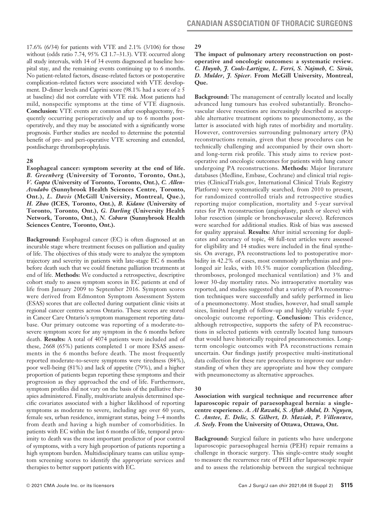17.6% (6/34) for patients with VTE and 2.1% (3/106) for those without (odds ratio 7.74, 95% CI 1.7–31.3). VTE occurred along all study intervals, with 14 of 34 events diagnosed at baseline hospital stay, and the remaining events continuing up to 6 months. No patient-related factors, disease-related factors or postoperative complication–related factors were associated with VTE development. D-dimer levels and Caprini score (98.1% had a score of  $\geq 5$ ) at baseline) did not correlate with VTE risk. Most patients had mild, nonspecific symptoms at the time of VTE diagnosis. **Conclusion:** VTE events are common after esophagectomy, frequently occurring perioperatively and up to 6 months postoperatively, and they may be associated with a significantly worse prognosis. Further studies are needed to determine the potential benefit of pre- and peri-operative VTE screening and extended, postdischarge thromboprophylaxis.

# **28**

**Esophageal cancer: symptom severity at the end of life.**  *B. Greenberg* **(University of Toronto, Toronto, Ont.),**  *V. Gupta* **(University of Toronto, Toronto, Ont.),** *C. Allen-Avodabo* **(Sunnybrook Health Sciences Centre, Toronto, Ont.),** *L. Davis* **(McGill University, Montreal, Que.),**  *H. Zhao* **(ICES, Toronto, Ont.),** *B. Kidane* **(University of Toronto, Toronto, Ont.),** *G. Darling* **(University Health Network, Toronto, Ont.),** *N. Coburn* **(Sunnybrook Health Sciences Centre, Toronto, Ont.).**

**Background:** Esophageal cancer (EC) is often diagnosed at an incurable stage where treatment focuses on palliation and quality of life. The objectives of this study were to analyze the symptom trajectory and severity in patients with late-stage EC 6 months before death such that we could finetune palliation treatments at end of life. **Methods:** We conducted a retrospective, descriptive cohort study to assess symptom scores in EC patients at end of life from January 2009 to September 2016. Symptom scores were derived from Edmonton Symptom Assessment System (ESAS) scores that are collected during outpatient clinic visits at regional cancer centres across Ontario. These scores are stored in Cancer Care Ontario's symptom management reporting database. Our primary outcome was reporting of a moderate-tosevere symptom score for any symptom in the 6 months before death. **Results:** A total of 4074 patients were included and of these, 2668 (65%) patients completed 1 or more ESAS assessments in the 6 months before death. The most frequently reported moderate-to-severe symptoms were tiredness (84%), poor well-being (81%) and lack of appetite (79%), and a higher proportion of patients began reporting these symptoms and their progression as they approached the end of life. Furthermore, symptom profiles did not vary on the basis of the palliative therapies administered. Finally, multivariate analysis determined specific covariates associated with a higher likelihood of reporting symptoms as moderate to severe, including age over 60 years, female sex, urban residence, immigrant status, being 3–4 months from death and having a high number of comorbidities. In patients with EC within the last 6 months of life, temporal proximity to death was the most important predictor of poor control of symptoms, with a very high proportion of patients reporting a high symptom burden. Multidisciplinary teams can utilize symptom screening scores to identify the appropriate services and therapies to better support patients with EC.

# **29**

**The impact of pulmonary artery reconstruction on postoperative and oncologic outcomes: a systematic review.**  *C. Huynh, J. Cools-Lartigue, L. Ferri, S. Najmeh, C. Sirois, D. Mulder, J. Spicer.* **From McGill University, Montreal, Que.**

**Background:** The management of centrally located and locally advanced lung tumours has evolved substantially. Bronchovascular sleeve resections are increasingly described as acceptable alternative treatment options to pneumonectomy, as the latter is associated with high rates of morbidity and mortality. However, controversies surrounding pulmonary artery (PA) reconstructions remain, given that these procedures can be technically challenging and accompanied by their own shortand long-term risk profile. This study aims to review postoperative and oncologic outcomes for patients with lung cancer undergoing PA reconstructions. **Methods:** Major literature databases (Medline, Embase, Cochrane) and clinical trial registries (ClinicalTrials.gov, International Clinical Trials Registry Platform) were systematically searched, from 2010 to present, for randomized controlled trials and retrospective studies reporting major complication, mortality and 5-year survival rates for PA reconstruction (angioplasty, patch or sleeve) with lobar resection (simple or bronchovascular sleeve). References were searched for additional studies. Risk of bias was assessed for quality appraisal. **Results:** After initial screening for duplicates and accuracy of topic, 48 full-text articles were assessed for eligibility and 14 studies were included in the final synthesis. On average, PA reconstructions led to postoperative morbidity in 42.2% of cases, most commonly arrhythmias and prolonged air leaks, with 10.5% major complication (bleeding, thromboses, prolonged mechanical ventilation) and 3% and lower 30-day mortality rates. No intraoperative mortality was reported, and studies suggested that a variety of PA reconstruction techniques were successfully and safely performed in lieu of a pneumonectomy. Most studies, however, had small sample sizes, limited length of follow-up and highly variable 5-year oncologic outcome reporting. **Conclusion:** This evidence, although retrospective, supports the safety of PA reconstructions in selected patients with centrally located lung tumours that would have historically required pneumonectomies. Longterm oncologic outcomes with PA reconstructions remain uncertain. Our findings justify prospective multi-institutional data collection for these rare procedures to improve our understanding of when they are appropriate and how they compare with pneumonectomy as alternative approaches.

### **30**

**Association with surgical technique and recurrence after laparoscopic repair of paraesophageal hernia: a singlecentre experience.** *A. Al Rawahi, S. Aftab Abdul, D. Nguyen, C. Anstee, E. Delic, S. Gilbert, D. Maziak, P. Villeneuve, A. Seely.* **From the University of Ottawa, Ottawa, Ont.**

**Background:** Surgical failure in patients who have undergone laparoscopic paraesophageal hernia (PEH) repair remains a challenge in thoracic surgery. This single-centre study sought to measure the recurrence rate of PEH after laparoscopic repair and to assess the relationship between the surgical technique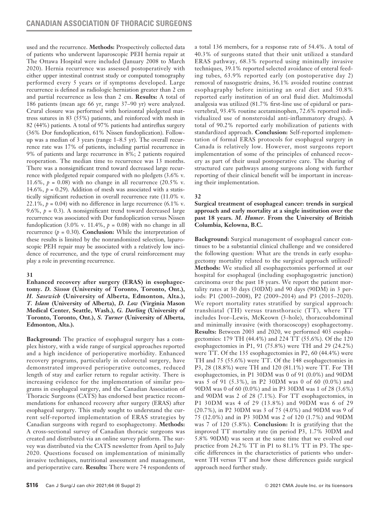used and the recurrence. **Methods:** Prospectively collected data of patients who underwent laparoscopic PEH hernia repair at The Ottawa Hospital were included (January 2008 to March 2020). Hernia recurrence was assessed postoperatively with either upper intestinal contrast study or computed tomography performed every 5 years or if symptoms developed. Large recurrence is defined as radiologic herniation greater than 2 cm and partial recurrence as less than 2 cm. **Results:** A total of 186 patients (mean age 66 yr, range 37–90 yr) were analyzed. Crural closure was performed with horizontal pledgeted mattress sutures in 83 (55%) patients, and reinforced with mesh in 82 (44%) patients. A total of 97% patients had antireflux surgery (36% Dor fundoplication, 61% Nissen fundoplication). Followup was a median of 3 years (range 1–8.5 yr). The overall recurrence rate was 17% of patients, including partial recurrence in 9% of patients and large recurrence in 8%; 2 patients required reoperation. The median time to recurrence was 13 months. There was a nonsignificant trend toward decreased large recurrence with pledgeted repair compared with no pledgets (3.6% v. 11.6%,  $p = 0.08$ ) with no change in all recurrence  $(20.5\%$  v. 14.6%,  $p = 0.29$ ). Addition of mesh was associated with a statistically significant reduction in overall recurrence rate (11.0% v. 22.1%,  $p = 0.04$ ) with no difference in large recurrence (6.1% v. 9.6%,  $p = 0.3$ ). A nonsignificant trend toward decreased large recurrence was associated with Dor fundoplication versus Nissen fundoplication (3.0% v. 11.4%,  $p = 0.08$ ) with no change in all recurrence  $(p = 0.30)$ . **Conclusion:** While the interpretation of these results is limited by the nonrandomized selection, laparoscopic PEH repair may be associated with a relatively low incidence of recurrence, and the type of crural reinforcement may play a role in preventing recurrence.

## **31**

**Enhanced recovery after surgery (ERAS) in esophagectomy.** *D. Sisson* **(University of Toronto, Toronto, Ont.),**  *H. Sasewich* **(University of Alberta, Edmonton, Alta.),**  *T. Islam* **(University of Alberta),** *D. Low* **(Virginia Mason Medical Center, Seattle, Wash.),** *G. Darling* **(University of Toronto, Toronto, Ont.),** *S. Turner* **(University of Alberta, Edmonton, Alta.).**

**Background:** The practice of esophageal surgery has a complex history, with a wide range of surgical approaches reported and a high incidence of perioperative morbidity. Enhanced recovery programs, particularly in colorectal surgery, have demonstrated improved perioperative outcomes, reduced length of stay and earlier return to regular activity. There is increasing evidence for the implementation of similar programs in esophageal surgery, and the Canadian Association of Thoracic Surgeons (CATS) has endorsed best practice recommendations for enhanced recovery after surgery (ERAS) after esophageal surgery. This study sought to understand the current self-reported implementation of ERAS strategies by Canadian surgeons with regard to esophagectomy. **Methods:** A cross-sectional survey of Canadian thoracic surgeons was created and distributed via an online survey platform. The survey was distributed via the CATS newsletter from April to July 2020. Questions focused on implementation of minimally invasive techniques, nutritional assessment and management, and perioperative care. **Results:** There were 74 respondents of

a total 136 members, for a response rate of 54.4%. A total of 40.3% of surgeons stated that their unit utilized a standard ERAS pathway, 68.3% reported using minimally invasive techniques, 39.1% reported selected avoidance of enteral feeding tubes, 63.9% reported early (on postoperative day 2) removal of nasogastric drains, 36.1% avoided routine contrast esophagraphy before initiating an oral diet and 50.8% reported early institution of an oral fluid diet. Multimodal analgesia was utilized (81.7% first-line use of epidural or paravertebral, 93.4% routine acetaminophen, 72.6% reported individualized use of nonsteroidal anti-inflammatory drugs). A total of 90.2% reported early mobilization of patients with standardized approach. **Conclusion:** Self-reported implementation of formal ERAS protocols for esophageal surgery in Canada is relatively low. However, most surgeons report implementation of some of the principles of enhanced recovery as part of their usual postoperative care. The sharing of structured care pathways among surgeons along with further reporting of their clinical benefit will be important in increasing their implementation.

# **32**

**Surgical treatment of esophageal cancer: trends in surgical approach and early mortality at a single institution over the past 18 years.** *M. Humer.* **From the University of British Columbia, Kelowna, B.C.**

**Background:** Surgical management of esophageal cancer continues to be a substantial clinical challenge and we considered the following question: What are the trends in early esophagectomy mortality related to the surgical approach utilized? **Methods:** We studied all esophagectomies performed at our hospital for esophageal (including esophagogastric junction) carcinoma over the past 18 years. We report the patient mortality rates at 30 days (30DM) and 90 days (90DM) in 3 periods: P1 (2003–2008), P2 (2009–2014) and P3 (2015–2020). We report mortality rates stratified by surgical approach: transhiatal (TH) versus transthoracic (TT), where TT includes Ivor–Lewis, McKeown (3-hole), thoracoabdominal and minimally invasive (with thoracoscopy) esophagectomy. **Results:** Between 2003 and 2020, we performed 403 esophagectomies: 179 TH (44.4%) and 224 TT (55.6%). Of the 120 esophagectomies in P1, 91 (75.8%) were TH and 29 (24.2%) were TT. Of the 135 esophagectomies in P2, 60 (44.4%) were TH and 75 (55.6%) were TT. Of the 148 esophagectomies in P3, 28 (18.8%) were TH and 120 (81.1%) were TT. For TH esophagectomies, in P1 30DM was 0 of 91 (0.0%) and 90DM was 5 of 91 (5.3%), in P2 30DM was 0 of 60 (0.0%) and 90DM was 0 of 60 (0.0%) and in P3 30DM was 1 of 28 (3.6%) and 90DM was 2 of 28 (7.1%). For TT esophagectomies, in P1 30DM was 4 of 29 (13.8%) and 90DM was 6 of 29 (20.7%), in P2 30DM was 3 of 75 (4.0%) and 90DM was 9 of 75 (12.0%) and in P3 30DM was 2 of 120 (1.7%) and 90DM was 7 of 120 (5.8%). **Conclusion:** It is gratifying that the improved TT mortality rate (in period P3, 1.7% 30DM and 5.8% 90DM) was seen at the same time that we evolved our practice from 24.2% TT in P1 to 81.1% TT in P3. The specific differences in the characteristics of patients who underwent TH versus TT and how these differences guide surgical approach need further study.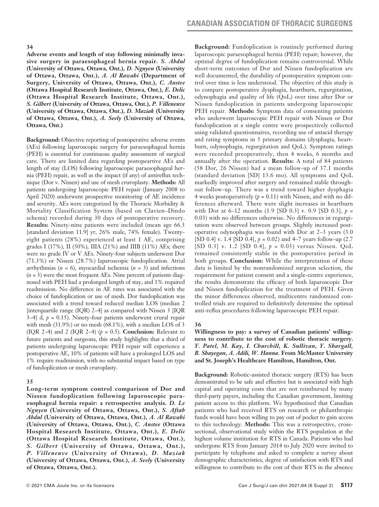**Adverse events and length of stay following minimally invasive surgery in paraesophageal hernia repair.** *S. Abdul* **(University of Ottawa, Ottawa, Ont.),** *D. Nguyen* **(University of Ottawa, Ottawa, Ont.),** *A. Al Rawahi* **(Department of Surgery, University of Ottawa, Ottawa, Ont.),** *C. Anstee* **(Ottawa Hospital Research Institute, Ottawa, Ont.),** *E. Delic* **(Ottawa Hospital Research Institute, Ottawa, Ont.),**  *S. Gilbert* **(University of Ottawa, Ottawa, Ont.),** *P. Villeneuve* **(University of Ottawa, Ottawa, Ont.),** *D. Maziak* **(University of Ottawa, Ottawa, Ont.),** *A. Seely* **(University of Ottawa, Ottawa, Ont.)**

**Background:** Objective reporting of postoperative adverse events (AEs) following laparoscopic surgery for paraesophageal hernia (PEH) is essential for continuous quality assessment of surgical care. There are limited data regarding postopeartive AEs and length of stay (LOS) following laparoscopic paraesophageal hernia (PEH) repair, as well as the impact (if any) of antireflux technique (Dor v. Nissen) and use of mesh cruroplasty. **Methods:** All patients undergoing laparoscopic PEH repair (January 2008 to April 2020) underwent prospective monitoring of AE incidence and severity. AEs were categorized by the Thoracic Morbidity & Mortality Classification System (based on Clavien–Dindo schema) recorded during 30 days of postoperative recovery. **Results:** Ninety-nine patients were included (mean age 66.3 [standard deviation 11.9] yr, 26% male, 74% female). Twentyeight patients (28%) experienced at least 1 AE, comprising grades I (17%), II (50%), IIIA (21%) and IIIB (11%) AEs; there were no grade IV or V AEs. Ninety-four subjects underwent Dor (71.3%) or Nissen (28.7%) laparoscopic fundoplication. Atrial arrhythmias (*n* = 6), myocardial ischemia (*n* = 3) and infections  $(n = 3)$  were the most frequent AEs. Nine percent of patients diagnosed with PEH had a prolonged length of stay, and 1% required readmission. No difference in AE rates was associated with the choice of fundoplication or use of mesh. Dor fundoplication was associated with a trend toward reduced median LOS (median 2 [interquartile range (IQR) 2–4] as compared with Nissen 3  $\Box$  $3-4$ ] d,  $p = 0.15$ ). Ninety-four patients underwent crural repair with mesh (31.9%) or no mesh (68.1%), with a median LOS of 3 (IQR 2–4) and 2 (IQR 2–4)  $(p = 0.5)$ . **Conclusion:** Relevant to future patients and surgeons, this study highlights that a third of patients undergoing laparoscopic PEH repair will experience a postoperative AE, 10% of patients will have a prolonged LOS and 1% require readmission, with no substantial impact based on type of fundoplication or mesh cruroplasty.

#### **35**

**Long-term symptom control comparison of Dor and Nissen fundoplication following laparoscopic paraesophageal hernia repair: a retrospective analysis.** *D. Le Nguyen* **(University of Ottawa, Ottawa, Ont.),** *S. Aftab Abdul* **(University of Ottawa, Ottawa, Ont.),** *A. Al Rawahi* **(University of Ottawa, Ottawa, Ont.),** *C. Anstee* **(Ottawa Hospital Research Institute, Ottawa, Ont.),** *E. Delic* **(Ottawa Hospital Research Institute, Ottawa, Ont.),**  *S. Gilbert* **(University of Ottawa, Ottawa, Ont.),**  *P. Villeneuve* **(University of Ottawa),** *D. Maziak* **(University of Ottawa, Ottawa, Ont.),** *A. Seely* **(University of Ottawa, Ottawa, Ont.).**

**Background:** Fundoplication is routinely performed during laparoscopic paraesophageal hernia (PEH) repair; however, the optimal degree of fundoplication remains controversial. While short-term outcomes of Dor and Nissen fundoplication are well documented, the durability of postoperative symptom control over time is less understood. The objective of this study is to compare postoperative dysphagia, heartburn, regurgitation, odynophagia and quality of life (QoL) over time after Dor or Nissen fundoplication in patients undergoing laparoscopic PEH repair. **Methods:** Symptom data of consenting patients who underwent laparoscopic PEH repair with Nissen or Dor fundoplication at a single centre were prospectively collected using validated questionnaires, recording use of antacid therapy and rating symptoms in 5 primary domains (dysphagia, heartburn, odynophagia, regurgitation and QoL). Symptom ratings were recorded preoperatively, then 4 weeks, 6 months and annually after the operation. **Results:** A total of 84 patients (58 Dor, 26 Nissen) had a mean follow-up of 37.1 months (standard deviation [SD] 13.6 mo). All symptoms and QoL markedly improved after surgery and remained stable throughout follow-up. There was a trend toward higher dysphagia 4 weeks postoperatively  $(p = 0.11)$  with Nissen, and with no differences afterward. There were slight increases in heartburn with Dor at 6–12 months (1.9 [SD 0.3] v. 0.9 [SD 0.3], *p* = 0.03) with no differences otherwise. No differences in regurgitation were observed between groups. Slightly increased postoperative odynophagia was found with Dor at 2–3 years (3.0 [SD 0.4] v. 1.4 [SD 0.4], *p* = 0.02) and 4–7 years follow-up (2.7 [SD 0.3] v. 1.2 [SD 0.4], *p* = 0.03) versus Nissen. QoL remained consistently stable in the postoperative period in both groups. **Conclusion:** While the interpretation of these data is limited by the nonrandomized surgeon selection, the requirement for patient consent and a single-centre experience, the results demonstrate the efficacy of both laparoscopic Dor and Nissen fundoplication for the treatment of PEH. Given the minor differences observed, multicentre randomized controlled trials are required to definitively determine the optimal anti-reflux procedures following laparoscopic PEH repair.

#### **36**

### **Willingness to pay: a survey of Canadian patients' willingness to contribute to the cost of robotic thoracic surgery.**  *Y. Patel, M. Kay, I. Churchill, K. Sullivan, Y. Shargall, B. Shayegan, A. Adili, W. Hanna.* **From McMaster University and St. Joseph's Healthcare Hamilton, Hamilton, Ont.**

**Background:** Robotic-assisted thoracic surgery (RTS) has been demonstrated to be safe and effective but is associated with high capital and operating costs that are not reimbursed by many third-party payers, including the Canadian government, limiting patient access to this platform. We hypothesized that Canadian patients who had received RTS on research or philanthropic funds would have been willing to pay out of pocket to gain access to this technology. **Methods:** This was a retrospective, crosssectional, observational study within the RTS population at the highest volume institution for RTS in Canada. Patients who had undergone RTS from January 2014 to July 2020 were invited to participate by telephone and asked to complete a survey about demographic characteristics, degree of satisfaction with RTS and willingness to contribute to the cost of their RTS in the absence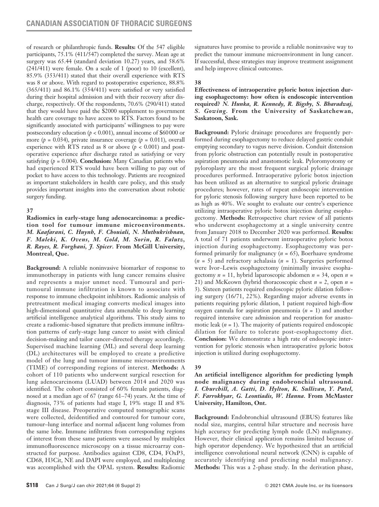of research or philanthropic funds. **Results:** Of the 547 eligible participants, 75.1% (411/547) completed the survey. Mean age at surgery was 65.44 (standard deviation 10.27) years, and 58.6% (241/411) were female. On a scale of 1 (poor) to 10 (excellent), 85.9% (353/411) stated that their overall experience with RTS was 8 or above. With regard to postoperative experience, 88.8% (365/411) and 86.1% (354/411) were satisfied or very satisfied during their hospital admission and with their recovery after discharge, respectively. Of the respondents, 70.6% (290/411) stated that they would have paid the \$2000 supplement to government health care coverage to have access to RTS. Factors found to be significantly associated with participants' willingness to pay were postsecondary education (*p* < 0.001), annual income of \$60000 or more ( $p = 0.034$ ), private insurance coverage ( $p = 0.011$ ), overall experience with RTS rated as 8 or above (*p* < 0.001) and postoperative experience after discharge rated as satisfying or very satisfying  $(p = 0.004)$ . **Conclusion:** Many Canadian patients who had experienced RTS would have been willing to pay out of pocket to have access to this technology. Patients are recognized as important stakeholders in health care policy, and this study provides important insights into the conversation about robotic surgery funding.

### **37**

**Radiomics in early-stage lung adenocarcinoma: a prediction tool for tumour immune microenvironments.**  *M. Kaafarani, C. Huynh, F. Chouiali, N. Muthukrishnan, F. Maleki, K. Ovens, M. Gold, M. Sorin, R. Falutz, R. Rayes, R. Forghani, J. Spicer.* **From McGill University, Montreal, Que.**

**Background:** A reliable noninvasive biomarker of response to immunotherapy in patients with lung cancer remains elusive and represents a major unmet need. Tumoural and peritumoural immune infiltration is known to associate with response to immune checkpoint inhibitors. Radiomic analysis of pretreatment medical imaging converts medical images into high-dimensional quantitative data amenable to deep learning artificial intelligence analytical algorithms. This study aims to create a radiomic-based signature that predicts immune infiltration patterns of early-stage lung cancer to assist with clinical decision-making and tailor cancer-directed therapy accordingly. Supervised machine learning (ML) and several deep learning (DL) architectures will be employed to create a predictive model of the lung and tumour immune microenvironments (TIME) of corresponding regions of interest. **Methods:** A cohort of 110 patients who underwent surgical resection for lung adenocarcinoma (LUAD) between 2014 and 2020 was identified. The cohort consisted of 60% female patients, diagnosed at a median age of 67 (range 61–74) years. At the time of diagnosis, 73% of patients had stage I, 19% stage II and 8% stage III disease. Preoperative computed tomographic scans were collected, deidentified and contoured for tumour core, tumour–lung interface and normal adjacent lung volumes from the same lobe. Immune infiltrates from corresponding regions of interest from these same patients were assessed by multiplex immunofluorescence microscopy on a tissue microarray constructed for purpose. Antibodies against CD8, CD4, FOxP3, CD68, H3Cit, NE and DAPI were employed, and multiplexing was accomplished with the OPAL system. **Results:** Radiomic

signatures have promise to provide a reliable noninvasive way to predict the tumour immune microenvironment in lung cancer. If successful, these strategies may improve treatment assignment and help improve clinical outcomes.

## **38**

**Effectiveness of intraoperative pyloric botox injection during esophagectomy: how often is endoscopic intervention required?** *N. Hunka, R. Kennedy, R. Bigsby, S. Bharadwaj, S. Gowing.* **From the University of Saskatchewan, Saskatoon, Sask.**

**Background:** Pyloric drainage procedures are frequently performed during esophagectomy to reduce delayed gastric conduit emptying secondary to vagus nerve division. Conduit distension from pyloric obstruction can potentially result in postoperative aspiration pneumonia and anastomotic leak. Pyloromyotomy or pyloroplasty are the most frequent surgical pyloric drainage procedures performed. Intraoperative pyloric botox injection has been utilized as an alternative to surgical pyloric drainage procedures; however, rates of repeat endoscopic intervention for pyloric stenosis following surgery have been reported to be as high as 40%. We sought to evaluate our centre's experience utilizing intraoperative pyloric botox injection during esophagectomy. **Methods:** Retrospective chart review of all patients who underwent esophagectomy at a single university centre from January 2018 to December 2020 was performed. **Results:** A total of 71 patients underwent intraoperative pyloric botox injection during esophagectomy. Esophagectomy was performed primarily for malignancy (*n* = 65), Boerhaave syndrome (*n* = 5) and refractory achalasia (*n* = 1). Surgeries performed were Ivor–Lewis esophagectomy (minimally invasive esophagectomy *n* = 11, hybrid laparoscopic abdomen *n* = 34, open *n* = 21) and McKeown (hybrid thoracoscopic chest *n* = 2, open *n* = 3). Sixteen patients required endoscopic pyloric dilation following surgery (16/71, 22%). Regarding major adverse events in patients requiring pyloric dilation, 1 patient required high-flow oxygen cannula for aspiration pneumonia (*n* = 1) and another required intensive care admission and reoperation for anastomotic leak (*n* = 1). The majority of patients required endoscopic dilation for failure to tolerate post-esophagectomy diet. **Conclusion:** We demonstrate a high rate of endoscopic intervention for pyloric stenosis when intraoperative pyloric botox injection is utilized during esophagectomy.

## **39**

**An artificial intelligence algorithm for predicting lymph node malignancy during endobronchial ultrasound.**  *I. Churchill, A. Gatti, D. Hylton, K. Sullivan, Y. Patel, F. Farrokhyar, G. Leontiadis, W. Hanna.* **From McMaster University, Hamilton, Ont.**

**Background:** Endobronchial ultrasound (EBUS) features like nodal size, margins, central hilar structure and necrosis have high accuracy for predicting lymph node (LN) malignancy. However, their clinical application remains limited because of high operator dependency. We hypothesized that an artificial intelligence convolutional neural network (CNN) is capable of accurately identifying and predicting nodal malignancy. **Methods:** This was a 2-phase study. In the derivation phase,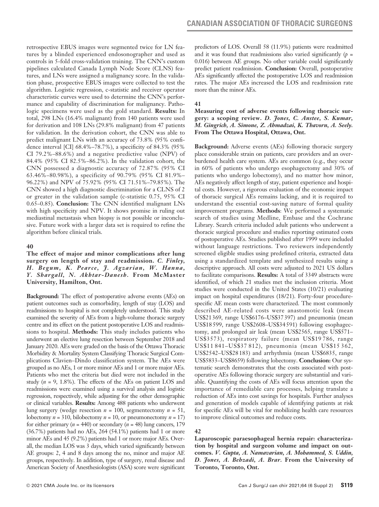retrospective EBUS images were segmented twice for LN features by a blinded experienced endosonographer and used as controls in 5-fold cross-validation training. The CNN's custom pipelines calculated Canada Lymph Node Score (CLNS) features, and LNs were assigned a malignancy score. In the validation phase, prospective EBUS images were collected to test the algorithm. Logistic regression, c-statistic and receiver operator characteristic curves were used to determine the CNN's performance and capability of discrimination for malignancy. Pathologic specimens were used as the gold standard. **Results:** In total, 298 LNs (16.4% malignant) from 140 patients were used for derivation and 108 LNs (29.8% malignant) from 47 patients for validation. In the derivation cohort, the CNN was able to predict malignant LNs with an accuracy of 73.8% (95% confidence interval [CI] 68.4%–78.7%), a specificity of 84.3% (95% CI 79.2%–88.6%) and a negative predictive value (NPV) of 84.4% (95% CI 82.5%–86.2%). In the validation cohort, the CNN possessed a diagnostic accuracy of 72.87% (95% CI 63.46%–80.98%), a specificity of 90.79% (95% CI 81.9%– 96.22%) and NPV of 75.92% (95% CI 71.51%–79.85%). The CNN showed a high diagnostic discrimination for a CLNS of 2 or greater in the validation sample (c-statistic 0.75, 95% CI 0.65–0.85). **Conclusion:** The CNN identified malignant LNs with high specificity and NPV. It shows promise in ruling out mediastinal metastasis when biopsy is not possible or inconclusive. Future work with a larger data set is required to refine the algorithm before clinical trials.

## **40**

**The effect of major and minor complications after lung surgery on length of stay and readmission.** *C. Finley, H. Begum, K. Pearce, J. Agzarian, W. Hanna, Y. Shargall, N. Akhtar-Danesh.* **From McMaster University, Hamilton, Ont.**

**Background:** The effect of postoperative adverse events (AEs) on patient outcomes such as comorbidity, length of stay (LOS) and readmissions to hospital is not completely understood. This study examined the severity of AEs from a high-volume thoracic surgery centre and its effect on the patient postoperative LOS and readmissions to hospital. **Methods:** This study includes patients who underwent an elective lung resection between September 2018 and January 2020. AEs were graded on the basis of the Ottawa Thoracic Morbidity & Mortality System Classifying Thoracic Surgical Complications Clavien–Dindo classification system. The AEs were grouped as no AEs, 1 or more minor AEs and 1 or more major AEs. Patients who met the criteria but died were not included in the study (*n* = 9, 1.8%). The effects of the AEs on patient LOS and readmissions were examined using a survival analysis and logistic regression, respectively, while adjusting for the other demographic or clinical variables. **Results:** Among 488 patients who underwent lung surgery (wedge resection  $n = 100$ , segmentectomy  $n = 51$ , lobectomy  $n = 310$ , bilobectomy  $n = 10$ , or pneumonectomy  $n = 17$ ) for either primary ( $n = 440$ ) or secondary ( $n = 48$ ) lung cancers, 179 (36.7%) patients had no AEs, 264 (54.1%) patients had 1 or more minor AEs and 45 (9.2%) patients had 1 or more major AEs. Overall, the median LOS was 3 days, which varied significantly between AE groups: 2, 4 and 8 days among the no, minor and major AE groups, respectively. In addition, type of surgery, renal disease and American Society of Anesthesiologists (ASA) score were significant predictors of LOS. Overall 58 (11.9%) patients were readmitted and it was found that readmissions also varied significantly  $(p =$ 0.016) between AE groups. No other variable could significantly predict patient readmission. **Conclusion:** Overall, postoperative AEs significantly affected the postoperative LOS and readmission rates. The major AEs increased the LOS and readmission rate more than the minor AEs.

## **41**

#### **Measuring cost of adverse events following thoracic surgery: a scoping review.** *D. Jones, C. Anstee, S. Kumar, M. Gingrich, A. Simone, Z. Ahmadzai, K. Thavorn, A. Seely.*  **From The Ottawa Hospital, Ottawa, Ont.**

**Background:** Adverse events (AEs) following thoracic surgery place considerable strain on patients, care providers and an overburdened health care system. AEs are common (e.g., they occur in 60% of patients who undergo esophagectomy and 30% of patients who undergo lobectomy), and no matter how minor, AEs negatively affect length of stay, patient experience and hospital costs. However, a rigorous evaluation of the economic impact of thoracic surgical AEs remains lacking, and it is required to understand the essential cost-saving nature of formal quality improvement programs. **Methods**: We performed a systematic search of studies using Medline, Embase and the Cochrane Library. Search criteria included adult patients who underwent a thoracic surgical procedure and studies reporting estimated costs of postoperative AEs. Studies published after 1999 were included without language restrictions. Two reviewers independently screened eligible studies using predefined criteria, extracted data using a standardized template and synthesized results using a descriptive approach. All costs were adjusted to 2021 US dollars to facilitate comparisons. **Results:** A total of 3349 abstracts were identified, of which 21 studies met the inclusion criteria. Most studies were conducted in the United States (10/21) evaluating impact on hospital expenditures (18/21). Forty-four procedurespecific AE mean costs were characterized. The most commonly described AE-related costs were anastomotic leak (mean US\$21369, range US\$6176–US\$37397) and pneumonia (mean US\$18 599, range US\$2608–US\$34591) following esophagectomy, and prolonged air leak (mean US\$2565, range US\$571– US\$3573), respiratory failure (mean US\$19 786, range US\$11 841–US\$37 812), pneumonia (mean US\$15 362, US\$2542–US\$28 183) and arrhythmia (mean US\$6835, range US\$5833–US\$8659) following lobectomy. **Conclusion:** Our systematic search demonstrates that the costs associated with postoperative AEs following thoracic surgery are substantial and variable. Quantifying the costs of AEs will focus attention upon the importance of remediable care processes, helping translate a reduction of AEs into cost savings for hospitals. Further analyses and generation of models capable of identifying patients at risk for specific AEs will be vital for mobilizing health care resources to improve clinical outcomes and reduce costs.

## **42**

**Laparoscopic paraesophageal hernia repair: characterization by hospital and surgeon volume and impact on outcomes.** *V. Gupta, A. Namavarian, A. Mohammed, S. Uddin, D. Jones, A. Behzadi, A. Brar.* **From the University of Toronto, Toronto, Ont.**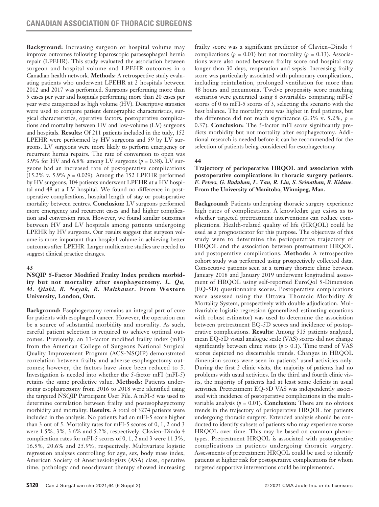**Background:** Increasing surgeon or hospital volume may improve outcomes following laparoscopic paraesophageal hernia repair (LPEHR). This study evaluated the association between surgeon and hospital volume and LPEHR outcomes in a Canadian health network. **Methods:** A retrospective study evaluating patients who underwent LPEHR at 2 hospitals between 2012 and 2017 was performed. Surgeons performing more than 5 cases per year and hospitals performing more than 20 cases per year were categorized as high volume (HV). Descriptive statistics were used to compare patient demographic characteristics, surgical characteristics, operative factors, postoperative complications and mortality between HV and low-volume (LV) surgeons and hospitals. **Results:** Of 211 patients included in the tudy, 152 LPEHR were performed by HV surgeons and 59 by LV surgeons. LV surgeons were more likely to perform emergency or recurrent hernia repairs. The rate of conversion to open was 3.9% for HV and 6.8% among LV surgeons  $(p = 0.38)$ . LV surgeons had an increased rate of postoperative complications (15.2% v. 5.9% *p* = 0.029). Among the 152 LPEHR performed by HV surgeons, 104 patients underwent LPEHR at a HV hospital and 48 at a LV hospital. We found no difference in postoperative complications, hospital length of stay or postoperative mortality between centres. **Conclusion:** LV surgeons performed more emergency and recurrent cases and had higher complication and conversion rates. However, we found similar outcomes between HV and LV hospitals among patients undergoing LPEHR by HV surgeons. Our results suggest that surgeon volume is more important than hospital volume in achieving better outcomes after LPEHR. Larger multicentre studies are needed to suggest clinical practice changes.

## **43**

### **NSQIP 5-Factor Modified Frailty Index predicts morbidity but not mortality after esophagectomy.** *L. Qu, M. Qiabi, R. Nayak, R. Malthaner.* **From Western University, London, Ont.**

**Background:** Esophagectomy remains an integral part of cure for patients with esophageal cancer. However, the operation can be a source of substantial morbidity and mortality. As such, careful patient selection is required to achieve optimal outcomes. Previously, an 11-factor modified frailty index (mFI) from the American College of Surgeons National Surgical Quality Improvement Program (ACS-NSQIP) demonstrated correlation between frailty and adverse esophagectomy outcomes; however, the factors have since been reduced to 5. Investigation is needed into whether the 5-factor mFI (mFI-5) retains the same predictive value. **Methods:** Patients undergoing esophagectomy from 2016 to 2018 were identified using the targeted NSQIP Participant User File. A mFI-5 was used to determine correlation between frailty and postesophagectomy morbidity and mortality. **Results:** A total of 3274 patients were included in the analysis. No patients had an mFI-5 score higher than 3 out of 5. Mortality rates for mFI-5 scores of 0, 1, 2 and 3 were 1.5%, 3%, 3.6% and 5.2%, respectively. Clavien–Dindo 4 complication rates for mFI-5 scores of 0, 1, 2 and 3 were 11.3%, 16.5%, 20.6% and 25.9%, respectively. Multivariate logistic regression analyses controlling for age, sex, body mass index, American Society of Anesthesiologists (ASA) class, operative time, pathology and neoadjuvant therapy showed increasing frailty score was a significant predictor of Clavien–Dindo 4 complications ( $p = 0.01$ ) but not mortality ( $p = 0.13$ ). Associations were also noted between frailty score and hospital stay longer than 30 days, reoperation and sepsis. Increasing frailty score was particularly associated with pulmonary complications, including reintubation, prolonged ventilation for more than 48 hours and pneumonia. Twelve propensity score matching scenarios were generated using 8 covariables comparing mFI-5 scores of 0 to mFI-5 scores of 3, selecting the scenario with the best balance. The mortality rate was higher in frail patients, but the difference did not reach significance  $(2.3\% \text{ v. } 5.2\%, p =$ 0.37). **Conclusion:** The 5-factor mFI score significantly predicts morbidity but not mortality after esophagectomy. Additional research is needed before it can be recommended for the selection of patients being considered for esophagectomy.

## **44**

### **Trajectory of perioperative HRQOL and association with postoperative complications in thoracic surgery patients.**  *E. Peters, G. Buduhan, L. Tan, R. Liu, S. Srinathan, B. Kidane.*  **From the University of Manitoba, Winnipeg, Man.**

**Background:** Patients undergoing thoracic surgery experience high rates of complications. A knowledge gap exists as to whether targeted pretreatment interventions can reduce complications. Health-related quality of life (HRQOL) could be used as a prognosticator for this purpose. The objectives of this study were to determine the perioperative trajectory of HRQOL and the association between pretreatment HRQOL and postoperative complications. **Methods:** A retrospective cohort study was performed using prospectively collected data. Consecutive patients seen at a tertiary thoracic clinic between January 2018 and January 2019 underwent longitudinal assessment of HRQOL using self-reported EuroQol 5-Dimension (EQ-5D) questionnaire scores. Postoperative complications were assessed using the Ottawa Thoracic Morbidity & Mortality System, prospectively with double adjudication. Multivariable logistic regression (generalized estimating equations with robust estimator) was used to determine the association between pretreatment EQ-5D scores and incidence of postoperative complications. **Results:** Among 515 patients analyzed, mean EQ-5D visual analogue scale (VAS) scores did not change significantly between clinic visits  $(p > 0.1)$ . Time trend of VAS scores depicted no discernable trends. Changes in HRQOL dimension scores were seen in patients' usual activities only. During the first 2 clinic visits, the majority of patients had no problems with usual activities. In the third and fourth clinic visits, the majority of patients had at least some deficits in usual activities. Pretreatment EQ-5D VAS was independently associated with incidence of postoperative complications in the multivariable analysis ( $p = 0.01$ ). **Conclusion:** There are no obvious trends in the trajectory of perioperative HRQOL for patients undergoing thoracic surgery. Extended analysis should be conducted to identify subsets of patients who may experience worse HRQOL over time. This may be based on common phenotypes. Pretreatment HRQOL is associated with postoperative complications in patients undergoing thoracic surgery. Assessments of pretreatment HRQOL could be used to identify patients at higher risk for postoperative complications for whom targeted supportive interventions could be implemented.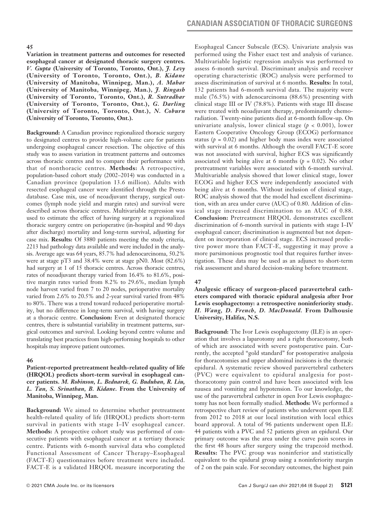**Variation in treatment patterns and outcomes for resected esophageal cancer at designated thoracic surgery centres.**  *V. Gupta* **(University of Toronto, Toronto, Ont.),** *J. Levy*  **(University of Toronto, Toronto, Ont.),** *B. Kidane* **(University of Manitoba, Winnipeg, Man.),** *A. Mahar* **(University of Manitoba, Winnipeg, Man.),** *J. Ringash* **(University of Toronto, Toronto, Ont.),** *R. Sutradhar* **(University of Toronto, Toronto, Ont.),** *G. Darling* **(University of Toronto, Toronto, Ont.),** *N. Coburn* **(University of Toronto, Toronto, Ont.).**

**Background:** A Canadian province regionalized thoracic surgery to designated centres to provide high-volume care for patients undergoing esophageal cancer resection. The objective of this study was to assess variation in treatment patterns and outcomes across thoracic centres and to compare their performance with that of nonthoracic centres. **Methods:** A retrospective, population-based cohort study (2002–2014) was conducted in a Canadian province (population 13.6 million). Adults with resected esophageal cancer were identified through the Presto database. Case mix, use of neoadjuvant therapy, surgical outcomes (lymph node yield and margin rates) and survival were described across thoracic centres. Multivariable regression was used to estimate the effect of having surgery at a regionalized thoracic surgery centre on perioperative (in-hospital and 90 days after discharge) mortality and long-term survival, adjusting for case mix. **Results:** Of 3880 patients meeting the study criteria, 2213 had pathology data available and were included in the analysis. Average age was 64 years, 85.7% had adenocarcinoma, 50.2% were at stage pT3 and 38.4% were at stage pN0. Most (82.6%) had surgery at 1 of 15 thoracic centres. Across thoracic centres, rates of neoadjuvant therapy varied from 16.4% to 81.6%, positive margin rates varied from 8.2% to 29.6%, median lymph node harvest varied from 7 to 20 nodes, perioperative mortality varied from 2.6% to 20.5% and 2-year survival varied from 48% to 80%. There was a trend toward reduced perioperative mortality, but no difference in long-term survival, with having surgery at a thoracic centre. **Conclusion:** Even at designated thoracic centres, there is substantial variability in treatment patterns, surgical outcomes and survival. Looking beyond centre volume and translating best practices from high-performing hospitals to other hospitals may improve patient outcomes.

#### **46**

**Patient-reported pretreatment health-related quality of life (HRQOL) predicts short-term survival in esophageal cancer patients.** *M. Robinson, L. Bednarek, G. Buduhan, R. Liu, L. Tan, S. Srinathan, B. Kidane.* **From the University of Manitoba, Winnipeg, Man.**

**Background:** We aimed to determine whether pretreatment health-related quality of life (HRQOL) predicts short-term survival in patients with stage I–IV esophageal cancer. **Methods:** A prospective cohort study was performed of consecutive patients with esophageal cancer at a tertiary thoracic centre. Patients with 6-month survival data who completed Functional Assessment of Cancer Therapy–Esophageal (FACT-E) questionnaires before treatment were included. FACT-E is a validated HRQOL measure incorporating the Esophageal Cancer Subscale (ECS). Univariate analysis was performed using the Fisher exact test and analysis of variance. Multivariable logistic regression analysis was performed to assess 6-month survival. Discriminant analysis and receiver operating characteristic (ROC) analysis were performed to assess discrimination of survival at 6 months. **Results:** In total, 132 patients had 6-month survival data. The majority were male (76.5%) with adenocarcinoma (88.6%) presenting with clinical stage III or IV (78.8%). Patients with stage III disease were treated with neoadjuvant therapy, predominantly chemoradiation. Twenty-nine patients died at 6-month follow-up. On univariate analysis, lower clinical stage (*p* < 0.001), lower Eastern Cooperative Oncology Group (ECOG) performance status  $(p = 0.02)$  and higher body mass index were associated with survival at 6 months. Although the overall FACT-E score was not associated with survival, higher ECS was significantly associated with being alive at 6 months  $(p = 0.02)$ . No other pretreatment variables were associated with 6-month survival. Multivariable analysis showed that lower clinical stage, lower ECOG and higher ECS were independently associated with being alive at 6 months. Without inclusion of clinical stage, ROC analysis showed that the model had excellent discrimination, with an area under curve (AUC) of 0.80. Addition of clinical stage increased discrimination to an AUC of 0.88. **Conclusion:** Pretreatment HRQOL demonstrates excellent discrimination of 6-month survival in patients with stage I–IV esophageal cancer; discrimination is augmented but not dependent on incorporation of clinical stage. ECS increased predictive power more than FACT-E, suggesting it may prove a more parsimonious prognostic tool that requires further investigation. These data may be used as an adjunct to short-term risk assessment and shared decision-making before treatment.

#### **47**

**Analgesic efficacy of surgeon-placed paravertebral catheters compared with thoracic epidural analgesia after Ivor Lewis esophagectomy: a retrospective noninferiority study.**  *H. Wang, D. French, D. MacDonald.* **From Dalhousie University, Halifax, N.S.**

**Background:** The Ivor Lewis esophagectomy (ILE) is an operation that involves a laparotomy and a right thoracotomy, both of which are associated with severe postoperative pain. Currently, the accepted "gold standard" for postoperative analgesia for thoracotomies and upper abdominal incisions is the thoracic epidural. A systematic review showed paravertebral catheters (PVC) were equivalent to epidural analgesia for postthoracotomy pain control and have been associated with less nausea and vomiting and hypotension. To our knowledge, the use of the paravertebral catheter in open Ivor Lewis esophagectomy has not been formally studied. **Methods:** We performed a retrospective chart review of patients who underwent open ILE from 2012 to 2018 at our local institution with local ethics board approval. A total of 96 patients underwent open ILE: 44 patients with a PVC and 52 patients given an epidural. Our primary outcome was the area under the curve pain scores in the first 48 hours after surgery using the trapezoid method. **Results:** The PVC group was noninferior and statistically equivalent to the epidural group using a noninferiority margin of 2 on the pain scale. For secondary outcomes, the highest pain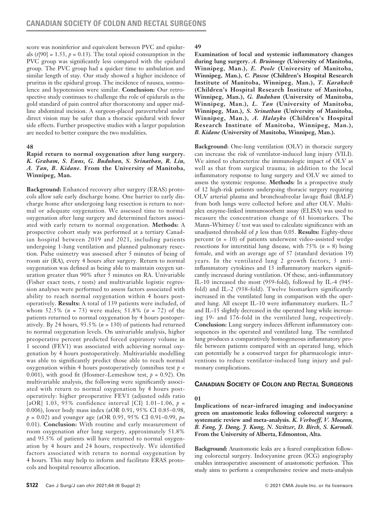score was noninferior and equivalent between PVC and epidurals  $(t[90] = 1.53, p = 0.13)$ . The total opioid consumption in the PVC group was significantly less compared with the epidural group. The PVC group had a quicker time to ambulation and similar length of stay. Our study showed a higher incidence of pruritus in the epidural group. The incidence of nausea, somnolence and hypotension were similar. **Conclusion:** Our retrospective study continues to challenge the role of epidurals as the gold standard of pain control after thoracotomy and upper midline abdominal incision. A surgeon-placed paravertebral under direct vision may be safer than a thoracic epidural with fewer side effects. Further prospective studies with a larger population are needed to better compare the two modalities.

#### **48**

#### **Rapid return to normal oxygenation after lung surgery.**  *K. Graham, S. Enns, G. Buduhan, S. Srinathan, R. Liu, A. Tan, B. Kidane.* **From the University of Manitoba, Winnipeg, Man.**

**Background:** Enhanced recovery after surgery (ERAS) protocols allow safe early discharge home. One barrier to early discharge home after undergoing lung resection is return to normal or adequate oxygenation. We assessed time to normal oxygenation after lung surgery and determined factors associated with early return to normal oxygenation. **Methods:** A prospective cohort study was performed at a tertiary Canadian hospital between 2019 and 2021, including patients undergoing 1-lung ventilation and planned pulmonary resection. Pulse oximetry was assessed after 5 minutes of being of room air (RA), every 4 hours after surgery. Return to normal oxygenation was defined as being able to maintain oxygen saturation greater than 90% after 5 minutes on RA. Univariable (Fisher exact tests, *t* tests) and multivariable logistic regression analyses were performed to assess factors associated with ability to reach normal oxygenation within 4 hours postoperatively. **Results:** A total of 139 patients were included, of whom 52.5% (*n* = 73) were males; 51.8% (*n* = 72) of the patients returned to normal oxygenation by 4 hours postoperatively. By 24 hours, 93.5% (*n* = 130) of patients had returned to normal oxygenation levels. On univariable analysis, higher preoperative percent predicted forced expiratory volume in 1 second (FEV1) was associated with achieving normal oxygenation by 4 hours postoperatively. Multivariable modelling was able to significantly predict those able to reach normal oxygenation within 4 hours postoperatively (omnibus test *p* < 0.001), with good fit (Hosmer–Lemeshow test, *p* = 0.92). On multivariable analysis, the following were significantly associated with return to normal oxygenation by 4 hours postoperatively: higher preoperative FEV1 (adjusted odds ratio [aOR] 1.03, 95% confidence interval [CI} 1.01–1.06, *p* = 0.006), lower body mass index (aOR 0.91, 95% CI 0.85–0.98, *p* = 0.02) and younger age (aOR 0.95, 95% CI 0.91–0.99, *p*= 0.01). **Conclusion:** With routine and early measurement of room oxygenation after lung surgery, approximately 51.8% and 93.5% of patients will have returned to normal oxygenation by 4 hours and 24 hours, respectively. We identified factors associated with return to normal oxygenation by 4 hours. This may help to inform and facilitate ERAS protocols and hospital resource allocation.

### **49**

**Examination of local and systemic inflammatory changes during lung surgery.** *A. Bruinooge* **(University of Manitoba, Winnipeg, Man.),** *E. Poole* **(University of Manitoba, Winnipeg, Man.),** *C. Pascoe* **(Children's Hospital Research Institute of Manitoba, Winnipeg, Man.),** *T. Karakach* **(Children's Hospital Research Institute of Manitoba, Winnipeg, Man.),** *G. Buduhan* **(University of Manitoba, Winnipeg, Man.),** *L. Tan* **(University of Manitoba, Winnipeg, Man.),** *S. Srinathan* **(University of Manitoba, Winnipeg, Man.),** *A. Halayko* **(Children's Hospital Research Institute of Manitoba, Winnipeg, Man.),**  *B. Kidane* **(University of Manitoba, Winnipeg, Man.).**

**Background:** One-lung ventilation (OLV) in thoracic surgery can increase the risk of ventilator-induced lung injury (VILI). We aimed to characterize the immunologic impact of OLV as well as that from surgical trauma; in addition to the local inflammatory response to lung surgery and OLV we aimed to assess the systemic response. **Methods:** In a prospective study of 12 high-risk patients undergoing thoracic surgery requiring OLV arterial plasma and bronchoalveolar lavage fluid (BALF) from both lungs were collected before and after OLV. Multiplex enzyme-linked immunosorbent assay (ELISA) was used to measure the concentration change of 61 biomarkers. The Mann–Whitney *U* test was used to calculate significance with an unadjusted threshold of *p* less than 0.05. **Results:** Eighty-three percent (*n* = 10) of patients underwent video-assisted wedge resections for interstitial lung disease, with 75% (*n* = 8) being female, and with an average age of 57 (standard deviation 19) years. In the ventilated lung 2 growth factors, 3 antiinflammatory cytokines and 13 inflammatory markers significantly increased during ventilation. Of these, anti-inflammatory IL-10 increased the most (959-fold), followed by IL-4 (945 fold) and IL-2 (938-fold). Twelve biomarkers significantly increased in the ventilated lung in comparison with the operated lung. All except IL-10 were inflammatory markers. IL-7 and IL-15 slightly decreased in the operated lung while increasing 19- and 176-fold in the ventilated lung, respectively. **Conclusion:** Lung surgery induces different inflammatory consequences in the operated and ventilated lung. The ventilated lung produces a comparatively homogeneous inflammatory profile between patients compared with an operated lung, which can potentially be a conserved target for pharmacologic interventions to reduce ventilator-induced lung injury and pulmonary complications.

# **Canadian Society of Colon and Rectal Surgeons**

## **01**

**Implications of near-infrared imaging and indocyanine green on anastomotic leaks following colorectal surgery: a systematic review and meta-analysis.** *K. Verhoeff, V. Mocanu, B. Fang, J. Dang, J. Kung, N. Switzer, D. Birch, S. Karmali.* **From the University of Alberta, Edmonton, Alta.**

**Background:** Anastomotic leaks are a feared complication following colorectal surgery. Indocyanine green (ICG) angiography enables intraoperative assessment of anastomotic perfusion. This study aims to perform a comprehensive review and meta-analysis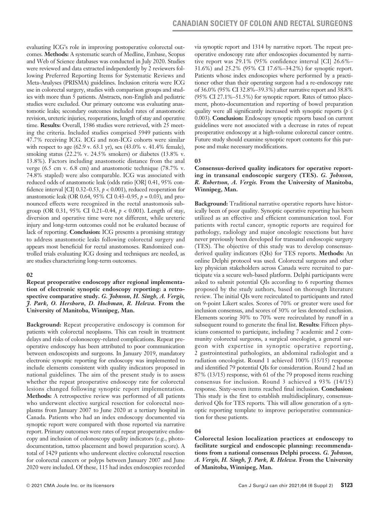evaluating ICG's role in improving postoperative colorectal outcomes. **Methods:** A systematic search of Medline, Embase, Scopus and Web of Science databases was conducted in July 2020. Studies were reviewed and data extracted independently by 2 reviewers following Preferred Reporting Items for Systematic Reviews and Meta-Analyses (PRISMA) guidelines. Inclusion criteria were ICG use in colorectal surgery, studies with comparison groups and studies with more than 5 patients. Abstracts, non-English and pediatric studies were excluded. Our primary outcome was evaluating anastomotic leaks; secondary outcomes included rates of anastomotic revision, ureteric injuries, reoperations, length of stay and operative time. **Results:** Overall, 1586 studies were retrieved, with 25 meeting the criteria. Included studies comprised 5949 patients with 47.7% receiving ICG. ICG and non-ICG cohorts were similar with respect to age (62.9 v. 63.1 yr), sex (43.0% v. 41.4% female), smoking status (22.2% v. 24.5% smokers) or diabetes (13.8% v. 13.8%). Factors including anastomotic distance from the anal verge (6.5 cm v. 6.8 cm) and anastomotic technique (78.7% v. 74.8% stapled) were also comparable. ICG was associated with reduced odds of anastomotic leak (odds ratio [OR] 0.41, 95% confidence interval [CI]  $0.32-0.53$ ,  $p < 0.001$ ), reduced reoperation for anastomotic leak (OR 0.64, 95% CI 0.43–0.95, *p* = 0.03), and pronounced effects were recognized in the rectal anastomosis subgroup (OR 0.31, 95% CI 0.21–0.44, *p* < 0.001). Length of stay, diversion and operative time were not different, while ureteric injury and long-term outcomes could not be evaluated because of lack of reporting. **Conclusion:** ICG presents a promising strategy to address anastomotic leaks following colorectal surgery and appears most beneficial for rectal anastomoses. Randomized controlled trials evaluating ICG dosing and techniques are needed, as are studies characterizing long-term outcomes.

#### **02**

**Repeat preoperative endoscopy after regional implementation of electronic synoptic endoscopy reporting: a retrospective comparative study.** *G. Johnson, H. Singh, A. Vergis, J. Park, O. Hershorn, D. Hochman, R. Helewa.* **From the University of Manitoba, Winnipeg, Man.**

**Background:** Repeat preoperative endoscopy is common for patients with colorectal neoplasms. This can result in treatment delays and risks of colonoscopy-related complications. Repeat preoperative endoscopy has been attributed to poor communication between endoscopists and surgeons. In January 2019, mandatory electronic synoptic reporting for endoscopy was implemented to include elements consistent with quality indicators proposed in national guidelines. The aim of the present study is to assess whether the repeat preoperative endoscopy rate for colorectal lesions changed following synoptic report implementation. **Methods:** A retrospective review was performed of all patients who underwent elective surgical resection for colorectal neoplasms from January 2007 to June 2020 at a tertiary hospital in Canada. Patients who had an index endoscopy documented via synoptic report were compared with those reported via narrative report. Primary outcomes were rates of repeat preoperative endoscopy and inclusion of colonoscopy quality indicators (e.g., photodocumentation, tattoo placement and bowel preparation score). A total of 1429 patients who underwent elective colorectal resection for colorectal cancers or polyps between January 2007 and June 2020 were included. Of these, 115 had index endoscopies recorded via synoptic report and 1314 by narrative report. The repeat preoperative endoscopy rate after endoscopies documented by narrative report was 29.1% (95% confidence interval [CI] 26.6%– 31.6%) and 25.2% (95% CI 17.6%–34.2%) for synoptic report. Patients whose index endoscopies where performed by a practitioner other than their operating surgeon had a re-endoscopy rate of 36.0% (95% CI 32.8%–39.3%) after narrative report and 38.8% (95% CI 27.1%–51.5%) for synoptic report. Rates of tattoo placement, photo-documentation and reporting of bowel preparation quality were all significantly increased with synoptic reports (*p* ≤ 0.003). **Conclusion:** Endoscopy synoptic reports based on current guidelines were not associated with a decrease in rates of repeat preoperative endoscopy at a high-volume colorectal cancer centre. Future study should examine synoptic report contents for this purpose and make necessary modifications.

### **03**

### **Consensus-derived quality indicators for operative reporting in transanal endoscopic surgery (TES).** *G. Johnson, R. Robertson, A. Vergis.* **From the University of Manitoba, Winnipeg, Man.**

**Background:** Traditional narrative operative reports have historically been of poor quality. Synoptic operative reporting has been utilized as an effective and efficient communication tool. For patients with rectal cancer, synoptic reports are required for pathology, radiology and major oncologic resections but have never previously been developed for transanal endoscopic surgery (TES). The objective of this study was to develop consensusderived quality indicators (QIs) for TES reports. **Methods:** An online Delphi protocol was used. Colorectal surgeons and other key physician stakeholders across Canada were recruited to participate via a secure web-based platform. Delphi participants were asked to submit potential QIs according to 6 reporting themes proposed by the study authors, based on thorough literature review. The initial QIs were recirculated to participants and rated on 9-point Likert scales. Scores of 70% or greater were used for inclusion consensus, and scores of 30% or less denoted exclusion. Elements scoring 30% to 70% were recirculated by runoff in a subsequent round to generate the final list. **Results:** Fifteen physicians consented to participate, including 7 academic and 2 community colorectal surgeons, a surgical oncologist, a general surgeon with expertise in synoptic operative reporting, 2 gastrointestinal pathologists, an abdominal radiologist and a radiation oncologist. Round 1 achieved 100% (15/15) response and identified 79 potential QIs for consideration. Round 2 had an 87% (13/15) response, with 61 of the 79 proposed items reaching consensus for inclusion. Round 3 achieved a 93% (14/15) response. Sixty-seven items reached final inclusion. **Conclusion:**  This study is the first to establish multidisciplinary, consensusderived QIs for TES reports. This will allow generation of a synoptic reporting template to improve perioperative communication for these patients.

## **04**

**Colorectal lesion localization practices at endoscopy to facilitate surgical and endoscopic planning: recommendations from a national consensus Delphi process.** *G. Johnson, A. Vergis, H. Singh, J. Park, R. Helewa.* **From the University of Manitoba, Winnipeg, Man.**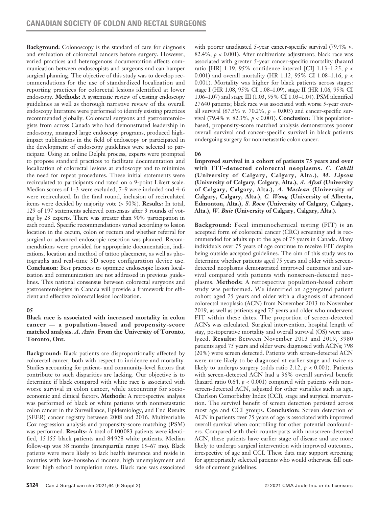**Background:** Colonoscopy is the standard of care for diagnosis and evaluation of colorectal cancers before surgery. However, varied practices and heterogenous documentation affects communication between endoscopists and surgeons and can hamper surgical planning. The objective of this study was to develop recommendations for the use of standardized localization and reporting practices for colorectal lesions identified at lower endoscopy. **Methods:** A systematic review of existing endoscopy guidelines as well as thorough narrative review of the overall endoscopy literature were performed to identify existing practices recommended globally. Colorectal surgeons and gastroenterologists from across Canada who had demonstrated leadership in endoscopy, managed large endoscopy programs, produced highimpact publications in the field of endoscopy or participated in the development of endoscopy guidelines were selected to participate. Using an online Delphi process, experts were prompted to propose standard practices to facilitate documentation and localization of colorectal lesions at endoscopy and to minimize the need for repeat procedures. These initial statements were recirculated to participants and rated on a 9-point Likert scale. Median scores of 1–3 were excluded, 7–9 were included and 4–6 were recirculated. In the final round, inclusion of recirculated items were decided by majority vote (> 50%). **Results:** In total, 129 of 197 statements achieved consensus after 3 rounds of voting by 23 experts. There was greater than 90% participation in each round. Specific recommendations varied according to lesion location in the cecum, colon or rectum and whether referral for surgical or advanced endoscopic resection was planned. Recommendations were provided for appropriate documentation, indications, location and method of tattoo placement, as well as photographs and real-time 3D scope configuration device use. **Conclusion:** Best practices to optimize endoscopic lesion localization and communication are not addressed in previous guidelines. This national consensus between colorectal surgeons and gastroenterologists in Canada will provide a framework for efficient and effective colorectal lesion localization.

## **05**

### **Black race is associated with increased mortality in colon cancer — a population-based and propensity-score matched analysis.** *A. Azin.* **From the University of Toronto, Toronto, Ont.**

**Background:** Black patients are disproportionally affected by colorectal cancer, both with respect to incidence and mortality. Studies accounting for patient- and community-level factors that contribute to such disparities are lacking. Our objective is to determine if black compared with white race is associated with worse survival in colon cancer, while accounting for socioeconomic and clinical factors. **Methods:** A retrospective analysis was performed of black or white patients with nonmetastatic colon cancer in the Surveillance, Epidemiology, and End Results (SEER) cancer registry between 2008 and 2016. Multivariable Cox regression analysis and propensity-score matching (PSM) was performed. **Results:** A total of 100083 patients were identified, 15 155 black patients and 84 928 white patients. Median follow-up was 38 months (interquartile range 15–67 mo). Black patients were more likely to lack health insurance and reside in counties with low-household income, high unemployment and lower high school completion rates. Black race was associated with poorer unadjusted 5-year cancer-specific survival (79.4% v. 82.4%,  $p < 0.001$ ). After multivariate adjustment, black race was associated with greater 5-year cancer-specific mortality (hazard ratio [HR] 1.19, 95% confidence interval [CI] 1.13–1.25, *p* < 0.001) and overall mortality (HR 1.12, 95% CI 1.08–1.16, *p* < 0.001). Mortality was higher for black patients across stages: stage I (HR 1.08, 95% CI 1.08–1.09), stage II (HR 1.06, 95% CI 1.06–1.07) and stage III (1.03, 95% CI 1.03–1.04). PSM identified 27640 patients; black race was associated with worse 5-year overall survival  $(67.5\% \text{ v. } 70.2\%, p = 0.003)$  and cancer-specific survival (79.4% v. 82.3%, *p* < 0.001). **Conclusion:** This populationbased, propensity-score matched analysis demonstrates poorer overall survival and cancer-specific survival in black patients undergoing surgery for nonmetastatic colon cancer.

## **06**

**Improved survival in a cohort of patients 75 years and over with FIT-detected colorectal neoplasms.** *C. Cahill*  **(University of Calgary, Calgary, Alta.),** *M. Lipson* **(University of Calgary, Calgary, Alta.),** *A. Afzal* **(University of Calgary, Calgary, Alta.),** *A. Maclean* **(University of Calgary, Calgary, Alta.),** *C. Wong* **(University of Alberta, Edmonton, Alta.),** *S. Roen* **(University of Calgary, Calgary, Alta.),** *W. Buie* **(University of Calgary, Calgary, Alta.).**

**Background:** Fecal immunochemical testing (FIT) is an accepted form of colorectal cancer (CRC) screening and is recommended for adults up to the age of 75 years in Canada. Many individuals over 75 years of age continue to receive FIT despite being outside accepted guidelines. The aim of this study was to determine whether patients aged 75 years and older with screendetected neoplasms demonstrated improved outcomes and survival compared with patients with nonscreen-detected neoplasms. **Methods:** A retrospective population-based cohort study was performed. We identified an aggregated patient cohort aged 75 years and older with a diagnosis of advanced colorectal neoplasia (ACN) from November 2013 to November 2019, as well as patients aged 75 years and older who underwent FIT within these dates. The proportion of screen-detected ACNs was calculated. Surgical intervention, hospital length of stay, postoperative mortality and overall survival (OS) were analyzed. **Results:** Between November 2013 and 2019, 3980 patients aged 75 years and older were diagnosed with ACNs; 798 (20%) were screen detected. Patients with screen-detected ACN were more likely to be diagnosed at earlier stage and twice as likely to undergo surgery (odds ratio 2.12,  $p < 0.001$ ). Patients with screen-detected ACN had a 36% overall survival benefit (hazard ratio 0.64,  $p < 0.001$ ) compared with patients with nonscreen-detected ACN, adjusted for other variables such as age, Charlson Comorbidity Index (CCI), stage and surgical intervention. The survival benefit of screen detection persisted across most age and CCI groups. **Conclusion:** Screen detection of ACN in patients over 75 years of age is associated with improved overall survival when controlling for other potential confounders. Compared with their counterparts with nonscreen-detected ACN, these patients have earlier stage of disease and are more likely to undergo surgical intervention with improved outcomes, irrespective of age and CCI. These data may support screening for appropriately selected patients who would otherwise fall outside of current guidelines.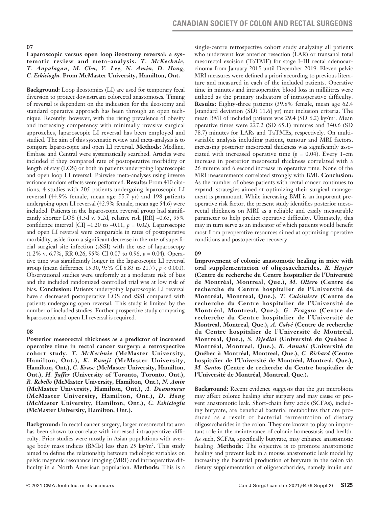#### **Laparoscopic versus open loop ileostomy reversal: a systematic review and meta-analysis.** *T. McKechnie, T. Anpalagan, M. Chu, Y. Lee, N. Amin, D. Hong, C. Eskicioglu.* **From McMaster University, Hamilton, Ont.**

**Background:** Loop ileostomies (LI) are used for temporary fecal diversion to protect downstream colorectal anastomoses. Timing of reversal is dependent on the indication for the ileostomy and standard operative approach has been through an open technique. Recently, however, with the rising prevalence of obesity and increasing competency with minimally invasive surgical approaches, laparoscopic LI reversal has been employed and studied. The aim of this systematic review and meta-analysis is to compare laparoscopic and open LI reversal. **Methods:** Medline, Embase and Central were systematically searched. Articles were included if they compared rate of postoperative morbidity or length of stay (LOS) or both in patients undergoing laparoscopic and open loop LI reversal. Pairwise meta-analyses using inverse variance random effects were performed. **Results:** From 410 citations, 4 studies with 205 patients undergoing laparoscopic LI reversal (44.9% female, mean age 55.7 yr) and 198 patients undergoing open LI reversal (42.9% female, mean age 54.6) were included. Patients in the laparoscopic reversal group had significantly shorter LOS (4.3d v. 5.2d, relative risk [RR] –0.65, 95% confidence interval [CI]  $-1.20$  to  $-0.11$ ,  $p = 0.02$ ). Laparoscopic and open LI reversal were comparable in rates of postoperative morbidity, aside from a significant decrease in the rate of superficial surgical site infection (sSSI) with the use of laparoscopy (1.2% v. 6.7%, RR 0.26, 95% CI 0.07 to 0.96, *p* = 0.04). Operative time was significantly longer in the laparoscopic LI reversal group (mean difference 15.30, 95% CI 8.83 to 21.77, *p* < 0.001). Observational studies were uniformly at a moderate risk of bias and the included randomized controlled trial was at low risk of bias. **Conclusion:** Patients undergoing laparoscopic LI reversal have a decreased postoperative LOS and sSSI compared with patients undergoing open reversal. This study is limited by the number of included studies. Further prospective study comparing laparoscopic and open LI reversal is required.

#### **08**

**Posterior mesorectal thickness as a predictor of increased operative time in rectal cancer surgery: a retrospective cohort study.** *T. McKechnie* **(McMaster University, Hamilton, Ont.),** *K. Ramji* **(McMaster University, Hamilton, Ont.),** *C. Kruse* **(McMaster University, Hamilton, Ont.),** *H. Jaffer* **(University of Toronto, Toronto, Ont.),**  *R. Rebello* **(McMaster University, Hamilton, Ont.),** *N. Amin* **(McMaster University, Hamilton, Ont.),** *A. Doumouras* **(McMaster University, Hamilton, Ont.),** *D. Hong* **(McMaster University, Hamilton, Ont.),** *C. Eskicioglu* **(McMaster University, Hamilton, Ont.).**

**Background:** In rectal cancer surgery, larger mesorectal fat area has been shown to correlate with increased intraoperative difficulty. Prior studies were mostly in Asian populations with average body mass indices (BMIs) less than 25 kg/m2 . This study aimed to define the relationship between radiologic variables on pelvic magnetic resonance imaging (MRI) and intraoperative difficulty in a North American population. **Methods:** This is a

single-centre retrospective cohort study analyzing all patients who underwent low anterior resection (LAR) or transanal total mesorectal excision (TaTME) for stage I–III rectal adenocarcinoma from January 2015 until December 2019. Eleven pelvic MRI measures were defined a priori according to previous literature and measured in each of the included patients. Operative time in minutes and intraoperative blood loss in millilitres were utilized as the primary indicators of intraoperative difficulty. **Results:** Eighty-three patients (39.8% female, mean age 62.4 [standard deviation (SD) 11.6] yr) met inclusion criteria. The mean BMI of included patients was 29.4 (SD 6.2) kg/m2 . Mean operative times were 227.2 (SD 65.1) minutes and 340.6 (SD 78.7) minutes for LARs and TaTMEs, respectively. On multivariable analysis including patient, tumour and MRI factors, increasing posterior mesorectal thickness was significantly associated with increased operative time  $(p = 0.04)$ . Every 1-cm increase in posterior mesorectal thickness correlated with a 26 minute and 6 second increase in operative time. None of the MRI measurements correlated strongly with BMI. **Conclusion:** As the number of obese patients with rectal cancer continues to expand, strategies aimed at optimizing their surgical management is paramount. While increasing BMI is an important preoperative risk factor, the present study identifies posterior mesorectal thickness on MRI as a reliable and easily measurable parameter to help predict operative difficulty. Ultimately, this may in turn serve as an indicator of which patients would benefit most from preoperative resources aimed at optimizing operative conditions and postoperative recovery.

# **09**

**Improvement of colonic anastomotic healing in mice with oral supplementation of oligosaccharides.** *R. Hajjar* **(Centre de recherche du Centre hospitalier de l'Université de Montréal, Montreal, Que.),** *M. Oliero* **(Centre de recherche du Centre hospitalier de l'Université de Montréal, Montreal, Que.),** *T. Cuisiniere* **(Centre de recherche du Centre hospitalier de l'Université de Montréal, Montreal, Que.),** *G. Fragoso* **(Centre de recherche du Centre hospitalier de l'Université de Montréal, Montreal, Que.),** *A. Calvé* **(Centre de recherche du Centre hospitalier de l'Université de Montréal, Montreal, Que.),** *S. Djediai* **(Université du Québec à Montréal, Montreal, Que.),** *B. Annabi* **(Université du Québec à Montréal, Montreal, Que.),** *C. Richard* **(Centre hospitalier de l'Université de Montréal, Montreal, Que.),**  *M. Santos* **(Centre de recherche du Centre hospitalier de l'Université de Montréal, Montreal, Que.).**

**Background:** Recent evidence suggests that the gut microbiota may affect colonic healing after surgery and may cause or prevent anastomotic leak. Short-chain fatty acids (SCFAs), including butyrate, are beneficial bacterial metabolites that are produced as a result of bacterial fermentation of dietary oligosaccharides in the colon. They are known to play an important role in the maintenance of colonic homeostasis and health. As such, SCFAs, specifically butyrate, may enhance anastomotic healing. **Methods:** The objective is to promote anastomotic healing and prevent leak in a mouse anastomotic leak model by increasing the bacterial production of butyrate in the colon via dietary supplementation of oligosaccharides, namely inulin and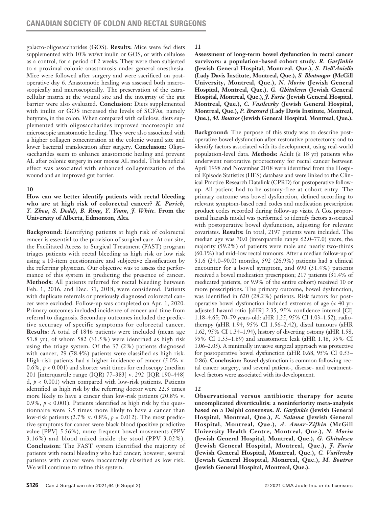galacto-oligosaccharides (GOS). **Results:** Mice were fed diets supplemented with 10% wt/wt inulin or GOS, or with cellulose as a control, for a period of 2 weeks. They were then subjected to a proximal colonic anastomosis under general anesthesia. Mice were followed after surgery and were sacrificed on postoperative day 6. Anastomotic healing was assessed both macroscopically and microscopically. The preservation of the extracellular matrix at the wound site and the integrity of the gut barrier were also evaluated. **Conclusion:** Diets supplemented with inulin or GOS increased the levels of SCFAs, namely butyrate, in the colon. When compared with cellulose, diets supplemented with oligosaccharides improved macroscopic and microscopic anastomotic healing. They were also associated with a higher collagen concentration at the colonic wound site and lower bacterial translocation after surgery. **Conclusion:** Oligosaccharides seem to enhance anastomotic healing and prevent AL after colonic surgery in our mouse AL model. This beneficial effect was associated with enhanced collagenization of the wound and an improved gut barrier.

## **10**

**How can we better identify patients with rectal bleeding who are at high risk of colorectal cancer?** *K. Purich, Y. Zhou, S. Dodd), B. Ring, Y. Yuan, J. White.* **From the University of Alberta, Edmonton, Alta.**

**Background:** Identifying patients at high risk of colorectal cancer is essential to the provision of surgical care. At our site, the Facilitated Access to Surgical Treatment (FAST) program triages patients with rectal bleeding as high risk or low risk using a 10-item questionnaire and subjective classification by the referring physician. Our objective was to assess the performance of this system in predicting the presence of cancer. **Methods:** All patients referred for rectal bleeding between Feb. 1, 2016, and Dec. 31, 2018, were considered. Patients with duplicate referrals or previously diagnosed colorectal cancer were excluded. Follow-up was completed on Apr. 1, 2020. Primary outcomes included incidence of cancer and time from referral to diagnosis. Secondary outcomes included the predictive accuracy of specific symptoms for colorectal cancer. **Results:** A total of 1846 patients were included (mean age 51.8 yr), of whom 582 (31.5%) were identified as high risk using the triage system. Of the 37 (2%) patients diagnosed with cancer, 29 (78.4%) patients were classified as high risk. High-risk patients had a higher incidence of cancer (5.0% v.  $0.6\%$ ,  $p < 0.001$ ) and shorter wait times for endoscopy (median 201 [interquartile range (IQR) 77–383] v. 292 [IQR 190–448] d,  $p < 0.001$ ) when compared with low-risk patients. Patients identified as high risk by the referring doctor were 22.3 times more likely to have a cancer than low-risk patients (20.8% v. 0.9%,  $p < 0.001$ ). Patients identified as high risk by the questionnaire were 3.5 times more likely to have a cancer than low-risk patients (2.7% v. 0.8%, *p* = 0.012). The most predictive symptoms for cancer were black blood (positive predictive value [PPV] 5.56%), more frequent bowel movements (PPV 3.16%) and blood mixed inside the stool (PPV 3.02%). **Conclusion:** The FAST system identified the majority of patients with rectal bleeding who had cancer; however, several patients with cancer were inaccurately classified as low risk. We will continue to refine this system.

**11**

**Assessment of long-term bowel dysfunction in rectal cancer survivors: a population-based cohort study.** *R. Garfinkle*  **(Jewish General Hospital, Montreal, Que.),** *S. Dell'Aniello* **(Lady Davis Institute, Montreal, Que.),** *S. Bhatnagar* **(McGill University, Montreal, Que.),** *N. Morin* **(Jewish General Hospital, Montreal, Que.),** *G. Ghitulescu* **(Jewish General Hospital, Montreal, Que.),** *J. Faria* **(Jewish General Hospital, Montreal, Que.),** *C. Vasilevsky* **(Jewish General Hospital, Montreal, Que.),** *P. Brassard* **(Lady Davis Institute, Montreal, Que.),** *M. Boutros* **(Jewish General Hospital, Montreal, Que.).**

**Background:** The purpose of this study was to describe postoperative bowel dysfunction after restorative proctectomy and to identify factors associated with its development, using real-world population-level data. **Methods:** Adult (≥ 18 yr) patients who underwent restorative proctectomy for rectal cancer between April 1998 and November 2018 were identified from the Hospital Episode Statistics (HES) database and were linked to the Clinical Practice Research Datalink (CPRD) for postoperative followup. All patient had to be ostomy-free at cohort entry. The primary outcome was bowel dysfunction, defined according to relevant symptom-based read codes and medication prescription product codes recorded during follow-up visits. A Cox proportional hazards model was performed to identify factors associated with postoperative bowel dysfunction, adjusting for relevant covariates. **Results:** In total, 2197 patients were included. The median age was 70.0 (interquartile range 62.0–77.0) years, the majority (59.2%) of patients were male and nearly two-thirds (60.1%) had mid−low rectal tumours. After a median follow-up of 51.6 (24.0–90.0) months, 592 (26.9%) patients had a clinical encounter for a bowel symptom, and 690 (31.4%) patients received a bowel medication prescription; 217 patients (31.4% of medicated patients, or 9.9% of the entire cohort) received 10 or more prescriptions. The primary outcome, bowel dysfunction, was identified in 620 (28.2%) patients. Risk factors for postoperative bowel dysfunction included extremes of age (< 40 yr: adjusted hazard ratio [aHR] 2.35, 95% confidence interval [CI] 1.18–4.65; 70–79 years-old: aHR 1.25, 95% CI 1.03–1.52), radiotherapy (aHR 1.94, 95% CI 1.56–2.42), distal tumours (aHR 1.62, 95% CI 1.34–1.94), history of diverting ostomy (aHR 1.58, 95% CI 1.33–1.89) and anastomotic leak (aHR 1.48, 95% CI 1.06–2.05). A minimally invasive surgical approach was protective for postoperative bowel dysfunction (aHR 0.68, 95% CI 0.53– 0.86). **Conclusion:** Bowel dysfunction is common following rectal cancer surgery, and several patient-, disease- and treatmentlevel factors were associated with its development.

## **12**

**Observational versus antibiotic therapy for acute uncomplicated diverticulitis: a noninferiority meta-analysis based on a Delphi consensus.** *R. Garfinkle* **(Jewish General Hospital, Montreal, Que.),** *E. Salama* **(Jewish General Hospital, Montreal, Que.),** *A. Amar-Zifkin* **(McGill University Health Centre, Montreal, Que.),** *N. Morin* **(Jewish General Hospital, Montreal, Que.),** *G. Ghitulescu* **(Jewish General Hospital, Montreal, Que.),** *J. Faria* **(Jewish General Hospital, Montreal, Que.),** *C. Vasilevsky* **(Jewish General Hospital, Montreal, Que.),** *M. Boutros*  **(Jewish General Hospital, Montreal, Que.).**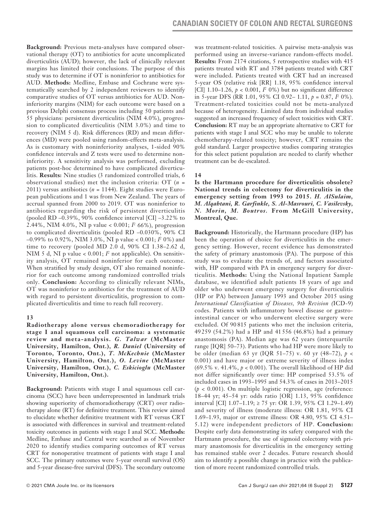**Background:** Previous meta-analyses have compared observational therapy (OT) to antibiotics for acute uncomplicated diverticulitis (AUD); however, the lack of clinically relevant margins has limited their conclusions. The purpose of this study was to determine if OT is noninferior to antibiotics for AUD. **Methods:** Medline, Embase and Cochrane were systematically searched by 2 independent reviewers to identify comparative studies of OT versus antibiotics for AUD. Noninferiority margins (NIM) for each outcome were based on a previous Delphi consensus process including 50 patients and 55 physicians: persistent diverticulitis (NIM 4.0%), progression to complicated diverticulitis (NIM 3.0%) and time to recovery (NIM 5 d). Risk differences (RD) and mean differences (MD) were pooled using random-effects meta-analysis. As is customary with noninferiority analyses, 1-sided 90% confidence intervals and Z tests were used to determine noninferiority. A sensitivity analysis was performed, excluding patients post-hoc determined to have complicated diverticulitis. **Results:** Nine studies (3 randomized controlled trials, 6 observational studies) met the inclusion criteria: OT (*n* = 2011) versus antibiotics (*n* = 1144). Eight studies were European publications and 1 was from New Zealand. The years of accrual spanned from 2000 to 2019. OT was noninferior to antibiotics regarding the risk of persistent diverticulitis (pooled RD –0.39%, 90% confidence interval [CI] –3.22% to 2.44%, NIM 4.0%, NI p value < 0.001; *I*<sup>2</sup> 66%), progression to complicated diverticulitis (pooled RD –0.030%, 90% CI –0.99% to 0.92%, NIM 3.0%, NI p value < 0.001; *I*<sup>2</sup> 0%) and time to recovery (pooled MD 2.0 d, 90% CI 1.38–2.62 d, NIM 5 d, NI p value < 0.001; *I*<sup>2</sup> not applicable). On sensitivity analysis, OT remained noninferior for each outcome. When stratified by study design, OT also remained noninferior for each outcome among randomized controlled trials only. **Conclusion:** According to clinically relevant NIMs, OT was noninferior to antibiotics for the treatment of AUD with regard to persistent diverticulitis, progression to complicated diverticulitis and time to reach full recovery.

## **13**

**Radiotherapy alone versus chemoradiotherapy for stage I anal squamous cell carcinoma: a systematic review and meta-analysis.** *G. Talwar* **(McMaster University, Hamilton, Ont.),** *R. Daniel* **(University of Toronto, Toronto, Ont.),** *T. McKechnie* **(McMaster University, Hamilton, Ont.),** *O. Levine* **(McMaster University, Hamilton, Ont.),** *C. Eskicioglu* **(McMaster University, Hamilton, Ont.).**

**Background:** Patients with stage I anal squamous cell carcinoma (SCC) have been underrepresented in landmark trials showing superiority of chemoradiotherapy (CRT) over radiotherapy alone (RT) for definitive treatment. This review aimed to elucidate whether definitive treatment with RT versus CRT is associated with differences in survival and treatment-related toxicity outcomes in patients with stage I anal SCC. **Methods:** Medline, Embase and Central were searched as of November 2020 to identify studies comparing outcomes of RT versus CRT for nonoperative treatment of patients with stage I anal SCC. The primary outcomes were 5-year overall survival (OS) and 5-year disease-free survival (DFS). The secondary outcome was treatment-related toxicities. A pairwise meta-analysis was performed using an inverse-variance random-effects model. **Results:** From 2174 citations, 5 retrospective studies with 415 patients treated with RT and 3784 patients treated with CRT were included. Patients treated with CRT had an increased 5-year OS (relative risk [RR] 1.18, 95% confidence interval [CI]  $1.10-1.26$ ,  $p < 0.001$ ,  $I^2$  0%) but no significant difference in 5-year DFS (RR 1.01, 95% CI 0.92– 1.11, *p* = 0.87, *I*<sup>2</sup> 0%). Treatment-related toxicities could not be meta-analyzed because of heterogeneity. Limited data from individual studies suggested an increased frequency of select toxicities with CRT. **Conclusion:** RT may be an appropriate alternative to CRT for patients with stage I anal SCC who may be unable to tolerate chemotherapy-related toxicity; however, CRT remains the gold standard. Larger prospective studies comparing strategies for this select patient population are needed to clarify whether treatment can be de-escalated.

## **14**

**Is the Hartmann procedure for diverticulitis obsolete? National trends in colectomy for diverticulitis in the emergency setting from 1993 to 2015.** *H. AlSulaim, M. Alqahtani, R. Garfinkle, S. Al-Masrouri, C. Vasilevsky, N. Morin, M. Boutros.* **From McGill University, Montreal, Que.**

**Background:** Historically, the Hartmann procedure (HP) has been the operation of choice for diverticulitis in the emergency setting. However, recent evidence has demonstrated the safety of primary anastomosis (PA). The purpose of this study was to evaluate the trends of, and factors associated with, HP compared with PA in emergency surgery for diverticulitis. **Methods:** Using the National Inpatient Sample database, we identified adult patients 18 years of age and older who underwent emergency surgery for diverticulitis (HP or PA) between January 1993 and October 2015 using *International Classification of Diseases, 9th Revision (*ICD-9) codes. Patients with inflammatory bowel disease or gastrointestinal cancer or who underwent elective surgery were excluded. Of 90 815 patients who met the inclusion criteria, 49 259 (54.2%) had a HP and 41 556 (46.8%) had a primary anastomosis (PA). Median age was 62 years (interquartile range [IQR] 50–73). Patients who had HP were more likely to be older (median 63 yr (IQR 51–75) v. 60 yr (48–72), *p* < 0.001) and have major or extreme severity of illness index (69.5% v. 41.4%, *p* < 0.001). The overall likelihood of HP did not differ significantly over time: HP comprised 53.5% of included cases in 1993–1995 and 54.3% of cases in 2013–2015 (*p* < 0.001). On multiple logistic regression, age (reference: 18–44 yr; 45–54 yr: odds ratio [OR] 1.13, 95% confidence interval [CI] 1.07–1.19; ≥ 75 yr: OR 1.39, 95% CI 1.29–1.49) and severity of illness (moderate illness: OR 1.81, 95% CI 1.69–1.93, major or extreme illness: OR 4.80, 95% CI 4.51– 5.12) were independent predictors of HP. **Conclusion:**  Despite early data demonstrating its safety compared with the Hartmann procedure, the use of sigmoid colectomy with primary anastomosis for diverticulitis in the emergency setting has remained stable over 2 decades. Future research should aim to identify a possible change in practice with the publication of more recent randomized controlled trials.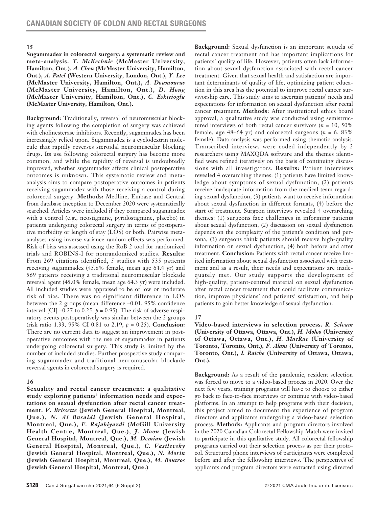**Sugammadex in colorectal surgery: a systematic review and meta-analysis.** *T. McKechnie* **(McMaster University, Hamilton, Ont.),** *A. Chen* **(McMaster University, Hamilton, Ont.),** *A. Patel* **(Western University, London, Ont.),** *Y. Lee*  **(McMaster University, Hamilton, Ont.),** *A. Doumouras*  **(McMaster University, Hamilton, Ont.),** *D. Hong* **(McMaster University, Hamilton, Ont.),** *C. Eskicioglu*  **(McMaster University, Hamilton, Ont.).**

**Background:** Traditionally, reversal of neuromuscular blocking agents following the completion of surgery was achieved with cholinesterase inhibitors. Recently, sugammadex has been increasingly relied upon. Sugammadex is a cyclodextrin molecule that rapidly reverses steroidal neuromuscular blocking drugs. Its use following colorectal surgery has become more common, and while the rapidity of reversal is undoubtedly improved, whether sugammadex affects clinical postoperative outcomes is unknown. This systematic review and metaanalysis aims to compare postoperative outcomes in patients receiving sugammadex with those receiving a control during colorectal surgery. **Methods:** Medline, Embase and Central from database inception to December 2020 were systematically searched. Articles were included if they compared sugammadex with a control (e.g., neostigmine, pyridostigmine, placebo) in patients undergoing colorectal surgery in terms of postoperative morbidity or length of stay (LOS) or both. Pairwise metaanalyses using inverse variance random effects was performed. Risk of bias was assessed using the RoB 2 tool for randomized trials and ROBINS-I for nonrandomized studies. **Results:**  From 269 citations identified, 5 studies with 535 patients receiving sugammadex (45.8% female, mean age 64.4 yr) and 569 patients receiving a traditional neuromuscular blockade reversal agent (45.0% female, mean age 64.3 yr) were included. All included studies were appraised to be of low or moderate risk of bias. There was no significant difference in LOS between the 2 groups (mean difference –0.01, 95% confidence interval [CI]  $-0.27$  to 0.25,  $p = 0.95$ ). The risk of adverse respiratory events postoperatively was similar between the 2 groups (risk ratio 1.33, 95% CI 0.81 to 2.19, *p* = 0.25). **Conclusion:** There are no current data to suggest an improvement in postoperative outcomes with the use of sugammadex in patients undergoing colorectal surgery. This study is limited by the number of included studies. Further prospective study comparing sugammadex and traditional neuromuscular blockade reversal agents in colorectal surgery is required.

#### **16**

**Sexuality and rectal cancer treatment: a qualitative study exploring patients' information needs and expectations on sexual dysfunction after rectal cancer treatment.** *V. Brissette* **(Jewish General Hospital, Montreal, Que.),** *N. Al Busaidi* **(Jewish General Hospital, Montreal, Que.),** *F. Rajabiyazdi* **(McGill University Health Centre, Montreal, Que.),** *J. Moon* **(Jewish General Hospital, Montreal, Que.),** *M. Demian* **(Jewish General Hospital, Montreal, Que.),** *C. Vasilevsky* **(Jewish General Hospital, Montreal, Que.),** *N. Morin* **(Jewish General Hospital, Montreal, Que.),** *M. Boutros* **(Jewish General Hospital, Montreal, Que.)**

**Background:** Sexual dysfunction is an important sequela of rectal cancer treatment and has important implications for patients' quality of life. However, patients often lack information about sexual dysfunction associated with rectal cancer treatment. Given that sexual health and satisfaction are important determinants of quality of life, optimizing patient education in this area has the potential to improve rectal cancer survivorship care. This study aims to ascertain patients' needs and expectations for information on sexual dysfunction after rectal cancer treatment. **Methods:** After institutional ethics board approval, a qualitative study was conducted using semistructured interviews of both rectal cancer survivors (*n* = 10, 50% female, age  $48-64$  yr) and colorectal surgeons ( $n = 6, 83\%$ ) female). Data analysis was performed using thematic analysis. Transcribed interviews were coded independently by 2 researchers using MAXQDA software and the themes identified were refined iteratively on the basis of continuing discussions with all investigators. **Results:** Patient interviews revealed 4 overarching themes: (1) patients have limited knowledge about symptoms of sexual dysfunction, (2) patients receive inadequate information from the medical team regarding sexual dysfunction, (3) patients want to receive information about sexual dysfunction in different formats, (4) before the start of treatment. Surgeon interviews revealed 4 overarching themes: (1) surgeons face challenges in informing patients about sexual dysfunction, (2) discussion on sexual dysfunction depends on the complexity of the patient's condition and persona, (3) surgeons think patients should receive high-quality information on sexual dysfunction, (4) both before and after treatment. **Conclusion:** Patients with rectal cancer receive limited information about sexual dysfunction associated with treatment and as a result, their needs and expectations are inadequately met. Our study supports the development of high-quality, patient-centred material on sexual dysfunction after rectal cancer treatment that could facilitate communication, improve physicians' and patients' satisfaction, and help patients to gain better knowledge of sexual dysfunction.

## **17**

#### **Video-based interviews in selection process.** *R. Selvam*  **(University of Ottawa, Ottawa, Ont.),** *H. Moloo* **(University of Ottawa, Ottawa, Ont.),** *H. MacRae* **(University of Toronto, Toronto, Ont.),** *F. Alam* **(University of Toronto, Toronto, Ont.),** *I. Raiche* **(University of Ottawa, Ottawa, Ont.).**

**Background:** As a result of the pandemic, resident selection was forced to move to a video-based process in 2020. Over the next few years, training programs will have to choose to either go back to face-to-face interviews or continue with video-based platforms. In an attempt to help programs with their decision, this project aimed to document the experience of program directors and applicants undergoing a video-based selection process. **Methods:** Applicants and program directors involved in the 2020 Canadian Colorectal Fellowship Match were invited to participate in this qualitative study. All colorectal fellowship programs carried out their selection process as per their protocol. Structured phone interviews of participants were completed before and after the fellowship interviews. The perspectives of applicants and program directors were extracted using directed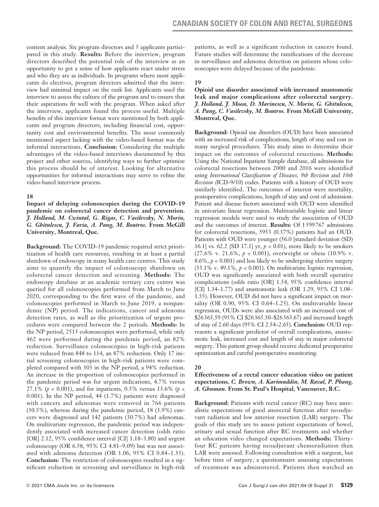content analysis. Six program directors and 5 applicants participated in this study. **Results:** Before the interview, program directors described the potential role of the interview as an opportunity to get a sense of how applicants react under stress and who they are as individuals. In programs where most applicants do electives, program directors admitted that the interview had minimal impact on the rank list. Applicants used the interview to assess the culture of the program and to ensure that their aspirations fit well with the program. When asked after the interview, applicants found the process useful. Multiple benefits of this interview format were mentioned by both applicants and program directors, including financial cost, opportunity cost and environmental benefits. The most commonly mentioned aspect lacking with the video-based format was the informal interactions. **Conclusion:** Considering the multiple advantages of the video-based interviews documented by this project and other sources, identifying ways to further optimize this process should be of interest. Looking for alternative opportunities for informal interactions may serve to refine the video-based interview process.

#### **18**

**Impact of delaying colonoscopies during the COVID-19 pandemic on colorectal cancer detection and prevention.**  *J. Holland, M. Cwintal, G. Rigas, C. Vasilevsky, N. Morin, G. Ghitulescu, J. Faria, A. Pang, M. Boutros.* **From McGill University, Montreal, Que.**

**Background:** The COVID-19 pandemic required strict prioritization of health care resources, resulting in at least a partial shutdown of endoscopy in many health care centres. This study aims to quantify the impact of colonoscopy shutdown on colorectal cancer detection and screening. **Methods:** The endoscopy database at an academic tertiary care centre was queried for all colonoscopies performed from March to June 2020, corresponding to the first wave of the pandemic, and colonoscopies performed in March to June 2019, a nonpandemic (NP) period. The indications, cancer and adenoma detection rates, as well as the prioritization of urgent procedures were compared between the 2 periods. **Methods:** In the NP period, 2515 colonoscopies were performed, while only 462 were performed during the pandemic period, an 82% reduction. Surveillance colonoscopies in high-risk patients were reduced from 848 to 114, an 87% reduction. Only 17 initial screening colonoscopies in high-risk patients were completed compared with 303 in the NP period, a 94% reduction. An increase in the proportion of colonoscopies performed in the pandemic period was for urgent indications, 4.7% versus 27.1% (*p* < 0.001), and for inpatients, 0.5% versus 13.6% (*p* < 0.001). In the NP period, 44 (1.7%) patients were diagnosed with cancers and adenomas were removed in 766 patients (30.5%), whereas during the pandemic period, 18 (3.9%) cancers were diagnosed and 142 patients (30.7%) had adenomas. On multivariate regression, the pandemic period was independently associated with increased cancer detection (odds ratio [OR] 2.12, 95% confidence interval [CI] 1.18–3.80) and urgent colonoscopy (OR 6.58, 95% CI 4.81–9.09) but was not associated with adenoma detection (OR 1.06, 95% CI 0.84–1.35). **Conclusion:** The restriction of colonoscopies resulted in a significant reduction in screening and surveillance in high-risk patients, as well as a significant reduction in cancers found. Future studies will determine the ramifications of the decrease in surveillance and adenoma detection on patients whose colonoscopies were delayed because of the pandemic.

#### **19**

#### **Opioid use disorder associated with increased anastomotic leak and major complications after colorectal surgery.**  *J. Holland, J. Moon, D. Marinescu, N. Morin, G. Ghitulescu, A. Pang, C. Vasilevsky, M. Boutros.* **From McGill University, Montreal, Que.**

**Background:** Opioid use disorders (OUD) have been associated with an increased risk of complications, length of stay and cost in many surgical procedures. This study aims to determine their impact on the outcomes of colorectal resections. **Methods:** Using the National Inpatient Sample database, all admissions for colorectal resections between 2000 and 2016 were identified using *International Classification of Diseases, 9th Revision* and *10th Revision (*ICD-9/10) codes. Patients with a history of OUD were similarly identified. The outcomes of interest were mortality, postoperative complications, length of stay and cost of admission. Patient and disease factors associated with OUD were identified in univariate linear regression. Multivariable logistic and linear regression models were used to study the association of OUD and the outcomes of interest. **Results:** Of 1599767 admissions for colorectal resections, 5953 (0.37%) patients had an OUD. Patients with OUD were younger (56.0 [standard deviation (SD) 16.1] vs. 62.2 [SD 17.1] yr, *p* < 0.01), more likely to be smokers (27.6% v. 21.6%, *p* < 0.001), overweight or obese (10.9% v. 8.6%,  $p < 0.001$ ) and less likely to be undergoing elective surgery  $(33.1\% \text{ v. } 49.1\%, p < 0.001)$ . On multivariate logistic regression, OUD was significantly associated with both overall operative complications (odds ratio [OR] 1.54, 95% confidence interval [CI] 1.34–1.77) and anastomotic leak (OR 1.29, 95% CI 1.08– 1.55). However, OUD did not have a significant impact on mortality (OR 0.90, 95% CI 0.64–1.25). On multivariable linear regression, OUDs were also associated with an increased cost of \$26365.59 (95% CI \$26365.50–\$26365.67) and increased length of stay of 2.60 days (95% CI 2.54–2.65). **Conclusion:** OUD represents a significant predictor of overall complications, anastomotic leak, increased cost and length of stay in major colorectal surgery. This patient group should receive dedicated preoperative optimization and careful postoperative monitoring.

#### **20**

### **Effectiveness of a rectal cancer education video on patient expectations.** *C. Brown, A. Karimuddin, M. Raval, P. Phang, A. Ghuman.* **From St. Paul's Hospital, Vancouver, B.C.**

**Background:** Patients with rectal cancer (RC) may have unrealistic expectations of good anorectal function after neoadjuvant radiation and low anterior resection (LAR) surgery. The goals of this study are to assess patient expectations of bowel, urinary and sexual function after RC treatments and whether an education video changed expectations. **Methods:** Thirtyfour RC patients having neoadjuvant chemoradiation then LAR were assessed. Following consultation with a surgeon, but before time of surgery, a questionnaire assessing expectations of treatment was administered. Patients then watched an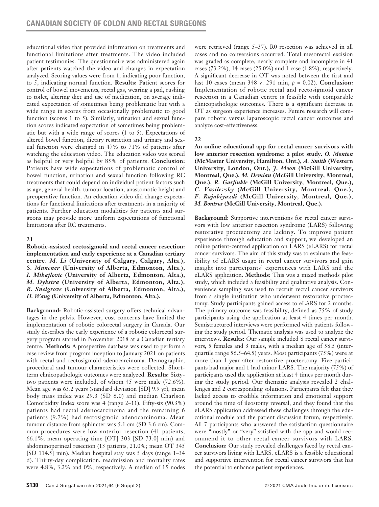educational video that provided information on treatments and functional limitations after treatments. The video included patient testimonies. The questionnaire was administered again after patients watched the video and changes in expectation analyzed. Scoring values were from 1, indicating poor function, to 5, indicating normal function. **Results:** Patient scores for control of bowel movements, rectal gas, wearing a pad, rushing to toilet, altering diet and use of medication, on average indicated expectation of sometimes being problematic but with a wide range in scores from occasionally problematic to good function (scores 1 to 5). Similarly, urination and sexual function scores indicated expectation of sometimes being problematic but with a wide range of scores (1 to 5). Expectations of altered bowel function, dietary restriction and urinary and sexual function were changed in 47% to 71% of patients after watching the education video. The education video was scored as helpful or very helpful by 85% of patients. **Conclusion:** Patients have wide expectations of problematic control of bowel function, urination and sexual function following RC treatments that could depend on individual patient factors such as age, general health, tumour location, anastomotic height and preoperative function. An education video did change expectations for functional limitations after treatments in a majority of patients. Further education modalities for patients and surgeons may provide more uniform expectations of functional limitations after RC treatments.

## **21**

**Robotic-assisted rectosigmoid and rectal cancer resection: implementation and early experience at a Canadian tertiary centre.** *M. Li* **(University of Calgary, Calgary, Alta.),**  *S. Muncner* **(University of Alberta, Edmonton, Alta.),**  *I. Mihajlovic* **(University of Alberta, Edmonton, Alta.),**  *M. Dykstra* **(University of Alberta, Edmonton, Alta.),**  *R. Snelgrove* **(University of Alberta, Edmonton, Alta.),**  *H. Wang* **(University of Alberta, Edmonton, Alta.).**

**Background:** Robotic-assisted surgery offers technical advantages in the pelvis. However, cost concerns have limited the implementation of robotic colorectal surgery in Canada. Our study describes the early experience of a robotic colorectal surgery program started in November 2018 at a Canadian tertiary centre. **Methods:** A prospective database was used to perform a case review from program inception to January 2021 on patients with rectal and rectosigmoid adenocarcinoma. Demographic, procedural and tumour characteristics were collected. Shortterm clinicopathologic outcomes were analyzed. **Results:** Sixtytwo patients were included, of whom 45 were male (72.6%). Mean age was 63.2 years (standard deviation [SD] 9.9 yr), mean body mass index was 29.3 (SD 6.0) and median Charlson Comorbidity Index score was 4 (range 2–11). Fifty-six (90.3%) patients had rectal adenocarcinoma and the remaining 6 patients (9.7%) had rectosigmoid adenocarcinoma. Mean tumour distance from sphincter was 5.1 cm (SD 3.6 cm). Common procedures were low anterior resection (41 patients, 66.1%; mean operating time [OT] 303 [SD 73.0] min) and abdominoperineal resection (13 patients, 21.0%; mean OT 345 [SD 114.5] min). Median hospital stay was 5 days (range 1–34 d). Thirty-day complication, readmission and mortality rates were 4.8%, 3.2% and 0%, respectively. A median of 15 nodes were retrieved (range 5–37). R0 resection was achieved in all cases and no conversions occurred. Total mesorectal excision was graded as complete, nearly complete and incomplete in 41 cases (73.2%), 14 cases (25.0%) and 1 case (1.8%), respectively. A significant decrease in OT was noted between the first and last 10 cases (mean 348 v. 291 min, *p* = 0.02). **Conclusion:**  Implementation of robotic rectal and rectosigmoid cancer resection in a Canadian centre is feasible with comparable clinicopathologic outcomes. There is a significant decrease in OT as surgeon experience increases. Future research will compare robotic versus laparoscopic rectal cancer outcomes and analyze cost-effectiveness.

## **22**

**An online educational app for rectal cancer survivors with low anterior resection syndrome: a pilot study.** *O. Monton* **(McMaster University, Hamilton, Ont.),** *A. Smith* **(Western University, London, Ont.),** *J. Moon* **(McGill University, Montreal, Que.),** *M. Demian* **(McGill University, Montreal, Que.),** *R. Garfinkle* **(McGill University, Montreal, Que.),**  *C. Vasilevsky* **(McGill University, Montreal, Que.),**  *F. Rajabiyazdi* **(McGill University, Montreal, Que.),**  *M. Boutros* **(McGill University, Montreal, Que.).** 

**Background:** Supportive interventions for rectal cancer survivors with low anterior resection syndrome (LARS) following restorative proctectomy are lacking. To improve patient experience through education and support, we developed an online patient-centred application on LARS (eLARS) for rectal cancer survivors. The aim of this study was to evaluate the feasibility of eLARS usage in rectal cancer survivors and gain insight into participants' experiences with LARS and the eLARS application. **Methods:** This was a mixed methods pilot study, which included a feasibility and qualitative analysis. Convenience sampling was used to recruit rectal cancer survivors from a single institution who underwent restorative proctectomy. Study participants gained access to eLARS for 2 months. The primary outcome was feasibility, defined as 75% of study participants using the application at least 4 times per month. Semistructured interviews were performed with patients following the study period. Thematic analysis was used to analyze the interviews. **Results:** Our sample included 8 rectal cancer survivors, 5 females and 3 males, with a median age of 58.5 (interquartile range 56.5–64.5) years. Most participants (75%) were at more than 1 year after restorative proctectomy. Five participants had major and 1 had minor LARS. The majority (75%) of participants used the application at least 4 times per month during the study period. Our thematic analysis revealed 2 challenges and 2 corresponding solutions. Participants felt that they lacked access to credible information and emotional support around the time of ileostomy reversal, and they found that the eLARS application addressed these challenges through the educational module and the patient discussion forum, respectively. All 7 participants who answered the satisfaction questionnaire were "mostly" or "very" satisfied with the app and would recommend it to other rectal cancer survivors with LARS. **Conclusion:** Our study revealed challenges faced by rectal cancer survivors living with LARS. eLARS is a feasible educational and supportive intervention for rectal cancer survivors that has the potential to enhance patient experiences.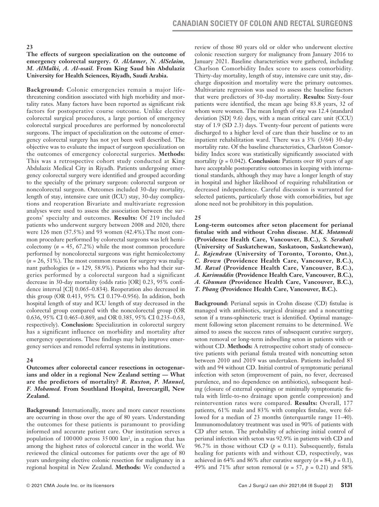#### **The effects of surgeon specialization on the outcome of emergency colorectal surgery.** *O. AlAamer, N. AlSelaim, M. AlMalki, A. Al-osail.* **From King Saud bin Abdulaziz University for Health Sciences, Riyadh, Saudi Arabia.**

**Background:** Colonic emergencies remain a major lifethreatening condition associated with high morbidity and mortality rates. Many factors have been reported as significant risk factors for postoperative course outcome. Unlike elective colorectal surgical procedures, a large portion of emergency colorectal surgical procedures are performed by noncolorectal surgeons. The impact of specialization on the outcome of emergency colorectal surgery has not yet been well described. The objective was to evaluate the impact of surgeon specialization on the outcomes of emergency colorectal surgeries. **Methods:** This was a retrospective cohort study conducted at King Abdulaziz Medical City in Riyadh. Patients undergoing emergency colorectal surgery were identified and grouped according to the specialty of the primary surgeon: colorectal surgeon or noncolorectal surgeon. Outcomes included 30-day mortality, length of stay, intensive care unit (ICU) stay, 30-day complications and reoperation Bivariate and multivariate regression analyses were used to assess the association between the surgeons' specialty and outcomes. **Results:** Of 219 included patients who underwent surgery between 2008 and 2020, there were 126 men (57.5%) and 93 women (42.4%).The most common procedure performed by colorectal surgeons was left hemicolectomy (*n* = 45, 67.2%) while the most common procedure performed by noncolorectal surgeons was right hemicolectomy  $(n = 26, 51\%)$ . The most common reason for surgery was malignant pathologies (*n* = 129, 58.9%). Patients who had their surgeries performed by a colorectal surgeon had a significant decrease in 30-day mortality (odds ratio [OR] 0.23, 95% confidence interval [CI] 0.065–0.834). Reoperation also decreased in this group (OR 0.413, 95% CI 0.179–0.956). In addition, both hospital length of stay and ICU length of stay decreased in the colorectal group compared with the noncolorectal group (OR 0.636, 95% CI 0.465–0.869, and OR 0.385, 95% CI 0.235–0.63, respectively). **Conclusion:** Specialization in colorectal surgery has a significant influence on morbidity and mortality after emergency operations. These findings may help improve emergency services and remodel referral systems in institutions.

#### **24**

**Outcomes after colorectal cancer resections in octogenarians and older in a regional New Zealand setting — What are the predictors of mortality?** *R. Ruxton, P. Manuel, F. Mohamed.* **From Southland Hospital, Invercargill, New Zealand.** 

**Background:** Internationally, more and more cancer resections are occurring in those over the age of 80 years. Understanding the outcomes for these patients is paramount to providing informed and accurate patient care. Our institution serves a population of 100 000 across 35 000 km2 , in a region that has among the highest rates of colorectal cancer in the world. We reviewed the clinical outcomes for patients over the age of 80 years undergoing elective colonic resection for malignancy in a regional hospital in New Zealand. **Methods:** We conducted a

review of those 80 years old or older who underwent elective colonic resection surgery for malignancy from January 2016 to January 2021. Baseline characteristics were gathered, including Charlson Comorbidity Index score to assess comorbidity. Thirty-day mortality, length of stay, intensive care unit stay, discharge disposition and mortality were the primary outcomes. Multivariate regression was used to assess the baseline factors that were predictors of 30-day mortality. **Results:** Sixty-four patients were identified, the mean age being 83.8 years, 32 of whom were women. The mean length of stay was 12.4 (standard deviation [SD] 9.6) days, with a mean critical care unit (CCU) stay of 1.9 (SD 2.3) days. Twenty-four percent of patients were discharged to a higher level of care than their baseline or to an inpatient rehabilitation ward. There was a 3% (3/64) 30-day mortality rate. Of the baseline characteristics, Charlston Comorbidity Index score was statistically significantly associated with mortality  $(p = 0.042)$ . **Conclusion:** Patients over 80 years of age have acceptable postoperative outcomes in keeping with international standards, although they may have a longer length of stay in hospital and higher likelihood of requiring rehabilitation or decreased independence. Careful discussion is warranted for selected patients, particularly those with comorbidities, but age alone need not be prohibitory in this population.

### **25**

**Long-term outcomes after seton placement for perianal fistulae with and without Crohn disease.** *M.K. Motamedi*  **(Providence Health Care, Vancouver, B.C.),** *S. Serahati*  **(University of Saskatchewan, Saskatoon, Saskatchewan),**  *L. Rajendran* **(University of Toronto, Toronto, Ont.),**  *C. Brown* **(Providence Health Care, Vancouver, B.C.),**  *M. Raval* **(Providence Health Care, Vancouver, B.C.),**  *A. Karimuddin* **(Providence Health Care, Vancouver, B.C.),**  *A. Ghuman* **(Providence Health Care, Vancouver, B.C.),**  *T. Phang* **(Providence Health Care, Vancouver, B.C.).** 

**Background:** Perianal sepsis in Crohn disease (CD) fistulae is managed with antibiotics, surgical drainage and a noncutting seton if a trans-sphincteric tract is identified. Optimal management following seton placement remains to be determined. We aimed to assess the success rates of subsequent curative surgery, seton removal or long-term indwelling seton in patients with or without CD. **Methods:** A retrospective cohort study of consecutive patients with perianal fistula treated with noncutting seton between 2010 and 2019 was undertaken. Patients included 83 with and 94 without CD. Initial control of symptomatic perianal infection with seton (improvement of pain, no fever, decreased purulence, and no dependence on antibiotics), subsequent healing (closure of external openings or minimally symptomatic fistula with little-to-no drainage upon gentle compression) and reintervention rates were compared. **Results:** Overall, 177 patients, 61% male and 83% with complex fistulae, were followed for a median of 23 months (interquartile range 11–40). Immunomodulatory treatment was used in 90% of patients with CD after seton. The probability of achieving initial control of perianal infection with seton was 92.9% in patients with CD and 96.7% in those without CD  $(p = 0.11)$ . Subsequently, fistula healing for patients with and without CD, respectively, was achieved in 64% and 86% after curative surgery  $(n = 84, p = 0.1)$ , 49% and 71% after seton removal (*n* = 57, *p* = 0.21) and 58%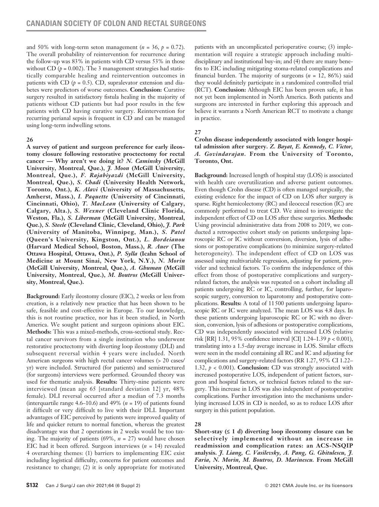and 50% with long-term seton management ( $n = 36$ ,  $p = 0.72$ ). The overall probability of reintervention for recurrence during the follow-up was 83% in patients with CD versus 53% in those without CD  $(p = 0.002)$ . The 3 management strategies had statistically comparable healing and reintervention outcomes in patients with CD  $(p = 0.5)$ . CD, supralevator extension and diabetes were predictors of worse outcomes. **Conclusion:** Curative surgery resulted in satisfactory fistula healing in the majority of patients without CD patients but had poor results in the few patients with CD having curative surgery. Reintervention for recurring perianal sepsis is frequent in CD and can be managed using long-term indwelling setons.

### **26**

**A survey of patient and surgeon preference for early ileostomy closure following restorative proctectomy for rectal cancer — Why aren't we doing it?** *N. Caminsky* **(McGill University, Montreal, Que.),** *J. Moon* **(McGill University, Montreal, Que.),** *F. Rajabiyazdi* **(McGill University, Montreal, Que.),** *S. Chadi* **(University Health Network, Toronto, Ont.),** *K. Alavi* **(University of Massachusetts, Amherst, Mass.),** *I. Paquette* **(University of Cincinnati, Cincinnati, Ohio),** *T. MacLean* **(University of Calgary, Calgary, Alta.),** *S. Wexner* **(Cleveland Clinic Florida, Weston, Fla.),** *S. Liberman* **(McGill University, Montreal, Que.),** *S. Steele* **(Cleveland Clinic, Cleveland, Ohio),** *J. Park* **(University of Manitoba, Winnipeg, Man.),** *S. Patel* **(Queen's University, Kingston, Ont.),** *L. Bordeianou*  **(Harvard Medical School, Boston, Mass.),** *R. Auer* **(The Ottawa Hospital, Ottawa, Ont.),** *P. Sylla* **(Icahn School of Medicine at Mount Sinai, New York, N.Y.),** *N. Morin* **(McGill University, Montreal, Que.),** *A. Ghuman* **(McGill University, Montreal, Que.),** *M. Boutros* **(McGill University, Montreal, Que.).** 

**Background:** Early ileostomy closure (EIC), 2 weeks or less from creation, is a relatively new practice that has been shown to be safe, feasible and cost-effective in Europe. To our knowledge, this is not routine practice, nor has it been studied, in North America. We sought patient and surgeon opinions about EIC. **Methods:** This was a mixed-methods, cross-sectional study. Rectal cancer survivors from a single institution who underwent restorative proctectomy with diverting loop ileostomy (DLI) and subsequent reversal within 4 years were included. North American surgeons with high rectal cancer volumes (> 20 cases/ yr) were included. Structured (for patients) and semistructured (for surgeons) interviews were performed. Grounded theory was used for thematic analysis. **Results:** Thirty-nine patients were interviewed (mean age 65 [standard deviation 12] yr, 48% female). DLI reversal occurred after a median of 7.3 months (interquartile range 4.6–10.6) and 49% ( $n = 19$ ) of patients found it difficult or very difficult to live with their DLI. Important advantages of EIC perceived by patients were improved quality of life and quicker return to normal function, whereas the greatest disadvantage was that 2 operations in 2 weeks would be too taxing. The majority of patients (69%, *n* = 27) would have chosen EIC had it been offered. Surgeon interviews (*n* = 14) revealed 4 overarching themes: (1) barriers to implementing EIC exist including logistical difficulty, concerns for patient outcomes and resistance to change; (2) it is only appropriate for motivated patients with an uncomplicated perioperative course; (3) implementation will require a strategic approach including multidisciplinary and institutional buy-in; and (4) there are many benefits to EIC including mitigating stoma-related complications and financial burden. The majority of surgeons (*n* = 12, 86%) said they would definitely participate in a randomized controlled trial (RCT). **Conclusion:** Although EIC has been proven safe, it has not yet been implemented in North America. Both patients and surgeons are interested in further exploring this approach and believe it warrants a North American RCT to motivate a change in practice.

#### **27**

### **Crohn disease independently associated with longer hospital admission after surgery.** *Z. Bayat, E. Kennedy, C. Victor, A. Govindarajan.* **From the University of Toronto, Toronto, Ont.**

**Background:** Increased length of hospital stay (LOS) is associated with health care overutilization and adverse patient outcomes. Even though Crohn disease (CD) is often managed surgically, the existing evidence for the impact of CD on LOS after surgery is sparse. Right hemicolectomy (RC) and ileocecal resection (IC) are commonly performed to treat CD. We aimed to investigate the independent effect of CD on LOS after these surgeries. **Methods:** Using provincial administrative data from 2008 to 2019, we conducted a retrospective cohort study on patients undergoing laparoscopic RC or IC without conversion, diversion, lysis of adhesions or postoperative complications (to minimize surgery-related heterogeneity). The independent effect of CD on LOS was assessed using multivariable regression, adjusting for patient, provider and technical factors. To confirm the independence of this effect from those of postoperative complications and surgeryrelated factors, the analysis was repeated on a cohort including all patients undergoing RC or IC, controlling, further, for laparoscopic surgery, conversion to laparotomy and postoperative complications. **Results:** A total of 11500 patients undergoing laparoscopic RC or IC were analyzed. The mean LOS was 4.8 days. In these patients undergoing laparoscopic RC or IC with no diversion, conversion, lysis of adhesions or postoperative complications, CD was independently associated with increased LOS (relative risk [RR] 1.31, 95% confidence interval [CI] 1.24–1.39 *p* < 0.001), translating into a 1.5-day average increase in LOS. Similar effects were seen in the model containing all RC and IC and adjusting for complications and surgery-related factors (RR 1.27, 95% CI 1.22– 1.32, *p* < 0.001). **Conclusion:** CD was strongly associated with increased postoperative LOS, independent of patient factors, surgeon and hospital factors, or technical factors related to the surgery. This increase in LOS was also independent of postoperative complications. Further investigation into the mechanisms underlying increased LOS in CD is needed, so as to reduce LOS after surgery in this patient population.

## **28**

**Short-stay (≤ 1 d) diverting loop ileostomy closure can be selectively implemented without an increase in readmission and complication rates: an ACS-NSQIP analysis.** *J. Liang, C. Vasilevsky, A. Pang, G. Ghitulescu, J. Faria, N. Morin, M. Boutros, D. Marinescu.* **From McGill University, Montreal, Que.**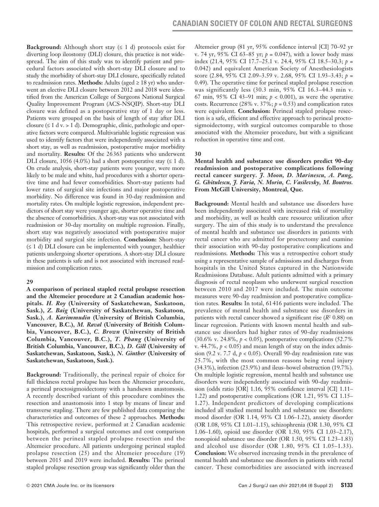**Background:** Although short stay  $(≤ 1 d)$  protocols exist for diverting loop ileostomy (DLI) closure, this practice is not widespread. The aim of this study was to identify patient and procedural factors associated with short-stay DLI closure and to study the morbidity of short-stay DLI closure, specifically related to readmission rates. **Methods:** Adults (aged ≥ 18 yr) who underwent an elective DLI closure between 2012 and 2018 were identified from the American College of Surgeons National Surgical Quality Improvement Program (ACS-NSQIP). Short-stay DLI closure was defined as a postoperative stay of 1 day or less. Patients were grouped on the basis of length of stay after DLI closure ( $\leq 1$  d v. > 1 d). Demographic, clinic, pathologic and operative factors were compared. Multivariable logistic regression was used to identify factors that were independently associated with a short stay, as well as readmission, postoperative major morbidity and mortality. **Results:** Of the 26363 patients who underwent DLI closure, 1056 (4.0%) had a short postoperative stay  $(≤ 1 d)$ . On crude analysis, short-stay patients were younger, were more likely to be male and white, had procedures with a shorter operative time and had fewer comorbidities. Short-stay patients had lower rates of surgical site infections and major postoperative morbidity. No difference was found in 30-day readmission and mortality rates. On multiple logistic regression, independent predictors of short stay were younger age, shorter operative time and the absence of comorbidities. A short-stay was not associated with readmission or 30-day mortality on multiple regression. Finally, short stay was negatively associated with postoperative major morbidity and surgical site infection. **Conclusion:** Short-stay  $(≤ 1 d) DLI closure can be implemented with younger, healthcare$ patients undergoing shorter operations. A short-stay DLI closure in these patients is safe and is not associated with increased readmission and complication rates.

#### **29**

**A comparison of perineal stapled rectal prolapse resection and the Altemeier procedure at 2 Canadian academic hospitals.** *H. Roy* **(University of Saskatchewan, Saskatoon, Sask.),** *Z. Baig* **(University of Saskatchewan, Saskatoon, Sask.),** *A. Karimmudin* **(University of British Columbia, Vancouver, B.C.),** *M. Raval* **(University of British Columbia, Vancouver, B.C.),** *C. Brown* **(University of British Columbia, Vancouver, B.C.),** *T. Phang* **(University of British Columbia, Vancouver, B.C.),** *D. Gill* **(University of Saskatchewan, Saskatoon, Sask.),** *N. Ginther* **(University of Saskatchewan, Saskatoon, Sask.).**

**Background:** Traditionally, the perineal repair of choice for full thickness rectal prolapse has been the Altemeier procedure, a perineal proctosigmoidectomy with a handsewn anastomosis. A recently described variant of this procedure combines the resection and anastomosis into 1 step by means of linear and transverse stapling. There are few published data comparing the characteristics and outcomes of these 2 approaches. **Methods:** This retrospective review, performed at 2 Canadian academic hospitals, performed a surgical outcomes and cost comparison between the perineal stapled prolapse resection and the Altemeier procedure. All patients undergoing perineal stapled prolapse resection (25) and the Altemeier procedure (19) between 2015 and 2019 were included. **Results:** The perineal stapled prolapse resection group was significantly older than the Altemeier group (81 yr, 95% confidence interval [CI] 70–92 yr v. 74 yr, 95% CI 63–85 yr; *p* = 0.047), with a lower body mass index (21.4, 95% CI 17.7–25.1 v. 24.4, 95% CI 18.5–30.3; *p* = 0.042) and equivalent American Society of Anesthesiologists score (2.84, 95% CI 2.09–3.59 v. 2.68, 95% CI 1.93–3.43; *p* = 0.49). The operative time for perineal stapled prolapse resection was significantly less (30.3 min, 95% CI 16.3–44.3 min v. 67 min, 95% CI 43–91 min; *p* < 0.001), as were the operative costs. Recurrence (28% v. 37%;  $p = 0.53$ ) and complication rates were equivalent. **Conclusion:** Perineal stapled prolapse resection is a safe, efficient and effective approach to perineal proctosigmoidectomy, with surgical outcomes comparable to those associated with the Altemeier procedure, but with a significant reduction in operative time and cost.

### **30**

**Mental health and substance use disorders predict 90-day readmission and postoperative complications following rectal cancer surgery.** *J. Moon, D. Marinescu, A. Pang, G. Ghitulescu, J. Faria, N. Morin, C. Vasilevsky, M. Boutros.*  **From McGill University, Montreal, Que.**

**Background:** Mental health and substance use disorders have been independently associated with increased risk of mortality and morbidity, as well as health care resource utilization after surgery. The aim of this study is to understand the prevalence of mental health and substance use disorders in patients with rectal cancer who are admitted for proctectomy and examine their association with 90-day postoperative complications and readmissions. **Methods:** This was a retrospective cohort study using a representative sample of admissions and discharges from hospitals in the United States captured in the Nationwide Readmissions Database. Adult patients admitted with a primary diagnosis of rectal neoplasm who underwent surgical resection between 2010 and 2017 were included. The main outcome measures were 90-day readmission and postoperative complication rates. **Results:** In total, 61416 patients were included. The prevalence of mental health and substance use disorders in patients with rectal cancer showed a significant rise  $(R<sup>2</sup> 0.88)$  on linear regression. Patients with known mental health and substance use disorders had higher rates of 90-day readmissions (30.6% v. 24.8%, *p* < 0.05), postoperative complications (52.7% v.  $44.7\%$ ,  $p < 0.05$ ) and mean length of stay on the index admission (9.2 v. 7.7 d, *p* < 0.05). Overall 90-day readmission rate was 25.7%, with the most common reasons being renal injury (34.3%), infection (23.9%) and ileus–bowel obstruction (19.7%). On multiple logistic regression, mental health and substance use disorders were independently associated with 90-day readmission (odds ratio [OR] 1.16, 95% confidence interval [CI] 1.11– 1.22) and postoperative complications (OR 1.21, 95% CI 1.15– 1.27). Independent predictors of developing complications included all studied mental health and substance use disorders: mood disorder (OR 1.14, 95% CI 1.06–1.22), anxiety disorder (OR 1.08, 95% CI 1.01–1.15), schizophrenia (OR 1.30, 95% CI 1.06–1.60), opioid use disorder (OR 1.50, 95% CI 1.03–2.17), nonopioid substance use disorder (OR 1.50, 95% CI 1.23–1.83) and alcohol use disorder (OR 1.80, 95% CI 1.05–1.33). **Conclusion:** We observed increasing trends in the prevalence of mental health and substance use disorders in patients with rectal cancer. These comorbidities are associated with increased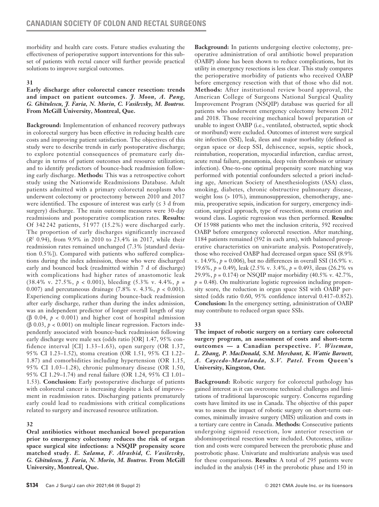morbidity and health care costs. Future studies evaluating the effectiveness of perioperative support interventions for this subset of patients with rectal cancer will further provide practical solutions to improve surgical outcomes.

### **31**

#### **Early discharge after colorectal cancer resection: trends and impact on patient outcomes.** *J. Moon, A. Pang, G. Ghitulescu, J. Faria, N. Morin, C. Vasilevsky, M. Boutros.* **From McGill University, Montreal, Que.**

**Background:** Implementation of enhanced recovery pathways in colorectal surgery has been effective in reducing health care costs and improving patient satisfaction. The objectives of this study were to describe trends in early postoperative discharge; to explore potential consequences of premature early discharge in terms of patient outcomes and resource utilization; and to identify predictors of bounce-back readmission following early discharge. **Methods:** This was a retrospective cohort study using the Nationwide Readmissions Database. Adult patients admitted with a primary colorectal neoplasm who underwent colectomy or proctectomy between 2010 and 2017 were identified. The exposure of interest was early  $( \leq 3 \text{ d from})$ surgery) discharge. The main outcome measures were 30-day readmissions and postoperative complication rates. **Results:** Of 342 242 patients, 51 977 (15.2%) were discharged early. The proportion of early discharges significantly increased (*R*<sup>2</sup> 0.94), from 9.9% in 2010 to 23.4% in 2017, while their readmission rates remained unchanged (7.3% [standard deviation 0.5%]). Compared with patients who suffered complications during the index admission, those who were discharged early and bounced back (readmitted within 7 d of discharge) with complications had higher rates of anastomotic leak (38.4% v. 27.5%, *p* < 0.001), bleeding (5.3% v. 4.4%, *p* = 0.007) and percutaneous drainage (7.8% v. 4.3%, *p* < 0.001). Experiencing complications during bounce-back readmission after early discharge, rather than during the index admission, was an independent predictor of longer overall length of stay (β 0.04, *p* < 0.001) and higher cost of hospital admission (β 0.03, *p* < 0.001) on multiple linear regression. Factors independently associated with bounce-back readmission following early discharge were male sex (odds ratio [OR] 1.47, 95% confidence interval [CI] 1.33–1.63), open surgery (OR 1.37, 95% CI 1.23–1.52), stoma creation (OR 1.51, 95% CI 1.22– 1.87) and comorbidities including hypertension (OR 1.15, 95% CI 1.03–1.28), chronic pulmonary disease (OR 1.50, 95% CI 1.29–1.74) and renal failure (OR 1.24, 95% CI 1.01– 1.53). **Conclusion:** Early postoperative discharge of patients with colorectal cancer is increasing despite a lack of improvement in readmission rates. Discharging patients prematurely early could lead to readmissions with critical complications related to surgery and increased resource utilization.

## **32**

**Oral antibiotics without mechanical bowel preparation prior to emergency colectomy reduces the risk of organ space surgical site infections: a NSQIP propensity score matched study.** *E. Salama, F. Alrashid, C. Vasilevsky, G. Ghitulescu, J. Faria, N. Morin, M. Boutros.* **From McGill University, Montreal, Que.**

**Background:** In patients undergoing elective colectomy, preoperative administration of oral antibiotic bowel preparation (OABP) alone has been shown to reduce complications, but its utility in emergency resections is less clear. This study compares the perioperative morbidity of patients who received OABP before emergency resection with that of those who did not. **Methods:** After institutional review board approval, the American College of Surgeons National Surgical Quality Improvement Program (NSQIP) database was queried for all patients who underwent emergency colectomy between 2012 and 2018. Those receiving mechanical bowel preparation or unable to ingest OABP (i.e., ventilated, obstructed, septic shock or moribund) were excluded. Outcomes of interest were surgical site infection (SSI), leak, ileus and major morbidity (defined as organ space or deep SSI, dehiscence, sepsis, septic shock, reintubation, reoperation, myocardial infarction, cardiac arrest, acute renal failure, pneumonia, deep vein thrombosis or urinary infection). One-to-one optimal propensity score matching was performed with potential confounders selected a priori including age, American Society of Anesthesiologists (ASA) class, smoking, diabetes, chronic obstructive pulmonary disease, weight loss (> 10%), immunosuppression, chemotherapy, anemia, preoperative sepsis, indication for surgery, emergency indication, surgical approach, type of resection, stoma creation and wound class. Logistic regression was then performed. **Results:** Of 15988 patients who met the inclusion criteria, 592 received OABP before emergency colorectal resection. After matching, 1184 patients remained (592 in each arm), with balanced preoperative characteristics on univariate analysis. Postoperatively, those who received OABP had decreased organ space SSI (8.9% v. 14.9%,  $p = 0.006$ ), but no differences in overall SSI (16.9% v. 19.6%, *p* = 0.49), leak (2.5% v. 3.4%, *p* = 0.493, ileus (26.2% vs 29.9%, *p* = 0.174) or NSQIP major morbidity (40.5% v. 42.7%,  $p = 0.48$ ). On multivariate logistic regression including propensity score, the reduction in organ space SSI with OABP persisted (odds ratio 0.60, 95% confidence interval 0.417–0.852). **Conclusion:** In the emergency setting, administration of OABP may contribute to reduced organ space SSIs.

## **33**

**The impact of robotic surgery on a tertiary care colorectal surgery program, an assessment of costs and short-term outcomes — a Canadian perspective.** *V. Wiseman, L. Zhang, P. MacDonald, S.M. Merchant, K. Wattie Barnett, A. Caycedo-Marulanda, S.V. Patel.* **From Queen's University, Kingston, Ont.**

**Background:** Robotic surgery for colorectal pathology has gained interest as it can overcome technical challenges and limitations of traditional laparoscopic surgery. Concerns regarding costs have limited its use in Canada. The objective of this paper was to assess the impact of robotic surgery on short-term outcomes, minimally invasive surgery (MIS) utilization and costs in a tertiary care centre in Canada. **Methods:** Consecutive patients undergoing sigmoid resection, low anterior resection or abdominoperineal resection were included. Outcomes, utilization and costs were compared between the prerobotic phase and postrobotic phase. Univariate and multivariate analysis was used for these comparisons. **Results:** A total of 295 patients were included in the analysis (145 in the prerobotic phase and 150 in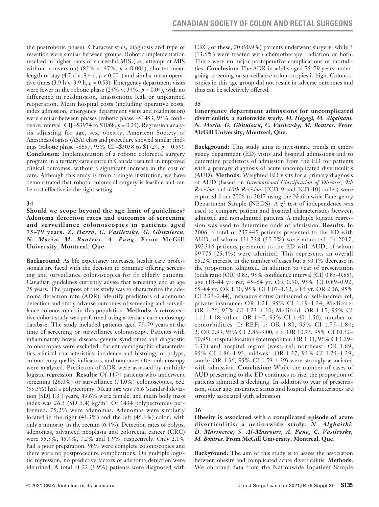the postrobotic phase). Characteristics, diagnosis and type of resection were similar between groups. Robotic implementation resulted in higher rates of successful MIS (i.e., attempt at MIS without conversion) (85% v. 47%, *p* < 0.001), shorter mean length of stay  $(4.7 \text{ d v. } 8.4 \text{ d}, p < 0.001)$  and similar mean operative times (3.9 h v. 3.9 h,  $p = 0.93$ ). Emergency department visits were fewer in the robotic phase  $(24\% \text{ v. } 34\%, p = 0.04)$ , with no difference in readmission, anastomotic leak or unplanned reoperation. Mean hospital costs (including operative costs, index admission, emergency department visits and readmission) were similar between phases (robotic phase –\$1453, 95% confidence interval [CI] –\$3974 to \$1068, *p* = 0.25). Regression analysis adjusting for age, sex, obesity, American Society of Anesthesiologists (ASA) class and procedure showed similar findings (robotic phase –\$657, 95% CI –\$3038 to \$1724, *p* = 0.59). **Conclusion:** Implementation of a robotic colorectal surgery program in a tertiary care centre in Canada resulted in improved clinical outcomes, without a significant increase in the cost of care. Although this study is from a single institution, we have demonstrated that robotic colorectal surgery is feasible and can be cost effective in the right setting.

## **34**

**Should we scope beyond the age limit of guidelines? Adenoma detection rates and outcomes of screening and surveillance colonoscopies in patients aged 75–79 years.** *Z. Harra, C. Vasilevsky, G. Ghitulescu, N. Morin, M. Boutros, A. Pang.* **From McGill University, Montreal, Que.**

**Background:** As life expectancy increases, health care professionals are faced with the decision to continue offering screening and surveillance colonoscopies for fit elderly patients. Canadian guidelines currently advise that screening end at age 75 years. The purpose of this study was to characterize the adenoma detection rate (ADR), identify predictors of adenoma detection and study adverse outcomes of screening and surveillance colonoscopies in this population. **Methods:** A retrospective cohort study was performed using a tertiary care endoscopy database. The study included patients aged 75–79 years at the time of screening or surveillance colonoscopy. Patients with inflammatory bowel disease, genetic syndromes and diagnostic colonoscopies were excluded. Patient demographic characteristics, clinical characteristics, incidence and histology of polyps, colonoscopy quality indicators, and outcomes after colonoscopy were analyzed. Predictors of ADR were assessed by multiple logistic regression. **Results:** Of 1174 patients who underwent screening (26.0%) or surveillance (74.0%) colonoscopies, 652 (55.5%) had a polypectomy. Mean age was 76.6 (standard deviation [SD] 1.3 ) years, 49.6% were female, and mean body mass index was 26.5 (SD 5.4) kg/m2 . Of 1434 polypectomies performed, 75.2% were adenomas. Adenomas were similarly located in the right (43.3%) and the left (46.3%) colon, with only a minority in the rectum (6.4%). Detection rates of polyps, adenomas, advanced neoplasia and colorectal cancer (CRC) were 55.5%, 45.4%, 7.2% and 1.9%, respectively. Only 2.1% had a poor preparation, 98% were complete colonoscopies and there were no postprocedure complications. On multiple logistic regression, no predictive factors of adenoma detection were identified. A total of 22 (1.9%) patients were diagnosed with

CRC; of these, 20 (90.9%) patients underwent surgery, while 3 (13.6%) were treated with chemotherapy, radiation or both. There were no major postoperative complications or mortalities. **Conclusion:** The ADR in adults aged 75–79 years undergoing screening or surveillance colonoscopies is high. Colonoscopies in this age group did not result in adverse outcomes and thus can be selectively offered.

### **35**

#### **Emergency department admissions for uncomplicated diverticulitis: a nationwide study.** *M. Hegagi, M. Alqahtani, N. Morin, G. Ghitulescu, C. Vasilevsky, M. Boutros.* **From McGill University, Montreal, Que.**

**Background:** This study aims to investigate trends in emergency department (ED) visits and hospital admissions and to determine predictors of admission from the ED for patients with a primary diagnosis of acute uncomplicated diverticulitis (AUD). **Methods:** Weighted ED visits for a primary diagnosis of AUD (based on *International Classification of Diseases, 9th Revision* and *10th Revision,* [ICD-9 and ICD-10] codes) were captured from 2006 to 2017 using the Nationwide Emergency Department Sample (NEDS). A  $\chi^2$  test of independence was used to compare patient and hospital characteristics between admitted and nonadmitted patients. A multiple logistic regression was used to determine odds of admission. **Results:** In 2006, a total of 237 445 patients presented to the ED with AUD, of whom 131 758 (55.5%) were admitted. In 2017, 392 316 patients presented to the ED with AUD, of whom 99 775 (25.4%) were admitted. This represents an overall 65.2% increase in the number of cases but a 30.1% decrease in the proportion admitted. In addition to year of presentation (odds ratio [OR] 0.85, 95% confidence interval [CI] 0.85–0.85), age (18–44 yr: ref; 45–64 yr: OR 0.90, 95% CI 0.89–0.92; 65–84 yr: OR 1.10, 95% CI 1.07–1.12; > 85 yr: OR 2.36, 95% CI 2.23–2.44), insurance status (uninsured or self-insured: ref; private insurance: OR 1.21, 95% CI 1.19–1.24; Medicare: OR 1.26, 95% CI 1.23–1.30; Medicaid: OR 1.15, 95% CI 1.11–1.18; other: OR 1.45, 95% CI 1.40–1.50), number of comorbidities (0: REF; 1: OR 1.80, 95% CI 1.75–1.84; 2: OR 2.93, 95% CI 2.86–3.00; ≥ 3: OR 10.73, 95% CI 10.52– 10.95), hospital location (metropolitan: OR 1.31, 95% CI 1.29– 1.33) and hospital region (west: ref; northeast: OR 1.89, 95% CI 1.86–1.93; midwest: OR 1.27, 95% CI 1.25–1.29; south: OR 1.36, 95% CI 1.59–1.39) were strongly associated with admission. **Conclusion:** While the number of cases of AUD presenting to the ED continues to rise, the proportion of patients admitted is declining. In addition to year of presentation, older age, insurance status and hospital characteristics are strongly associated with admission.

## **36**

**Obesity is associated with a complicated episode of acute diverticulitis: a nationwide study.** *N. Alghaithi, D. Marinescu, S. Al-Masrouri, A. Pang, C. Vasilevsky, M. Boutros.* **From McGill University, Montreal, Que.**

**Background:** The aim of this study is to assess the association between obesity and complicated acute diverticulitis. **Methods:**  We obtained data from the Nationwide Inpatient Sample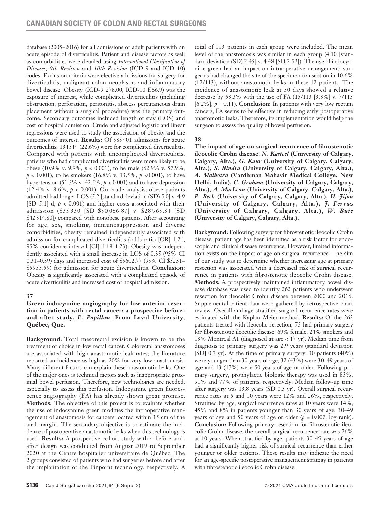database (2005–2016) for all admissions of adult patients with an acute episode of diverticulitis. Patient and disease factors as well as comorbidities were detailed using *International Classification of Diseases, 9th Revision* and *10th Revision* (ICD-9 and ICD-10) codes. Exclusion criteria were elective admissions for surgery for diverticulitis, malignant colon neoplasms and inflammatory bowel disease. Obesity (ICD-9 278.00, ICD-10 E66.9) was the exposure of interest, while complicated diverticulitis (including obstruction, perforation, peritonitis, abscess percutaneous drain placement without a surgical procedure) was the primary outcome. Secondary outcomes included length of stay (LOS) and cost of hospital admission. Crude and adjusted logistic and linear regressions were used to study the association of obesity and the outcomes of interest. **Results:** Of 585401 admissions for acute diverticulitis, 134314 (22.6%) were for complicated diverticulitis. Compared with patients with uncomplicated diverticulitis, patients who had complicated diverticulitis were more likely to be obese (10.9% v. 9.9%, *p* < 0.001), to be male (62.9% v. 57.9%,  $p < 0.001$ ), to be smokers (16.8% v. 13.5%,  $p < 0.001$ ), to have hypertension (51.5% v. 42.5%,  $p < 0.001$ ) and to have depression (12.4% v. 8.6%,  $p < 0.001$ ). On crude analysis, obese patients admitted had longer LOS (5.2 [standard deviation (SD) 5.0] v. 4.9 [SD 5.1] d, *p* < 0.001) and higher costs associated with their admission (\$35 330 [SD \$50 066.87] v. \$28 965.34 [SD \$42314.80]) compared with nonobese patients. After accounting for age, sex, smoking, immunosuppression and diverse comorbidities, obesity remained independently associated with admission for complicated diverticulitis (odds ratio [OR] 1.21, 95% confidence interval [CI] 1.18–1.23). Obesity was independently associated with a small increase in LOS of 0.35 (95% CI 0.31–0.39) days and increased cost of \$5602.77 (95% CI \$5251– \$5953.59) for admission for acute diverticulitis. **Conclusion:**  Obesity is significantly associated with a complicated episode of acute diverticulitis and increased cost of hospital admission.

## **37**

#### **Green indocyanine angiography for low anterior resection in patients with rectal cancer: a prospective beforeand-after study.** *E. Papillon.* **From Laval University, Québec, Que.**

**Background:** Total mesorectal excision is known to be the treatment of choice in low rectal cancer. Colorectal anastomoses are associated with high anastomotic leak rates; the literature reported an incidence as high as 20% for very low anastomosis. Many different factors can explain these anastomotic leaks. One of the major ones is technical factors such as inappropriate proximal bowel perfusion. Therefore, new technologies are needed, especially to assess this perfusion. Indocyanine green fluorescence angiography (FA) has already shown great promise. **Methods:** The objective of this project is to evaluate whether the use of indocyanine green modifies the intraoperative management of anastomosis for cancers located within 15 cm of the anal margin. The secondary objective is to estimate the incidence of postoperative anastomotic leaks when this technology is used. **Results:** A prospective cohort study with a before-andafter design was conducted from August 2019 to September 2020 at the Centre hospitalier universitaire de Québec. The 2 groups consisted of patients who had surgeries before and after the implantation of the Pinpoint technology, respectively. A total of 113 patients in each group were included. The mean level of the anastomosis was similar in each group (4.10 [standard deviation (SD) 2.45] v. 4.48 [SD 2.52]). The use of indocyanine green had an impact on intraoperative management; surgeons had changed the site of the specimen transection in 10.6% (12/113), without anastomotic leaks in these 12 patients. The incidence of anastomotic leak at 30 days showed a relative decrease by 53.3% with the use of FA (15/113 [3.3%] v. 7/113 [6.2%],  $p = 0.11$ ]. **Conclusion:** In patients with very low rectum cancers, FA seems to be effective in reducing early postoperative anastomotic leaks. Therefore, its implementation would help the surgeon to assess the quality of bowel perfusion.

## **38**

**The impact of age on surgical recurrence of fibrostenotic ileocolic Crohn disease.** *N. Kasteel* **(University of Calgary, Calgary, Alta.),** *G. Kaur* **(University of Calgary, Calgary, Alta.),** *S. Bindra* **(University of Calgary, Calgary, Alta.),**  *A. Malhotra* **(Vardhman Mahavir Medical College, New Delhi, India),** *C. Graham* **(University of Calgary, Calgary, Alta.),** *A. MacLean* **(University of Calgary, Calgary, Alta.),**  *P. Beck* **(University of Calgary, Calgary, Alta.),** *H. Jijon*  **(University of Calgary, Calgary, Alta.),** *J. Ferraz* **(University of Calgary, Calgary, Alta.),** *W. Buie* **(University of Calgary, Calgary, Alta.).**

**Background:** Following surgery for fibrostenotic ileocolic Crohn disease, patient age has been identified as a risk factor for endoscopic and clinical disease recurrence. However, limited information exists on the impact of age on surgical recurrence. The aim of our study was to determine whether increasing age at primary resection was associated with a decreased risk of surgical recurrence in patients with fibrostenotic ileocolic Crohn disease. **Methods:** A prospectively maintained inflammatory bowel disease database was used to identify 262 patients who underwent resection for ileocolic Crohn disease between 2000 and 2016. Supplemental patient data were gathered by retrospective chart review. Overall and age-stratified surgical recurrence rates were estimated with the Kaplan–Meier method. **Results:** Of the 262 patients treated with ileocolic resection, 75 had primary surgery for fibrostenotic ileocolic disease: 69% female, 24% smokers and 13% Montreal A1 (diagnosed at age < 17 yr). Median time from diagnosis to primary surgery was 2.9 years (standard deviation [SD] 0.7 yr). At the time of primary surgery, 30 patients (40%) were younger than 30 years of age, 32 (43%) were 30–49 years of age and 13 (17%) were 50 years of age or older. Following primary surgery, prophylactic biologic therapy was used in 83%, 91% and 77% of patients, respectively. Median follow-up time after surgery was 13.8 years (SD 0.5 yr). Overall surgical recurrence rates at 5 and 10 years were 12% and 26%, respectively. Stratified by age, surgical recurrence rates at 10 years were 14%, 45% and 8% in patients younger than 30 years of age, 30–49 years of age and 50 years of age or older  $(p = 0.007, \log \text{rank})$ . **Conclusion:** Following primary resection for fibrostenotic ileocolic Crohn disease, the overall surgical recurrence rate was 26% at 10 years. When stratified by age, patients 30–49 years of age had a significantly higher risk of surgical recurrence than either younger or older patients. These results may indicate the need for an age-specific postoperative management strategy in patients with fibrostenotic ileocolic Crohn disease.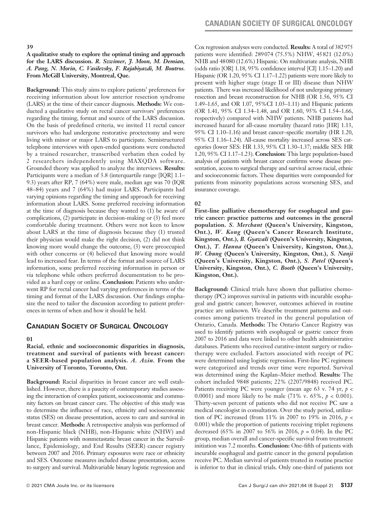**A qualitative study to explore the optimal timing and approach for the LARS discussion.** *R. Szwimer, J. Moon, M. Demian, A. Pang, N. Morin, C. Vasilevsky, F. Rajabiyazdi, M. Boutros.*  **From McGill University, Montreal, Que.**

**Background:** This study aims to explore patients' preferences for receiving information about low anterior resection syndrome (LARS) at the time of their cancer diagnosis. **Methods:** We conducted a qualitative study on rectal cancer survivors' preferences regarding the timing, format and source of the LARS discussion. On the basis of predefined criteria, we invited 11 rectal cancer survivors who had undergone restorative proctectomy and were living with minor or major LARS to participate. Semistructured telephone interviews with open-ended questions were conducted by a trained researcher, transcribed verbatim then coded by 2 researchers independently using MAXQDA software. Grounded theory was applied to analyze the interviews. **Results:**  Participants were a median of 3.8 (interquartile range [IQR] 1.1– 9.3) years after RP, 7 (64%) were male, median age was 70 (IQR 48–84) years and 7 (64%) had major LARS. Participants had varying opinions regarding the timing and approach for receiving information about LARS. Some preferred receiving information at the time of diagnosis because they wanted to (1) be aware of complications, (2) participate in decision-making or (3) feel more comfortable during treatment. Others were not keen to know about LARS at the time of diagnosis because they (1) trusted their physician would make the right decision, (2) did not think knowing more would change the outcome, (3) were preoccupied with other concerns or (4) believed that knowing more would lead to increased fear. In terms of the format and source of LARS information, some preferred receiving information in person or via telephone while others preferred documentation to be provided as a hard copy or online. **Conclusion:** Patients who underwent RP for rectal cancer had varying preferences in terms of the timing and format of the LARS discussion. Our findings emphasize the need to tailor the discussion according to patient preferences in terms of when and how it should be held.

## **Canadian Society of Surgical Oncology**

## **01**

#### **Racial, ethnic and socioeconomic disparities in diagnosis, treatment and survival of patients with breast cancer: a SEER-based population analysis.** *A. Azin.* **From the University of Toronto, Toronto, Ont.**

**Background:** Racial disparities in breast cancer are well established. However, there is a paucity of contemporary studies assessing the interaction of complex patient, socioeconomic and community factors on breast cancer care. The objective of this study was to determine the influence of race, ethnicity and socioeconomic status (SES) on disease presentation, access to care and survival in breast cancer. **Methods:** A retrospective analysis was performed of non-Hispanic black (NHB), non-Hispanic white (NHW) and Hispanic patients with nonmetastatic breast cancer in the Surveillance, Epidemiology, and End Results (SEER) cancer registry between 2007 and 2016. Primary exposures were race or ethnicity and SES. Outcome measures included disease presentation, access to surgery and survival. Multivariable binary logistic regression and Cox regression analyses were conducted. **Results:** A total of 382975 patients were identified: 289074 (75.5%) NHW, 45821 (12.0%) NHB and 48080 (12.6%) Hispanic. On multivariate analysis, NHB (odds ratio [OR] 1.18, 95% confidence interval [CI] 1.15–1.20) and Hispanic (OR 1.20, 95% CI 1.17–1.22) patients were more likely to present with higher stage (stage II or III) disease than NHW patients. There was increased likelihood of not undergoing primary resection and breast reconstruction for NHB (OR 1.56, 95% CI 1.49–1.65, and OR 1.07, 95%CI 1.03–1.11) and Hispanic patients (OR 1.41, 95% CI 1.34–1.48, and OR 1.60, 95% CI 1.54–1.66, respectively) compared with NHW patients. NHB patients had increased hazard for all-cause mortality (hazard ratio [HR] 1.13, 95% CI 1.10–1.16) and breast cancer–specific mortality (HR 1.20, 95% CI 1.16–1.24). All-cause mortality increased across SES categories (lower SES: HR 1.33, 95% CI 1.30–1.37; middle SES: HR 1.20, 95% CI 1.17–1.23). **Conclusion:** This large population-based analysis of patients with breast cancer confirms worse disease presentation, access to surgical therapy and survival across racial, ethnic and socioeconomic factors. These disparities were compounded for patients from minority populations across worsening SES, and insurance coverage.

#### **02**

**First-line palliative chemotherapy for esophageal and gastric cancer: practice patterns and outcomes in the general population.** *S. Merchant* **(Queen's University, Kingston, Ont.),** *W. Kong* **(Queen's Cancer Research Institute, Kingston, Ont.),** *B. Gyawali* **(Queen's University, Kingston, Ont.),** *T. Hanna* **(Queen's University, Kingston, Ont.),**  *W. Chung* **(Queen's University, Kingston, Ont.),** *S. Nanji*  **(Queen's University, Kingston, Ont.),** *S. Patel* **(Queen's University, Kingston, Ont.),** *C. Booth* **(Queen's University, Kingston, Ont.).**

**Background:** Clinical trials have shown that palliative chemotherapy (PC) improves survival in patients with incurable esophageal and gastric cancer; however, outcomes achieved in routine practice are unknown. We describe treatment patterns and outcomes among patients treated in the general population of Ontario, Canada. **Methods:** The Ontario Cancer Registry was used to identify patients with esophageal or gastric cancer from 2007 to 2016 and data were linked to other health administrative databases. Patients who received curative-intent surgery or radiotherapy were excluded. Factors associated with receipt of PC were determined using logistic regression. First-line PC regimens were categorized and trends over time were reported. Survival was determined using the Kaplan–Meier method. **Results:** The cohort included 9848 patients; 22% (2207/9848) received PC. Patients receiving PC were younger (mean age 63 v. 74 yr, *p* < 0.0001) and more likely to be male (71% v. 65%, *p* < 0.001). Thirty-seven percent of patients who did not receive PC saw a medical oncologist in consultation. Over the study period, utilization of PC increased (from 11% in 2007 to 19% in 2016, *p* < 0.001) while the proportion of patients receiving triplet regimens decreased (65% in 2007 to 56% in 2016, *p* = 0.04). In the PC group, median overall and cancer-specific survival from treatment initiation was 7.2 months. **Conclusion:** One-fifth of patients with incurable esophageal and gastric cancer in the general population receive PC. Median survival of patients treated in routine practice is inferior to that in clinical trials. Only one-third of patients not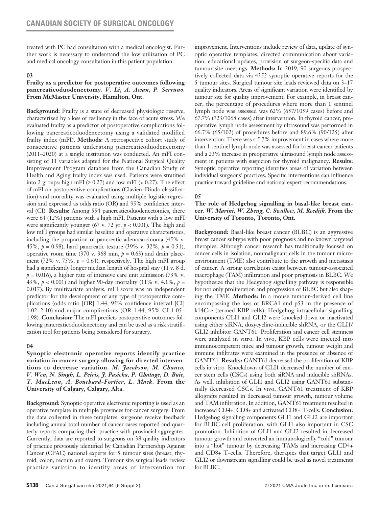treated with PC had consultation with a medical oncologist. Further work is necessary to understand the low utilization of PC and medical oncology consultation in this patient population.

### **03**

### **Frailty as a predictor for postoperative outcomes following pancreaticoduodenectomy.** *V. Li, A. Awan, P. Serrano.*  **From McMaster University, Hamilton, Ont.**

**Background:** Frailty is a state of decreased physiologic reserve, characterized by a loss of resiliency in the face of acute stress. We evaluated frailty as a predictor of postoperative complications following pancreaticoduodenectomy using a validated modified frailty index (mFI). **Methods:** A retrospective cohort study of consecutive patients undergoing pancreaticoduodenectomy (2011–2020) at a single institution was conducted. An mFI consisting of 11 variables adapted for the National Surgical Quality Improvement Program database from the Canadian Study of Health and Aging frailty index was used. Patients were stratified into 2 groups: high mFI ( $\geq 0.27$ ) and low mFI ( $\lt 0.27$ ). The effect of mFI on postoperative complications (Clavien–Dindo classification) and mortality was evaluated using multiple logistic regression and expressed as odds ratio (OR) and 95% confidence interval (CI). **Results:** Among 554 pancreaticoduodenectomies, there were 64 (12%) patients with a high mFI. Patients with a low mFI were significantly younger (67 v. 72 yr, *p* < 0.001). The high and low mFI groups had similar baseline and operative characteristics, including the proportion of pancreatic adenocarcinoma (45% v. 45%, *p* = 0.98), hard pancreatic texture (39% v. 32%, *p* = 0.51), operative room time (370 v. 368 min,  $p = 0.63$ ) and drain placement (72% v. 75%,  $p = 0.64$ ), respectively. The high mFI group had a significantly longer median length of hospital stay (11 v. 8 d,  $p = 0.016$ ), a higher rate of intensive care unit admission (73% v. 43%,  $p < 0.001$ ) and higher 90-day mortality (11% v. 4.1%,  $p =$ 0.017). By multivariate analysis, mFI score was an independent predictor for the development of any type of postoperative complications (odds ratio [OR] 1.44, 95% confidence interval [CI] 1.02–2.10) and major complications (OR 1.44, 95% CI 1.05– 1.98). **Conclusion:** The mFI predicts postoperative outcomes following pancreaticoduodenectomy and can be used as a risk stratification tool for patients being considered for surgery.

## **04**

**Synoptic electronic operative reports identify practice variation in cancer surgery allowing for directed interventions to decrease variation.** *M. Jacobson, M. Chanco, V. Wen, N. Singh, L. Peiris, J. Pasieka, P. Ghatage, D. Buie, T. MacLean, A. Bouchard-Fortier, L. Mack.* **From the University of Calgary, Calgary, Alta.**

**Background:** Synoptic operative electronic reporting is used as an operative template in multiple provinces for cancer surgery. From the data collected in these templates, surgeons receive feedback including annual total number of cancer cases reported and quarterly reports comparing their practice with provincial aggregates. Currently, data are reported to surgeons on 38 quality indicators of practice previously identified by Canadian Partnership Against Cancer (CPAC) national experts for 5 tumour sites (breast, thyroid, colon, rectum and ovary). Tumour site surgical leads review practice variation to identify areas of intervention for improvement. Interventions include review of data, update of synoptic operative templates, directed communication about variation, educational updates, provision of surgeon-specific data and tumour site meetings. **Methods:** In 2019, 90 surgeons prospectively collected data via 4352 synoptic operative reports for the 5 tumour sites. Surgical tumour site leads reviewed data on 3–17 quality indicators. Areas of significant variation were identified by tumour site for quality improvement. For example, in breast cancer, the percentage of procedures where more than 1 sentinel lymph node was assessed was 62% (657/1059 cases) before and 67.7% (723/1068 cases) after intervention. In thyroid cancer, preoperative lymph node assessment by ultrasound was performed in 66.7% (65/102) of procedures before and 89.6% (90/125) after intervention. There was a 5.7% improvement in cases where more than 1 sentinel lymph node was assessed for breast cancer patients and a 23% increase in preoperative ultrasound lymph node assessment in patients with suspicion for thyroid malignancy. **Results:** Synoptic operative reporting identifies areas of variation between individual surgeons' practices. Specific interventions can influence practice toward guideline and national expert recommendations.

## **05**

#### **The role of Hedgehog signalling in basal-like breast cancer.** *W. Marini, W. Zheng, C. Swallow, M. Reedijk.* **From the University of Toronto, Toronto, Ont.**

**Background:** Basal-like breast cancer (BLBC) is an aggressive breast cancer subtype with poor prognosis and no known targeted therapies. Although cancer research has traditionally focused on cancer cells in isolation, nonmalignant cells in the tumour microenvironment (TME) also contribute to the growth and metastasis of cancer. A strong correlation exists between tumour-associated macrophage (TAM) infiltration and poor prognosis in BLBC. We hypothesize that the Hedgehog signalling pathway is responsible for not only proliferation and progression of BLBC but also shaping the TME. **Methods:** In a mouse tumour-derived cell line encompassing the loss of BRCA1 and p53 in the presence of k14Cre (termed KBP cells), Hedgehog intracellular signalling components GLI1 and GLI2 were knocked down or inactivated using either siRNA, doxycycline-inducible shRNA, or the GLI1/ GLI2 inhibitor GANT61. Proliferation and cancer cell stemness were analyzed in vitro. In vivo, KBP cells were injected into immunocompetent mice and tumour growth, tumour weight and immune infiltrates were examined in the presence or absence of GANT61. **Results:** GANT61 decreased the proliferation of KBP cells in vitro. Knockdown of GLI1 decreased the number of cancer stem cells (CSCs) using both siRNA and inducible shRNAs. As well, inhibition of GLI1 and GLI2 using GANT61 substantially decreased CSCs. In vivo, GANT61 treatment of KBP allografts resulted in decreased tumour growth, tumour volume and TAM infiltration. In addition, GANT61 treatment resulted in increased CD4+, CD8+ and activated CD8+ T-cells. **Conclusion:** Hedgehog signalling components GLI1 and GLI2 are important for BLBC cell proliferation, with GLI1 also important in CSC promotion. Inhibition of GLI1 and GLI2 resulted in decreased tumour growth and converted an immunologically "cold" tumour into a "hot" tumour by decreasing TAMs and increasing CD4+ and CD8+ T-cells. Therefore, therapies that target GLI1 and GLI2 or downstream signalling could be used as novel treatments for BLBC.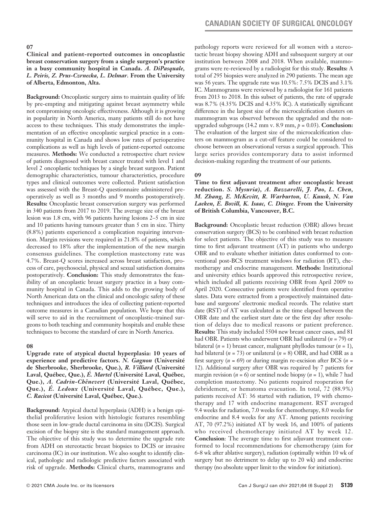#### **Clinical and patient-reported outcomes in oncoplastic breast conservation surgery from a single surgeon's practice in a busy community hospital in Canada.** *A. DiPasquale, L. Peiris, Z. Prus-Czrnecka, L. Delmar.* **From the University of Alberta, Edmonton, Alta.**

**Background:** Oncoplastic surgery aims to maintain quality of life by pre-empting and mitigating against breast asymmetry while not compromising oncologic effectiveness. Although it is growing in popularity in North America, many patients still do not have access to these techniques. This study demonstrates the implementation of an effective oncoplastic surgical practice in a community hospital in Canada and shows low rates of perioperative complications as well as high levels of patient-reported outcome measures. **Methods:** We conducted a retrospective chart review of patients diagnosed with breast cancer treated with level 1 and level 2 oncoplastic techniques by a single breast surgeon. Patient demographic characteristics, tumour characteristics, procedure types and clinical outcomes were collected. Patient satisfaction was assessed with the Breast-Q questionnaire administered preoperatively as well as 3 months and 9 months postoperatively. **Results:** Oncoplastic breast conservation surgery was performed in 340 patients from 2017 to 2019. The average size of the breast lesion was 1.8 cm, with 96 patients having lesions 2–5 cm in size and 10 patients having tumours greater than 5 cm in size. Thirty (8.8%) patients experienced a complication requiring intervention. Margin revisions were required in 21.8% of patients, which decreased to 18% after the implementation of the new margin consensus guidelines. The completion mastectomy rate was 4.7%. Breast-Q scores increased across breast satisfaction, process of care, psychosocial, physical and sexual satisfaction domains postoperatively. **Conclusion:** This study demonstrates the feasibility of an oncoplastic breast surgery practice in a busy community hospital in Canada. This adds to the growing body of North American data on the clinical and oncologic safety of these techniques and introduces the idea of collecting patient-reported outcome measures in a Canadian population. We hope that this will serve to aid in the recruitment of oncoplastic-trained surgeons to both teaching and community hospitals and enable these techniques to become the standard of care in North America.

#### **08**

**Upgrade rate of atypical ductal hyperplasia: 10 years of experience and predictive factors.** *N. Gagnon* **(Université de Sherbrooke, Sherbrooke, Que.),** *R. Villiard* **(Université Laval, Québec, Que.),** *É. Martel* **(Université Laval, Québec, Que.),** *A. Cadrin-Chênevert* **(Université Laval, Québec, Que.),** *É. Ledoux* **(Université Laval, Québec, Que.),**  *C. Racicot* **(Université Laval, Québec, Que.).**

**Background:** Atypical ductal hyperplasia (ADH) is a benign epithelial proliferative lesion with histologic features resembling those seen in low-grade ductal carcinoma in situ (DCIS). Surgical excision of the biopsy site is the standard management approach. The objective of this study was to determine the upgrade rate from ADH on stereotactic breast biopsies to DCIS or invasive carcinoma (IC) in our institution. We also sought to identify clinical, pathologic and radiologic predictive factors associated with risk of upgrade. **Methods:** Clinical charts, mammograms and pathology reports were reviewed for all women with a stereotactic breast biopsy showing ADH and subsequent surgery at our institution between 2008 and 2018. When available, mammograms were re-reviewed by a radiologist for this study. **Results:** A total of 295 biopsies were analyzed in 290 patients. The mean age was 56 years. The upgrade rate was 10.5%: 7.5% DCIS and 3.1% IC. Mammograms were reviewed by a radiologist for 161 patients from 2013 to 2018. In this subset of patients, the rate of upgrade was 8.7% (4.35% DCIS and 4.35% IC). A statistically significant difference in the largest size of the microcalcification clusters on mammogram was observed between the upgraded and the nonupgraded subgroups (14.2 mm v. 8.9 mm, *p* = 0.03). **Conclusion:**  The evaluation of the largest size of the microcalcification clusters on mammogram as a cut-off feature could be considered to choose between an observational versus a surgical approach. This large series provides contemporary data to assist informed decision-making regarding the treatment of our patients.

#### **09**

**Time to first adjuvant treatment after oncoplastic breast reduction.** *S. Mysuria), A. Bazzarelli, J. Pao, L. Chen, M. Zhang, E. McKevitt, R. Warburton, U. Kuusk, N. Van Laeken, E. Bovill, K. Isaac, C. Dingee.* **From the University of British Columbia, Vancouver, B.C.**

**Background:** Oncoplastic breast reduction (OBR) allows breast conservation surgery (BCS) to be combined with breast reduction for select patients. The objective of this study was to measure time to first adjuvant treatment (AT) in patients who undergo OBR and to evaluate whether initiation dates conformed to conventional post-BCS treatment windows for radiation (RT), chemotherapy and endocrine management. **Methods:** Institutional and university ethics boards approved this retrospective review, which included all patients receiving OBR from April 2009 to April 2020. Consecutive patients were identified from operative slates. Data were extracted from a prospectively maintained database and surgeons' electronic medical records. The relative start date (RST) of AT was calculated as the time elapsed between the OBR date and the earliest start date or the first day after resolution of delays due to medical reasons or patient preference. **Results:** This study included 5504 new breast cancer cases, and 81 had OBR. Patients who underwent OBR had unilateral (*n* = 79) or bilateral  $(n = 1)$  breast cancer, malignant phyllodes tumour  $(n = 1)$ , had bilateral (*n* = 73) or unilateral (*n* = 8) OBR, and had OBR as a first surgery (*n* = 69) or during margin re-excision after BCS (*n* = 12). Additional surgery after OBR was required by 7 patients for margin revision  $(n = 6)$  or sentinel node biopsy  $(n = 1)$ , while 7 had completion mastectomy. No patients required reoperation for debridement, or hematoma evacuation. In total, 72 (88.9%) patients received AT: 36 started with radiation, 19 with chemotherapy and 17 with endocrine management. RST averaged 9.4 weeks for radiation, 7.0 weeks for chemotherapy, 8.0 weeks for endocrine and 8.4 weeks for any AT. Among patients receiving AT, 70 (97.2%) initiated AT by week 16, and 100% of patients who received chemotherapy initiated AT by week 12. **Conclusion**: The average time to first adjuvant treatment conformed to local recommendations for chemotherapy (aim for 6-8 wk after ablative surgery), radiation (optimally within 10 wk of surgery but no detriment to delay up to 20 wk) and endocrine therapy (no absolute upper limit to the window for initiation).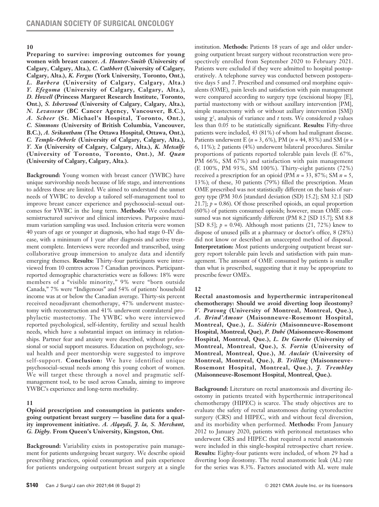**Preparing to survive: improving outcomes for young women with breast cancer.** *A. Hunter-Smith* **(University of Calgary, Calgary, Alta.),** *C. Cuthbert* **(University of Calgary, Calgary, Alta.),** *K. Fergus* **(York University, Toronto, Ont.),**  *L. Barbera* **(University of Calgary, Calgary, Alta.)**  *Y. Efegoma* **(University of Calgary, Calgary, Alta.),**  *D. Howell* **(Princess Margaret Research Institute, Toronto, Ont.),** *S. Isherwood* **(University of Calgary, Calgary, Alta.),**  *N. Levasseur* **(BC Cancer Agency, Vancouver, B.C.),**  *A. Scheer* **(St. Michael's Hospital, Toronto, Ont.),**  *C. Simmons* **(University of British Columbia, Vancouver, B.C.),** *A. Srikantham* **(The Ottawa Hospital, Ottawa, Ont.),**  *C. Temple-Orberle* **(University of Calgary, Calgary, Alta.),**  *Y. Xu* **(University of Calgary, Calgary, Alta.),** *K. Metcalfe* **(University of Toronto, Toronto, Ont.),** *M. Quan* **(University of Calgary, Calgary, Alta.).** 

**Background:** Young women with breast cancer (YWBC) have unique survivorship needs because of life stage, and interventions to address these are limited. We aimed to understand the unmet needs of YWBC to develop a tailored self-management tool to improve breast cancer experience and psychosocial–sexual outcomes for YWBC in the long term. **Methods:** We conducted semistructured survivor and clinical interviews. Purposive maximum variation sampling was used. Inclusion criteria were women 40 years of age or younger at diagnosis, who had stage 0–IV disease, with a minimum of 1 year after diagnosis and active treatment complete. Interviews were recorded and transcribed, using collaborative group immersion to analyze data and identify emerging themes. **Results:** Thirty-four participants were interviewed from 10 centres across 7 Canadian provinces. Participantreported demographic characteristics were as follows: 18% were members of a "visible minority," 9% were "born outside Canada," 7% were "Indigenous" and 54% of patients' household income was at or below the Canadian average. Thirty-six percent received neoadjuvant chemotherapy, 47% underwent mastectomy with reconstruction and 41% underwent contralateral prophylactic mastectomy. The YWBC who were interviewed reported psychological, self-identity, fertility and sexual health needs, which have a substantial impact on intimacy in relationships. Partner fear and anxiety were described, without professional or social support measures. Education on psychology, sexual health and peer mentorship were suggested to improve self-support. **Conclusion:** We have identified unique psychosocial–sexual needs among this young cohort of women. We will target these through a novel and pragmatic selfmanagement tool, to be used across Canada, aiming to improve YWBC's experience and long-term morbidity.

#### **11**

#### **Opioid prescription and consumption in patients undergoing outpatient breast surgery — baseline data for a quality improvement initiative.** *A. Alqaydi, J. la, S. Merchant, G. Digby.* **From Queen's University, Kingston, Ont.**

**Background:** Variability exists in postoperative pain management for patients undergoing breast surgery. We describe opioid prescribing practices, opioid consumption and pain experience for patients undergoing outpatient breast surgery at a single institution. **Methods:** Patients 18 years of age and older undergoing outpatient breast surgery without reconstruction were prospectively enrolled from September 2020 to February 2021. Patients were excluded if they were admitted to hospital postoperatively. A telephone survey was conducted between postoperative days 5 and 7. Prescribed and consumed oral morphine equivalents (OME), pain levels and satisfaction with pain management were compared according to surgery type (excisional biopsy [E], partial mastectomy with or without ±axillary intervention [PM], simple mastectomy with or without axillary intervention [SM]) using  $\chi^2$ , analysis of variance and *t* tests. We considered *p* values less than 0.05 to be statistically significant. **Results:** Fifty-three patients were included, 43 (81%) of whom had malignant disease. Patients underwent E (*n* = 3, 6%), PM (*n* = 44, 83%) and SM (*n* = 6, 11%); 2 patients (4%) underwent bilateral procedures. Similar proportions of patients reported tolerable pain levels (E 67%, PM 66%, SM 67%) and satisfaction with pain management (E 100%, PM 93%, SM 100%). Thirty-eight patients (72%) received a prescription for an opioid (PM *n* = 33, 87%; SM *n* = 5, 13%); of these, 30 patients (79%) filled the prescription. Mean OME prescribed was not statistically different on the basis of surgery type (PM 30.6 [standard deviation (SD) 15.2]; SM 32.1 [SD 21.7];  $p = 0.86$ ). Of those prescribed opioids, an equal proportion (60%) of patients consumed opioids; however, mean OME consumed was not significantly different (PM 8.2 [SD 15.7]; SM 8.8 [SD 8.5]; *p* = 0.94). Although most patients (21, 72%) knew to dispose of unused pills at a pharmacy or doctor's office, 8 (28%) did not know or described an unaccepted method of disposal. **Interpretation:** Most patients undergoing outpatient breast surgery report tolerable pain levels and satisfaction with pain management. The amount of OME consumed by patients is smaller than what is prescribed, suggesting that it may be appropriate to prescribe fewer OMEs.

## **12**

**Rectal anastomosis and hyperthermic intraperitoneal chemotherapy: Should we avoid diverting loop ileostomy?**  *V. Pravong* **(University of Montreal, Montreal, Que.),**  *A. Brind'Amour* **(Maisonneuve-Rosemont Hospital, Montreal, Que.),** *L. Sidéris* **(Maisonneuve-Rosemont Hospital, Montreal, Que),** *P. Dubé* **(Maisonneuve-Rosemont Hospital, Montreal, Que.),** *L. De Guerke* **(University of Montreal, Montreal, Que.),** *S. Fortin* **(University of Montreal, Montreal, Que.),** *M. Auclair* **(University of Montreal, Montreal, Que.),** *B. Trilling* **(Maisonneuve-Rosemont Hospital, Montreal, Que.),** *J. Tremblay* **(Maisonneuve-Rosemont Hospital, Montreal, Que.).**

**Background:** Literature on rectal anastomosis and diverting ileostomy in patients treated with hyperthermic intraperitoneal chemotherapy (HIPEC) is scarce. The study objectives are to evaluate the safety of rectal anastomoses during cytoreductive surgery (CRS) and HIPEC, with and without fecal diversion, and its morbidity when performed. **Methods:** From January 2012 to January 2020, patients with peritoneal metastases who underwent CRS and HIPEC that required a rectal anastomosis were included in this single-hospital retrospective chart review. **Results:** Eighty-four patients were included, of whom 29 had a diverting loop ileostomy. The rectal anastomotic leak (AL) rate for the series was 8.3%. Factors associated with AL were male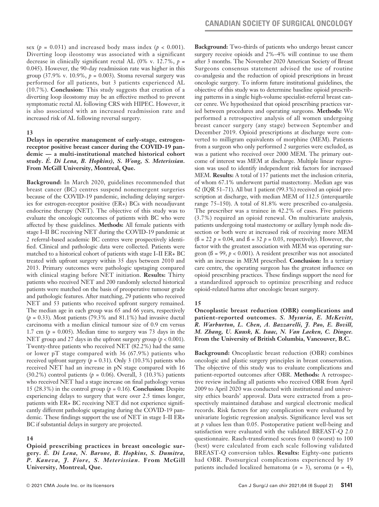sex ( $p = 0.031$ ) and increased body mass index ( $p < 0.001$ ). Diverting loop ileostomy was associated with a significant decrease in clinically significant rectal AL (0% v. 12.7%,  $p =$ 0.045). However, the 90-day readmission rate was higher in this group  $(37.9\% \text{ v. } 10.9\%, p = 0.003)$ . Stoma reversal surgery was performed for all patients, but 3 patients experienced AL (10.7%). **Conclusion:** This study suggests that creation of a diverting loop ileostomy may be an effective method to prevent symptomatic rectal AL following CRS with HIPEC. However, it is also associated with an increased readmission rate and increased risk of AL following reversal surgery.

#### **13**

**Delays in operative management of early-stage, estrogenreceptor positive breast cancer during the COVID-19 pandemic — a multi-institutional matched historical cohort study.** *É. Di Lena, B. Hopkins), S. Wong, S. Meterissian.* **From McGill University, Montreal, Que.** 

**Background:** In March 2020, guidelines recommended that breast cancer (BC) centres suspend nonemergent surgeries because of the COVID-19 pandemic, including delaying surgeries for estrogen-receptor positive (ER+) BCs with neoadjuvant endocrine therapy (NET). The objective of this study was to evaluate the oncologic outcomes of patients with BC who were affected by these guidelines. **Methods:** All female patients with stage I–II BC receiving NET during the COVID-19 pandemic at 2 referral-based academic BC centres were prospectively identified. Clinical and pathologic data were collected. Patients were matched to a historical cohort of patients with stage I–II ER+ BC treated with upfront surgery within 35 days between 2010 and 2013. Primary outcomes were pathologic upstaging compared with clinical staging before NET initiation. **Results:** Thirty patients who received NET and 200 randomly selected historical patients were matched on the basis of preoperative tumour grade and pathologic features. After matching, 29 patients who received NET and 53 patients who received upfront surgery remained. The median age in each group was 65 and 66 years, respectively  $(p = 0.33)$ . Most patients (79.3% and 81.1%) had invasive ductal carcinoma with a median clinical tumour size of 0.9 cm versus 1.7 cm  $(p = 0.005)$ . Median time to surgery was 73 days in the NET group and 27 days in the upfront surgery group (*p* < 0.001). Twenty-three patients who received NET (82.2%) had the same or lower pT stage compared with 36 (67.9%) patients who received upfront surgery  $(p = 0.31)$ . Only 3 (10.3%) patients who received NET had an increase in pN stage compared with 16 (30.2%) control patients (*p* = 0.06). Overall, 3 (10.3%) patients who received NET had a stage increase on final pathology versus 15 (28.3%) in the control group  $(p = 0.16)$ . **Conclusion:** Despite experiencing delays to surgery that were over 2.5 times longer, patients with ER+ BC receiving NET did not experience significantly different pathologic upstaging during the COVID-19 pandemic. These findings support the use of NET in stage I–II ER+ BC if substantial delays in surgery are projected.

## **14**

**Opioid prescribing practices in breast oncologic surgery.** *É. Di Lena, N. Barone, B. Hopkins, S. Dumitra, P. Kaneva, J. Fiore, S. Meterissian.* **From McGill University, Montreal, Que.**

**Background:** Two-thirds of patients who undergo breast cancer surgery receive opioids and 2%–4% will continue to use them after 3 months. The November 2020 American Society of Breast Surgeons consensus statement advised the use of routine co-analgesia and the reduction of opioid prescriptions in breast oncologic surgery. To inform future institutional guidelines, the objective of this study was to determine baseline opioid prescribing patterns in a single high-volume specialist-referral breast cancer cenre. We hypothesized that opioid prescribing practices varied between procedures and operating surgeons. **Methods:** We performed a retrospective analysis of all women undergoing breast cancer surgery (any stage) between September and December 2019. Opioid prescriptions at discharge were converted to milligram equivalents of morphine (MEM). Patients from a surgeon who only performed 2 surgeries were excluded, as was a patient who received over 2000 MEM. The primary outcome of interest was MEM at discharge. Multiple linear regression was used to identify independent risk factors for increased MEM. **Results:** A total of 137 patients met the inclusion criteria, of whom 67.1% underwent partial mastectomy. Median age was 62 (IQR 51–71). All but 1 patient (99.3%) received an opioid prescription at discharge, with median MEM of 112.5 (interquartile range 75–150). A total of 81.8% were prescribed co-analgesia. The prescriber was a trainee in 42.2% of cases. Five patients (3.7%) required an opioid renewal. On multivariate analysis, patients undergoing total mastectomy or axillary lymph node dissection or both were at increased risk of receiving more MEM  $($ ß = 22 *p* = 0.04, and ß = 32 *p* = 0.03, respectively). However, the factor with the greatest association with MEM was operating surgeon ( $\beta$  = 99,  $p < 0.001$ ). A resident prescriber was not associated with an increase in MEM prescribed. **Conclusion:** In a tertiary care centre, the operating surgeon has the greatest influence on opioid prescribing practices. These findings support the need for a standardized approach to optimize prescribing and reduce opioid-related harms after oncologic breast surgery.

## **15**

**Oncoplastic breast reduction (OBR) complications and patient-reported outcomes.** *S. Mysuria, E. McKevitt, R. Warburton, L. Chen, A. Bazzarelli, J. Pao, E. Bovill, M. Zhang, U. Kuusk, K. Isaac, N. Van Laeken, C. Dingee.*  **From the University of British Columbia, Vancouver, B.C.**

**Background:** Oncoplastic breast reduction (OBR) combines oncologic and plastic surgery principles in breast conservation. The objective of this study was to evaluate complications and patient-reported outcomes after OBR. **Methods:** A retrospective review including all patients who received OBR from April 2009 to April 2020 was conducted with institutional and university ethics boards' approval. Data were extracted from a prospectively maintained database and surgical electronic medical records. Risk factors for any complication were evaluated by univariate logistic regression analysis. Significance level was set at *p* values less than 0.05. Postoperative patient well-being and satisfaction were evaluated with the validated BREAST-Q 2.0 questionnaire. Rasch-transformed scores from 0 (worst) to 100 (best) were calculated from each scale following validated BREAST-Q conversion tables. **Results:** Eighty-one patients had OBR. Postsurgical complications experienced by 19 patients included localized hematoma (*n* = 3), seroma (*n* = 4),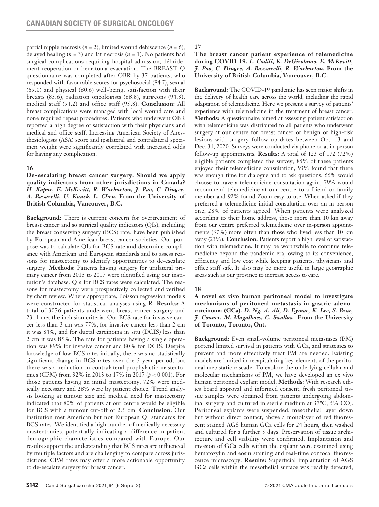partial nipple necrosis  $(n = 2)$ , limited wound dehiscence  $(n = 6)$ , delayed healing  $(n = 3)$  and fat necrosis  $(n = 1)$ . No patients had surgical complications requiring hospital admission, débridement reoperation or hematoma evacuation. The BREAST-Q questionnaire was completed after OBR by 37 patients, who responded with favourable scores for psychosocial (84.7), sexual (69.0) and physical (80.6) well-being, satisfaction with their breasts (83.6), radiation oncologists (88.8), surgeons (94.3), medical staff (94.2) and office staff (95.8). **Conclusion:** All breast complications were managed with local wound care and none required repeat procedures. Patients who underwent OBR reported a high degree of satisfaction with their physicians and medical and office staff. Increasing American Society of Anesthesiologists (ASA) score and ipsilateral and contralateral specimen weight were significantly correlated with increased odds for having any complication.

## **16**

**De-escalating breast cancer surgery: Should we apply quality indicators from other jurisdictions in Canada?**  *H. Kapur, E. McKevitt, R. Warburton, J. Pao, C. Dingee, A. Bazarelli, U. Kuusk, L. Chen.* **From the University of British Columbia, Vancouver, B.C.**

**Background:** There is current concern for overtreatment of breast cancer and so surgical quality indicators (QIs), including the breast conserving surgery (BCS) rate, have been published by European and American breast cancer societies. Our purpose was to calculate QIs for BCS rate and determine compliance with American and European standards and to assess reasons for mastectomy to identify opportunities to de-escalate surgery. **Methods:** Patients having surgery for unilateral primary cancer from 2013 to 2017 were identified using our institution's database. QIs for BCS rates were calculated. The reasons for mastectomy were prospectively collected and verified by chart review. Where appropriate, Poisson regression models were constructed for statistical analyses using R. **Results:** A total of 3076 patients underwent breast cancer surgery and 2311 met the inclusion criteria. Our BCS rate for invasive cancer less than 3 cm was 77%, for invasive cancer less than 2 cm it was 84%, and for ductal carcinoma in situ (DCIS) less than 2 cm it was 85%. The rate for patients having a single operation was 89% for invasive cancer and 80% for DCIS. Despite knowledge of low BCS rates initially, there was no statistically significant change in BCS rates over the 5-year period, but there was a reduction in contralateral prophylactic mastectomies (CPM) from 32% in 2013 to 17% in 2017 (*p* < 0.001). For those patients having an initial mastectomy, 72% were medically necessary and 28% were by patient choice. Trend analysis looking at tumour size and medical need for mastectomy indicated that 80% of patients at our centre would be eligible for BCS with a tumour cut-off of 2.5 cm. **Conclusion:** Our institution met American but not European QI standards for BCS rates. We identified a high number of medically necessary mastectomies, potentially indicating a difference in patient demographic characteristics compared with Europe. Our results support the understanding that BCS rates are influenced by multiple factors and are challenging to compare across jurisdictions. CPM rates may offer a more actionable opportunity to de-escalate surgery for breast cancer.

**17**

**The breast cancer patient experience of telemedicine during COVID-19.** *L. Cadili, K. DeGirolamo, E. McKevitt, J. Pao, C. Dingee, A. Bazzarelli, R. Warburton.* **From the University of British Columbia, Vancouver, B.C.** 

**Background:** The COVID-19 pandemic has seen major shifts in the delivery of health care across the world, including the rapid adaptation of telemedicine. Here we present a survey of patients' experience with telemedicine in the treatment of breast cancer. **Methods:** A questionnaire aimed at assessing patient satisfaction with telemedicine was distributed to all patients who underwent surgery at our centre for breast cancer or benign or high-risk lesions with surgery follow-up dates between Oct. 13 and Dec. 31, 2020. Surveys were conducted via phone or at in-person follow-up appointments. **Results:** A total of 123 of 172 (72%) eligible patients completed the survey; 85% of these patients enjoyed their telemedicine consultation, 93% found that there was enough time for dialogue and to ask questions, 66% would choose to have a telemedicine consultation again, 79% would recommend telemedicine at our centre to a friend or family member and 92% found Zoom easy to use. When asked if they preferred a telemedicine initial consultation over an in-person one, 28% of patients agreed. When patients were analyzed according to their home address, those more than 10 km away from our centre preferred telemedicine over in-person appointments (37%) more often than those who lived less than 10 km away (23%). **Conclusion:** Patients report a high level of satisfaction with telemedicine. It may be worthwhile to continue telemedicine beyond the pandemic era, owing to its convenience, efficiency and low cost while keeping patients, physicians and office staff safe. It also may be more useful in large geographic areas such as our province to increase access to care.

## **18**

**A novel ex vivo human peritoneal model to investigate mechanisms of peritoneal metastasis in gastric adenocarcinoma (GCa).** *D. Ng, A. Ali, D. Eymae, K. Lee, S. Brar, J. Conner, M. Magalhaes, C. Swallow.* **From the University of Toronto, Toronto, Ont.**

**Background:** Even small-volume peritoneal metastases (PM) portend limited survival in patients with GCa, and strategies to prevent and more effectively treat PM are needed. Existing models are limited in recapitulating key elements of the peritoneal metastatic cascade. To explore the underlying cellular and molecular mechanisms of PM, we have developed an ex vivo human peritoneal explant model. **Methods:** With research ethics board approval and informed consent, fresh peritoneal tissue samples were obtained from patients undergoing abdominal surgery and cultured in sterile medium at 37°C, 5% CO2. Peritoneal explants were suspended, mesothelial layer down but without direct contact, above a monolayer of red fluorescent stained AGS human GCa cells for 24 hours, then washed and cultured for a further 5 days. Preservation of tissue architecture and cell viability were confirmed. Implantation and invasion of GCa cells within the explant were examined using hematoxylin and eosin staining and real-time confocal fluorescence microscopy. **Results:** Superficial implantation of AGS GCa cells within the mesothelial surface was readily detected,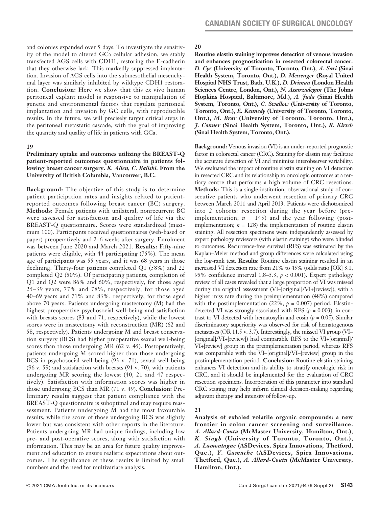and colonies expanded over 5 days. To investigate the sensitivity of the model to altered GCa cellular adhesion, we stably transfected AGS cells with CDH1, restoring the E-cadherin that they otherwise lack. This markedly suppressed implantation. Invasion of AGS cells into the submesothelial mesenchymal layer was similarly inhibited by wildtype CDH1 restoration. **Conclusion:** Here we show that this ex vivo human peritoneal explant model is responsive to manipulation of genetic and environmental factors that regulate peritoneal implantation and invasion by GC cells, with reproducible results. In the future, we will precisely target critical steps in the peritoneal metastatic cascade, with the goal of improving the quantity and quality of life in patients with GCa.

#### **19**

### **Preliminary uptake and outcomes utilizing the BREAST-Q patient-reported outcomes questionnaire in patients following breast cancer surgery.** *K. Allen, C. Baliski.* **From the University of British Columbia, Vancouver, B.C.**

**Background:** The objective of this study is to determine patient participation rates and insights related to patientreported outcomes following breast cancer (BC) surgery. **Methods:** Female patients with unilateral, nonrecurrent BC were assessed for satisfaction and quality of life via the BREAST-Q questionnaire. Scores were standardized (maximum 100). Participants received questionnaires (web-based or paper) preoperatively and 2–6 weeks after surgery. Enrolment was between June 2020 and March 2021. **Results:** Fifty-nine patients were eligible, with 44 participating (75%). The mean age of participants was 55 years, and it was 68 years in those declining. Thirty-four patients completed Q1 (58%) and 22 completed Q2 (50%). Of participating patients, completion of Q1 and Q2 were 86% and 60%, respectively, for those aged 25–39 years, 77% and 78%, respectively, for those aged 40–69 years and 71% and 83%, respectively, for those aged above 70 years. Patients undergoing mastectomy (M) had the highest preoperative psychosocial well-being and satisfaction with breasts scores (83 and 71, respectively), while the lowest scores were in mastectomy with reconstruction (MR) (62 and 58, respectively). Patients undergoing M and breast conservation surgery (BCS) had higher preoperative sexual well-being scores than those undergoing MR (62 v. 45). Postoperatively, patients undergoing M scored higher than those undergoing BCS in psychosocial well-being (93 v. 71), sexual well-being (96 v. 59) and satisfaction with breasts (91 v. 70), with patients undergoing MR scoring the lowest (40, 21 and 47 respectively). Satisfaction with information scores was higher in those undergoing BCS than MR (71 v. 49). **Conclusion:** Preliminary results suggest that patient compliance with the BREAST-Q questionnaire is suboptimal and may require reassessment. Patients undergoing M had the most favourable results, while the score of those undergoing BCS was slightly lower but was consistent with other reports in the literature. Patients undergoing MR had unique findings, including low pre- and post-operative scores, along with satisfaction with information. This may be an area for future quality improvement and education to ensure realistic expectations about outcomes. The significance of these results is limited by small numbers and the need for multivariate analysis.

#### **20**

**Routine elastin staining improves detection of venous invasion and enhances prognostication in resected colorectal cancer.**  *D. Cyr* **(University of Toronto, Toronto, Ont.),** *A. Sari* **(Sinai Health System, Toronto, Ont.),** *D. Messenger* **(Royal United Hospital NHS Trust, Bath, U.K.),** *D. Driman* **(London Health Sciences Centre, London, Ont.),** *N. Assarzadegan* **(The Johns Hopkins Hospital, Baltimore, Md.),** *A. Juda* **(Sinai Health System, Toronto, Ont.),** *C. Swallow* **(University of Toronto, Toronto, Ont.),** *E. Kennedy* **(University of Toronto, Toronto, Ont.),** *M. Brar* **(University of Toronto, Toronto, Ont.),**  *J. Conner* **(Sinai Health System, Toronto, Ont.),** *R. Kirsch* **(Sinai Health System, Toronto, Ont.).**

**Background:** Venous invasion (VI) is an under-reported prognostic factor in colorectal cancer (CRC). Staining for elastin may facilitate the accurate detection of VI and minimize interobserver variability. We evaluated the impact of routine elastin staining on VI detection in resected CRC and its relationship to oncologic outcomes at a tertiary centre that performs a high volume of CRC resections. **Methods:** This is a single-institution, observational study of consecutive patients who underwent resection of primary CRC between March 2011 and April 2013. Patients were dichotomized into 2 cohorts: resection during the year before (preimplementation;  $n = 145$ ) and the year following (postimplementation;  $n = 128$ ) the implementation of routine elastin staining. All resection specimens were independently assessed by expert pathology reviewers (with elastin staining) who were blinded to outcomes. Recurrence-free survival (RFS) was estimated by the Kaplan–Meier method and group differences were calculated using the log-rank test. **Results:** Routine elastin staining resulted in an increased VI detection rate from 21% to 45% (odds ratio [OR] 3.1, 95% confidence interval 1.8–5.3, *p* < 0.001). Expert pathology review of all cases revealed that a large proportion of VI was missed during the original assessment (VI–[original]/VI+[review]), with a higher miss rate during the preimplementation (48%) compared with the postimplementation  $(22\%, p = 0.007)$  period. Elastindetected VI was strongly associated with RFS  $(p = 0.003)$ , in contrast to VI detected with hematoxylin and eosin  $(p = 0.05)$ . Similar discriminatory superiority was observed for risk of hematogenous metastases (OR 11.5 v. 3.7). Interestingly, the missed VI group (VI– [original]/VI+[review]) had comparable RFS to the VI+[original]/ VI+[review] group in the preimplementation period, whereas RFS was comparable with the VI–[original]/VI–[review] group in the postimplementation period. **Conclusion:** Routine elastin staining enhances VI detection and its ability to stratify oncologic risk in CRC, and it should be implemented for the evaluation of CRC resection specimens. Incorporation of this parameter into standard CRC staging may help inform clinical decision-making regarding adjuvant therapy and intensity of follow-up.

## **21**

**Analysis of exhaled volatile organic compounds: a new frontier in colon cancer screening and surveillance.**  *A. Allard-Coutu* **(McMaster University, Hamilton, Ont.),**  *K. Singh* **(University of Toronto, Toronto, Ont.),**  *A. Lamontagne* **(ASDevices, Spira Innovations, Thetford, Que.),** *Y. Gamache* **(ASDevices, Spira Innovations, Thetford, Que.),** *A. Allard-Coutu* **(McMaster University, Hamilton, Ont.).**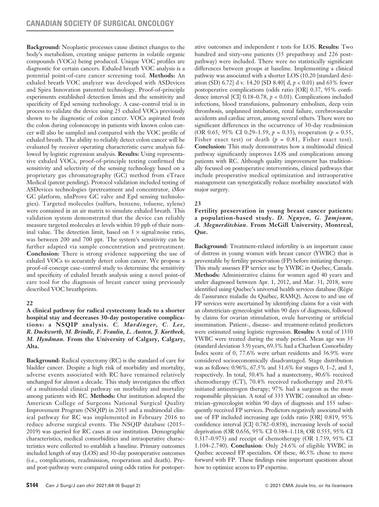**Background:** Neoplastic processes cause distinct changes to the body's metabolism, creating unique patterns in volatile organic compounds (VOCs) being produced. Unique VOC profiles are diagnostic for certain cancers. Exhaled breath VOC analysis is a potential point-of-care cancer screening tool. **Methods:** An exhaled breath VOC analyzer was developed with ASDevices and Spira Innovation patented technology. Proof-of-principle experiments established detection limits and the sensitivity and specificity of Epd sensing technology. A case–control trial is in process to validate the device using 25 exhaled VOCs previously shown to be diagnostic of colon cancer. VOCs aspirated from the colon during colonoscopy in patients with known colon cancer will also be sampled and compared with the VOC profile of exhaled breath. The ability to reliably detect colon cancer will be evaluated by receiver operating characteristic curve analysis followed by logistic regression analysis. **Results:** Using representative exhaled VOCs, proof-of-principle testing confirmed the sensitivity and selectivity of the sensing technology based on a proprietary gas chromatography (GC) method from eTrace Medical (patent pending). Protocol validation included testing of ASDevices technologies (pretreatment and concentrator, iMov GC platform, uInProve GC valve and Epd sensing technologies). Targeted molecules (sulfurs, benzene, toluene, xylene) were contained in an air matrix to simulate exhaled breath. This validation system demonstrated that the device can reliably measure targeted molecules at levels within 10 ppb of their nominal value. The detection limit, based on  $3 \times$  signal:noise ratio, was between 200 and 700 ppt. The system's sensitivity can be further adapted via sample concentration and pretreatment. **Conclusion:** There is strong evidence supporting the use of exhaled VOCs to accurately detect colon cancer. We propose a proof-of-concept case–control study to determine the sensitivity and specificity of exhaled breath analysis using a novel point-of care tool for the diagnosis of breast cancer using previously described VOC breathprints.

## **22**

**A clinical pathway for radical cystectomy leads to a shorter hospital stay and decreases 30-day postoperative complications: a NSQIP analysis.** *C. Mardinger, C. Lee, R. Duckworth, M. Brindle, F. Fraulin, L. Austen, J. Kortbeek, M. Hyndman.* **From the University of Calgary, Calgary, Alta.**

**Background:** Radical cystectomy (RC) is the standard of care for bladder cancer. Despite a high risk of morbidity and mortality, adverse events associated with RC have remained relatively unchanged for almost a decade. This study investigates the effect of a multimodal clinical pathway on morbidity and mortality among patients with RC. **Methods:** Our institution adopted the American College of Surgeons National Surgical Quality Improvement Program (NSQIP) in 2015 and a multimodal clinical pathway for RC was implemented in February 2016 to reduce adverse surgical events. The NSQIP database (2015– 2019) was queried for RC cases at our institution. Demographic characteristics, medical comorbidities and intraoperative characteristics were collected to establish a baseline. Primary outcomes included length of stay (LOS) and 30-day postoperative outcomes (i.e., complications, readmission, reoperation and death). Preand post-pathway were compared using odds ratios for postoperative outcomes and independent *t* tests for LOS. **Results:** Two hundred and sixty-one patients (35 prepathway and 226 postpathway) were included. There were no statistically significant differences between groups at baseline. Implementing a clinical pathway was associated with a shorter LOS (10.20 [standard deviation (SD) 6.72] d v. 14.20 [SD 8.40] d, *p* < 0.01) and 63% fewer postoperative complications (odds ratio [OR] 0.37, 95% confidence interval [CI] 0.18–0.78, *p* < 0.01). Complications included infections, blood transfusions, pulmonary embolism, deep vein thrombosis, unplanned intubation, renal failure, cerebrovascular accidents and cardiac arrest, among several others. There were no significant differences in the occurrence of 30-day readmission (OR 0.65, 95% CI 0.29–1.59, *p* = 0.33), reoperation (*p* = 0.55, Fisher exact test) or death  $(p = 0.81,$  Fisher exact test). **Conclusion:** This study demonstrates how a multimodal clinical pathway significantly improves LOS and complications among patients with RC. Although quality improvement has traditionally focused on postoperative interventions, clinical pathways that include preoperative medical optimization and intraoperative management can synergistically reduce morbidity associated with major surgery.

## **23**

**Fertility preservation in young breast cancer patients: a population-based study.** *D. Nguyen, G. Jamjoum, A. Meguerditchian.* **From McGill University, Montreal, Que.** 

**Background:** Treatment-related infertility is an important cause of distress in young women with breast cancer (YWBC) that is preventable by fertility preservation (FP) before initiating therapy. This study assesses FP service use by YWBC in Quebec, Canada. **Methods:** Administrative claims for women aged 40 years and under diagnosed between Apr. 1, 2012, and Mar. 31, 2018, were identified using Quebec's universal health services database (Régie de l'assurance maladie du Québec, RAMQ). Access to and use of FP services were ascertained by identifying claims for a visit with an obstetrician–gynecologist within 90 days of diagnosis, followed by claims for ovarian stimulation, ovule harvesting or artificial insemination. Patient-, disease- and treatment-related predictors were estimated using logistic regression. **Results:** A total of 1350 YWBC were treated during the study period. Mean age was 35 (standard deviation 3.9) years, 69.3% had a Charlson Comorbidity Index score of 0, 77.6% were urban residents and 36.9% were considered socioeconomically disadvantaged. Stage distribution was as follows: 0.96%, 67.5% and 31.6% for stages 0, 1–2, and 3, respectively. In total, 50.4% had a mastectomy, 40.6% received chemotherapy (CT), 70.4% received radiotherapy and 20.4% initiated antiestrogen therapy; 97% had a surgeon as the most responsible physician. A total of 333 YWBC consulted an obstetrician–gynecologist within 90 days of diagnosis and 155 subsequently received FP services. Predictors negatively associated with use of FP included increasing age (odds ratio [OR] 0.819, 95% confidence interval [CI] 0.782–0.858), increasing levels of social deprivation (OR 0.656, 95% CI 0.384–1.118; OR 0.555, 95% CI 0.317–0.973) and receipt of chemotherapy (OR 1.739, 95% CI 1.104–2.740). **Conclusion**: Only 24.6% of eligible YWBC in Quebec accessed FP specialists. Of these, 46.5% chose to move forward with FP. These findings raise important questions about how to optimize access to FP expertise.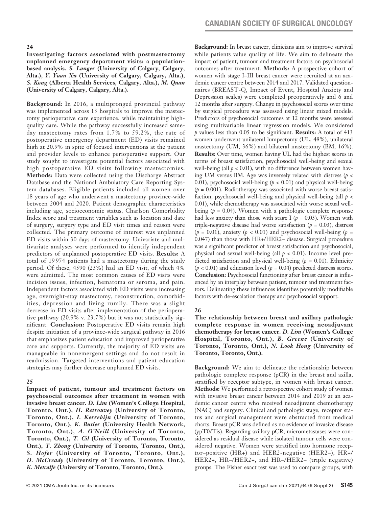**Investigating factors associated with postmastectomy unplanned emergency department visits: a populationbased analysis.** *S. Langer* **(University of Calgary, Calgary, Alta.),** *Y. Yuan Xu* **(University of Calgary, Calgary, Alta.),**  *S. Kong* **(Alberta Health Services, Calgary, Alta.),** *M. Quan*  **(University of Calgary, Calgary, Alta.).** 

**Background:** In 2016, a multipronged provincial pathway was implemented across 13 hospitals to improve the mastectomy perioperative care experience, while maintaining highquality care. While the pathway successfully increased sameday mastectomy rates from 1.7% to 59.2%, the rate of postoperative emergency department (ED) visits remained high at 20.9% in spite of focused interventions at the patient and provider levels to enhance perioperative support. Our study sought to investigate potential factors associated with high postoperative ED visits following mastectomies. **Methods:** Data were collected using the Discharge Abstract Database and the National Ambulatory Care Reporting System databases. Eligible patients included all women over 18 years of age who underwent a mastectomy province-wide between 2004 and 2020. Patient demographic characteristics including age, socioeconomic status, Charlson Comorbidity Index score and treatment variables such as location and date of surgery, surgery type and ED visit times and reason were collected. The primary outcome of interest was unplanned ED visits within 30 days of mastectomy. Univariate and multivariate analyses were performed to identify independent predictors of unplanned postoperative ED visits. **Results:** A total of 19 974 patients had a mastectomy during the study period. Of these, 4590 (23%) had an ED visit, of which 4% were admitted. The most common causes of ED visits were incision issues, infection, hematoma or seroma, and pain. Independent factors associated with ED visits were increasing age, overnight-stay mastectomy, reconstruction, comorbidities, depression and living rurally. There was a slight decrease in ED visits after implementation of the perioperative pathway (20.9% v. 23.7%) but it was not statistically significant. **Conclusion:** Postoperative ED visits remain high despite initiation of a province-wide surgical pathway in 2016 that emphasizes patient education and improved perioperative care and supports. Currently, the majority of ED visits are manageable in nonemergent settings and do not result in readmission. Targeted interventions and patient education strategies may further decrease unplanned ED visits.

#### **25**

**Impact of patient, tumour and treatment factors on psychosocial outcomes after treatment in women with invasive breast cancer.** *D. Lim* **(Women's College Hospital, Toronto, Ont.),** *H. Retrouvey* **(University of Toronto, Toronto, Ont.),** *I. Kerrebijn* **(University of Toronto, Toronto, Ont.),** *K. Butler* **(University Health Network, Toronto, Ont.),** *A. O'Neill* **(University of Toronto, Toronto, Ont.),** *T. Cil* **(University of Toronto, Toronto, Ont.),** *T. Zhong* **(University of Toronto, Toronto, Ont.),**  *S. Hofer* **(University of Toronto, Toronto, Ont.),**  *D. McCready* **(University of Toronto, Toronto, Ont.),**  *K. Metcalfe* **(University of Toronto, Toronto, Ont.).**

**Background:** In breast cancer, clinicians aim to improve survival while patients value quality of life. We aim to delineate the impact of patient, tumour and treatment factors on psychosocial outcomes after treatment. **Methods:** A prospective cohort of women with stage I–III breast cancer were recruited at an academic cancer centre between 2014 and 2017. Validated questionnaires (BREAST-Q, Impact of Event, Hospital Anxiety and Depression scales) were completed preoperatively and 6 and 12 months after surgery. Change in psychosocial scores over time by surgical procedure was assessed using linear mixed models. Predictors of psychosocial outcomes at 12 months were assessed using multivariable linear regression models. We considered *p* values less than 0.05 to be significant. **Results:** A total of 413 women underwent unilateral lumpectomy (UL, 48%), unilateral mastectomy (UM, 36%) and bilateral mastectomy (BM, 16%). **Results:** Over time, women having UL had the highest scores in terms of breast satisfaction, psychosocial well-being and sexual well-being (all  $p < 0.01$ ), with no difference between women having UM versus BM. Age was inversely related with distress (*p* < 0.01), psychosocial well-being ( $p < 0.01$ ) and physical well-being  $(p = 0.001)$ . Radiotherapy was associated with worse breast satisfaction, psychosocial well-being and physical well-being (all *p* < 0.01), while chemotherapy was associated with worse sexual wellbeing  $(p = 0.04)$ . Women with a pathologic complete response had less anxiety than those with stage I ( $p = 0.03$ ). Women with triple-negative disease had worse satisfaction  $(p = 0.03)$ , distress  $(p = 0.01)$ , anxiety  $(p < 0.01)$  and psychosocial well-being  $(p = 0.01)$ 0.047) than those with HR+/HER2– disease. Surgical procedure was a significant predictor of breast satisfaction and psychosocial, physical and sexual well-being (all *p* < 0.01). Income level predicted satisfaction and physical well-being  $(p = 0.01)$ . Ethnicity  $(p < 0.01)$  and education level  $(p = 0.04)$  predicted distress scores. **Conclusion:** Psychosocial functioning after breast cancer is influenced by an interplay between patient, tumour and treatment factors. Delineating these influences identifies potentially modifiable factors with de-escalation therapy and psychosocial support.

#### **26**

**The relationship between breast and axillary pathologic complete response in women receiving neoadjuvant chemotherapy for breast cancer.** *D. Lim* **(Women's College Hospital, Toronto, Ont.),** *B. Greene* **(University of Toronto, Toronto, Ont.),** *N. Look Hong* **(University of Toronto, Toronto, Ont.).**

**Background:** We aim to delineate the relationship between pathologic complete response (pCR) in the breast and axilla, stratified by receptor subtype, in women with breast cancer. **Methods:** We performed a retrospective cohort study of women with invasive breast cancer between 2014 and 2019 at an academic cancer centre who received neoadjuvant chemotherapy (NAC) and surgery. Clinical and pathologic stage, receptor status and surgical management were abstracted from medical charts. Breast pCR was defined as no evidence of invasive disease (ypT0/Tis). Regarding axillary pCR, micrometastases were considered as residual disease while isolated tumour cells were considered negative. Women were stratified into hormone receptor–positive (HR+) and HER2-negative (HER2–), HR+/ HER2+, HR–/HER2+, and HR–/HER2– (triple negative) groups. The Fisher exact test was used to compare groups, with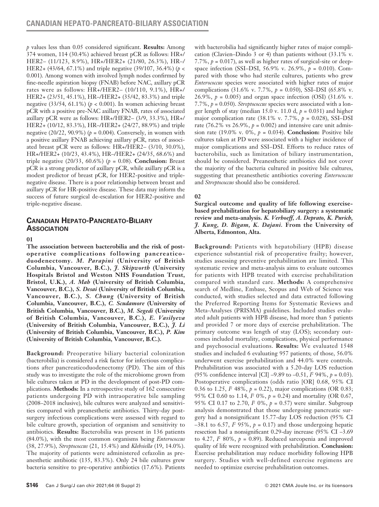*p* values less than 0.05 considered significant. **Results:** Among 374 women, 114 (30.4%) achieved breast pCR as follows: HR+/ HER2– (11/123, 8.9%), HR+/HER2+ (21/80, 26.3%), HR–/ HER2+ (43/64, 67.1%) and triple negative (39/107, 36.4%) (*p* < 0.001). Among women with involved lymph nodes confirmed by fine-needle aspiration biopsy (FNAB) before NAC, axillary pCR rates were as follows: HR+/HER2– (10/110, 9.1%), HR+/ HER2+ (23/51, 45.1%), HR–/HER2+ (35/42, 83.3%) and triple negative  $(33/54, 61.1\%)$  ( $p < 0.001$ ). In women achieving breast pCR with a positive pre-NAC axillary FNAB, rates of associated axillary pCR were as follows: HR+/HER2– (3/9, 33.3%), HR+/ HER2+ (10/12, 83.3%), HR–/HER2+ (24/27, 88.9%) and triple negative (20/22, 90.9%) (*p* = 0.004). Conversely, in women with a positive axillary FNAB achieving axillary pCR, rates of associated breast pCR were as follows: HR+/HER2– (3/10, 30.0%), HR+/HER2+ (10/23, 43.4%), HR–/HER2+ (24/35, 68.6%) and triple negative  $(20/33, 60.6\%)$  ( $p = 0.08$ ). **Conclusion:** Breast pCR is a strong predictor of axillary pCR, while axillary pCR is a modest predictor of breast pCR, for HER2-positive and triplenegative disease. There is a poor relationship between breast and axillary pCR for HR-positive disease. These data may inform the success of future surgical de-escalation for HER2-positive and triple-negative disease.

# **Canadian Hepato-Pancreato-Biliary Association**

#### **01**

**The association between bacterobilia and the risk of postoperative complications following pancreaticoduodenectomy.** *M. Parapini* **(University of British Columbia, Vancouver, B.C.),** *J. Skipworth* **(University Hospitals Bristol and Weston NHS Foundation Trust, Bristol, U.K.),** *A. Mah* **(University of British Columbia, Vancouver, B.C.),** *S. Desai* **(University of British Columbia, Vancouver, B.C.),** *S. Chung* **(University of British Columbia, Vancouver, B.C.),** *C. Scudamore* **(University of British Columbia, Vancouver, B.C.),** *M. Segedi* **(University of British Columbia, Vancouver, B.C.),** *E. Vasilyeva* **(University of British Columbia, Vancouver, B.C.),** *J. Li* **(University of British Columbia, Vancouver, B.C.),** *P. Kim* **(University of British Columbia, Vancouver, B.C.).**

**Background:** Preoperative biliary bacterial colonization (bacterobilia) is considered a risk factor for infectious complications after pancreaticoduodenectomy (PD). The aim of this study was to investigate the role of the microbiome grown from bile cultures taken at PD in the development of post-PD complications. **Methods:** In a retrospective study of 162 consecutive patients undergoing PD with intraoperative bile sampling (2008–2018 inclusive), bile cultures were analyzed and sensitivities compared with preanesthetic antibiotics. Thirty-day postsurgery infectious complications were assessed with regard to bile culture growth, speciation of organism and sensitivity to antibiotics. **Results:** Bacterobilia was present in 136 patients (84.0%), with the most common organisms being *Enterococcus* (38, 27.9%), *Streptococcus* (21, 15.4%) and *Klebsiella* (19, 14.0%). The majority of patients were administered cefazolin as preanesthetic antibiotic (135, 83.3%). Only 24 bile cultures grew bacteria sensitive to pre-operative antibiotics (17.6%). Patients with bacterobilia had significantly higher rates of major complication (Clavien–Dindo 3 or 4) than patients without (33.1% v. 7.7%,  $p = 0.017$ ), as well as higher rates of surgical-site or deepspace infection (SSI–DSI, 56.9% v. 26.9%, *p* = 0.010). Compared with those who had sterile cultures, patients who grew *Enterococcus* species were associated with higher rates of major complications (31.6% v. 7.7%, *p* = 0.050), SSI–DSI (65.8% v. 26.9%,  $p = 0.005$ ) and organ space infection (OSI) (31.6% v. 7.7%, *p* = 0.050). *Streptococcus* species were associated with a longer length of stay (median 15.0 v. 11.0 d,  $p = 0.031$ ) and higher major complication rate (38.1% v. 7.7%, *p* = 0.028), SSI–DSI rate (76.2% vs 26.9%,  $p = 0.002$ ) and intensive care unit admission rate (19.0% v. 0%, *p* = 0.034). **Conclusion:** Positive bile cultures taken at PD were associated with a higher incidence of major complications and SSI–DSI. Efforts to reduce rates of bacterobilia, such as limitation of biliary instrumentation, should be considered. Preanesthetic antibiotics did not cover the majority of the bacteria cultured in positive bile cultures, suggesting that preanesthetic antibiotics covering *Enterococcus* and *Streptococcus* should also be considered.

## **02**

**Surgical outcome and quality of life following exercisebased prehabilitation for hepatobiliary surgery: a systematic review and meta-analysis.** *K. Verhoeff, A. Deprato, K. Purich, J. Kung, D. Bigam, K. Dajani.* **From the University of Alberta, Edmonton, Alta.**

**Background:** Patients with hepatobiliary (HPB) disease experience substantial risk of preoperative frailty; however, studies assessing preventive prehabilitation are limited. This systematic review and meta-analysis aims to evaluate outcomes for patients with HPB treated with exercise prehabilitation compared with standard care. **Methods:** A comprehensive search of Medline, Embase, Scopus and Web of Science was conducted, with studies selected and data extracted following the Preferred Reporting Items for Systematic Reviews and Meta-Analyses (PRISMA) guidelines. Included studies evaluated adult patients with HPB disease, had more than 5 patients and provided 7 or more days of exercise prehabilitation. The primary outcome was length of stay (LOS); secondary outcomes included mortality, complications, physical performance and psychosocial evaluations. **Results:** We evaluated 1548 studies and included 6 evaluating 957 patients; of those, 56.0% underwent exercise prehabilitation and 44.0% were controls. Prehabilitation was associated with a 5.20-day LOS reduction (95% confidence interval [CI]  $-9.89$  to  $-0.51$ ,  $I^2$  94%,  $p = 0.03$ ). Postoperative complications (odds ratio [OR] 0.68, 95% CI 0.36 to 1.25,  $I^2$  48%,  $p = 0.22$ ), major complications (OR 0.83; 95% CI 0.60 to 1.14, *I*<sup>2</sup> 0%, *p* = 0.24) and mortality (OR 0.67, 95% CI 0.17 to 2.70,  $P = 0.96$ ,  $p = 0.57$ ) were similar. Subgroup analysis demonstrated that those undergoing pancreatic surgery had a nonsignificant 15.77-day LOS reduction (95% CI  $-38.1$  to 6.57,  $\vec{I}$  95%,  $\vec{p}$  = 0.17) and those undergoing hepatic resection had a nonsignificant 0.29-day increase (95% CI –3.69 to  $4.27$ ,  $I^2$  80%,  $p = 0.89$ ). Reduced sarcopenia and improved quality of life were recognized with prehabilitation. **Conclusion:** Exercise prehabilitation may reduce morbidity following HPB surgery. Studies with well-defined exercise regimens are needed to optimize exercise prehabilitation outcomes.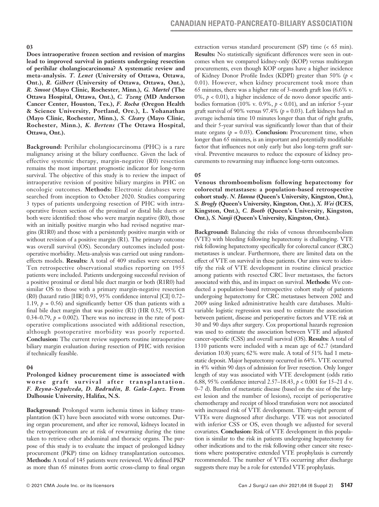**Does intraoperative frozen section and revision of margins lead to improved survival in patients undergoing resection of perihilar cholangiocarcinoma? A systematic review and meta-analysis.** *T. Lenet* **(University of Ottawa, Ottawa, Ont.),** *R. Gilbert* **(University of Ottawa, Ottawa, Ont.),**  *R. Smoot* **(Mayo Clinic, Rochester, Minn.),** *G. Martel* **(The Ottawa Hospital, Ottawa, Ont.),** *C. Tzeng* **(MD Anderson Cancer Center, Houston, Tex.),** *F. Rocha* **(Oregon Health & Science University, Portland, Ore.), L. Yohanathan (Mayo Clinic, Rochester, Minn.),** *S. Cleary* **(Mayo Clinic, Rochester, Minn.),** *K. Bertens* **(The Ottawa Hospital, Ottawa, Ont.).**

**Background:** Perihilar cholangiocarcinoma (PHC) is a rare malignancy arising at the biliary confluence. Given the lack of effective systemic therapy, margin-negative (R0) resection remains the most important prognostic indicator for long-term survival. The objective of this study is to review the impact of intraoperative revision of positive biliary margins in PHC on oncologic outcomes. **Methods:** Electronic databases were searched from inception to October 2020. Studies comparing 3 types of patients undergoing resection of PHC with intraoperative frozen section of the proximal or distal bile ducts or both were identified: those who were margin negative (R0), those with an initially positive margin who had revised negative margins (R1R0) and those with a persistently positive margin with or without revision of a positive margin (R1). The primary outcome was overall survival (OS). Secondary outcomes included postoperative morbidity. Meta-analysis was carried out using randomeffects models. **Results:** A total of 409 studies were screened. Ten retrospective observational studies reporting on 1955 patients were included. Patients undergoing successful revision of a positive proximal or distal bile duct margin or both (R1R0) had similar OS to those with a primary margin-negative resection (R0) (hazard ratio [HR] 0.93, 95% confidence interval [CI] 0.72– 1.19,  $p = 0.56$ ) and significantly better OS than patients with a final bile duct margin that was positive (R1) (HR 0.52, 95% CI 0.34–0.79,  $p = 0.002$ ). There was no increase in the rate of postoperative complications associated with additional resection, although postoperative morbidity was poorly reported. **Conclusion:** The current review supports routine intraoperative biliary margin evaluation during resection of PHC with revision if technically feasible.

## **04**

**Prolonged kidney procurement time is associated with worse graft survival after transplantation.** *F. Reyna-Sepulveda, D. Badrudin, B. Gala-Lopez.* **From Dalhousie University, Halifax, N.S.**

**Background:** Prolonged warm ischemia times in kidney transplantation (KT) have been associated with worse outcomes. During organ procurement, and after ice removal, kidneys located in the retroperitoneum are at risk of rewarming during the time taken to retrieve other abdominal and thoracic organs. The purpose of this study is to evaluate the impact of prolonged kidney procurement (PKP) time on kidney transplantation outcomes. **Methods:** A total of 145 patients were reviewed. We defined PKP as more than 65 minutes from aortic cross-clamp to final organ extraction versus standard procurement (SP) time (< 65 min). **Results:** No statistically significant differences were seen in outcomes when we compared kidney-only (KOP) versus multiorgan procurements, even though KOP organs have a higher incidence of Kidney Donor Profile Index (KDPI) greater than 50% (*p* < 0.01). However, when kidney procurement took more than 65 minutes, there was a higher rate of 3-month graft loss (6.6% v. 0%,  $p < 0.01$ ), a higher incidence of de novo donor specific antibodies formation (10% v. 0.9%,  $p < 0.01$ ), and an inferior 5-year graft survival of 90% versus 97.4% ( $p = 0.03$ ). Left kidneys had an average ischemia time 10 minutes longer than that of right grafts, and their 5-year survival was significantly lower than that of their mate organs  $(p = 0.03)$ . **Conclusion:** Procurement time, when longer than 65 minutes, is an important and potentially modifiable factor that influences not only early but also long-term graft survival. Preventive measures to reduce the exposure of kidney procurements to rewarming may influence long-term outcomes.

### **05**

**Venous thromboembolism following hepatectomy for colorectal metastases: a population-based retrospective cohort study.** *N. Hanna* **(Queen's University, Kingston, Ont.),**  *S. Brogly* **(Queen's University, Kingston, Ont.),** *X. Wei* **(ICES, Kingston, Ont.),** *C. Booth* **(Queen's University, Kingston, Ont.),** *S. Nanji* **(Queen's University, Kingston, Ont.).**

**Background:** Balancing the risks of venous thromboembolism (VTE) with bleeding following hepatectomy is challenging. VTE risk following hepatectomy specifically for colorectal cancer (CRC) metastases is unclear. Furthermore, there are limited data on the effect of VTE on survival in these patients. Our aims were to identify the risk of VTE development in routine clinical practice among patients with resected CRC liver metastases, the factors associated with this, and its impact on survival. **Methods:** We conducted a population-based retrospective cohort study of patients undergoing hepatectomy for CRC metastases between 2002 and 2009 using linked administrative health care databases. Multivariable logistic regression was used to estimate the association between patient, disease and perioperative factors and VTE risk at 30 and 90 days after surgery. Cox proportional hazards regression was used to estimate the association between VTE and adjusted cancer-specific (CSS) and overall survival (OS). **Results:** A total of 1310 patients were included with a mean age of 62.7 (standard deviation 10.8) years; 62% were male. A total of 51% had 1 metastatic deposit. Major hepatectomy occurred in 64%. VTE occurred in 4% within 90 days of admission for liver resection. Only longer length of stay was associated with VTE development (odds ratio 6.88, 95% confidence interval 2.57–18.43, *p* < 0.001 for 15–21 d v. 0–7 d). Burden of metastatic disease (based on the size of the largest lesion and the number of lesions), receipt of perioperative chemotherapy and receipt of blood transfusion were not associated with increased risk of VTE development. Thirty-eight percent of VTEs were diagnosed after discharge. VTE was not associated with inferior CSS or OS, even though we adjusted for several covariates. **Conclusion:** Risk of VTE development in this population is similar to the risk in patients undergoing hepatectomy for other indications and to the risk following other cancer site resections where postoperative extended VTE prophylaxis is currently recommended. The number of VTEs occurring after discharge suggests there may be a role for extended VTE prophylaxis.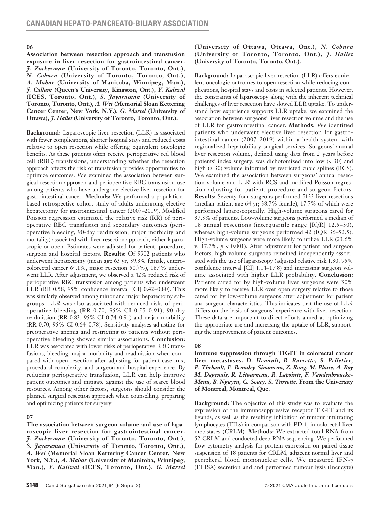**Association between resection approach and transfusion exposure in liver resection for gastrointestinal cancer.**  *J. Zuckerman* **(University of Toronto, Toronto, Ont.),**  *N. Coburn* **(University of Toronto, Toronto, Ont.),**  *A. Mahar* **(University of Manitoba, Winnipeg, Man.),**  *J. Callum* **(Queen's University, Kingston, Ont.),** *Y. Kaliwal*  **(ICES, Toronto, Ont.),** *S. Jayaraman* **(University of Toronto, Toronto, Ont.),** *A. Wei* **(Memorial Sloan Kettering Cancer Center, New York, N.Y.),** *G. Martel* **(University of Ottawa),** *J. Hallet* **(University of Toronto, Toronto, Ont.).**

**Background:** Laparoscopic liver resection (LLR) is associated with fewer complications, shorter hospital stays and reduced costs relative to open resection while offering equivalent oncologic benefits. As these patients often receive perioperative red blood cell (RBC) transfusions, understanding whether the resection approach affects the risk of transfusion provides opportunities to optimize outcomes. We examined the association between surgical resection approach and perioperative RBC transfusion use among patients who have undergone elective liver resection for gastrointestinal cancer. **Methods:** We performed a populationbased retrospective cohort study of adults undergoing elective hepatectomy for gastrointestinal cancer (2007–2019). Modified Poisson regression estimated the relative risk (RR) of perioperative RBC transfusion and secondary outcomes (perioperative bleeding, 90-day readmission, major morbidity and mortality) associated with liver resection approach, either laparoscopic or open. Estimates were adjusted for patient, procedure, surgeon and hospital factors. **Results:** Of 5902 patients who underwent hepatectomy (mean age 63 yr, 39.3% female, enterocolorectal cancer 64.1%, major resection 50.7%), 18.4% underwent LLR. After adjustment, we observed a 42% reduced risk of perioperative RBC transfusion among patients who underwent LLR (RR 0.58, 95% confidence interval [CI] 0.42–0.80). This was similarly observed among minor and major hepatectomy subgroups. LLR was also associated with reduced risks of perioperative bleeding (RR 0.70, 95% CI 0.55–0.91), 90-day readmission (RR 0.83, 95% CI 0.74–0.91) and major morbidity (RR 0.70, 95% CI 0.64–0.78). Sensitivity analyses adjusting for preoperative anemia and restricting to patients without perioperative bleeding showed similar associations. **Conclusion:** LLR was associated with lower risks of perioperative RBC transfusions, bleeding, major morbidity and readmission when compared with open resection after adjusting for patient case mix, procedural complexity, and surgeon and hospital experience. By reducing perioperative transfusion, LLR can help improve patient outcomes and mitigate against the use of scarce blood resources. Among other factors, surgeons should consider the planned surgical resection approach when counselling, preparing and optimizing patients for surgery.

## **07**

**The association between surgeon volume and use of laparoscopic liver resection for gastrointestinal cancer.**  *J. Zuckerman* **(University of Toronto, Toronto, Ont.),**  *S. Jayaraman* **(University of Toronto, Toronto, Ont.),**  *A. Wei* **(Memorial Sloan Kettering Cancer Center, New York, N.Y.),** *A. Mahar* **(University of Manitoba, Winnipeg, Man.),** *Y. Kaliwal* **(ICES, Toronto, Ont.),** *G. Martel*

#### **(University of Ottawa, Ottawa, Ont.),** *N. Coburn* **(University of Toronto, Toronto, Ont.),** *J. Hallet* **(University of Toronto, Toronto, Ont.).**

**Background:** Laparoscopic liver resection (LLR) offers equivalent oncologic outcomes to open resection while reducing complications, hospital stays and costs in selected patients. However, the constraints of laparoscopy along with the inherent technical challenges of liver resection have slowed LLR uptake. To understand how experience supports LLR uptake, we examined the association between surgeons' liver resection volume and the use of LLR for gastrointestinal cancer. **Methods:** We identified patients who underwent elective liver resection for gastrointestinal cancer (2007–2019) within a health system with regionalized hepatobiliary surgical services. Surgeons' annual liver resection volume, defined using data from 2 years before patients' index surgery, was dichotomized into low (< 30) and high (≥ 30) volume informed by restricted cubic splines (RCS). We examined the association between surgeons' annual resection volume and LLR with RCS and modified Poisson regression adjusting for patient, procedure and surgeon factors. **Results:** Seventy-four surgeons performed 5133 liver resections (median patient age 64 yr; 38.7% female), 17.7% of which were performed laparoscopically. High-volume surgeons cared for 37.3% of patients. Low-volume surgeons performed a median of 18 annual resections (interquartile range [IQR] 12.5–30), whereas high-volume surgeons performed 42 (IQR 36–52.5). High-volume surgeons were more likely to utilize LLR (23.6% v. 17.7%,  $p < 0.001$ ). After adjustment for patient and surgeon factors, high-volume surgeons remained independently associated with the use of laparoscopy (adjusted relative risk 1.30, 95% confidence interval [CI] 1.14–1.48) and increasing surgeon volume associated with higher LLR probability. **Conclusion:** Patients cared for by high-volume liver surgeons were 30% more likely to receive LLR over open surgery relative to those cared for by low-volume surgeons after adjustment for patient and surgeon characteristics. This indicates that the use of LLR differs on the basis of surgeons' experience with liver resection. These data are important to direct efforts aimed at optimizing the appropriate use and increasing the uptake of LLR, supporting the improvement of patient outcomes.

#### **08**

**Immune suppression through TIGIT in colorectal cancer liver metastases.** *D. Henault, B. Barrette, S. Pelletier, P. Thebault, E. Beaudry-Simoneau, Z. Rong, M. Plasse, A. Roy M. Dagenais, R. Létourneau, R. Lapointe, F. Vandenbroucke-Menu, B. Nguyen, G. Soucy, S. Turcotte.* **From the University of Montreal, Montreal, Que.**

**Background:** The objective of this study was to evaluate the expression of the immunosuppressive receptor TIGIT and its ligands, as well as the resulting inhibition of tumour infiltrating lymphocytes (TILs) in comparison with PD-1, in colorectal liver metastases (CRLM). **Methods:** We extracted total RNA from 52 CRLM and conducted deep RNA sequencing. We performed flow cytometry analysis for protein expression on paired tissue suspension of 18 patients for CRLM, adjacent normal liver and peripheral blood mononuclear cells. We measured IFN-γ (ELISA) secretion and and performed tumour lysis (Incucyte)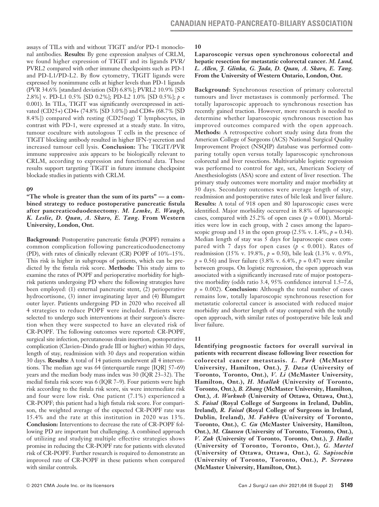assays of TILs with and without TIGIT and/or PD-1 monoclonal antibodies. **Results:** By gene expression analyses of CRLM, we found higher expression of TIGIT and its ligands PVR/ PVRL2 compared with other immune checkpoints such as PD-1 and PD-L1/PD-L2. By flow cytometry, TIGIT ligands were expressed by nonimmune cells at higher levels than PD-1 ligands (PVR 34.6% [standard deviation (SD) 6.8%]; PVRL2 10.9% [SD 2.8%] v. PD-L1 0.5% [SD 0.2%]; PD-L2 1.0% [SD 0.5%]; *p* < 0.001). In TILs, TIGIT was significantly overexpressed in activated (CD25+) CD4+ (74.8% [SD 3.0%]) and CD8+ (68.7% [SD 8.4%]) compared with resting (CD25neg) T lymphocytes, in contrast with PD-1, were expressed at a steady state. In vitro, tumour coculture with autologous T cells in the presence of TIGIT blocking antibody resulted in higher IFN-γ secretion and increased tumour cell lysis. **Conclusion:** The TIGIT/PVR immune suppressive axis appears to be biologically relevant to CRLM, according to expression and functional data. These results support targeting TIGIT in future immune checkpoint blockade studies in patients with CRLM.

#### **09**

**"The whole is greater than the sum of its parts" — a combined strategy to reduce postoperative pancreatic fistula after pancreaticoduodenectomy.** *M. Lemke, E. Waugh, K. Leslie, D. Quan, A. Skaro, E. Tang***. From Western University, London, Ont.**

**Background:** Postoperative pancreatic fistula (POPF) remains a common complication following pancreaticoduodenectomy (PD), with rates of clinically relevant (CR) POPF of 10%–15%. This risk is higher in subgroups of patients, which can be predicted by the fistula risk score. **Methods:** This study aims to examine the rates of POPF and perioperative morbidity for highrisk patients undergoing PD where the following strategies have been employed: (1) external pancreatic stent, (2) perioperative hydrocortisone, (3) inner invaginating layer and (4) Blumgart outer layer. Patients undergoing PD in 2020 who received all 4 strategies to reduce POPF were included. Patients were selected to undergo such interventions at their surgeon's discretion when they were suspected to have an elevated risk of CR-POPF. The following outcomes were reported: CR-POPF, surgical site infection, percutaneous drain insertion, postoperative complication (Clavien–Dindo grade III or higher) within 30 days, length of stay, readmission with 30 days and reoperation within 30 days. **Results:** A total of 14 patients underwent all 4 interventions. The median age was 64 (interquartile range [IQR] 57–69) years and the median body mass index was 30 (IQR 23–32). The medial fistula risk score was 6 (IQR 7–9). Four patients were high risk according to the fistula risk score, six were intermediate risk and four were low risk. One patient (7.1%) experienced a CR-POPF; this patient had a high fistula risk score. For comparison, the weighted average of the expected CR-POPF rate was 15.4% and the rate at this institution in 2020 was 13%. **Conclusion:** Interventions to decrease the rate of CR-POPF following PD are important but challenging. A combined approach of utilizing and studying multiple effective strategies shows promise in reducing the CR-POPF rate for patients with elevated risk of CR-POPF. Further research is required to demonstrate an improved rate of CR-POPF in these patients when compared with similar controls.

### **10**

**Laparoscopic versus open synchronous colorectal and hepatic resection for metastatic colorectal cancer.** *M. Lund, L. Allen, J. Glinka, G. Jada, D. Quan, A. Skaro, E. Tang.* **From the University of Western Ontario, London, Ont.**

**Background:** Synchronous resection of primary colorectal tumours and liver metastases is commonly performed. The totally laparoscopic approach to synchronous resection has recently gained traction. However, more research is needed to determine whether laparoscopic synchronous resection has improved outcomes compared with the open approach. **Methods:** A retrospective cohort study using data from the American College of Surgeons (ACS) National Surgical Quality Improvement Project (NSQIP) database was performed comparing totally open versus totally laparoscopic synchronous colorectal and liver resections. Multivariable logistic regression was performed to control for age, sex, American Society of Anesthesiologists (ASA) score and extent of liver resection. The primary study outcomes were mortality and major morbidity at 30 days. Secondary outcomes were average length of stay, readmission and postoperative rates of bile leak and liver failure. **Results:** A total of 918 open and 80 laparoscopic cases were identified. Major morbidity occurred in 8.8% of laparoscopic cases, compared with 25.2% of open cases ( $p = 0.001$ ). Mortalities were low in each group, with 2 cases among the laparoscopic group and 13 in the open group  $(2.5\% \text{ v. } 1.4\%, p = 0.34)$ . Median length of stay was 5 days for laparoscopic cases compared with 7 days for open cases ( $p < 0.001$ ). Rates of readmission (15% v. 19.8%, *p* = 0.50), bile leak (1.3% v. 0.9%,  $p = 0.56$ ) and liver failure (3.8% v. 6.4%,  $p = 0.47$ ) were similar between groups. On logistic regression, the open approach was associated with a significantly increased rate of major postoperative morbidity (odds ratio 3.4, 95% confidence interval 1.5–7.6,  $p = 0.002$ ). **Conclusion:** Although the total number of cases remains low, totally laparoscopic synchronous resection for metastatic colorectal cancer is associated with reduced major morbidity and shorter length of stay compared with the totally open approach, with similar rates of postoperative bile leak and liver failure.

# **11**

**Identifying prognostic factors for overall survival in patients with recurrent disease following liver resection for colorectal cancer metastasis.** *L. Park* **(McMaster University, Hamilton, Ont.),** *J. Daza* **(University of Toronto, Toronto, Ont.),** *V. Li* **(McMaster University, Hamilton, Ont.),** *H. Msallak* **(University of Toronto, Toronto, Ont.),** *B. Zhang* **(McMaster University, Hamilton, Ont.),** *A. Workneh* **(University of Ottawa, Ottawa, Ont.),**  *S. Faisal* **(Royal College of Surgeons in Ireland, Dublin, Ireland),** *R. Faisal* **(Royal College of Surgeons in Ireland, Dublin, Ireland),** *M. Fabbro* **(University of Toronto, Toronto, Ont.),** *C. Gu* **(McMaster University, Hamilton, Ont.),** *M. Claassen* **(University of Toronto, Toronto, Ont.),**  *V. Zuk* **(University of Toronto, Toronto, Ont.),** *J. Hallet*  **(University of Toronto, Toronto, Ont.),** *G. Martel* **(University of Ottawa, Ottawa, Ont.),** *G. Sapisochin* **(University of Toronto, Toronto, Ont.),** *P. Serrano*  **(McMaster University, Hamilton, Ont.).**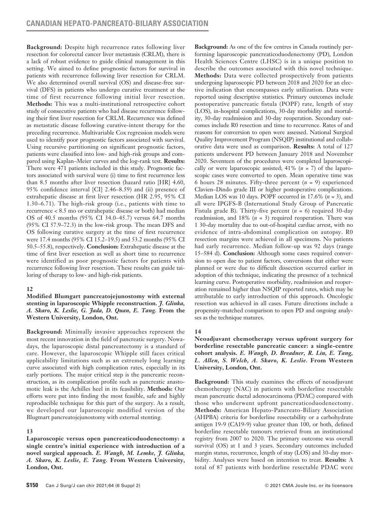**Background:** Despite high recurrence rates following liver resection for colorectal cancer liver metastasis (CRLM), there is a lack of robust evidence to guide clinical management in this setting. We aimed to define prognostic factors for survival in patients with recurrence following liver resection for CRLM. We also determined overall survival (OS) and disease-free survival (DFS) in patients who undergo curative treatment at the time of first recurrence following initial liver resection. **Methods:** This was a multi-institutional retrospective cohort study of consecutive patients who had disease recurrence following their first liver resection for CRLM. Recurrence was defined as metastatic disease following curative-intent therapy for the preceding recurrence. Multivariable Cox regression models were used to identify poor prognostic factors associated with survival. Using recursive partitioning on significant prognostic factors, patients were classified into low- and high-risk groups and compared using Kaplan–Meier curves and the log-rank test. **Results:**  There were 471 patients included in this study. Prognostic factors associated with survival were (i) time to first recurrence less than 8.5 months after liver resection (hazard ratio [HR] 4.60, 95% confidence interval [CI] 2.46–8.59) and (ii) presence of extrahepatic disease at first liver resection (HR 2.95, 95% CI 1.30–6.71). The high-risk group (i.e., patients with time to recurrence < 8.5 mo or extrahepatic disease or both) had median OS of 40.5 months (95% CI 34.0–45.7) versus 64.7 months (95% CI 57.9–72.3) in the low-risk group. The mean DFS and OS following curative surgery at the time of first recurrence were 17.4 months (95% CI 15.2–19.5) and 53.2 months (95% CI 50.5–55.8), respectively. **Conclusion:** Extrahepatic disease at the time of first liver resection as well as short time to recurrence were identified as poor prognostic factors for patients with recurrence following liver resection. These results can guide tailoring of therapy to low- and high-risk patients.

## **12**

**Modified Blumgart pancreatojejunostomy with external stenting in laparoscopic Whipple reconstruction.** *J. Glinka, A. Skaro, K. Leslie, G. Jada, D. Quan, E. Tang.* **From the Western University, London, Ont.** 

**Background:** Minimally invasive approaches represent the most recent innovation in the field of pancreatic surgery. Nowadays, the laparoscopic distal pancreatectomy is a standard of care. However, the laparoscopic Whipple still faces critical applicability limitations such as an extremely long learning curve associated with high complication rates, especially in its early portions. The major critical step is the pancreatic reconstruction, as its complication profile such as pancreatic anastomotic leak is the Achilles heel in its feasibility. **Methods:** Our efforts were put into finding the most feasible, safe and highly reproducible technique for this part of the surgery. As a result, we developed our laparoscopic modified version of the Blugmart pancreatojejunostomy with external stenting.

## **13**

**Laparoscopic versus open pancreaticoduodenectomy: a single centre's initial experience with introduction of a novel surgical approach.** *E. Waugh, M. Lemke, J. Glinka, A. Skaro, K. Leslie, E. Tang.* **From Western University, London, Ont.**

**Background:** As one of the few centres in Canada routinely performing laparoscopic pancreaticoduodenectomy (PD), London Health Sciences Centre (LHSC) is in a unique position to describe the outcomes associated with this novel technique. **Methods:** Data were collected prospectively from patients undergoing laparoscopic PD between 2018 and 2020 for an elective indication that encompasses early utilization. Data were reported using descriptive statistics. Primary outcomes include postoperative pancreatic fistula (POPF) rate, length of stay (LOS), in-hospital complications, 30-day morbidity and mortality, 30-day readmission and 30-day reoperation. Secondary outcomes include R0 resection and time to recurrence. Rates of and reasons for conversion to open were assessed. National Surgical Quality Improvement Program (NSQIP) institutional and collaborative data were used as comparison. **Results:** A total of 127 patients underwent PD between January 2018 and November 2020. Seventeen of the procedures were completed laparoscopically or were laparoscopic assisted; 41% (*n* = 7) of the laparoscopic cases were converted to open. Mean operative time was 6 hours 28 minutes. Fifty-three percent (*n* = 9) experienced Clavien–Dindo grade III or higher postoperative complications. Median LOS was 10 days. POPF occurred in 17.6% (*n* = 3), and all were IPGFS-B (International Study Group of Pancreatic Fistula grade B). Thirty-five percent (*n* = 6) required 30-day readmission, and 18% (*n* = 3) required reoperation. There was 1 30-day mortality due to out-of-hospital cardiac arrest, with no evidence of intra-abdominal complication on autopsy. R0 resection margins were achieved in all specimens. No patients had early recurrence. Median follow-up was 92 days (range 15–584 d). **Conclusion:** Although some cases required conversion to open due to patient factors, conversions that either were planned or were due to difficult dissection occurred earlier in adoption of this technique, indicating the presence of a technical learning curve. Postoperative morbidity, readmission and reoperation remained higher than NSQIP reported rates, which may be attributable to early introduction of this approach. Oncologic resection was achieved in all cases. Future directions include a propensity-matched comparison to open PD and ongoing analyses as the technique matures.

# **14**

### **Neoadjuvant chemotherapy versus upfront surgery for borderline resectable pancreatic cancer: a single-centre cohort analysis.** *E. Waugh, D. Breadner, R. Liu, E. Tang, L. Allen, S. Welch, A. Skaro, K. Leslie.* **From Western University, London, Ont.**

**Background:** This study examines the effects of neoadjuvant chemotherapy (NAC) in patients with borderline resectable mean pancreatic ductal adenocarcinoma (PDAC) compared with those who underwent upfront pancreaticoduodenectomy. **Methods:** American Hepato-Pancreato-Biliary Association (AHPBA) criteria for borderline resectability or a carbohydrate antigen 19-9 (CA19-9) value greater than 100, or both, defined borderline resectable tumours retrieved from an institutional registry from 2007 to 2020. The primary outcome was overall survival (OS) at 1 and 3 years. Secondary outcomes included margin status, recurrence, length of stay (LOS) and 30-day morbidity. Analyses were based on intention to treat. **Results:** A total of 87 patients with borderline resectable PDAC were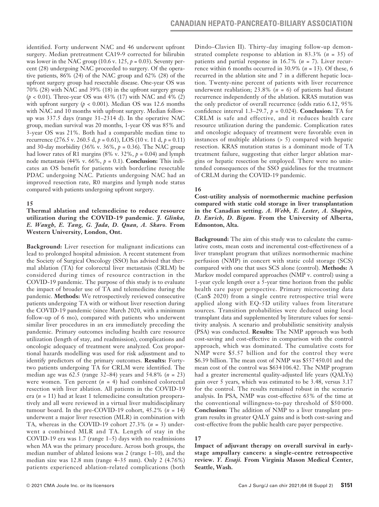identified. Forty underwent NAC and 46 underwent upfront surgery. Median pretreatment CA19-9 corrected for bilirubin was lower in the NAC group (10.6 v. 125,  $p = 0.03$ ). Seventy percent (28) undergoing NAC proceeded to surgery. Of the operative patients, 86% (24) of the NAC group and 62% (28) of the upfront surgery group had resectable disease. One-year OS was 70% (28) with NAC and 39% (18) in the upfront surgery group (*p* < 0.01). Three-year OS was 43% (17) with NAC and 4% (2) with upfront surgery  $(p < 0.001)$ . Median OS was 12.6 months with NAC and 10 months with upfront surgery. Median followup was 337.5 days (range 31–2314 d). In the operative NAC group, median survival was 20 months, 1-year OS was 85% and 3-year OS was 21%. Both had a comparable median time to recurrence (276.5 v. 260.5 d, *p* = 0.61), LOS (10 v. 11 d, *p* = 0.11) and 30-day morbidity (36% v. 36%, *p* = 0.36). The NAC group had lower rates of R1 margins (8% v. 32%,  $p = 0.04$ ) and lymph node metastasis (44% v. 66%,  $p = 0.1$ ). **Conclusion:** This indicates an OS benefit for patients with borderline resectable PDAC undergoing NAC. Patients undergoing NAC had an improved resection rate, R0 margins and lymph node status compared with patients undergoing upfront surgery.

#### **15**

#### **Thermal ablation and telemedicine to reduce resource utilization during the COVID-19 pandemic.** *J. Glinka, E. Waugh, E. Tang, G. Jada, D. Quan, A. Skaro.* **From Western University, London, Ont.**

**Background:** Liver resection for malignant indications can lead to prolonged hospital admission. A recent statement from the Society of Surgical Oncology (SSO) has advised that thermal ablation (TA) for colorectal liver metastasis (CRLM) be considered during times of resource contraction in the COVID-19 pandemic. The purpose of this study is to evaluate the impact of broader use of TA and telemedicine during the pandemic. **Methods:** We retrospectively reviewed consecutive patients undergoing TA with or without liver resection during the COVID-19 pandemic (since March 2020, with a minimum follow-up of 6 mo), compared with patients who underwent similar liver procedures in an era immediately preceding the pandemic. Primary outcomes including health care resource utilization (length of stay, and readmission), complications and oncologic adequacy of treatment were analyzed. Cox proportional hazards modelling was used for risk adjustment and to identify predictors of the primary outcomes. **Results:** Fortytwo patients undergoing TA for CRLM were identified. The median age was 62.5 (range 32–84) years and 54.8% (*n* = 23) were women. Ten percent (*n* = 4) had combined colorectal resection with liver ablation. All patients in the COVID-19 era (*n* = 11) had at least 1 telemedicine consultation preoperatively and all were reviewed in a virtual liver multidisciplinary tumour board. In the pre-COVID-19 cohort,  $45.2\%$  ( $n = 14$ ) underwent a major liver resection (MLR) in combination with TA, whereas in the COVID-19 cohort 27.3% (*n* = 3) underwent a combined MLR and TA. Length of stay in the COVID-19 era was 1.7 (range 1–5) days with no readmissions when MA was the primary procedure. Across both groups, the median number of ablated lesions was 2 (range 1–10), and the median size was 12.8 mm (range 4–35 mm). Only 2 (4.76%) patients experienced ablation-related complications (both Dindo–Clavien II). Thirty-day imaging follow-up demonstrated complete response to ablation in 83.3% (*n* = 35) of patients and partial response in 16.7% (*n* = 7). Liver recurrence within 6 months occurred in 30.9% (*n* = 13). Of these, 6 recurred in the ablation site and 7 in a different hepatic location. Twenty-nine percent of patients with liver recurrence underwent reablation; 23.8% (*n* = 6) of patients had distant recurrence independently of the ablation. KRAS mutation was the only predictor of overall recurrence (odds ratio 6.12, 95% confidence interval 1.3–29.7, *p* = 0.024). **Conclusion:** TA for CRLM is safe and effective, and it reduces health care resource utilization during the pandemic. Complication rates and oncologic adequacy of treatment were favorable even in instances of multiple ablations (> 5) compared with hepatic resection. KRAS mutation status is a dominant mode of TA treatment failure, suggesting that either larger ablation margins or hepatic resection be employed. There were no unintended consequences of the SSO guidelines for the treatment of CRLM during the COVID-19 pandemic.

#### **16**

**Cost-utility analysis of normothermic machine perfusion compared with static cold storage in liver transplantation in the Canadian setting.** *A. Webb, E. Lester, A. Shapiro, D. Eurich, D. Bigam.* **From the University of Alberta, Edmonton, Alta.**

**Background:** The aim of this study was to calculate the cumulative costs, mean costs and incremental cost-effectiveness of a liver transplant program that utilizes normothermic machine perfusion (NMP) in concert with static cold storage (SCS) compared with one that uses SCS alone (control). **Methods:** A Markov model compared approaches (NMP v. control) using a 1-year cycle length over a 5-year time horizon from the public health care payer perspective. Primary microcosting data (Can\$ 2020) from a single centre retrospective trial were applied along with EQ-5D utility values from literature sources. Transition probabilities were deduced using local transplant data and supplemented by literature values for sensitivity analysis. A scenario and probabilistic sensitivity analysis (PSA) was conducted. **Results:** The NMP approach was both cost-saving and cost-effective in comparison with the control approach, which was dominated. The cumulative costs for NMP were \$5.57 billion and for the control they were \$6.39 billion. The mean cost of NMP was \$557 450.01 and the mean cost of the control was \$634 106.42. The NMP program had a greater incremental quality-adjusted life years (QALYs) gain over 5 years, which was estimated to be 3.48, versus 3.17 for the control. The results remained robust in the scenario analysis. In PSA, NMP was cost-effective 63% of the time at the conventional willingness-to-pay threshold of \$50 000. **Conclusion:** The addition of NMP to a liver transplant program results in greater QALY gains and is both cost-saving and cost-effective from the public health care payer perspective.

## **17**

**Impact of adjuvant therapy on overall survival in earlystage ampullary cancers: a single-centre retrospective review.** *Y. Essaji.* **From Virginia Mason Medical Center, Seattle, Wash.**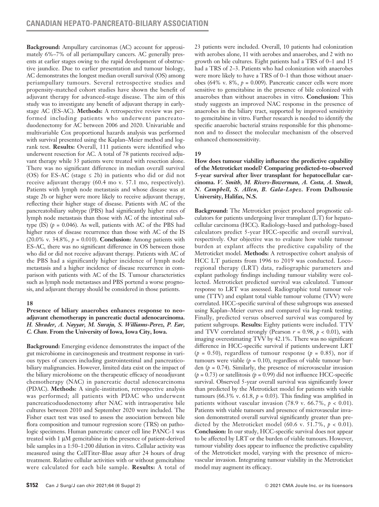**Background:** Ampullary carcinomas (AC) account for approximately 6%–7% of all periampullary cancers. AC generally presents at earlier stages owing to the rapid development of obstructive jaundice. Due to earlier presentation and tumour biology, AC demonstrates the longest median overall survival (OS) among periampullary tumours. Several retrospective studies and propensity-matched cohort studies have shown the benefit of adjuvant therapy for advanced-stage disease. The aim of this study was to investigate any benefit of adjuvant therapy in earlystage AC (ES-AC). **Methods:** A retrospective review was performed including patients who underwent pancreatoduodenectomy for AC between 2006 and 2020. Univariable and multivariable Cox proportional hazards analysis was performed with survival presented using the Kaplan–Meier method and logrank test. **Results:** Overall, 111 patients were identified who underwent resection for AC. A total of 78 patients received adjuvant therapy while 33 patients were treated with resection alone. There was no significant difference in median overall survival (OS) for ES-AC (stage  $\leq$  2b) in patients who did or did not receive adjuvant therapy (60.4 mo v. 57.1 mo, respectively). Patients with lymph node metastasis and whose disease was at stage 2b or higher were more likely to receive adjuvant therapy, reflecting their higher stage of disease. Patients with AC of the pancreatobiliary subtype (PBS) had significantly higher rates of lymph node metastasis than those with AC of the intestinal subtype (IS)  $(p = 0.046)$ . As well, patients with AC of the PBS had higher rates of disease recurrence than those with AC of the IS (20.0% v. 34.8%, *p* = 0.010). **Conclusion:** Among patients with ES-AC, there was no significant difference in OS between those who did or did not receive adjuvant therapy. Patients with AC of the PBS had a significantly higher incidence of lymph node metastasis and a higher incidence of disease recurrence in comparison with patients with AC of the IS. Tumour characteristics such as lymph node metastases and PBS portend a worse prognosis, and adjuvant therapy should be considered in those patients.

#### **18**

#### **Presence of biliary anaerobes enhances response to neoadjuvant chemotherapy in pancreatic ductal adenocarcinoma.**  *H. Shrader, A. Nayyar, M. Suraju, S. Williams-Perez, P. Ear, C. Chan.* **From the University of Iowa, Iowa City, Iowa.**

**Background:** Emerging evidence demonstrates the impact of the gut microbiome in carcinogenesis and treatment response in various types of cancers including gastrointestinal and pancreaticobiliary malignancies. However, limited data exist on the impact of the biliary microbiome on the therapeutic efficacy of neoadjuvant chemotherapy (NAC) in pancreatic ductal adenocarcinoma (PDAC). **Methods:** A single-institution, retrospective analysis was performed; all patients with PDAC who underwent pancreaticoduodenectomy after NAC with intraoperative bile cultures between 2010 and September 2020 were included. The Fisher exact test was used to assess the association between bile flora composition and tumour regression score (TRS) on pathologic specimens. Human pancreatic cancer cell line PANC-1 was treated with 1 μM gemcitabine in the presence of patient-derived bile samples in a 1:50–1:200 dilution in vitro. Cellular activity was measured using the CellTiter-Blue assay after 24 hours of drug treatment. Relative cellular activities with or without gemcitabine were calculated for each bile sample. **Results:** A total of 23 patients were included. Overall, 10 patients had colonization with aerobes alone, 11 with aerobes and anaerobes, and 2 with no growth on bile cultures. Eight patients had a TRS of 0–1 and 15 had a TRS of 2–3. Patients who had colonization with anaerobes were more likely to have a TRS of 0–1 than those without anaerobes (64% v. 8%,  $p = 0.009$ ). Pancreatic cancer cells were more sensitive to gemcitabine in the presence of bile colonized with anaerobes than without anaerobes in vitro. **Conclusion:** This study suggests an improved NAC response in the presence of anaerobes in the biliary tract, supported by improved sensitivity to gemcitabine in vitro. Further research is needed to identify the specific anaerobic bacterial strains responsible for this phenomenon and to dissect the molecular mechanism of the observed enhanced chemosensitivity.

## **19**

**How does tumour viability influence the predictive capability of the Metroticket model? Comparing predicted-to-observed 5-year survival after liver transplant for hepatocellular carcinoma.** *V. Smith, M. Rivers-Bowerman, A. Costa, A. Stueck, N. Campbell, S. Allen, B. Gala-Lopez.* **From Dalhousie University, Halifax, N.S.**

**Background:** The Metroticket project produced prognostic calculators for patients undergoing liver transplant (LT) for hepatocellular carcinoma (HCC). Radiology-based and pathology-based calculators predict 5-year HCC-specific and overall survival, respectively. Our objective was to evaluate how viable tumour burden at explant affects the predictive capability of the Metroticket model. **Methods:** A retrospective cohort analysis of HCC LT patients from 1996 to 2019 was conducted. Locoregional therapy (LRT) data, radiographic parameters and explant pathology findings including tumour viability were collected. Metroticket predicted survival was calculated. Tumour response to LRT was assessed. Radiographic total tumour volume (TTV) and explant total viable tumour volume (TVV) were correlated. HCC-specific survival of these subgroups was assessed using Kaplan–Meier curves and compared via log-rank testing. Finally, predicted versus observed survival was compared by patient subgroups. **Results:** Eighty patients were included. TTV and TVV correlated strongly (Pearson  $r = 0.98$ ,  $p < 0.01$ ), with imaging overestimating TVV by 42.1%. There was no significant difference in HCC-specific survival if patients underwent LRT  $(p = 0.50)$ , regardless of tumour response  $(p = 0.85)$ , nor if tumours were viable  $(p = 0.10)$ , regardless of viable tumour burden (*p* = 0.74). Similarly, the presence of microvascular invasion  $(p = 0.73)$  or satellitosis  $(p = 0.99)$  did not influence HCC-specific survival. Observed 5-year overall survival was significantly lower than predicted by the Metroticket model for patients with viable tumours (66.3% v. 61.8,  $p = 0.03$ ). This finding was amplified in patients without vascular invasion  $(78.9 \text{ v. } 66.7\%, p < 0.01)$ . Patients with viable tumours and presence of microvascular invasion demonstrated overall survival significantly greater than predicted by the Metroticket model (60.6 v. 51.7%,  $p < 0.01$ ). **Conclusion:** In our study, HCC-specific survival does not appear to be affected by LRT or the burden of viable tumours. However, tumour viability does appear to influence the predictive capability of the Metroticket model, varying with the presence of microvascular invasion. Integrating tumour viability in the Metroticket model may augment its efficacy.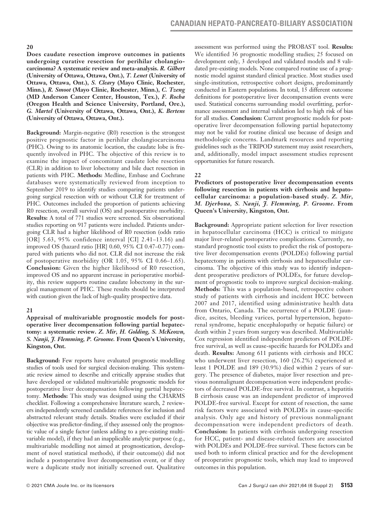#### **20**

**Does caudate resection improve outcomes in patients undergoing curative resection for perihilar cholangiocarcinoma? A systematic review and meta-analysis.** *R. Gilbert*  **(University of Ottawa, Ottawa, Ont.),** *T. Lenet* **(University of Ottawa, Ottawa, Ont.),** *S. Cleary* **(Mayo Clinic, Rochester, Minn.),** *R. Smoot* **(Mayo Clinic, Rochester, Minn.),** *C. Tzeng* **(MD Anderson Cancer Center, Houston, Tex.),** *F. Rocha* **(Oregon Health and Science University, Portland, Ore.),**  *G. Martel* **(University of Ottawa, Ottawa, Ont.),** *K. Bertens* **(University of Ottawa, Ottawa, Ont.).**

**Background:** Margin-negative (R0) resection is the strongest positive prognostic factor in perihilar cholangiocarcinoma (PHC). Owing to its anatomic location, the caudate lobe is frequently involved in PHC. The objective of this review is to examine the impact of concomitant caudate lobe resection (CLR) in addition to liver lobectomy and bile duct resection in patients with PHC. **Methods:** Medline, Embase and Cochrane databases were systematically reviewed from inception to September 2019 to identify studies comparing patients undergoing surgical resection with or without CLR for treatment of PHC. Outcomes included the proportion of patients achieving R0 resection, overall survival (OS) and postoperative morbidity. **Results:** A total of 771 studies were screened. Six observational studies reporting on 917 patients were included. Patients undergoing CLR had a higher likelihood of R0 resection (odds ratio [OR] 5.63, 95% confidence interval [CI] 2.41–13.16) and improved OS (hazard ratio [HR] 0.60, 95% CI 0.47–0.77) compared with patients who did not. CLR did not increase the risk of postoperative morbidity (OR 1.05, 95% CI 0.66–1.65). **Conclusion:** Given the higher likelihood of R0 resection, improved OS and no apparent increase in perioperative morbidity, this review supports routine caudate lobectomy in the surgical management of PHC. These results should be interpreted with caution given the lack of high-quality prospective data.

## **21**

#### **Appraisal of multivariable prognostic models for postoperative liver decompensation following partial hepatectomy: a systematic review.** *Z. Mir, H. Golding, S. McKeown, S. Nanji, J. Flemming, P. Groome.* **From Queen's University, Kingston, Ont.**

**Background:** Few reports have evaluated prognostic modelling studies of tools used for surgical decision-making. This systematic review aimed to describe and critically appraise studies that have developed or validated multivariable prognostic models for postoperative liver decompensation following partial hepatectomy. **Methods:** This study was designed using the CHARMS checklist. Following a comprehensive literature search, 2 reviewers independently screened candidate references for inclusion and abstracted relevant study details. Studies were excluded if their objective was predictor-finding, if they assessed only the prognostic value of a single factor (unless adding to a pre-existing multivariable model), if they had an inapplicable analytic purpose (e.g., multivariable modelling not aimed at prognostication, development of novel statistical methods), if their outcome(s) did not include a postoperative liver decompensation event, or if they were a duplicate study not initially screened out. Qualitative assessment was performed using the PROBAST tool. **Results:**  We identified 36 prognostic modelling studies; 25 focused on development only, 3 developed and validated models and 8 validated pre-existing models. None compared routine use of a prognostic model against standard clinical practice. Most studies used single-institution, retrospective cohort designs, predominantly conducted in Eastern populations. In total, 15 different outcome definitions for postoperative liver decompensation events were used. Statistical concerns surrounding model overfitting, performance assessment and internal validation led to high risk of bias for all studies. **Conclusion:** Current prognostic models for postoperative liver decompensation following partial hepatectomy may not be valid for routine clinical use because of design and methodologic concerns. Landmark resources and reporting guidelines such as the TRIPOD statement may assist researchers, and, additionally, model impact assessment studies represent opportunities for future research.

# **22**

### **Predictors of postoperative liver decompensation events following resection in patients with cirrhosis and hepatocellular carcinoma: a population-based study.** *Z. Mir, M. Djerboua, S. Nanji, J. Flemming, P. Groome.* **From Queen's University, Kingston, Ont.**

**Background:** Appropriate patient selection for liver resection in hepatocellular carcinoma (HCC) is critical to mitigate major liver-related postoperative complications. Currently, no standard prognostic tool exists to predict the risk of postoperative liver decompensation events (POLDEs) following partial hepatectomy in patients with cirrhosis and hepatocellular carcinoma. The objective of this study was to identify independent preoperative predictors of POLDEs, for future development of prognostic tools to improve surgical decision-making. **Methods:** This was a population-based, retrospective cohort study of patients with cirrhosis and incident HCC between 2007 and 2017, identified using administrative health data from Ontario, Canada. The occurrence of a POLDE (jaundice, ascites, bleeding varices, portal hypertension, hepatorenal syndrome, hepatic encephalopathy or hepatic failure) or death within 2 years from surgery was described. Multivariable Cox regression identified independent predictors of POLDEfree survival, as well as cause-specific hazards for POLDEs and death. **Results:** Among 611 patients with cirrhosis and HCC who underwent liver resection, 160 (26.2%) experienced at least 1 POLDE and 189 (30.9%) died within 2 years of surgery. The presence of diabetes, major liver resection and previous nonmalignant decompensation were independent predictors of decreased POLDE-free survival. In contrast, a hepatitis B cirrhosis cause was an independent predictor of improved POLDE-free survival. Except for extent of resection, the same risk factors were associated with POLDEs in cause-specific analysis. Only age and history of previous nonmalignant decompensation were independent predictors of death. **Conclusion:** In patients with cirrhosis undergoing resection for HCC, patient- and disease-related factors are associated with POLDEs and POLDE-free survival. These factors can be used both to inform clinical practice and for the development of preoperative prognostic tools, which may lead to improved outcomes in this population.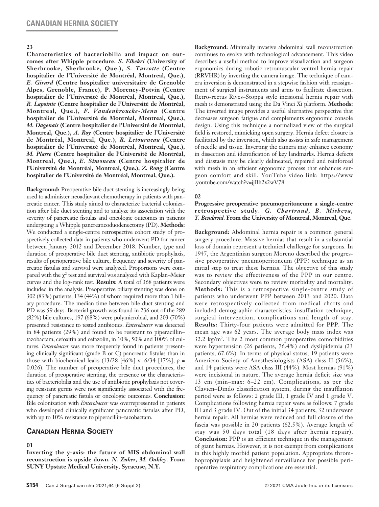#### **23**

**Characteristics of bacteriobilia and impact on outcomes after Whipple procedure.** *S. Elbekri* **(University of Sherbrooke, Sherbrooke, Que.),** *S. Turcotte* **(Centre hospitalier de l'Université de Montréal, Montreal, Que.),**  *E. Girard* **(Centre hospitalier universitaire de Grenoble Alpes, Grenoble, France), P. Morency-Potvin (Centre hospitalier de l'Université de Montréal, Montreal, Que.),**  *R. Lapointe* **(Centre hospitalier de l'Université de Montréal, Montreal, Que.),** *F. Vandenbroucke-Menu* **(Centre hospitalier de l'Université de Montréal, Montreal, Que.),**  *M. Dagenais* **(Centre hospitalier de l'Université de Montréal, Montreal, Que.),** *A. Roy* **(Centre hospitalier de l'Université de Montréal, Montreal, Que.),** *R. Letourneau* **(Centre hospitalier de l'Université de Montréal, Montreal, Que.),**  *M. Plasse* **(Centre hospitalier de l'Université de Montréal, Montreal, Que.),** *E. Simoneau* **(Centre hospitalier de l'Université de Montréal, Montreal, Que.),** *Z. Rong* **(Centre hospitalier de l'Université de Montréal, Montreal, Que.).**

**Background:** Preoperative bile duct stenting is increasingly being used to administer neoadjuvant chemotherapy in patients with pancreatic cancer. This study aimed to characterize bacterial colonization after bile duct stenting and to analyze its association with the severity of pancreatic fistulas and oncologic outcomes in patients undergoing a Whipple pancreaticoduodenectomy (PD). **Methods:** We conducted a single-centre retrospective cohort study of prospectively collected data in patients who underwent PD for cancer between January 2012 and December 2018. Number, type and duration of preoperative bile duct stenting, antibiotic prophylaxis, results of perioperative bile culture, frequency and severity of pancreatic fistulas and survival were analyzed. Proportions were compared with the  $\chi^2$  test and survival was analyzed with Kaplan–Meier curves and the log-rank test. **Results:** A total of 368 patients were included in the analysis. Preoperative biliary stenting was done on 302 (83%) patients, 134 (44%) of whom required more than 1 biliary procedure. The median time between bile duct stenting and PD was 59 days. Bacterial growth was found in 236 out of the 289 (82%) bile cultures, 197 (68%) were polymicrobial, and 203 (70%) presented resistance to tested antibiotics. *Enterobacter* was detected in 84 patients (29%) and found to be resistant to piperacillin– tazobactam, cefoxitin and cefazolin, in 10%, 50% and 100% of cultures. *Enterobacter* was more frequently found in patients presenting clinically significant (grade B or C) pancreatic fistulas than in those with biochemical leaks (13/28 [46%] v. 6/34 [17%], *p* = 0.026). The number of preoperative bile duct procedures, the duration of preoperative stenting, the presence or the characteristics of bacteriobilia and the use of antibiotic prophylaxis not covering resistant germs were not significantly associated with the frequency of pancreatic fistula or oncologic outcomes. **Conclusion:** Bile colonization with *Enterobacter* was overrepresented in patients who developed clinically significant pancreatic fistulas after PD, with up to 10% resistance to piperacillin–tazobactam.

## **Canadian Hernia Society**

**01**

**Inverting the y-axis: the future of MIS abdominal wall reconstruction is upside down.** *N. Zuker, M. Oakley.* **From SUNY Upstate Medical University, Syracuse, N.Y.**

**Background:** Minimally invasive abdominal wall reconstruction continues to evolve with technological advancement. This video describes a useful method to improve visualization and surgeon ergonomics during robotic retromuscular ventral hernia repair (RRVHR) by inverting the camera image. The technique of camera inversion is demonstrated in a stepwise fashion with reassignment of surgical instruments and arms to facilitate dissection. Retro-rectus Rives–Stoppa style incisional hernia repair with mesh is demonstrated using the Da Vinci Xi platform. **Methods:**  The inverted image provides a useful alternative perspective that decreases surgeon fatigue and complements ergonomic console design. Using this technique a normalized view of the surgical field is restored, mimicking open surgery. Hernia defect closure is facilitated by the inversion, which also assists in safe management of needle and tissue. Inverting the camera may enhance economy in dissection and identification of key landmarks. Hernia defects and diastasis may be clearly delineated, repaired and reinforced with mesh in an efficient ergonomic process that enhances surgeon comfort and skill. YouTube video link: https://www .youtube.com/watch?v=jjBh2x2wV78

#### **02**

#### **Progressive preoperative pneumoperitoneum: a single-centre retrospective study.** *G. Chartrand, B. Misheva, Y. Bendavid.* **From the University of Montreal, Montreal, Que.**

**Background:** Abdominal hernia repair is a common general surgery procedure. Massive hernias that result in a substantial loss of domain represent a technical challenge for surgeons. In 1947, the Argentinian surgeon Moreno described the progressive preoperative pneumoperitoneum (PPP) technique as an initial step to treat these hernias. The objective of this study was to review the effectiveness of the PPP in our centre. Secondary objectives were to review morbidity and mortality. **Methods:** This is a retrospective single-centre study of patients who underwent PPP between 2013 and 2020. Data were retrospectively collected from medical charts and included demographic characteristics, insufflation technique, surgical intervention, complications and length of stay. **Results:** Thirty-four patients were admitted for PPP. The mean age was 62 years. The average body mass index was 32.2 kg/m2 . The 2 most common preoperative comorbidities were hypertension (26 patients, 76.4%) and dyslipidemia (23 patients, 67.6%). In terms of physical status, 19 patients were American Society of Anesthesiologists (ASA) class II (56%), and 14 patients were ASA class III (44%). Most hernias (91%) were incisional in nature. The average hernia deficit size was 13 cm (min–max: 6–22 cm). Complications, as per the Clavien–Dindo classification system, during the insufflation period were as follows: 2 grade III, 1 grade IV and 1 grade V. Complications following hernia repair were as follows: 7 grade III and 3 grade IV. Out of the initial 34 patients, 32 underwent hernia repair. All hernias were reduced and full closure of the fascia was possible in 20 patients (62.5%). Average length of stay was 50 days total (18 days after hernia repair). **Conclusion:** PPP is an efficient technique in the management of giant hernias. However, it is not exempt from complications in this highly morbid patient population. Appropriate thromboprophylaxis and heightened surveillance for possible perioperative respiratory complications are essential.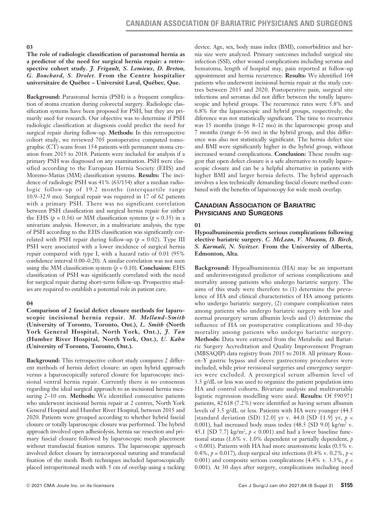#### **03**

#### **The role of radiologic classification of parastomal hernia as a predictor of the need for surgical hernia repair: a retrospective cohort study.** *J. Frigault, S. Lemieux, D. Breton, G. Bouchard, S. Drolet.* **From the Centre hospitalier universitaire de Québec – Université Laval, Québec, Que.**

**Background:** Parastomal hernia (PSH) is a frequent complication of stoma creation during colorectal surgery. Radiologic classification systems have been proposed for PSH, but they are primarily used for research. Our objective was to determine if PSH radiologic classification at diagnosis could predict the need for surgical repair during follow-up. **Methods:** In this retrospective cohort study, we reviewed 705 postoperative computed tomographic (CT) scans from 154 patients with permanent stoma creation from 2015 to 2018. Patients were included for analysis if a primary PSH was diagnosed on any examination. PSH were classified according to the European Hernia Society (EHS) and Moreno-Matias (MM) classification systems. **Results:** The incidence of radiologic PSH was 41% (63/154) after a median radiologic follow-up of 19.2 months (interquartile range 10.9–32.9 mo). Surgical repair was required in 17 of 62 patients with a primary PSH. There was no significant correlation between PSH classification and surgical hernia repair for either the EHS ( $p = 0.56$ ) or MM classification systems ( $p = 0.35$ ) in a univariate analysis. However, in a multivariate analysis, the type of PSH according to the EHS classification was significantly correlated with PSH repair during follow-up ( $p = 0.02$ ). Type III PSH were associated with a lower incidence of surgical hernia repair compared with type I, with a hazard ratio of 0.01 (95% confidence interval 0.00–0.20). A similar correlation was not seen using the MM classification system  $(p = 0.10)$ . **Conclusion:** EHS classification of PSH was significantly correlated with the need for surgical repair during short-term follow-up. Prospective studies are required to establish a potential role in patient care.

#### **04**

**Comparison of 2 fascial defect closure methods for laparoscopic incisional hernia repair.** *M. Melland-Smith* **(University of Toronto, Toronto, Ont.),** *L. Smith* **(North York General Hospital, North York, Ont.),** *J. Tan* **(Humber River Hospital, North York, Ont.),** *U. Kahn* **(University of Toronto, Toronto, Ont.).**

**Background:** This retrospective cohort study compares 2 different methods of hernia defect closure: an open hybrid approach versus a laparoscopically sutured closure for laparoscopic incisional ventral hernia repair. Currently there is no consensus regarding the ideal surgical approach to an incisional hernia measuring 2–10 cm. **Methods:** We identified consecutive patients who underwent incisional hernia repair at 2 centres, North York General Hospital and Humber River Hospital, between 2015 and 2020. Patients were grouped according to whether hybrid fascial closure or totally laparoscopic closure was performed. The hybrid approach involved open adhesiolysis, hernia sac resection and primary fascial closure followed by laparoscopic mesh placement without transfascial fixation sutures. The laparoscopic approach involved defect closure by intracorporeal suturing and transfacial fixation of the mesh. Both techniques included laparoscopically placed intraperitoneal mesh with 5 cm of overlap using a tacking device. Age, sex, body mass index (BMI), comorbidities and hernia size were analyzed. Primary outcomes included surgical site infection (SSI), other wound complications including seroma and hematoma, length of hospital stay, pain reported at follow-up appointment and hernia recurrence. **Results:** We identified 164 patients who underwent incisional hernia repair at the study centres between 2015 and 2020. Postoperative pain, surgical site infections and seromas did not differ between the totally laparoscopic and hybrid groups. The recurrence rates were 5.8% and 6.8% for the laparoscopic and hybrid groups, respectively; the diference was not statistically significant. The time to recurrence was 15 months (range 8–12 mo) in the laparoscopic group and 7 months (range 6–36 mo) in the hybrid group, and this difference was also not statistically significant. The hernia defect size and BMI were significantly higher in the hybrid group, without increased wound complications. **Conclusion:** These results suggest that open defect closure is a safe alternative to totally laparoscopic closure and can be a helpful alternative in patients with higher BMI and larger hernia defects. The hybrid approach involves a less technically demanding fascial closure method combined with the benefits of laparoscopy for wide mesh overlap.

# **Canadian Association of Bariatric Physicians and Surgeons**

#### **01**

**Hypoalbuminemia predicts serious complications following elective bariatric surgery.** *C. McLean, V. Mocanu, D. Birch, S. Karmali, N. Switzer.* **From the University of Alberta, Edmonton, Alta.**

**Background:** Hypoalbuminemia (HA) may be an important and underinvestigated predictor of serious complications and mortality among patients who undergo bariatric surgery. The aims of this study were therefore to (1) determine the prevalence of HA and clinical characteristics of HA among patients who undergo bariatric surgery, (2) compare complication rates among patients who undergo bariatric surgery with low and normal presurgery serum albumin levels and (3) determine the influence of HA on postoperative complications and 30-day mortality among patients who undergo bariatric surgery. **Methods:** Data were extracted from the Metabolic and Bariatric Surgery Accreditation and Quality Improvement Program (MBSAQIP) data registry from 2015 to 2018. All primary Rouxen-Y gastric bypass and sleeve gastrectomy procedures were included, while prior revisional surgeries and emergency surgeries were excluded. A presurgical serum albumin level of 3.5 g/dL or less was used to organize the patient population into HA and control cohorts. Bivariate analysis and multivariable logistic regression modelling were used. **Results:** Of 590 971 patients, 42618 (7.2%) were identified as having serum albumin levels of 3.5 g/dL or less. Patients with HA were younger (44.5 [standard deviation (SD) 12.0] yr v. 44.0 [SD 11.9] yr, *p* < 0.001), had increased body mass index  $(48.5 \text{ [SD 9.0] kg/m}^2 \text{ v.})$ 45.1 [SD 7.7]  $\text{kg/m}^2$ ,  $p < 0.001$ ) and had a lower baseline functional status (1.6% v. 1.0% dependent or partially dependent, *p*  < 0.001). Patients with HA had more anastomotic leaks (0.5% v. 0.4%, *p* = 0.017), deep surgical site infections (0.4% v. 0.2%, *p* < 0.001) and composite serious complications (4.4% v. 3.3%, *p* < 0.001). At 30 days after surgery, complications including need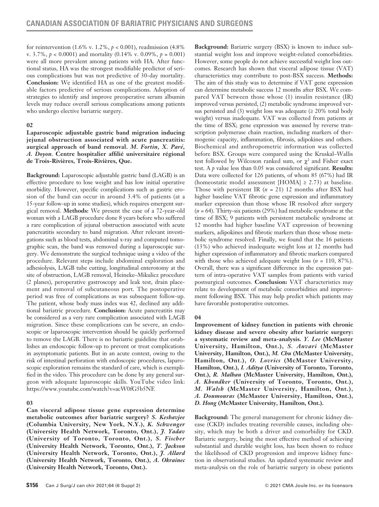for reintervention (1.6% v. 1.2%, *p* < 0.001), readmission (4.8% v. 3.7%, *p* < 0.0001) and mortality (0.14% v. 0.09%, *p* = 0.001) were all more prevalent among patients with HA. After functional status, HA was the strongest modifiable predictor of serious complications but was not predictive of 30-day mortality. **Conclusion:** We identified HA as one of the greatest modifiable factors predictive of serious complications. Adoption of strategies to identify and improve preoperative serum albumin levels may reduce overall serious complications among patients who undergo elective bariatric surgery.

## **02**

**Laparoscopic adjustable gastric band migration inducing jejunal obstruction associated with acute pancreatitis: aurgical approach of band removal.** *M. Fortin, X. Paré, A. Doyon.* **Centre hospitalier affilié universitaire régional de Trois-Rivières, Trois-Rivières, Que.**

**Background:** Laparoscopic adjustable gastric band (LAGB) is an effective procedure to lose weight and has low initial operative morbidity. However, specific complications such as gastric erosion of the band can occur in around 3.4% of patients (at a 15-year follow-up in some studies), which requires emergent surgical removal. **Methods:** We present the case of a 72-year-old woman with a LAGB procedure done 8 years before who suffered a rare complication of jejunal obstruction associated with acute pancreatitis secondary to band migration. After relevant investigations such as blood tests, abdominal x-ray and computed tomographic scan, the band was removed during a laparoscopic surgery. We demonstrate the surgical technique using a video of the procedure. Relevant steps include abdominal exploration and adhesiolysis, LAGB tube cutting, longitudinal enterotomy at the site of obstruction, LAGB removal, Heineke–Mikulicz procedure (2 planes), peroperative gastroscopy and leak test, drain placement and removal of subcutaneous port. The postoperative period was free of complications as was subsequent follow-up. The patient, whose body mass index was 42, declined any additional bariatric procedure. **Conclusion:** Acute pancreatitis may be considered as a very rare complication associated with LAGB migration. Since these complications can be severe, an endoscopic or laparoscopic intervention should be quickly performed to remove the LAGB. There is no bariatric guideline that establishes an endoscopic follow-up to prevent or treat complications in asymptomatic patients. But in an acute context, owing to the risk of intestinal perforation with endoscopic procedures, laparoscopic exploration remains the standard of care, which is exemplified in the video. This procedure can be done by any general surgeon with adequate laparoscopic skills. YouTube video link: https://www.youtube.com/watch?v=acW0fG5b5NE

## **03**

**Can visceral adipose tissue gene expression determine metabolic outcomes after bariatric surgery?** *S. Keshavjee*  **(Columbia University, New York, N.Y.),** *K. Schwenger*  **(University Health Network, Toronto, Ont.),** *J. Yadav* **(University of Toronto, Toronto, Ont.),** *S. Fischer* **(University Health Network, Toronto, Ont.),** *T. Jackson* **(University Health Network, Toronto, Ont.),** *J. Allard* **(University Health Network, Toronto, Ont.),** *A. Okrainec* **(University Health Network, Toronto, Ont.).**

**Background:** Bariatric surgery (BSX) is known to induce substantial weight loss and improve weight-related comorbidities. However, some people do not achieve successful weight loss outcomes. Research has shown that visceral adipose tissue (VAT) characteristics may contribute to post-BSX success. **Methods:**  The aim of this study was to determine if VAT gene expression can determine metabolic success 12 months after BSX. We compared VAT between those whose (1) insulin resistance (IR) improved versus persisted, (2) metabolic syndrome improved versus persisted and (3) weight loss was adequate ( $\geq$  20% total body weight) versus inadequate. VAT was collected from patients at the time of BSX; gene expression was assessed by reverse transcription polymerase chain reaction, including markers of thermogenic capacity, inflammation, fibrosis, adipokines and others. Biochemical and anthropometric information was collected before BSX. Groups were compared using the Kruskal–Wallis test followed by Wilcoxon ranked sum, or  $\chi^2$  and Fisher exact test. A *p* value less than 0.05 was considered significant. **Results:** Data were collected for 126 patients, of whom 85 (67%) had IR (homeostatic model assessment [HOMA]  $\geq$  2.73) at baseline. Those with persistent IR (*n* = 21) 12 months after BSX had higher baseline VAT fibrotic gene expression and inflammatory marker expression than those whose IR resolved after surgery (*n* = 64). Thirty-six patients (29%) had metabolic syndrome at the time of BSX; 9 patients with persistent metabolic syndrome at 12 months had higher baseline VAT expression of browning markers, adipokines and fibrotic markers than those whose metabolic syndrome resolved. Finally, we found that the 16 patients (13%) who achieved inadequate weight loss at 12 months had higher expression of inflammatory and fibrotic markers compared with those who achieved adequate weight loss (*n* = 110, 87%). Overall, there was a significant difference in the expression pattern of intra-operative VAT samples from patients with varied postsurgical outcomes. **Conclusion:** VAT characteristics may relate to development of metabolic comorbidities and improvement following BSX. This may help predict which patients may have favorable postoperative outcomes.

## **04**

**Improvement of kidney function in patients with chronic kidney disease and severe obesity after bariatric surgery: a systematic review and meta-analysis.** *Y. Lee* **(McMaster University, Hamilton, Ont.),** *S. Anvari* **(McMaster University, Hamilton, Ont.),** *M. Chu* **(McMaster University, Hamilton, Ont.),** *O. Lovrics* **(McMaster University, Hamilton, Ont.),** *I. Aditya* **(University of Toronto, Toronto, Ont.),** *R. Malhan* **(McMaster University, Hamilton, Ont.),**  *A. Khondker* **(University of Toronto, Toronto, Ont.),**  *M. Walsh* **(McMaster University, Hamilton, Ont.),**  *A. Doumouras* **(McMaster University, Hamilton, Ont.),**  *D. Hong* **(McMaster University, Hamilton, Ont.).**

**Background:** The general management for chronic kidney disease (CKD) includes treating reversible causes, including obesity, which may be both a driver and comorbidity for CKD. Bariatric surgery, being the most effective method of achieving substantial and durable weight loss, has been shown to reduce the likelihood of CKD progression and improve kidney function in observational studies. An updated systematic review and meta-analysis on the role of bariatric surgery in obese patients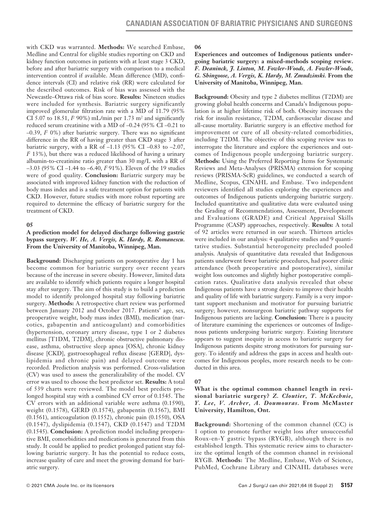with CKD was warranted. **Methods:** We searched Embase, Medline and Central for eligible studies reporting on CKD and kidney function outcomes in patients with at least stage 3 CKD, before and after bariatric surgery with comparison to a medical intervention control if available. Mean difference (MD), confidence intervals (CI) and relative risk (RR) were calculated for the described outcomes. Risk of bias was assessed with the Newcastle–Ottawa risk of bias score. **Results:** Nineteen studies were included for synthesis. Bariatric surgery significantly improved glomerular filtration rate with a MD of 11.79 (95% CI 5.07 to 18.51,  *90%) mL/min per 1.73 m<sup>2</sup> and significantly* reduced serum creatinine with a MD of –0.24 (95% CI –0.21 to –0.39, *I*<sup>2</sup> 0%) after bariatric surgery. There was no significant difference in the RR of having greater than CKD stage 3 after bariatric surgery, with a RR of  $-1.13$  (95% CI  $-0.83$  to  $-2.07$ , *I*2 13%), but there was a reduced likelihood of having a urinary albumin-to-creatinine ratio greater than 30 mg/L with a RR of –3.03 (95% CI –1.44 to –6.40, *I*2 91%). Eleven of the 19 studies were of good quality. **Conclusion:** Bariatric surgery may be associated with improved kidney function with the reduction of body mass index and is a safe treatment option for patients with CKD. However, future studies with more robust reporting are required to determine the efficacy of bariatric surgery for the treatment of CKD.

#### **05**

## **A prediction model for delayed discharge following gastric bypass surgery.** *W. He, A. Vergis, K. Hardy, R. Romanescu.*  **From the University of Manitoba, Winnipeg, Man.**

**Background:** Discharging patients on postoperative day 1 has become common for bariatric surgery over recent years because of the increase in severe obesity. However, limited data are available to identify which patients require a longer hospital stay after surgery. The aim of this study is to build a prediction model to identify prolonged hospital stay following bariatric surgery. **Methods:** A retrospective chart review was performed between January 2012 and October 2017. Patients' age, sex, preoperative weight, body mass index (BMI), medication (narcotics, gabapentin and anticoagulant) and comorbidities (hypertension, coronary artery disease, type 1 or 2 diabetes mellitus [T1DM, T2DM], chronic obstructive pulmonary disease, asthma, obstructive sleep apnea [OSA], chronic kidney disease [CKD], gastroesophageal reflux disease [GERD], dyslipidemia and chronic pain) and delayed outcome were recorded. Prediction analysis was performed. Cross-validation (CV) was used to assess the generalizability of the model. CV error was used to choose the best predictor set. **Results:** A total of 539 charts were reviewed. The model best predicts prolonged hospital stay with a combined CV error of 0.1545. The CV errors with an additional variable were asthma (0.1590), weight (0.1578), GERD (0.1574), gabapentin (0.1567), BMI (0.1561), anticoagulation (0.1552), chronic pain (0.1550), OSA (0.1547), dyslipidemia (0.1547), CKD (0.1547) and T2DM (0.1545). **Conclusion:** A prediction model including preoperative BMI, comorbidities and medications is generated from this study. It could be applied to predict prolonged patient stay following bariatric surgery. It has the potential to reduce costs, increase quality of care and meet the growing demand for bariatric surgery.

## **06**

**Experiences and outcomes of Indigenous patients undergoing bariatric surgery: a mixed-methods scoping review.**  *F. Deaninck, J. Linton, M. Fowler-Woods, A. Fowler-Woods, G. Shingoose, A. Vergis, K. Hardy, M. Zmudzinski.* **From the University of Manitoba, Winnipeg, Man.**

**Background:** Obesity and type 2 diabetes mellitus (T2DM) are growing global health concerns and Canada's Indigenous population is at higher lifetime risk of both. Obesity increases the risk for insulin resistance, T2DM, cardiovascular disease and all-cause mortality. Bariatric surgery is an effective method for improvement or cure of all obesity-related comorbidities, including T2DM. The objective of this scoping review was to interrogate the literature and explore the experiences and outcomes of Indigenous people undergoing bariatric surgery. **Methods:** Using the Preferred Reporting Items for Systematic Reviews and Meta-Analyses (PRISMA) extension for scoping reviews (PRISMA-ScR) guidelines, we conducted a search of Medline, Scopus, CINAHL and Embase. Two independent reviewers identified all studies exploring the experiences and outcomes of Indigenous patients undergoing bariatric surgery. Included quantitative and qualitative data were evaluated using the Grading of Recommendations, Assessment, Development and Evaluations (GRADE) and Critical Appraisal Skills Programme (CASP) approaches, respectively. **Results:** A total of 92 articles were returned in our search. Thirteen articles were included in our analysis: 4 qualitative studies and 9 quantitative studies. Substantial heterogeneity precluded pooled analysis. Analysis of quantitative data revealed that Indigenous patients underwent fewer bariatric procedures, had poorer clinic attendance (both preoperative and postoperative), similar weight loss outcomes and slightly higher postoperative complication rates. Qualitative data analysis revealed that obese Indigenous patients have a strong desire to improve their health and quality of life with bariatric surgery. Family is a very important support mechanism and motivator for pursuing bariatric surgery; however, nonsurgeon bariatric pathway supports for Indigenous patients are lacking. **Conclusion:** There is a paucity of literature examining the experiences or outcomes of Indigenous patients undergoing bariatric surgery. Existing literature appears to suggest inequity in access to bariatric surgery for Indigenous patients despite strong motivators for pursuing surgery. To identify and address the gaps in access and health outcomes for Indigenous peoples, more research needs to be conducted in this area.

## **07**

### **What is the optimal common channel length in revisional bariatric surgery?** *Z. Cloutier, T. McKechnie, Y. Lee, V. Archer, A. Doumouras.* **From McMaster University, Hamilton, Ont.**

**Background:** Shortening of the common channel (CC) is 1 option to promote further weight loss after unsuccessful Roux-en-Y gastric bypass (RYGB), although there is no established length. This systematic review aims to characterize the optimal length of the common channel in revisional RYGB. **Methods:** The Medline, Embase, Web of Science, PubMed, Cochrane Library and CINAHL databases were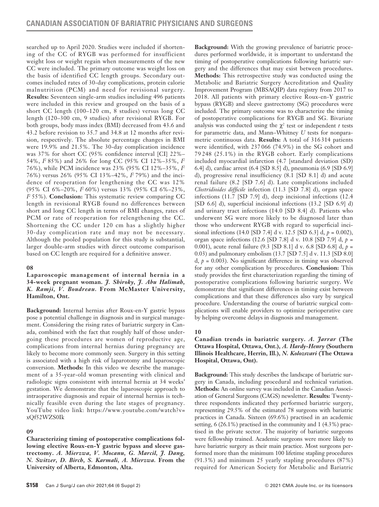searched up to April 2020. Studies were included if shortening of the CC of RYGB was performed for insufficient weight loss or weight regain when measurements of the new CC were included. The primary outcome was weight loss on the basis of identified CC length groups. Secondary outcomes included rates of 30-day complications, protein calorie malnutrition (PCM) and need for revisional surgery. **Results:** Seventeen single-arm studies including 496 patients were included in this review and grouped on the basis of a short CC length (100–120 cm, 8 studies) versus long CC length (120–300 cm, 9 studies) after revisional RYGB. For both groups, body mass index (BMI) decreased from 43.6 and 43.2 before revision to 35.7 and 34.8 at 12 months after revision, respectively. The absolute percentage changes in BMI were 19.9% and 21.5%. The 30-day complication incidence was 37% for short CC (95% confidence interval [CI] 22%– 54%, *I*2 85%) and 26% for long CC (95% CI 12%–35%, *I*<sup>2</sup> 76%), while PCM incidence was 23% (95% CI 12%–35%, *I*<sup>2</sup> 76%) versus 26% (95% CI 13%–42%, *I*2 79%) and the incidence of reoperation for lengthening the CC was 12% (95% CI 6%–20%, *I*2 60%) versus 13% (95% CI 6%–23%, *I*2 55%). **Conclusion:** This systematic review comparing CC length in revisional RYGB found no differences between short and long CC length in terms of BMI changes, rates of PCM or rate of reoperation for relengthening the CC. Shortening the CC under 120 cm has a slightly higher 30-day complication rate and may not be necessary. Although the pooled population for this study is substantial, larger double-arm studies with direct outcome comparison based on CC length are required for a definitive answer.

## **08**

**Laparoscopic management of internal hernia in a 34-week pregnant woman.** *J. Shiroky, J. Abu Halimah, K. Ramji, V. Boudreau.* **From McMaster University, Hamilton, Ont.**

**Background:** Internal hernias after Roux-en-Y gastric bypass pose a potential challenge in diagnosis and in surgical management. Considering the rising rates of bariatric surgery in Canada, combined with the fact that roughly half of those undergoing these procedures are women of reproductive age, complications from internal hernias during pregnancy are likely to become more commonly seen. Surgery in this setting is associated with a high risk of laparotomy and laparoscopic conversion. **Methods:** In this video we describe the management of a 35-year-old woman presenting with clinical and radiologic signs consistent with internal hernia at 34 weeks' gestation. We demonstrate that the laparoscopic approach to intraoperative diagnosis and repair of internal hernias is technically feasible even during the late stages of pregnancy. YouTube video link: https://www.youtube.com/watch?v= xQf52WZS0Ik

## **09**

**Characterizing timing of postoperative complications following elective Roux-en-Y gastric bypass and sleeve gastrectomy.** *A. Mierzwa, V. Mocanu, G. Marcil, J. Dang, N. Switzer, D. Birch, S. Karmali, A. Mierzwa.* **From the University of Alberta, Edmonton, Alta.**

**Background:** With the growing prevalence of bariatric procedures performed worldwide, it is important to understand the timing of postoperative complications following bariatric surgery and the differences that may exist between procedures. **Methods:** This retrospective study was conducted using the Metabolic and Bariatric Surgery Accreditation and Quality Improvement Program (MBSAQIP) data registry from 2017 to 2018. All patients with primary elective Roux-en-Y gastric bypass (RYGB) and sleeve gastrectomy (SG) procedures were included. The primary outcome was to characterize the timing of postoperative complications for RYGB and SG. Bivariate analysis was conducted using the  $\chi^2$  test or independent *t* tests for parametric data, and Mann–Whitney *U* tests for nonparametric continuous data. **Results:** A total of 316 314 patients were identified, with 237 066 (74.9%) in the SG cohort and 79 248 (25.1%) in the RYGB cohort. Early complications included myocardial infarction (4.7 [standard deviation (SD) 6.4] d), cardiac arrest (6.4 [SD 8.5] d), pneumonia (6.9 [SD 6.9] d), progressive renal insufficiency (8.1 [SD 8.1] d) and acute renal failure (8.2 [SD 7.6] d). Late complications included *Clostridioides difficile* infection (11.3 [SD 7.8] d), organ space infections (11.7 [SD 7.9] d), deep incisional infections (12.4 [SD 6.6] d), superficial incisional infections (13.2 [SD 6.9] d) and urinary tract infections (14.0 [SD 8.4] d). Patients who underwent SG were more likely to be diagnosed later than those who underwent RYGB with regard to superficial incisional infections (14.0 [SD 7.4] d v. 12.5 [SD 6.3] d, *p* = 0.002), organ space infections (12.6 [SD 7.8] d v. 10.8 [SD 7.9] d, *p* = 0.001), acute renal failure (9.3 [SD 8.1] d v. 6.8 [SD 6.8] d, *p* = 0.03) and pulmonary embolism (13.7 [SD 7.5] d v. 11.3 [SD 8.0] d,  $p = 0.003$ ). No significant difference in timing was observed for any other complication by procedures. **Conclusion:** This study provides the first characterization regarding the timing of postoperative complications following bariatric surgery. We demonstrate that significant differences in timing exist between complications and that these differences also vary by surgical procedure. Understanding the course of bariatric surgical complications will enable providers to optimize perioperative care by helping overcome delays in diagnosis and management.

## **10**

## **Canadian trends in bariatric surgery.** *A. Jarrar* **(The Ottawa Hospital, Ottawa, Ont.),** *A. Hardy-Henry* **(Southern Illinois Healthcare, Herrin, Ill.),** *N. Kolozsvari* **(The Ottawa Hospital, Ottawa, Ont).**

**Background:** This study describes the landscape of bariatric surgery in Canada, including procedural and technical variation. **Methods:** An online survey was included in the Canadian Association of General Surgeons (CAGS) newsletter. **Results:** Twentythree respondents indicated they performed bariatric surgery, representing 29.5% of the estimated 78 surgeons with bariatric practices in Canada. Sixteen (69.6%) practised in an academic setting, 6 (26.1%) practised in the community and 1 (4.3%) practised in the private sector. The majority of bariatric surgeons were fellowship trained. Academic surgeons were more likely to have bariatric surgery as their main practice. Most surgeons performed more than the minimum 100 lifetime stapling procedures (91.3%) and minimum 25 yearly stapling procedures (87%) required for American Society for Metabolic and Bariatric